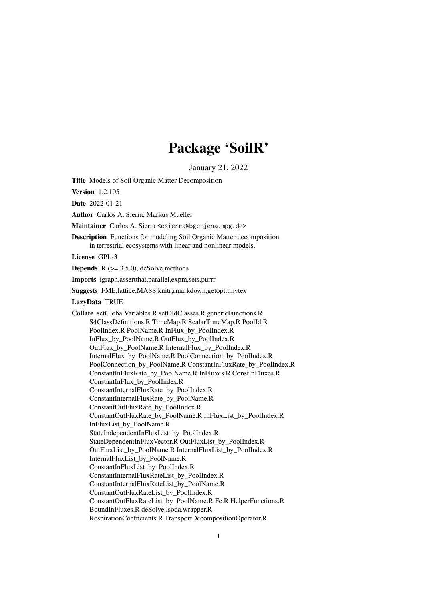# Package 'SoilR'

January 21, 2022

<span id="page-0-0"></span>Title Models of Soil Organic Matter Decomposition

Version 1.2.105

Date 2022-01-21

Author Carlos A. Sierra, Markus Mueller

Maintainer Carlos A. Sierra <csierra@bgc-jena.mpg.de>

Description Functions for modeling Soil Organic Matter decomposition in terrestrial ecosystems with linear and nonlinear models.

License GPL-3

**Depends**  $R$  ( $>= 3.5.0$ ), deSolve, methods

Imports igraph,assertthat,parallel,expm,sets,purrr

Suggests FME,lattice,MASS,knitr,rmarkdown,getopt,tinytex

LazyData TRUE

Collate setGlobalVariables.R setOldClasses.R genericFunctions.R S4ClassDefinitions.R TimeMap.R ScalarTimeMap.R PoolId.R PoolIndex.R PoolName.R InFlux\_by\_PoolIndex.R InFlux\_by\_PoolName.R OutFlux\_by\_PoolIndex.R OutFlux\_by\_PoolName.R InternalFlux\_by\_PoolIndex.R InternalFlux\_by\_PoolName.R PoolConnection\_by\_PoolIndex.R PoolConnection\_by\_PoolName.R ConstantInFluxRate\_by\_PoolIndex.R ConstantInFluxRate\_by\_PoolName.R InFluxes.R ConstInFluxes.R ConstantInFlux\_by\_PoolIndex.R ConstantInternalFluxRate\_by\_PoolIndex.R ConstantInternalFluxRate\_by\_PoolName.R ConstantOutFluxRate\_by\_PoolIndex.R ConstantOutFluxRate\_by\_PoolName.R InFluxList\_by\_PoolIndex.R InFluxList\_by\_PoolName.R StateIndependentInFluxList\_by\_PoolIndex.R StateDependentInFluxVector.R OutFluxList\_by\_PoolIndex.R OutFluxList\_by\_PoolName.R InternalFluxList\_by\_PoolIndex.R InternalFluxList\_by\_PoolName.R ConstantInFluxList\_by\_PoolIndex.R ConstantInternalFluxRateList\_by\_PoolIndex.R ConstantInternalFluxRateList\_by\_PoolName.R ConstantOutFluxRateList\_by\_PoolIndex.R ConstantOutFluxRateList\_by\_PoolName.R Fc.R HelperFunctions.R BoundInFluxes.R deSolve.lsoda.wrapper.R RespirationCoefficients.R TransportDecompositionOperator.R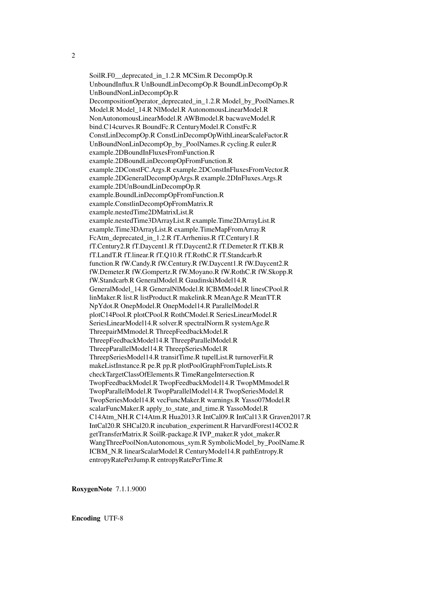2

SoilR.F0\_\_deprecated\_in\_1.2.R MCSim.R DecompOp.R UnboundInflux.R UnBoundLinDecompOp.R BoundLinDecompOp.R UnBoundNonLinDecompOp.R DecompositionOperator\_deprecated\_in\_1.2.R Model\_by\_PoolNames.R Model.R Model\_14.R NlModel.R AutonomousLinearModel.R NonAutonomousLinearModel.R AWBmodel.R bacwaveModel.R bind.C14curves.R BoundFc.R CenturyModel.R ConstFc.R ConstLinDecompOp.R ConstLinDecompOpWithLinearScaleFactor.R UnBoundNonLinDecompOp\_by\_PoolNames.R cycling.R euler.R example.2DBoundInFluxesFromFunction.R example.2DBoundLinDecompOpFromFunction.R example.2DConstFC.Args.R example.2DConstInFluxesFromVector.R example.2DGeneralDecompOpArgs.R example.2DInFluxes.Args.R example.2DUnBoundLinDecompOp.R example.BoundLinDecompOpFromFunction.R example.ConstlinDecompOpFromMatrix.R example.nestedTime2DMatrixList.R example.nestedTime3DArrayList.R example.Time2DArrayList.R example.Time3DArrayList.R example.TimeMapFromArray.R FcAtm\_deprecated\_in\_1.2.R fT.Arrhenius.R fT.Century1.R fT.Century2.R fT.Daycent1.R fT.Daycent2.R fT.Demeter.R fT.KB.R fT.LandT.R fT.linear.R fT.Q10.R fT.RothC.R fT.Standcarb.R function.R fW.Candy.R fW.Century.R fW.Daycent1.R fW.Daycent2.R fW.Demeter.R fW.Gompertz.R fW.Moyano.R fW.RothC.R fW.Skopp.R fW.Standcarb.R GeneralModel.R GaudinskiModel14.R GeneralModel\_14.R GeneralNlModel.R ICBMModel.R linesCPool.R linMaker.R list.R listProduct.R makelink.R MeanAge.R MeanTT.R NpYdot.R OnepModel.R OnepModel14.R ParallelModel.R plotC14Pool.R plotCPool.R RothCModel.R SeriesLinearModel.R SeriesLinearModel14.R solver.R spectralNorm.R systemAge.R ThreepairMMmodel.R ThreepFeedbackModel.R ThreepFeedbackModel14.R ThreepParallelModel.R ThreepParallelModel14.R ThreepSeriesModel.R ThreepSeriesModel14.R transitTime.R tupelList.R turnoverFit.R makeListInstance.R pe.R pp.R plotPoolGraphFromTupleLists.R checkTargetClassOfElements.R TimeRangeIntersection.R TwopFeedbackModel.R TwopFeedbackModel14.R TwopMMmodel.R TwopParallelModel.R TwopParallelModel14.R TwopSeriesModel.R TwopSeriesModel14.R vecFuncMaker.R warnings.R Yasso07Model.R scalarFuncMaker.R apply to state and time.R YassoModel.R C14Atm\_NH.R C14Atm.R Hua2013.R IntCal09.R IntCal13.R Graven2017.R IntCal20.R SHCal20.R incubation\_experiment.R HarvardForest14CO2.R getTransferMatrix.R SoilR-package.R IVP\_maker.R ydot\_maker.R WangThreePoolNonAutonomous\_sym.R SymbolicModel\_by\_PoolName.R ICBM\_N.R linearScalarModel.R CenturyModel14.R pathEntropy.R entropyRatePerJump.R entropyRatePerTime.R

RoxygenNote 7.1.1.9000

Encoding UTF-8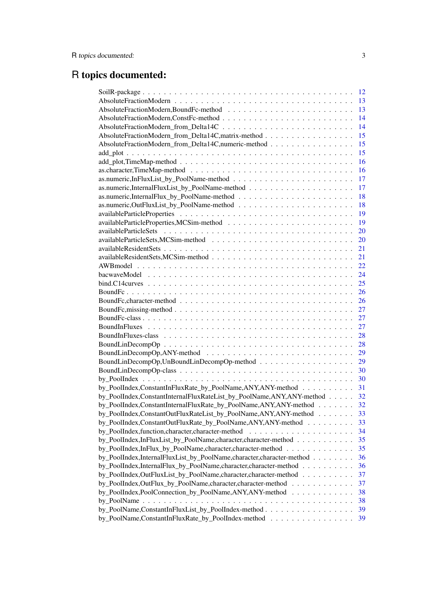# R topics documented:

|                                                                      | 12 |
|----------------------------------------------------------------------|----|
|                                                                      | 13 |
|                                                                      | 13 |
|                                                                      | 14 |
|                                                                      | 14 |
| AbsoluteFractionModern_from_Delta14C,matrix-method                   | 15 |
| AbsoluteFractionModern_from_Delta14C,numeric-method                  | 15 |
|                                                                      | 15 |
|                                                                      | 16 |
|                                                                      | 16 |
|                                                                      | 17 |
|                                                                      | 17 |
|                                                                      | 18 |
|                                                                      | 18 |
|                                                                      | 19 |
|                                                                      | 19 |
|                                                                      | 20 |
|                                                                      | 20 |
|                                                                      | 21 |
|                                                                      | 21 |
|                                                                      | 22 |
|                                                                      | 24 |
|                                                                      | 25 |
|                                                                      | 26 |
|                                                                      |    |
|                                                                      | 26 |
|                                                                      | 27 |
|                                                                      | 27 |
|                                                                      | 27 |
|                                                                      | 28 |
|                                                                      | 28 |
|                                                                      | 29 |
|                                                                      | 29 |
|                                                                      | 30 |
|                                                                      | 30 |
| by_PoolIndex,ConstantInFluxRate_by_PoolName,ANY,ANY-method           | 31 |
| by_PoolIndex,ConstantInternalFluxRateList_by_PoolName,ANY,ANY-method | 32 |
| by_PoolIndex,ConstantInternalFluxRate_by_PoolName,ANY,ANY-method     | 32 |
| by_PoolIndex,ConstantOutFluxRateList_by_PoolName,ANY,ANY-method      | 33 |
| by_PoolIndex,ConstantOutFluxRate_by_PoolName,ANY,ANY-method          | 33 |
|                                                                      | 34 |
| by_PoolIndex,InFluxList_by_PoolName,character,character-method       | 35 |
| by_PoolIndex,InFlux_by_PoolName,character,character-method           | 35 |
| by_PoolIndex,InternalFluxList_by_PoolName,character,character-method | 36 |
| by_PoolIndex,InternalFlux_by_PoolName,character,character-method     | 36 |
| by_PoolIndex,OutFluxList_by_PoolName,character,character-method      | 37 |
| by_PoolIndex,OutFlux_by_PoolName,character,character-method          | 37 |
| by_PoolIndex,PoolConnection_by_PoolName,ANY,ANY-method               | 38 |
|                                                                      | 38 |
| by_PoolName,ConstantInFluxList_by_PoolIndex-method                   | 39 |
| by_PoolName,ConstantInFluxRate_by_PoolIndex-method                   | 39 |
|                                                                      |    |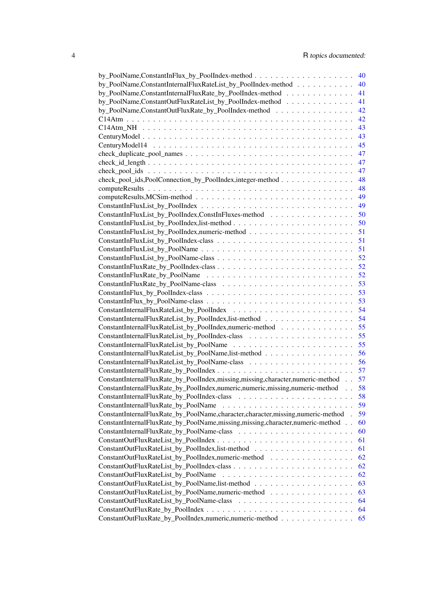|                                                                                                                               | 40 |
|-------------------------------------------------------------------------------------------------------------------------------|----|
| by_PoolName,ConstantInternalFluxRateList_by_PoolIndex-method                                                                  | 40 |
| by_PoolName,ConstantInternalFluxRate_by_PoolIndex-method                                                                      | 41 |
| by_PoolName,ConstantOutFluxRateList_by_PoolIndex-method                                                                       | 41 |
| by_PoolName,ConstantOutFluxRate_by_PoolIndex-method                                                                           | 42 |
|                                                                                                                               | 42 |
|                                                                                                                               | 43 |
|                                                                                                                               | 43 |
|                                                                                                                               | 45 |
|                                                                                                                               | 47 |
| $check_id_length \dots \dots \dots \dots \dots \dots \dots \dots \dots \dots \dots \dots \dots \dots \dots \dots \dots \dots$ | 47 |
|                                                                                                                               | 47 |
| check_pool_ids,PoolConnection_by_PoolIndex,integer-method                                                                     | 48 |
|                                                                                                                               | 48 |
|                                                                                                                               | 49 |
|                                                                                                                               | 49 |
| ConstantInFluxList_by_PoolIndex,ConstInFluxes-method                                                                          | 50 |
|                                                                                                                               | 50 |
|                                                                                                                               | 51 |
|                                                                                                                               | 51 |
|                                                                                                                               | 51 |
|                                                                                                                               | 52 |
|                                                                                                                               | 52 |
|                                                                                                                               | 52 |
|                                                                                                                               |    |
|                                                                                                                               | 53 |
|                                                                                                                               | 53 |
|                                                                                                                               | 53 |
|                                                                                                                               | 54 |
| ConstantInternalFluxRateList_by_PoolIndex,list-method                                                                         | 54 |
| ConstantInternalFluxRateList_by_PoolIndex,numeric-method                                                                      | 55 |
|                                                                                                                               | 55 |
|                                                                                                                               | 55 |
| ConstantInternalFluxRateList_by_PoolName,list-method                                                                          | 56 |
|                                                                                                                               | 56 |
|                                                                                                                               |    |
| ConstantInternalFluxRate_by_PoolIndex,missing,missing,character,numeric-method                                                | 57 |
| ConstantInternalFluxRate_by_PoolIndex,numeric,numeric,missing,numeric-method                                                  | 58 |
|                                                                                                                               | 58 |
| ConstantInternalFluxRate_by_PoolName                                                                                          | 59 |
| ConstantInternalFluxRate_by_PoolName,character,character,missing,numeric-method.                                              | 59 |
| ConstantInternalFluxRate_by_PoolName,missing,missing,character,numeric-method                                                 | 60 |
|                                                                                                                               | 60 |
|                                                                                                                               | 61 |
|                                                                                                                               | 61 |
| ConstantOutFluxRateList_by_PoolIndex,numeric-method                                                                           | 62 |
|                                                                                                                               | 62 |
|                                                                                                                               | 62 |
|                                                                                                                               | 63 |
| ConstantOutFluxRateList_by_PoolName,numeric-method                                                                            | 63 |
|                                                                                                                               | 64 |
|                                                                                                                               | 64 |
| ConstantOutFluxRate_by_PoolIndex,numeric,numeric-method                                                                       | 65 |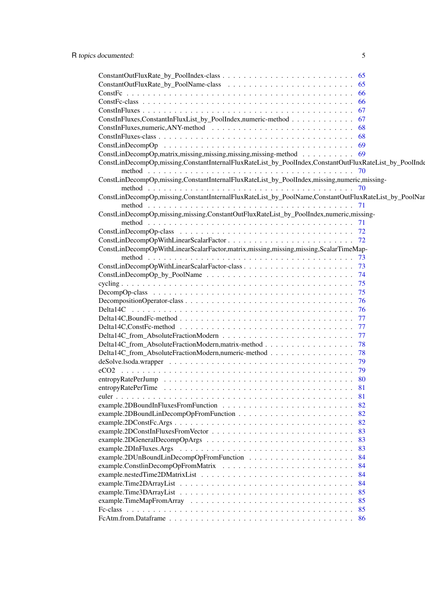|                                                                                                        | -66 |
|--------------------------------------------------------------------------------------------------------|-----|
|                                                                                                        |     |
| ConstInFluxes,ConstantInFluxList_by_PoolIndex,numeric-method                                           |     |
| $ConstInFluxes, numeric, ANY-method \dots \dots \dots \dots \dots \dots \dots \dots \dots \dots \dots$ |     |
|                                                                                                        | -68 |
|                                                                                                        |     |
| ConstLinDecompOp,matrix,missing,missing,missing,missing-method 69                                      |     |
| ConstLinDecompOp,missing,ConstantInternalFluxRateList_by_PoolIndex,ConstantOutFluxRateList_by_PoolInde |     |
|                                                                                                        |     |
| ConstLinDecompOp,missing,ConstantInternalFluxRateList_by_PoolIndex,missing,numeric,missing-            |     |
|                                                                                                        |     |
| ConstLinDecompOp,missing,ConstantInternalFluxRateList_by_PoolName,ConstantOutFluxRateList_by_PoolNar   |     |
|                                                                                                        |     |
| ConstLinDecompOp,missing,missing,ConstantOutFluxRateList_by_PoolIndex,numeric,missing-                 |     |
|                                                                                                        |     |
|                                                                                                        |     |
|                                                                                                        |     |
| ConstLinDecompOpWithLinearScalarFactor, matrix, missing, missing, missing, ScalarTimeMap-              |     |
|                                                                                                        |     |
|                                                                                                        |     |
|                                                                                                        |     |
|                                                                                                        | 75  |
|                                                                                                        | 75  |
|                                                                                                        | 76  |
|                                                                                                        | 76  |
|                                                                                                        | 77  |
|                                                                                                        | 77  |
|                                                                                                        | 77  |
|                                                                                                        |     |
| Delta14C_from_AbsoluteFractionModern,matrix-method 78                                                  |     |
| Delta14C_from_AbsoluteFractionModern,numeric-method                                                    | 78  |
|                                                                                                        | 79  |
|                                                                                                        | 79  |
|                                                                                                        |     |
|                                                                                                        | 81  |
|                                                                                                        |     |
|                                                                                                        | 82  |
|                                                                                                        | 82  |
|                                                                                                        | 82  |
|                                                                                                        | 83  |
|                                                                                                        | 83  |
|                                                                                                        | 83  |
|                                                                                                        | 84  |
|                                                                                                        | 84  |
|                                                                                                        | 84  |
|                                                                                                        | 84  |
|                                                                                                        | 85  |
|                                                                                                        | 85  |
|                                                                                                        | 85  |
|                                                                                                        | 86  |
|                                                                                                        |     |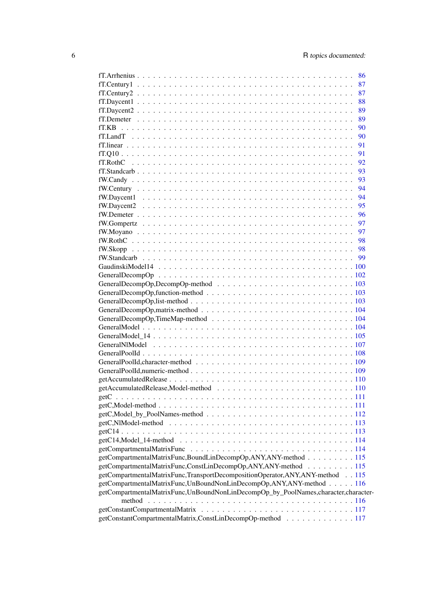| 86                                                                                 |
|------------------------------------------------------------------------------------|
| 87                                                                                 |
| 87                                                                                 |
| 88                                                                                 |
| 89                                                                                 |
|                                                                                    |
| 89                                                                                 |
| 90                                                                                 |
| 90                                                                                 |
| 91                                                                                 |
| 91                                                                                 |
| 92                                                                                 |
| 93                                                                                 |
| 93                                                                                 |
| 94                                                                                 |
| 94                                                                                 |
| 95                                                                                 |
| 96                                                                                 |
| 97                                                                                 |
| 97                                                                                 |
| 98                                                                                 |
| 98                                                                                 |
| 99                                                                                 |
|                                                                                    |
|                                                                                    |
|                                                                                    |
|                                                                                    |
|                                                                                    |
|                                                                                    |
|                                                                                    |
|                                                                                    |
|                                                                                    |
|                                                                                    |
|                                                                                    |
|                                                                                    |
|                                                                                    |
|                                                                                    |
|                                                                                    |
|                                                                                    |
|                                                                                    |
|                                                                                    |
|                                                                                    |
|                                                                                    |
|                                                                                    |
|                                                                                    |
|                                                                                    |
|                                                                                    |
|                                                                                    |
| getCompartmentalMatrixFunc,BoundLinDecompOp,ANY,ANY-method 115                     |
| getCompartmentalMatrixFunc,ConstLinDecompOp,ANY,ANY-method 115                     |
| getCompartmentalMatrixFunc,TransportDecompositionOperator,ANY,ANY-method 115       |
| getCompartmentalMatrixFunc,UnBoundNonLinDecompOp,ANY,ANY-method 116                |
| getCompartmentalMatrixFunc,UnBoundNonLinDecompOp_by_PoolNames,character,character- |
|                                                                                    |
| getConstantCompartmentalMatrix,ConstLinDecompOp-method 117                         |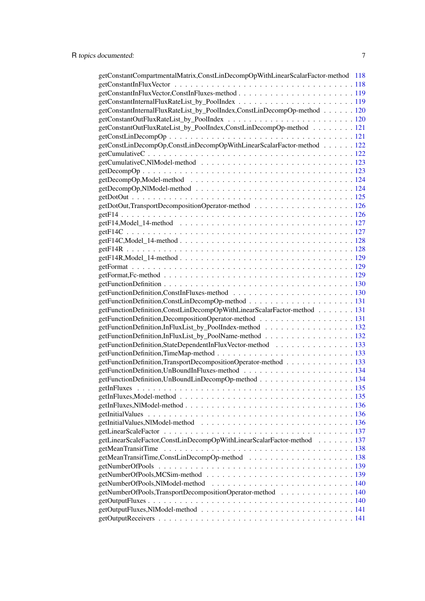| getConstantCompartmentalMatrix,ConstLinDecompOpWithLinearScalarFactor-method 118 |  |
|----------------------------------------------------------------------------------|--|
|                                                                                  |  |
|                                                                                  |  |
|                                                                                  |  |
| getConstantInternalFluxRateList_by_PoolIndex,ConstLinDecompOp-method 120         |  |
|                                                                                  |  |
| getConstantOutFluxRateList_by_PoolIndex,ConstLinDecompOp-method 121              |  |
|                                                                                  |  |
| getConstLinDecompOp,ConstLinDecompOpWithLinearScalarFactor-method 122            |  |
|                                                                                  |  |
|                                                                                  |  |
|                                                                                  |  |
|                                                                                  |  |
|                                                                                  |  |
|                                                                                  |  |
|                                                                                  |  |
|                                                                                  |  |
|                                                                                  |  |
|                                                                                  |  |
|                                                                                  |  |
|                                                                                  |  |
|                                                                                  |  |
|                                                                                  |  |
|                                                                                  |  |
|                                                                                  |  |
|                                                                                  |  |
|                                                                                  |  |
| getFunctionDefinition,ConstLinDecompOpWithLinearScalarFactor-method 131          |  |
|                                                                                  |  |
| getFunctionDefinition,InFluxList_by_PoolIndex-method 132                         |  |
| getFunctionDefinition,InFluxList_by_PoolName-method 132                          |  |
| getFunctionDefinition,StateDependentInFluxVector-method 133                      |  |
|                                                                                  |  |
| getFunctionDefinition,TransportDecompositionOperator-method 133                  |  |
|                                                                                  |  |
| getFunctionDefinition,UnBoundLinDecompOp-method 134                              |  |
|                                                                                  |  |
|                                                                                  |  |
|                                                                                  |  |
|                                                                                  |  |
|                                                                                  |  |
|                                                                                  |  |
| getLinearScaleFactor,ConstLinDecompOpWithLinearScalarFactor-method 137           |  |
|                                                                                  |  |
|                                                                                  |  |
|                                                                                  |  |
|                                                                                  |  |
|                                                                                  |  |
| getNumberOfPools,TransportDecompositionOperator-method 140                       |  |
|                                                                                  |  |
|                                                                                  |  |
|                                                                                  |  |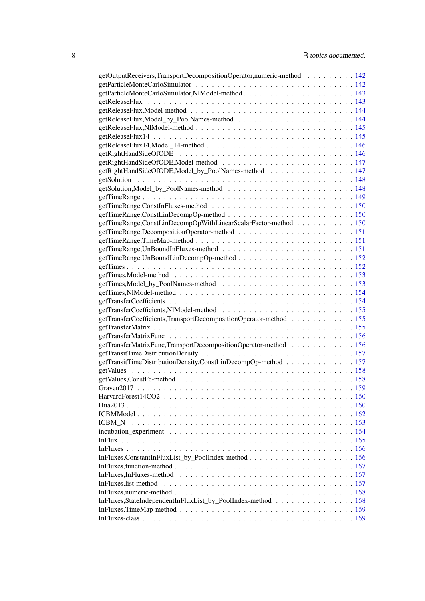| getOutputReceivers,TransportDecompositionOperator,numeric-method 142                                                         |
|------------------------------------------------------------------------------------------------------------------------------|
|                                                                                                                              |
|                                                                                                                              |
|                                                                                                                              |
|                                                                                                                              |
|                                                                                                                              |
|                                                                                                                              |
|                                                                                                                              |
|                                                                                                                              |
|                                                                                                                              |
|                                                                                                                              |
| getRightHandSideOfODE,Model_by_PoolNames-method 147                                                                          |
|                                                                                                                              |
|                                                                                                                              |
|                                                                                                                              |
|                                                                                                                              |
|                                                                                                                              |
| getTimeRange,ConstLinDecompOpWithLinearScalarFactor-method 150                                                               |
|                                                                                                                              |
|                                                                                                                              |
|                                                                                                                              |
|                                                                                                                              |
|                                                                                                                              |
|                                                                                                                              |
|                                                                                                                              |
|                                                                                                                              |
|                                                                                                                              |
|                                                                                                                              |
|                                                                                                                              |
| getTransferCoefficients,TransportDecompositionOperator-method 155                                                            |
|                                                                                                                              |
|                                                                                                                              |
| getTransferMatrixFunc,TransportDecompositionOperator-method 156                                                              |
|                                                                                                                              |
| getTransitTimeDistributionDensity,ConstLinDecompOp-method 157                                                                |
|                                                                                                                              |
|                                                                                                                              |
|                                                                                                                              |
|                                                                                                                              |
|                                                                                                                              |
|                                                                                                                              |
| <b>ICBM</b> N                                                                                                                |
|                                                                                                                              |
|                                                                                                                              |
|                                                                                                                              |
|                                                                                                                              |
| In Fluxes, function-method $\ldots \ldots \ldots \ldots \ldots \ldots \ldots \ldots \ldots \ldots \ldots \ldots \ldots 167$  |
| In Fluxes, In Fluxes-method $\ldots \ldots \ldots \ldots \ldots \ldots \ldots \ldots \ldots \ldots \ldots \ldots \ldots 167$ |
| InFluxes, list-method                                                                                                        |
|                                                                                                                              |
| InFluxes, StateIndependentInFluxList_by_PoolIndex-method 168                                                                 |
| In Fluxes, Time Map-method $\ldots \ldots \ldots \ldots \ldots \ldots \ldots \ldots \ldots \ldots \ldots \ldots \ldots 169$  |
|                                                                                                                              |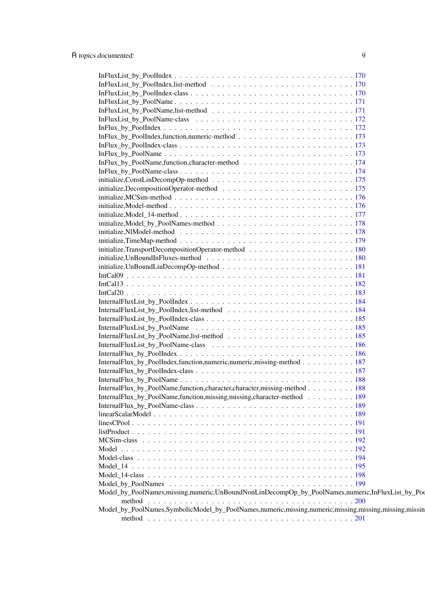| InternalFlux_by_PoolIndex,function,numeric,numeric,missing-method 187                                                                                                              |
|------------------------------------------------------------------------------------------------------------------------------------------------------------------------------------|
|                                                                                                                                                                                    |
|                                                                                                                                                                                    |
| InternalFlux_by_PoolName,function,character,character,missing-method 188                                                                                                           |
| InternalFlux_by_PoolName,function,missing,missing,character-method 189                                                                                                             |
|                                                                                                                                                                                    |
|                                                                                                                                                                                    |
|                                                                                                                                                                                    |
|                                                                                                                                                                                    |
|                                                                                                                                                                                    |
|                                                                                                                                                                                    |
|                                                                                                                                                                                    |
|                                                                                                                                                                                    |
|                                                                                                                                                                                    |
|                                                                                                                                                                                    |
| Model_by_PoolNames,missing,numeric,UnBoundNonLinDecompOp_by_PoolNames,numeric,InFluxList_by_PoolNames,missing,numeric,UnBoundNonLinDecompOp_by_PoolNames,numeric,InFluxList_by_Poo |
|                                                                                                                                                                                    |
|                                                                                                                                                                                    |
| Model_by_PoolNames,SymbolicModel_by_PoolNames,numeric,missing,numeric,missing,missing,missing,missin                                                                               |
|                                                                                                                                                                                    |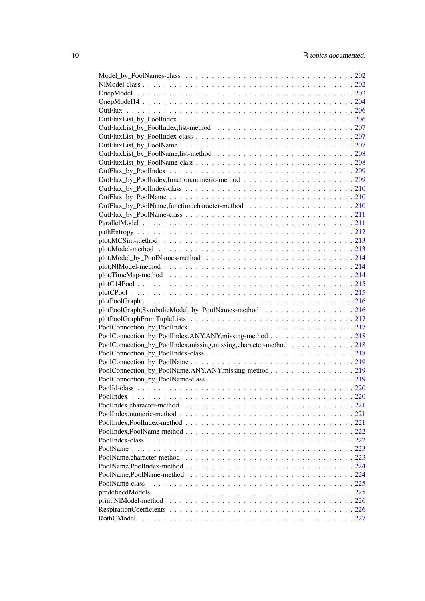| plotPoolGraph,SymbolicModel_by_PoolNames-method 216              |     |
|------------------------------------------------------------------|-----|
|                                                                  |     |
|                                                                  |     |
| PoolConnection_by_PoolIndex,ANY,ANY,missing-method 218           |     |
| PoolConnection_by_PoolIndex,missing,missing,character-method 218 |     |
|                                                                  |     |
|                                                                  |     |
| PoolConnection_by_PoolName,ANY,ANY,missing-method 219            |     |
|                                                                  |     |
|                                                                  |     |
|                                                                  | 220 |
|                                                                  |     |
|                                                                  |     |
|                                                                  |     |
|                                                                  |     |
|                                                                  |     |
|                                                                  |     |
|                                                                  |     |
|                                                                  |     |
|                                                                  |     |
|                                                                  |     |
|                                                                  |     |
|                                                                  |     |
|                                                                  |     |
|                                                                  |     |
|                                                                  |     |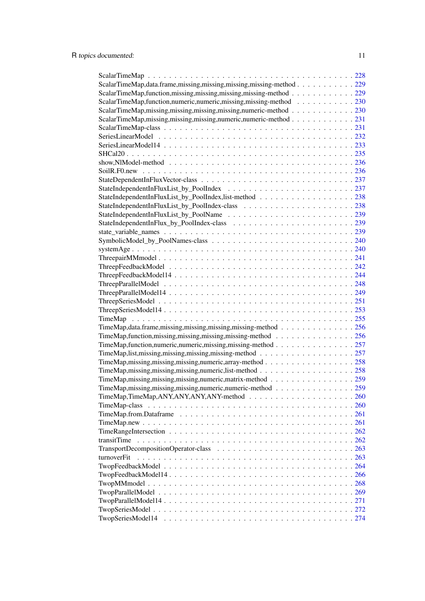| ScalarTimeMap, data.frame, missing, missing, missing, missing-method 229                                              |  |
|-----------------------------------------------------------------------------------------------------------------------|--|
| ScalarTimeMap, function, missing, missing, missing, missing-method 229                                                |  |
| ScalarTimeMap, function, numeric, numeric, missing, missing-method 230                                                |  |
| ScalarTimeMap,missing,missing,missing,missing,numeric-method 230                                                      |  |
| ScalarTimeMap,missing,missing,missing,numeric,numeric-method 231                                                      |  |
|                                                                                                                       |  |
|                                                                                                                       |  |
|                                                                                                                       |  |
|                                                                                                                       |  |
| show, NIModel-method $\ldots \ldots \ldots \ldots \ldots \ldots \ldots \ldots \ldots \ldots \ldots \ldots \ldots 236$ |  |
|                                                                                                                       |  |
|                                                                                                                       |  |
|                                                                                                                       |  |
| StateIndependentInFluxList_by_PoolIndex,list-method 238                                                               |  |
|                                                                                                                       |  |
|                                                                                                                       |  |
|                                                                                                                       |  |
|                                                                                                                       |  |
|                                                                                                                       |  |
|                                                                                                                       |  |
|                                                                                                                       |  |
|                                                                                                                       |  |
|                                                                                                                       |  |
|                                                                                                                       |  |
|                                                                                                                       |  |
|                                                                                                                       |  |
|                                                                                                                       |  |
|                                                                                                                       |  |
| TimeMap, data.frame, missing, missing, missing, missing-method 256                                                    |  |
| TimeMap, function, missing, missing, missing, missing-method 256                                                      |  |
| TimeMap, function, numeric, numeric, missing, missing-method 257                                                      |  |
|                                                                                                                       |  |
| TimeMap, missing, missing, missing, numeric, array-method 258                                                         |  |
|                                                                                                                       |  |
| TimeMap,missing,missing,missing,numeric,matrix-method 259                                                             |  |
| TimeMap, missing, missing, missing, numeric, numeric-method 259                                                       |  |
|                                                                                                                       |  |
|                                                                                                                       |  |
|                                                                                                                       |  |
|                                                                                                                       |  |
|                                                                                                                       |  |
| transitTime                                                                                                           |  |
|                                                                                                                       |  |
| turnoverFit                                                                                                           |  |
|                                                                                                                       |  |
|                                                                                                                       |  |
|                                                                                                                       |  |
|                                                                                                                       |  |
|                                                                                                                       |  |
|                                                                                                                       |  |
|                                                                                                                       |  |
|                                                                                                                       |  |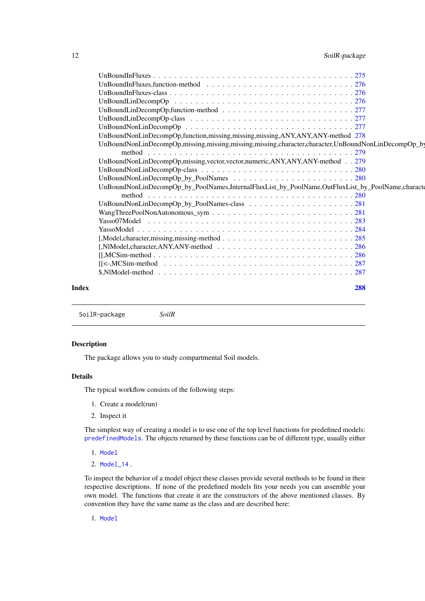<span id="page-11-0"></span>

| 12 | SoilR-package |
|----|---------------|
|----|---------------|

|              | UnBoundNonLinDecompOp,function,missing,missing,missing,ANY,ANY,ANY-method 278                                         |  |
|--------------|-----------------------------------------------------------------------------------------------------------------------|--|
|              | UnBoundNonLinDecompOp,missing,missing,missing,missing,character,character,UnBoundNonLinDecompOp_by                    |  |
|              |                                                                                                                       |  |
|              | UnBoundNonLinDecompOp,missing,vector,vector,numeric,ANY,ANY,ANY-method 279                                            |  |
|              |                                                                                                                       |  |
|              |                                                                                                                       |  |
|              | UnBoundNonLinDecompOp_by_PoolNames,InternalFluxList_by_PoolName,OutFluxList_by_PoolName,characte                      |  |
|              |                                                                                                                       |  |
|              |                                                                                                                       |  |
|              |                                                                                                                       |  |
|              |                                                                                                                       |  |
|              |                                                                                                                       |  |
|              |                                                                                                                       |  |
|              |                                                                                                                       |  |
|              | $[[, MCSim-method286$                                                                                                 |  |
|              | $[[\prec,MCSim-method \ldots \ldots \ldots \ldots \ldots \ldots \ldots \ldots \ldots \ldots \ldots \ldots \ldots 287$ |  |
|              |                                                                                                                       |  |
| <b>Index</b> | 288                                                                                                                   |  |

SoilR-package *SoilR*

#### Description

The package allows you to study compartmental Soil models.

#### Details

The typical workflow consists of the following steps:

- 1. Create a model(run)
- 2. Inspect it

The simplest way of creating a model is to use one of the top level functions for predefined models: [predefinedModels](#page-224-1). The objects returned by these functions can be of different type, usually either

- 1. [Model](#page-193-1)
- 2. [Model\\_14](#page-197-1) .

To inspect the behavior of a model object these classes provide several methods to be found in their respective descriptions. If none of the predefined models fits your needs you can assemble your own model. The functions that create it are the constructors of the above mentioned classes. By convention they have the same name as the class and are described here:

1. [Model](#page-191-1)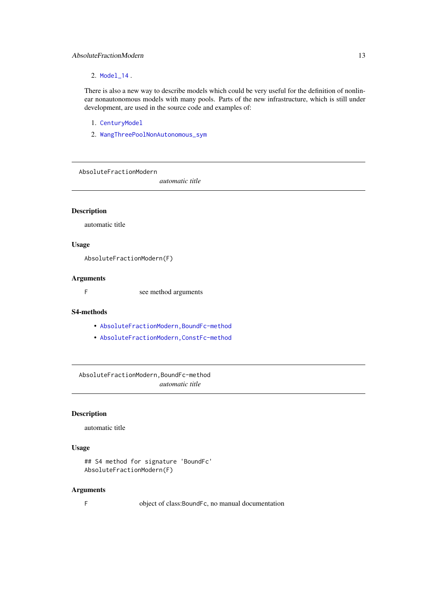#### <span id="page-12-0"></span>AbsoluteFractionModern 13

# 2. [Model\\_14](#page-194-1) .

There is also a new way to describe models which could be very useful for the definition of nonlinear nonautonomous models with many pools. Parts of the new infrastructure, which is still under development, are used in the source code and examples of:

- 1. [CenturyModel](#page-42-1)
- 2. [WangThreePoolNonAutonomous\\_sym](#page-280-1)

AbsoluteFractionModern

*automatic title*

# Description

automatic title

#### Usage

AbsoluteFractionModern(F)

#### Arguments

F see method arguments

#### S4-methods

- [AbsoluteFractionModern,BoundFc-method](#page-0-0)
- [AbsoluteFractionModern,ConstFc-method](#page-0-0)

AbsoluteFractionModern,BoundFc-method *automatic title*

#### Description

automatic title

# Usage

```
## S4 method for signature 'BoundFc'
AbsoluteFractionModern(F)
```
# Arguments

F object of class:BoundFc, no manual documentation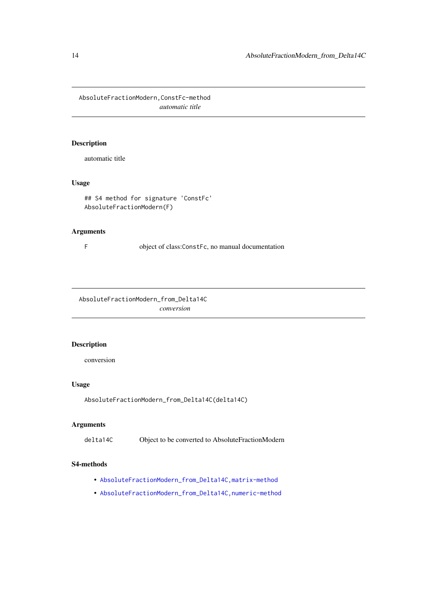<span id="page-13-0"></span>AbsoluteFractionModern,ConstFc-method *automatic title*

# Description

automatic title

# Usage

```
## S4 method for signature 'ConstFc'
AbsoluteFractionModern(F)
```
# Arguments

F object of class:ConstFc, no manual documentation

AbsoluteFractionModern\_from\_Delta14C *conversion*

# Description

conversion

# Usage

AbsoluteFractionModern\_from\_Delta14C(delta14C)

# Arguments

delta14C Object to be converted to AbsoluteFractionModern

# S4-methods

- [AbsoluteFractionModern\\_from\\_Delta14C,matrix-method](#page-0-0)
- [AbsoluteFractionModern\\_from\\_Delta14C,numeric-method](#page-0-0)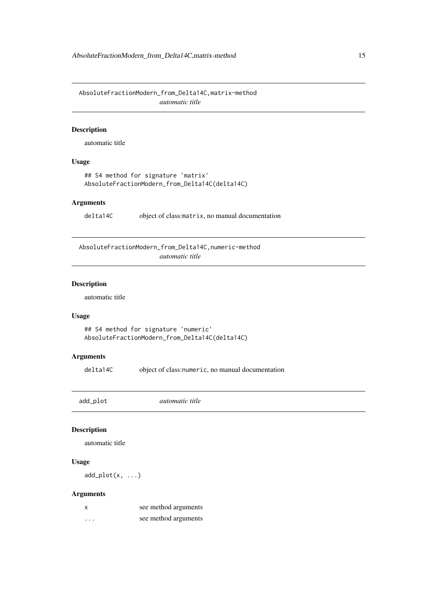<span id="page-14-0"></span>AbsoluteFractionModern\_from\_Delta14C,matrix-method *automatic title*

# Description

automatic title

# Usage

```
## S4 method for signature 'matrix'
AbsoluteFractionModern_from_Delta14C(delta14C)
```
## Arguments

delta14C object of class:matrix, no manual documentation

AbsoluteFractionModern\_from\_Delta14C,numeric-method *automatic title*

#### Description

automatic title

# Usage

```
## S4 method for signature 'numeric'
AbsoluteFractionModern_from_Delta14C(delta14C)
```
# Arguments

delta14C object of class:numeric, no manual documentation

add\_plot *automatic title*

# Description

automatic title

# Usage

 $add\_plot(x, ...)$ 

| X        | see method arguments |
|----------|----------------------|
| $\cdots$ | see method arguments |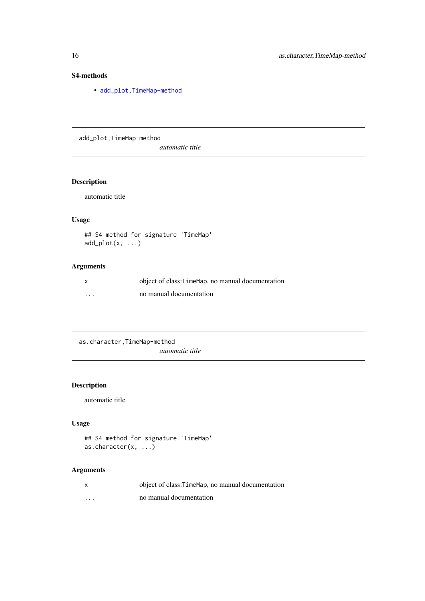# S4-methods

• add\_plot, TimeMap-method

add\_plot,TimeMap-method

*automatic title*

# Description

automatic title

# Usage

```
## S4 method for signature 'TimeMap'
add\_plot(x, ...)
```
# Arguments

| $\mathsf{x}$ | object of class: TimeMap, no manual documentation |
|--------------|---------------------------------------------------|
| $\cdots$     | no manual documentation                           |

as.character,TimeMap-method *automatic title*

# Description

automatic title

# Usage

```
## S4 method for signature 'TimeMap'
as.character(x, ...)
```

| $\times$ | object of class: TimeMap, no manual documentation |
|----------|---------------------------------------------------|
| $\cdots$ | no manual documentation                           |

<span id="page-15-0"></span>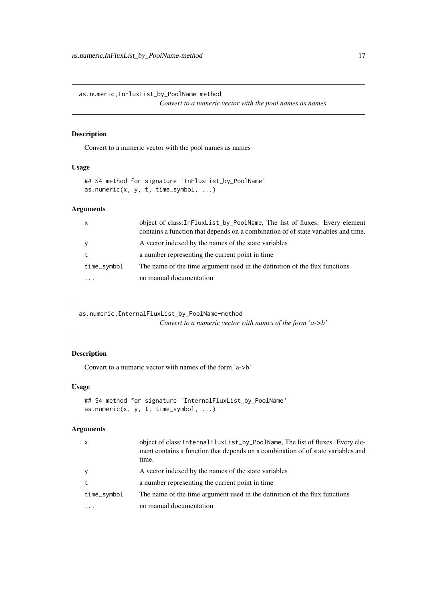<span id="page-16-0"></span>as.numeric,InFluxList\_by\_PoolName-method

*Convert to a numeric vector with the pool names as names*

# Description

Convert to a numeric vector with the pool names as names

# Usage

```
## S4 method for signature 'InFluxList_by_PoolName'
as.numeric(x, y, t, time_symbol, \dots)
```
# Arguments

| $\mathsf{x}$ | object of class: InFluxList_by_PoolName, The list of fluxes. Every element<br>contains a function that depends on a combination of of state variables and time. |
|--------------|-----------------------------------------------------------------------------------------------------------------------------------------------------------------|
| y            | A vector indexed by the names of the state variables                                                                                                            |
| t            | a number representing the current point in time                                                                                                                 |
| time_symbol  | The name of the time argument used in the definition of the flux functions                                                                                      |
| .            | no manual documentation                                                                                                                                         |

as.numeric,InternalFluxList\_by\_PoolName-method *Convert to a numeric vector with names of the form 'a->b'*

# Description

Convert to a numeric vector with names of the form 'a->b'

# Usage

```
## S4 method for signature 'InternalFluxList_by_PoolName'
as.numeric(x, y, t, time_symbol, \ldots)
```

| $\mathsf{x}$ | object of class: Internal FluxList_by_PoolName, The list of fluxes. Every ele-<br>ment contains a function that depends on a combination of of state variables and<br>time. |
|--------------|-----------------------------------------------------------------------------------------------------------------------------------------------------------------------------|
| y            | A vector indexed by the names of the state variables                                                                                                                        |
| t            | a number representing the current point in time                                                                                                                             |
| time_symbol  | The name of the time argument used in the definition of the flux functions                                                                                                  |
| .            | no manual documentation                                                                                                                                                     |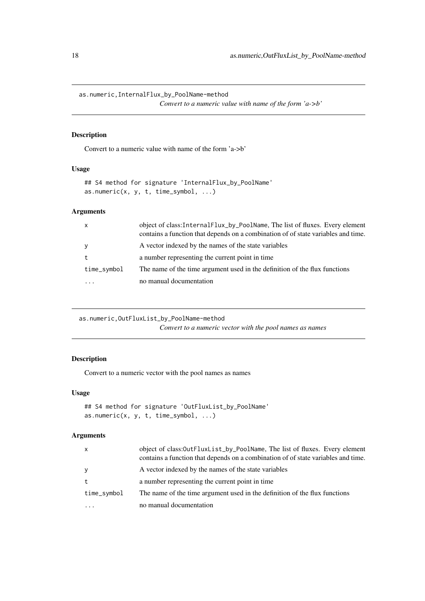<span id="page-17-0"></span>as.numeric,InternalFlux\_by\_PoolName-method

*Convert to a numeric value with name of the form 'a->b'*

# Description

Convert to a numeric value with name of the form 'a->b'

# Usage

```
## S4 method for signature 'InternalFlux_by_PoolName'
as.numeric(x, y, t, time_symbol, ...)
```
# Arguments

| $\mathsf{x}$ | object of class: InternalFlux_by_PoolName, The list of fluxes. Every element<br>contains a function that depends on a combination of of state variables and time. |
|--------------|-------------------------------------------------------------------------------------------------------------------------------------------------------------------|
| y            | A vector indexed by the names of the state variables                                                                                                              |
| t            | a number representing the current point in time                                                                                                                   |
| time_symbol  | The name of the time argument used in the definition of the flux functions                                                                                        |
| .            | no manual documentation                                                                                                                                           |

as.numeric,OutFluxList\_by\_PoolName-method *Convert to a numeric vector with the pool names as names*

# Description

Convert to a numeric vector with the pool names as names

# Usage

```
## S4 method for signature 'OutFluxList_by_PoolName'
as.numeric(x, y, t, time_symbol, ...)
```

| $\mathsf{x}$ | object of class: OutFluxList_by_PoolName, The list of fluxes. Every element<br>contains a function that depends on a combination of of state variables and time. |
|--------------|------------------------------------------------------------------------------------------------------------------------------------------------------------------|
| y            | A vector indexed by the names of the state variables                                                                                                             |
| t            | a number representing the current point in time                                                                                                                  |
| time_symbol  | The name of the time argument used in the definition of the flux functions                                                                                       |
|              | no manual documentation                                                                                                                                          |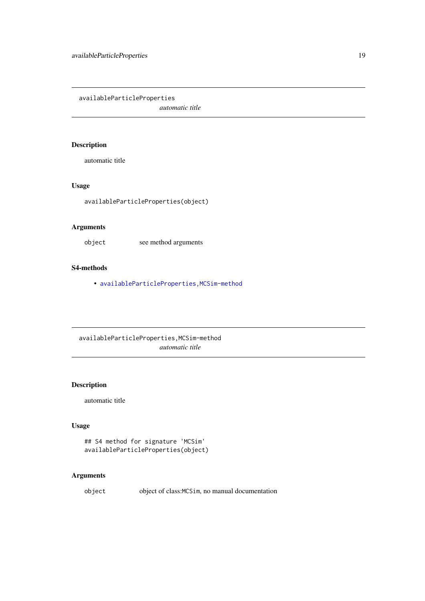<span id="page-18-0"></span>availableParticleProperties *automatic title*

# Description

automatic title

# Usage

availableParticleProperties(object)

# Arguments

object see method arguments

# S4-methods

• [availableParticleProperties,MCSim-method](#page-0-0)

availableParticleProperties,MCSim-method *automatic title*

# Description

automatic title

# Usage

```
## S4 method for signature 'MCSim'
availableParticleProperties(object)
```
# Arguments

object object of class:MCSim, no manual documentation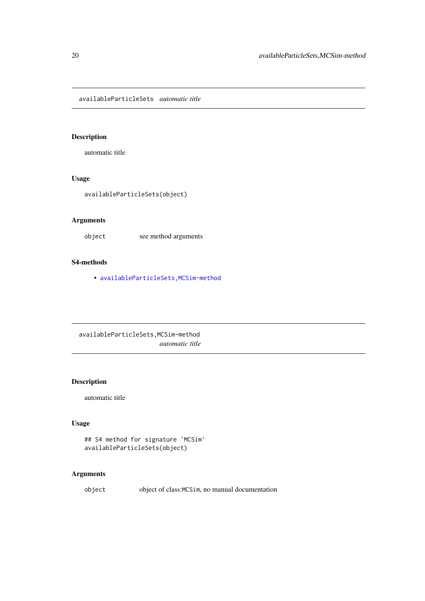<span id="page-19-0"></span>availableParticleSets *automatic title*

# Description

automatic title

# Usage

```
availableParticleSets(object)
```
# Arguments

object see method arguments

# S4-methods

• [availableParticleSets,MCSim-method](#page-0-0)

availableParticleSets,MCSim-method *automatic title*

# Description

automatic title

# Usage

```
## S4 method for signature 'MCSim'
availableParticleSets(object)
```
# Arguments

object object of class:MCSim, no manual documentation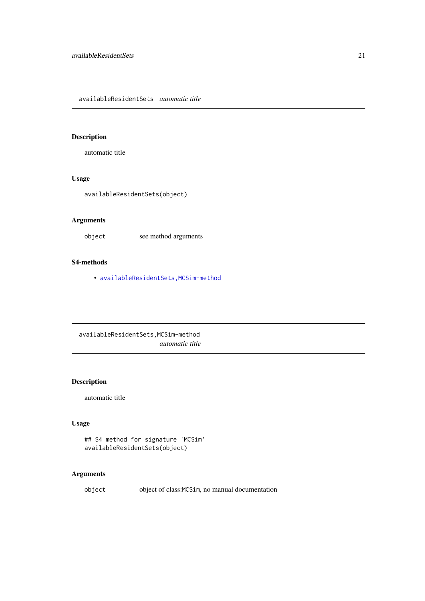<span id="page-20-0"></span>availableResidentSets *automatic title*

# Description

automatic title

# Usage

```
availableResidentSets(object)
```
# Arguments

object see method arguments

# S4-methods

• [availableResidentSets,MCSim-method](#page-0-0)

availableResidentSets,MCSim-method *automatic title*

# Description

automatic title

# Usage

```
## S4 method for signature 'MCSim'
availableResidentSets(object)
```
# Arguments

object object of class:MCSim, no manual documentation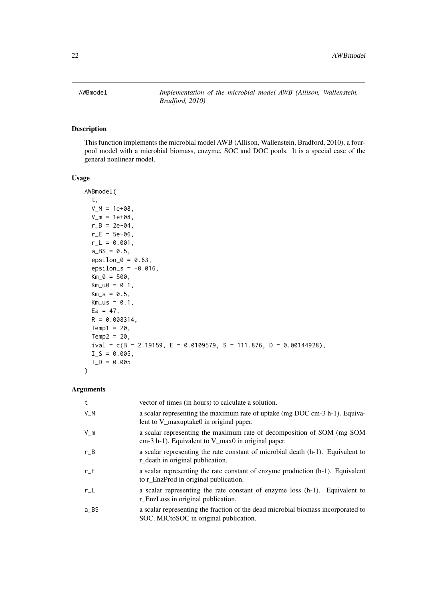#### <span id="page-21-0"></span>Description

This function implements the microbial model AWB (Allison, Wallenstein, Bradford, 2010), a fourpool model with a microbial biomass, enzyme, SOC and DOC pools. It is a special case of the general nonlinear model.

# Usage

```
AWBmodel(
  t,
  V_M = 1e+08.
  V_m = 1e+08,
  r_B = 2e-04,
  r_{-}E = 5e-06,
  r_L = 0.001,
  a_B = 0.5,
  epsilon_0 = 0.63,
  epsilon_s = -0.016,
  Km_0 = 500,
  Km_u0 = 0.1,
  Km_S = 0.5,
  Km_us = 0.1,
  Ea = 47,
 R = 0.008314,Temp1 = 20,Temp2 = 20,ival = c(B = 2.19159, E = 0.0109579, S = 111.876, D = 0.00144928),
  I_S = 0.005,
  I/D = 0.005\lambda
```

| t             | vector of times (in hours) to calculate a solution.                                                                             |
|---------------|---------------------------------------------------------------------------------------------------------------------------------|
| V_M           | a scalar representing the maximum rate of uptake (mg DOC cm-3 h-1). Equiva-<br>lent to V_maxuptake0 in original paper.          |
| $V_{\perp}$ m | a scalar representing the maximum rate of decomposition of SOM (mg SOM<br>$cm-3 h-1$ ). Equivalent to V_max0 in original paper. |
| $r_B$         | a scalar representing the rate constant of microbial death (h-1). Equivalent to<br>r_death in original publication.             |
| $r\_E$        | a scalar representing the rate constant of enzyme production (h-1). Equivalent<br>to r_EnzProd in original publication.         |
| $r\_L$        | a scalar representing the rate constant of enzyme loss (h-1). Equivalent to<br>r_EnzLoss in original publication.               |
| a_BS          | a scalar representing the fraction of the dead microbial biomass incorporated to<br>SOC. MICtoSOC in original publication.      |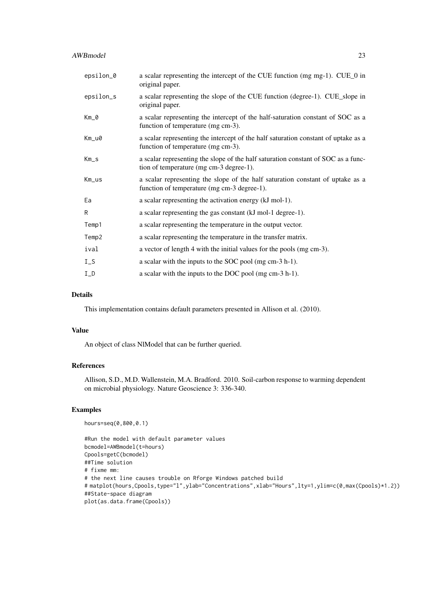#### AWBmodel 23

| epsilon_0 | a scalar representing the intercept of the CUE function (mg mg-1). CUE_0 in<br>original paper.                                |
|-----------|-------------------------------------------------------------------------------------------------------------------------------|
| epsilon_s | a scalar representing the slope of the CUE function (degree-1). CUE_slope in<br>original paper.                               |
| Km_0      | a scalar representing the intercept of the half-saturation constant of SOC as a<br>function of temperature (mg cm-3).         |
| Km_u0     | a scalar representing the intercept of the half saturation constant of uptake as a<br>function of temperature (mg cm-3).      |
| $Km_S$    | a scalar representing the slope of the half saturation constant of SOC as a func-<br>tion of temperature (mg cm-3 degree-1).  |
| Km_us     | a scalar representing the slope of the half saturation constant of uptake as a<br>function of temperature (mg cm-3 degree-1). |
| Ea        | a scalar representing the activation energy (kJ mol-1).                                                                       |
| R         | a scalar representing the gas constant (kJ mol-1 degree-1).                                                                   |
| Temp1     | a scalar representing the temperature in the output vector.                                                                   |
| Temp2     | a scalar representing the temperature in the transfer matrix.                                                                 |
| ival      | a vector of length 4 with the initial values for the pools (mg cm-3).                                                         |
| $I_S$     | a scalar with the inputs to the SOC pool (mg cm-3 h-1).                                                                       |
| $I_D$     | a scalar with the inputs to the DOC pool (mg cm-3 h-1).                                                                       |

# Details

This implementation contains default parameters presented in Allison et al. (2010).

#### Value

An object of class NlModel that can be further queried.

# References

Allison, S.D., M.D. Wallenstein, M.A. Bradford. 2010. Soil-carbon response to warming dependent on microbial physiology. Nature Geoscience 3: 336-340.

# Examples

```
hours=seq(0,800,0.1)
```

```
#Run the model with default parameter values
bcmodel=AWBmodel(t=hours)
Cpools=getC(bcmodel)
##Time solution
# fixme mm:
# the next line causes trouble on Rforge Windows patched build
# matplot(hours,Cpools,type="l",ylab="Concentrations",xlab="Hours",lty=1,ylim=c(0,max(Cpools)*1.2))
##State-space diagram
plot(as.data.frame(Cpools))
```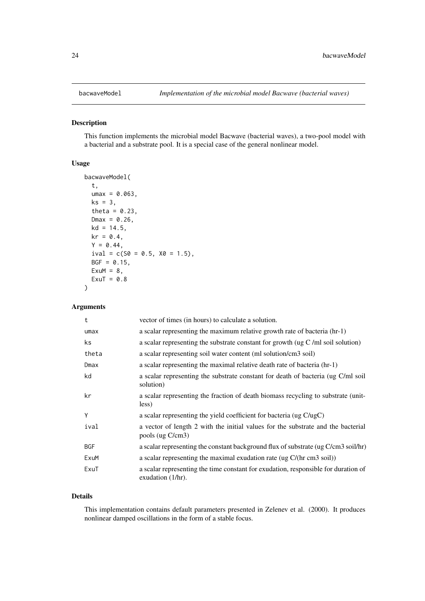<span id="page-23-0"></span>

#### Description

This function implements the microbial model Bacwave (bacterial waves), a two-pool model with a bacterial and a substrate pool. It is a special case of the general nonlinear model.

# Usage

```
bacwaveModel(
  t,
  umax = 0.063,ks = 3,
  theta = 0.23,
  Dmax = 0.26,
  kd = 14.5,
  kr = 0.4,
  Y = 0.44,
  ival = c(S0 = 0.5, X0 = 1.5),
  BGF = 0.15,
  ExuM = 8,
  ExuT = 0.8)
```
### Arguments

| t          | vector of times (in hours) to calculate a solution.                                                        |
|------------|------------------------------------------------------------------------------------------------------------|
| umax       | a scalar representing the maximum relative growth rate of bacteria (hr-1)                                  |
| ks         | a scalar representing the substrate constant for growth ( $\lg C$ /ml soil solution)                       |
| theta      | a scalar representing soil water content (ml solution/cm3 soil)                                            |
| Dmax       | a scalar representing the maximal relative death rate of bacteria (hr-1)                                   |
| kd         | a scalar representing the substrate constant for death of bacteria (ug C/ml soil<br>solution)              |
| kr         | a scalar representing the fraction of death biomass recycling to substrate (unit-<br>less)                 |
| Υ          | a scalar representing the yield coefficient for bacteria (ug C/ugC)                                        |
| ival       | a vector of length 2 with the initial values for the substrate and the bacterial<br>pools (ug C/cm3)       |
| <b>BGF</b> | a scalar representing the constant background flux of substrate (ug C/cm3 soil/hr)                         |
| ExuM       | a scalar representing the maximal exudation rate (ug C/(hr cm3 soil))                                      |
| ExuT       | a scalar representing the time constant for exudation, responsible for duration of<br>exudation $(1/hr)$ . |

#### Details

This implementation contains default parameters presented in Zelenev et al. (2000). It produces nonlinear damped oscillations in the form of a stable focus.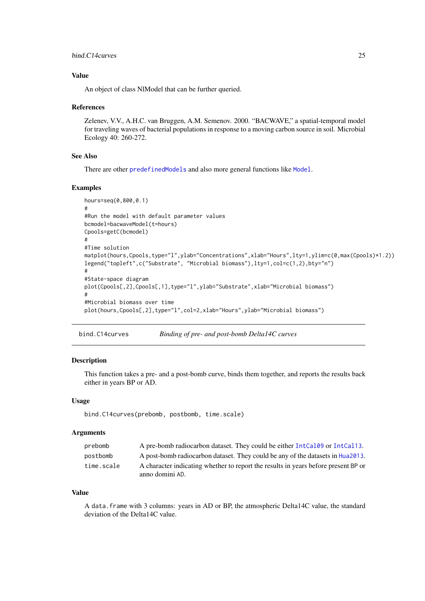#### <span id="page-24-0"></span>bind.C14curves 25

#### Value

An object of class NlModel that can be further queried.

#### References

Zelenev, V.V., A.H.C. van Bruggen, A.M. Semenov. 2000. "BACWAVE," a spatial-temporal model for traveling waves of bacterial populations in response to a moving carbon source in soil. Microbial Ecology 40: 260-272.

#### See Also

There are other [predefinedModels](#page-224-1) and also more general functions like [Model](#page-191-1).

#### Examples

```
hours=seq(0,800,0.1)
#
#Run the model with default parameter values
bcmodel=bacwaveModel(t=hours)
Cpools=getC(bcmodel)
#
#Time solution
matplot(hours,Cpools,type="l",ylab="Concentrations",xlab="Hours",lty=1,ylim=c(0,max(Cpools)*1.2))
legend("topleft",c("Substrate", "Microbial biomass"),lty=1,col=c(1,2),bty="n")
#
#State-space diagram
plot(Cpools[,2],Cpools[,1],type="l",ylab="Substrate",xlab="Microbial biomass")
#
#Microbial biomass over time
plot(hours,Cpools[,2],type="l",col=2,xlab="Hours",ylab="Microbial biomass")
```
bind.C14curves *Binding of pre- and post-bomb Delta14C curves*

#### Description

This function takes a pre- and a post-bomb curve, binds them together, and reports the results back either in years BP or AD.

#### Usage

bind.C14curves(prebomb, postbomb, time.scale)

#### Arguments

| prebomb    | A pre-bomb radiocarbon dataset. They could be either IntCal09 or IntCal13.         |
|------------|------------------------------------------------------------------------------------|
| postbomb   | A post-bomb radiocarbon dataset. They could be any of the datasets in Hua2013.     |
| time.scale | A character indicating whether to report the results in years before present BP or |
|            | anno domini AD.                                                                    |

#### Value

A data.frame with 3 columns: years in AD or BP, the atmospheric Delta14C value, the standard deviation of the Delta14C value.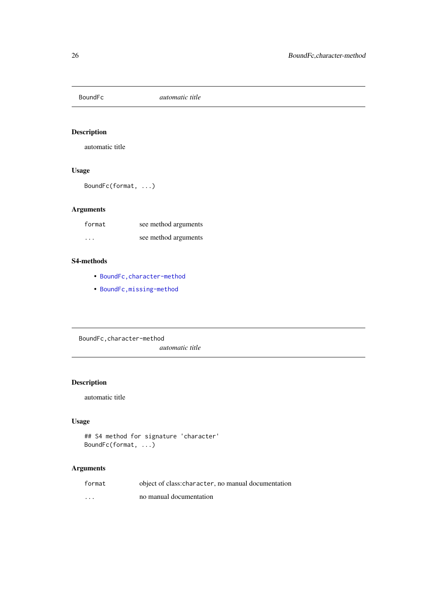<span id="page-25-0"></span>

# Description

automatic title

# Usage

BoundFc(format, ...)

# Arguments

| format  | see method arguments |
|---------|----------------------|
| $\cdot$ | see method arguments |

#### S4-methods

- [BoundFc,character-method](#page-0-0)
- [BoundFc,missing-method](#page-0-0)

BoundFc,character-method

*automatic title*

# Description

automatic title

# Usage

```
## S4 method for signature 'character'
BoundFc(format, ...)
```

| format                  | object of class: character, no manual documentation |
|-------------------------|-----------------------------------------------------|
| $\cdot$ $\cdot$ $\cdot$ | no manual documentation                             |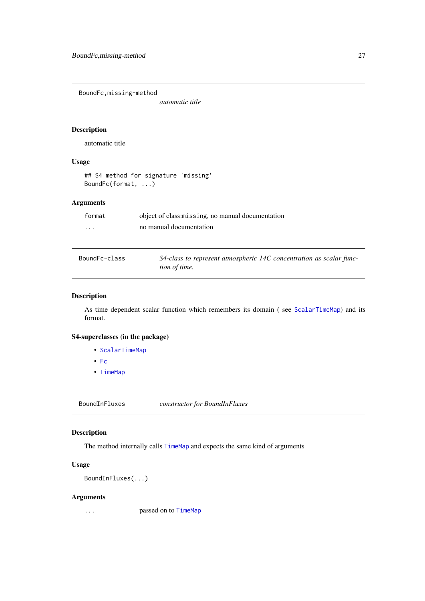<span id="page-26-0"></span>BoundFc,missing-method

*automatic title*

#### Description

automatic title

# Usage

```
## S4 method for signature 'missing'
BoundFc(format, ...)
```
# Arguments

| format   | object of class: missing, no manual documentation |
|----------|---------------------------------------------------|
| $\cdots$ | no manual documentation                           |
|          |                                                   |
|          |                                                   |

```
BoundFc-class S4-class to represent atmospheric 14C concentration as scalar func-
                        tion of time.
```
#### Description

As time dependent scalar function which remembers its domain (see [ScalarTimeMap](#page-230-1)) and its format.

# S4-superclasses (in the package)

- [ScalarTimeMap](#page-230-1)
- [Fc](#page-84-1)
- [TimeMap](#page-259-1)

BoundInFluxes *constructor for BoundInFluxes*

# Description

The method internally calls [TimeMap](#page-254-1) and expects the same kind of arguments

# Usage

```
BoundInFluxes(...)
```
#### Arguments

... passed on to [TimeMap](#page-254-1)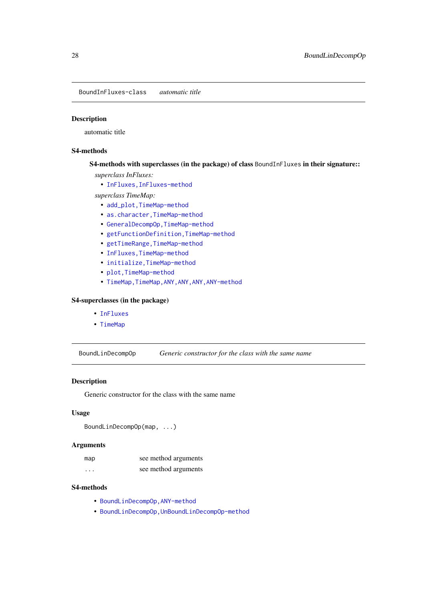<span id="page-27-0"></span>BoundInFluxes-class *automatic title*

# Description

automatic title

# S4-methods

# S4-methods with superclasses (in the package) of class BoundInFluxes in their signature::

- *superclass InFluxes:*
	- [InFluxes,InFluxes-method](#page-0-0)

#### *superclass TimeMap:*

- add\_plot, TimeMap-method
- as.character, TimeMap-method
- [GeneralDecompOp,TimeMap-method](#page-0-0)
- [getFunctionDefinition,TimeMap-method](#page-0-0)
- getTimeRange, TimeMap-method
- [InFluxes,TimeMap-method](#page-0-0)
- [initialize,TimeMap-method](#page-0-0)
- [plot,TimeMap-method](#page-0-0)
- TimeMap, TimeMap, ANY, ANY, ANY, ANY-method

#### S4-superclasses (in the package)

- [InFluxes](#page-168-1)
- [TimeMap](#page-259-1)

BoundLinDecompOp *Generic constructor for the class with the same name*

# Description

Generic constructor for the class with the same name

# Usage

```
BoundLinDecompOp(map, ...)
```
# Arguments

| map      | see method arguments |
|----------|----------------------|
| $\cdots$ | see method arguments |

# S4-methods

- [BoundLinDecompOp,ANY-method](#page-0-0)
- [BoundLinDecompOp,UnBoundLinDecompOp-method](#page-0-0)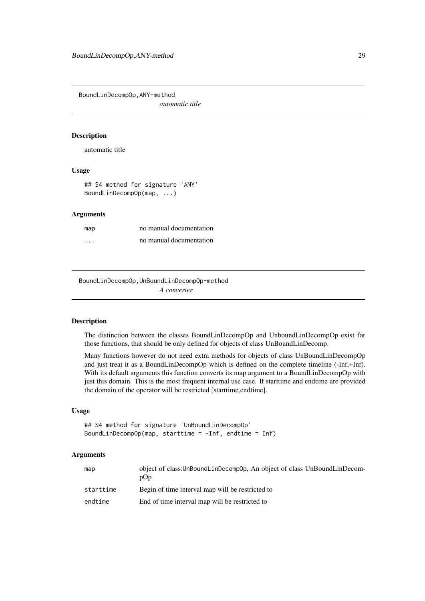<span id="page-28-0"></span>BoundLinDecompOp,ANY-method

*automatic title*

#### Description

automatic title

# Usage

## S4 method for signature 'ANY' BoundLinDecompOp(map, ...)

# Arguments

| map      | no manual documentation |
|----------|-------------------------|
| $\cdots$ | no manual documentation |

BoundLinDecompOp,UnBoundLinDecompOp-method *A converter*

# Description

The distinction between the classes BoundLinDecompOp and UnboundLinDecompOp exist for those functions, that should be only defined for objects of class UnBoundLinDecomp.

Many functions however do not need extra methods for objects of class UnBoundLinDecompOp and just treat it as a BoundLinDecompOp which is defined on the complete timeline (-Inf,+Inf). With its default arguments this function converts its map argument to a BoundLinDecompOp with just this domain. This is the most frequent internal use case. If starttime and endtime are provided the domain of the operator will be restricted [starttime,endtime].

# Usage

```
## S4 method for signature 'UnBoundLinDecompOp'
BoundLinDecompOp(map, starttime = -Inf, endtime = Inf)
```

| map       | object of class: UnBoundLinDecompOp, An object of class UnBoundLinDecom-<br>pOp |
|-----------|---------------------------------------------------------------------------------|
| starttime | Begin of time interval map will be restricted to                                |
| endtime   | End of time interval map will be restricted to                                  |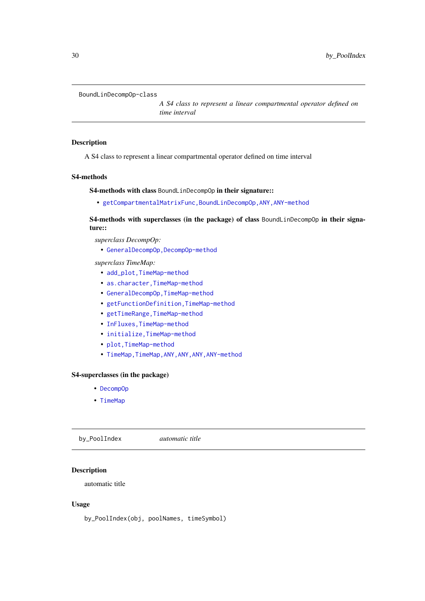#### <span id="page-29-0"></span>BoundLinDecompOp-class

*A S4 class to represent a linear compartmental operator defined on time interval*

#### Description

A S4 class to represent a linear compartmental operator defined on time interval

# S4-methods

S4-methods with class BoundLinDecompOp in their signature::

• [getCompartmentalMatrixFunc,BoundLinDecompOp,ANY,ANY-method](#page-0-0)

S4-methods with superclasses (in the package) of class BoundLinDecompOp in their signature::

*superclass DecompOp:*

• [GeneralDecompOp,DecompOp-method](#page-0-0)

*superclass TimeMap:*

- add\_plot, TimeMap-method
- as.character, TimeMap-method
- [GeneralDecompOp,TimeMap-method](#page-0-0)
- [getFunctionDefinition,TimeMap-method](#page-0-0)
- getTimeRange, TimeMap-method
- [InFluxes,TimeMap-method](#page-0-0)
- [initialize,TimeMap-method](#page-0-0)
- [plot,TimeMap-method](#page-0-0)
- TimeMap, TimeMap, ANY, ANY, ANY, ANY-method

# S4-superclasses (in the package)

- [DecompOp](#page-74-1)
- [TimeMap](#page-259-1)

by\_PoolIndex *automatic title*

# Description

automatic title

# Usage

by\_PoolIndex(obj, poolNames, timeSymbol)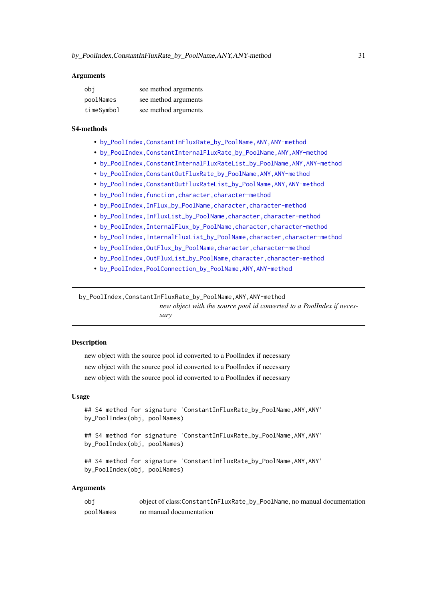#### <span id="page-30-0"></span>Arguments

| obi        | see method arguments |
|------------|----------------------|
| poolNames  | see method arguments |
| timeSymbol | see method arguments |

# S4-methods

- [by\\_PoolIndex,ConstantInFluxRate\\_by\\_PoolName,ANY,ANY-method](#page-0-0)
- [by\\_PoolIndex,ConstantInternalFluxRate\\_by\\_PoolName,ANY,ANY-method](#page-0-0)
- [by\\_PoolIndex,ConstantInternalFluxRateList\\_by\\_PoolName,ANY,ANY-method](#page-0-0)
- [by\\_PoolIndex,ConstantOutFluxRate\\_by\\_PoolName,ANY,ANY-method](#page-0-0)
- [by\\_PoolIndex,ConstantOutFluxRateList\\_by\\_PoolName,ANY,ANY-method](#page-0-0)
- by\_PoolIndex, function, character, character-method
- [by\\_PoolIndex,InFlux\\_by\\_PoolName,character,character-method](#page-0-0)
- [by\\_PoolIndex,InFluxList\\_by\\_PoolName,character,character-method](#page-0-0)
- [by\\_PoolIndex,InternalFlux\\_by\\_PoolName,character,character-method](#page-0-0)
- [by\\_PoolIndex,InternalFluxList\\_by\\_PoolName,character,character-method](#page-0-0)
- [by\\_PoolIndex,OutFlux\\_by\\_PoolName,character,character-method](#page-0-0)
- [by\\_PoolIndex,OutFluxList\\_by\\_PoolName,character,character-method](#page-0-0)
- [by\\_PoolIndex,PoolConnection\\_by\\_PoolName,ANY,ANY-method](#page-0-0)

by\_PoolIndex,ConstantInFluxRate\_by\_PoolName,ANY,ANY-method

*new object with the source pool id converted to a PoolIndex if necessary*

#### **Description**

new object with the source pool id converted to a PoolIndex if necessary new object with the source pool id converted to a PoolIndex if necessary new object with the source pool id converted to a PoolIndex if necessary

#### Usage

```
## S4 method for signature 'ConstantInFluxRate_by_PoolName, ANY, ANY'
by_PoolIndex(obj, poolNames)
```
## S4 method for signature 'ConstantInFluxRate\_by\_PoolName, ANY, ANY' by\_PoolIndex(obj, poolNames)

```
## S4 method for signature 'ConstantInFluxRate_by_PoolName,ANY,ANY'
by_PoolIndex(obj, poolNames)
```

| obi       | object of class: ConstantInFluxRate_by_PoolName, no manual documentation |
|-----------|--------------------------------------------------------------------------|
| poolNames | no manual documentation                                                  |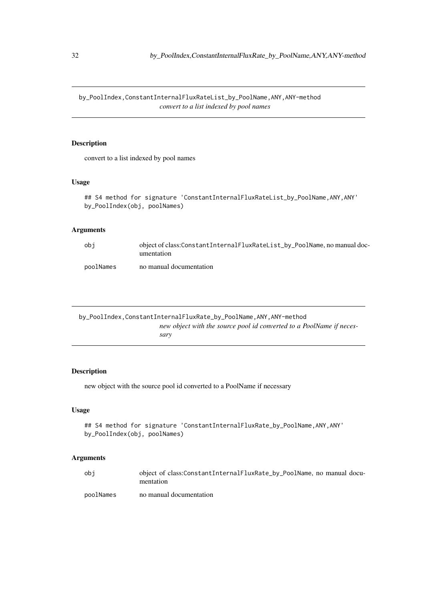<span id="page-31-0"></span>by\_PoolIndex,ConstantInternalFluxRateList\_by\_PoolName,ANY,ANY-method *convert to a list indexed by pool names*

#### Description

convert to a list indexed by pool names

# Usage

```
## S4 method for signature 'ConstantInternalFluxRateList_by_PoolName, ANY, ANY'
by_PoolIndex(obj, poolNames)
```
# Arguments

| obi       | object of class:ConstantInternalFluxRateList_by_PoolName, no manual doc-<br>umentation |
|-----------|----------------------------------------------------------------------------------------|
| poolNames | no manual documentation                                                                |

by\_PoolIndex,ConstantInternalFluxRate\_by\_PoolName,ANY,ANY-method *new object with the source pool id converted to a PoolName if necessary*

# Description

new object with the source pool id converted to a PoolName if necessary

### Usage

```
## S4 method for signature 'ConstantInternalFluxRate_by_PoolName, ANY, ANY'
by_PoolIndex(obj, poolNames)
```

| obi       | object of class:ConstantInternalFluxRate_by_PoolName, no manual docu-<br>mentation |
|-----------|------------------------------------------------------------------------------------|
| poolNames | no manual documentation                                                            |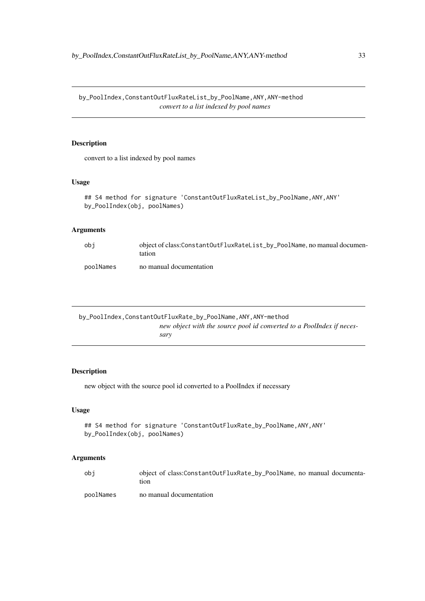<span id="page-32-0"></span>by\_PoolIndex,ConstantOutFluxRateList\_by\_PoolName,ANY,ANY-method *convert to a list indexed by pool names*

#### Description

convert to a list indexed by pool names

#### Usage

```
## S4 method for signature 'ConstantOutFluxRateList_by_PoolName, ANY, ANY'
by_PoolIndex(obj, poolNames)
```
# Arguments

| obi       | object of class:ConstantOutFluxRateList_by_PoolName, no manual documen-<br>tation |
|-----------|-----------------------------------------------------------------------------------|
| poolNames | no manual documentation                                                           |

by\_PoolIndex,ConstantOutFluxRate\_by\_PoolName,ANY,ANY-method *new object with the source pool id converted to a PoolIndex if necessary*

# Description

new object with the source pool id converted to a PoolIndex if necessary

### Usage

```
## S4 method for signature 'ConstantOutFluxRate_by_PoolName, ANY, ANY'
by_PoolIndex(obj, poolNames)
```

| obi       | object of class:ConstantOutFluxRate_by_PoolName, no manual documenta-<br>tion |
|-----------|-------------------------------------------------------------------------------|
| poolNames | no manual documentation                                                       |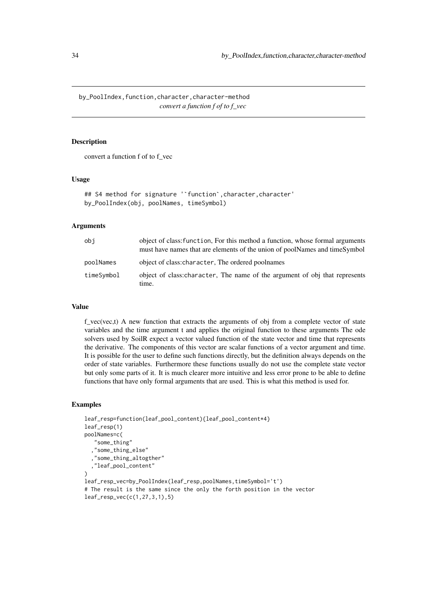<span id="page-33-0"></span>by\_PoolIndex,function,character,character-method *convert a function f of to f\_vec*

#### Description

convert a function f of to f\_vec

#### Usage

## S4 method for signature ''function'.character.character' by\_PoolIndex(obj, poolNames, timeSymbol)

#### Arguments

| obi        | object of class: function, For this method a function, whose formal arguments<br>must have names that are elements of the union of poolNames and timeSymbol |
|------------|-------------------------------------------------------------------------------------------------------------------------------------------------------------|
| poolNames  | object of class: character, The ordered poolnames                                                                                                           |
| timeSymbol | object of class: character, The name of the argument of obj that represents<br>time.                                                                        |

### Value

f\_vec(vec,t) A new function that extracts the arguments of obj from a complete vector of state variables and the time argument t and applies the original function to these arguments The ode solvers used by SoilR expect a vector valued function of the state vector and time that represents the derivative. The components of this vector are scalar functions of a vector argument and time. It is possible for the user to define such functions directly, but the definition always depends on the order of state variables. Furthermore these functions usually do not use the complete state vector but only some parts of it. It is much clearer more intuitive and less error prone to be able to define functions that have only formal arguments that are used. This is what this method is used for.

### Examples

```
leaf_resp=function(leaf_pool_content){leaf_pool_content*4}
leaf_resp(1)
poolNames=c(
   "some_thing"
  ,"some_thing_else"
   ,"some_thing_altogther"
  ,"leaf_pool_content"
)
leaf_resp_vec=by_PoolIndex(leaf_resp,poolNames,timeSymbol='t')
# The result is the same since the only the forth position in the vector
leaf_resp_vec(c(1,27,3,1),5)
```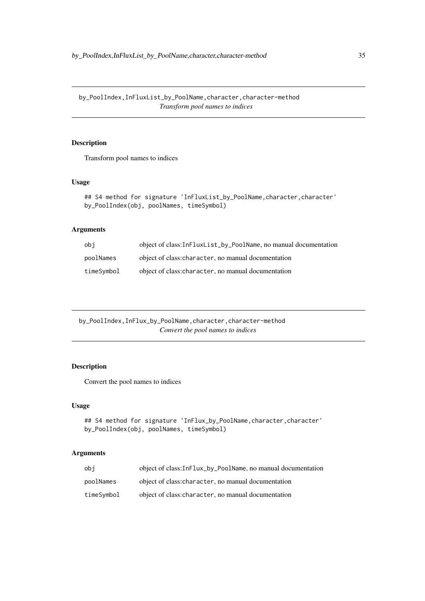<span id="page-34-0"></span>by\_PoolIndex,InFluxList\_by\_PoolName,character,character-method *Transform pool names to indices*

# Description

Transform pool names to indices

#### Usage

```
## S4 method for signature 'InFluxList_by_PoolName, character, character'
by_PoolIndex(obj, poolNames, timeSymbol)
```
# Arguments

| obi        | object of class:InFluxList_by_PoolName, no manual documentation |
|------------|-----------------------------------------------------------------|
| poolNames  | object of class: character, no manual documentation             |
| timeSymbol | object of class: character, no manual documentation             |

by\_PoolIndex,InFlux\_by\_PoolName,character,character-method *Convert the pool names to indices*

# Description

Convert the pool names to indices

# Usage

```
## S4 method for signature 'InFlux_by_PoolName, character, character'
by_PoolIndex(obj, poolNames, timeSymbol)
```

| obi        | object of class: InFlux_by_PoolName, no manual documentation |
|------------|--------------------------------------------------------------|
| poolNames  | object of class: character, no manual documentation          |
| timeSymbol | object of class: character, no manual documentation          |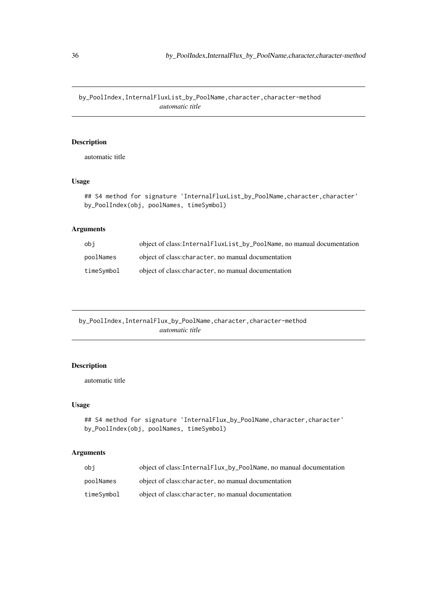<span id="page-35-0"></span>by\_PoolIndex,InternalFluxList\_by\_PoolName,character,character-method *automatic title*

# Description

automatic title

# Usage

## S4 method for signature 'InternalFluxList\_by\_PoolName, character, character' by\_PoolIndex(obj, poolNames, timeSymbol)

# Arguments

| obi        | object of class:InternalFluxList_by_PoolName, no manual documentation |
|------------|-----------------------------------------------------------------------|
| poolNames  | object of class: character, no manual documentation                   |
| timeSvmbol | object of class: character, no manual documentation                   |

by\_PoolIndex,InternalFlux\_by\_PoolName,character,character-method *automatic title*

# Description

automatic title

# Usage

```
## S4 method for signature 'InternalFlux_by_PoolName, character, character'
by_PoolIndex(obj, poolNames, timeSymbol)
```

| obi        | object of class: InternalFlux_by_PoolName, no manual documentation |
|------------|--------------------------------------------------------------------|
| poolNames  | object of class: character, no manual documentation                |
| timeSymbol | object of class: character, no manual documentation                |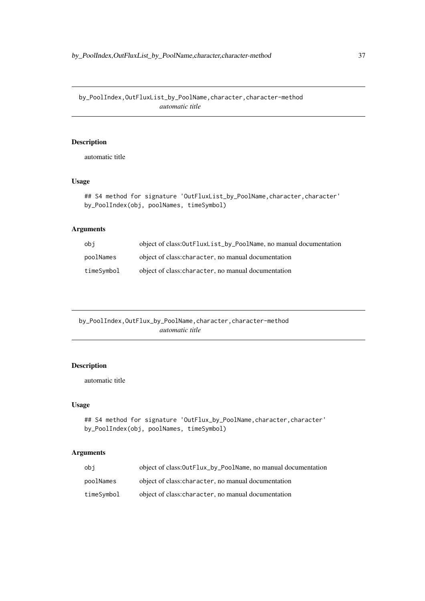by\_PoolIndex,OutFluxList\_by\_PoolName,character,character-method *automatic title*

# Description

automatic title

# Usage

```
## S4 method for signature 'OutFluxList_by_PoolName, character, character'
by_PoolIndex(obj, poolNames, timeSymbol)
```
# Arguments

| obi        | object of class:0utFluxList_by_PoolName, no manual documentation |
|------------|------------------------------------------------------------------|
| poolNames  | object of class: character, no manual documentation              |
| timeSymbol | object of class: character, no manual documentation              |

by\_PoolIndex,OutFlux\_by\_PoolName,character,character-method *automatic title*

# Description

automatic title

# Usage

```
## S4 method for signature 'OutFlux_by_PoolName, character, character'
by_PoolIndex(obj, poolNames, timeSymbol)
```

| obi        | object of class:0utFlux_by_PoolName, no manual documentation |
|------------|--------------------------------------------------------------|
| poolNames  | object of class: character, no manual documentation          |
| timeSymbol | object of class: character, no manual documentation          |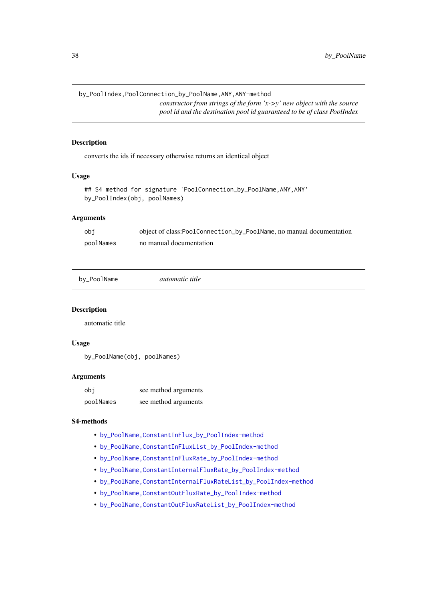by\_PoolIndex,PoolConnection\_by\_PoolName,ANY,ANY-method

*constructor from strings of the form 'x->y' new object with the source pool id and the destination pool id guaranteed to be of class PoolIndex*

#### Description

converts the ids if necessary otherwise returns an identical object

# Usage

```
## S4 method for signature 'PoolConnection_by_PoolName,ANY,ANY'
by_PoolIndex(obj, poolNames)
```
# Arguments

| obi       | object of class: Pool Connection_by_Pool Name, no manual documentation |
|-----------|------------------------------------------------------------------------|
| poolNames | no manual documentation                                                |

```
by_PoolName automatic title
```
# Description

automatic title

# Usage

by\_PoolName(obj, poolNames)

#### Arguments

| obi       | see method arguments |
|-----------|----------------------|
| poolNames | see method arguments |

# S4-methods

- [by\\_PoolName,ConstantInFlux\\_by\\_PoolIndex-method](#page-0-0)
- [by\\_PoolName,ConstantInFluxList\\_by\\_PoolIndex-method](#page-0-0)
- [by\\_PoolName,ConstantInFluxRate\\_by\\_PoolIndex-method](#page-0-0)
- [by\\_PoolName,ConstantInternalFluxRate\\_by\\_PoolIndex-method](#page-0-0)
- [by\\_PoolName,ConstantInternalFluxRateList\\_by\\_PoolIndex-method](#page-0-0)
- [by\\_PoolName,ConstantOutFluxRate\\_by\\_PoolIndex-method](#page-0-0)
- [by\\_PoolName,ConstantOutFluxRateList\\_by\\_PoolIndex-method](#page-0-0)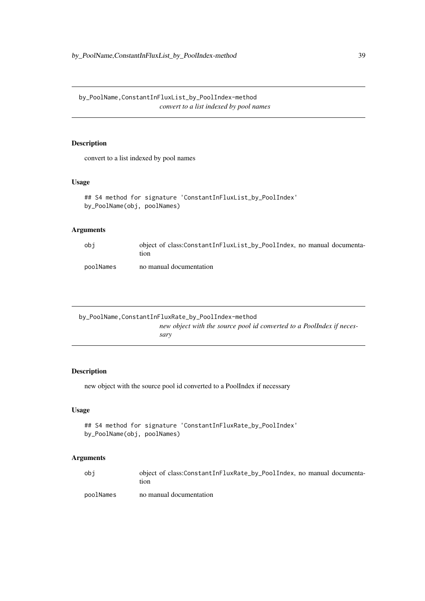by\_PoolName,ConstantInFluxList\_by\_PoolIndex-method *convert to a list indexed by pool names*

# Description

convert to a list indexed by pool names

## Usage

```
## S4 method for signature 'ConstantInFluxList_by_PoolIndex'
by_PoolName(obj, poolNames)
```
# Arguments

| obi       | object of class:ConstantInFluxList_by_PoolIndex, no manual documenta-<br>tıon |
|-----------|-------------------------------------------------------------------------------|
| poolNames | no manual documentation                                                       |

```
by_PoolName,ConstantInFluxRate_by_PoolIndex-method
                         new object with the source pool id converted to a PoolIndex if neces-
                         sary
```
# Description

new object with the source pool id converted to a PoolIndex if necessary

## Usage

```
## S4 method for signature 'ConstantInFluxRate_by_PoolIndex'
by_PoolName(obj, poolNames)
```

| obi       | object of class:ConstantInFluxRate_by_PoolIndex, no manual documenta-<br>tion |
|-----------|-------------------------------------------------------------------------------|
| poolNames | no manual documentation                                                       |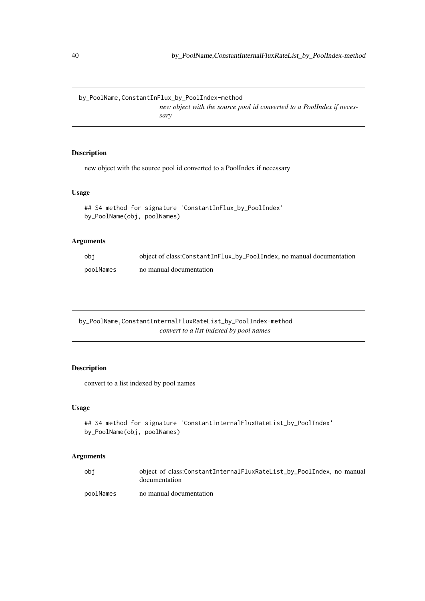by\_PoolName,ConstantInFlux\_by\_PoolIndex-method *new object with the source pool id converted to a PoolIndex if necessary*

# Description

new object with the source pool id converted to a PoolIndex if necessary

## Usage

```
## S4 method for signature 'ConstantInFlux_by_PoolIndex'
by_PoolName(obj, poolNames)
```
## Arguments

| obi       | object of class:ConstantInFlux_by_PoolIndex, no manual documentation |
|-----------|----------------------------------------------------------------------|
| poolNames | no manual documentation                                              |

by\_PoolName,ConstantInternalFluxRateList\_by\_PoolIndex-method *convert to a list indexed by pool names*

## Description

convert to a list indexed by pool names

# Usage

```
## S4 method for signature 'ConstantInternalFluxRateList_by_PoolIndex'
by_PoolName(obj, poolNames)
```

| obi       | object of class:ConstantInternalFluxRateList_by_PoolIndex, no manual<br>documentation |
|-----------|---------------------------------------------------------------------------------------|
| poolNames | no manual documentation                                                               |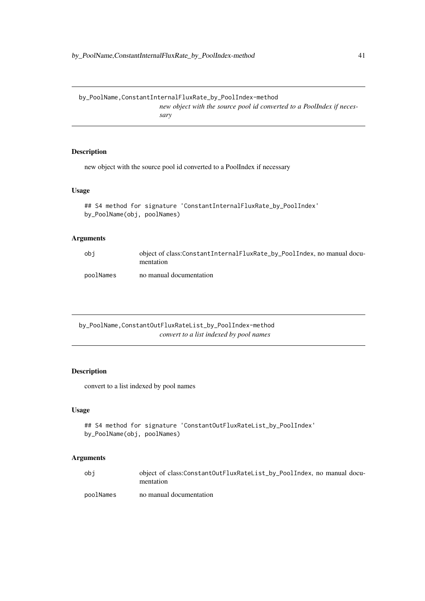by\_PoolName,ConstantInternalFluxRate\_by\_PoolIndex-method *new object with the source pool id converted to a PoolIndex if necessary*

# Description

new object with the source pool id converted to a PoolIndex if necessary

# Usage

```
## S4 method for signature 'ConstantInternalFluxRate_by_PoolIndex'
by_PoolName(obj, poolNames)
```
# Arguments

| obi       | object of class:ConstantInternalFluxRate_by_PoolIndex, no manual docu-<br>mentation |
|-----------|-------------------------------------------------------------------------------------|
| poolNames | no manual documentation                                                             |

by\_PoolName,ConstantOutFluxRateList\_by\_PoolIndex-method *convert to a list indexed by pool names*

# Description

convert to a list indexed by pool names

## Usage

```
## S4 method for signature 'ConstantOutFluxRateList_by_PoolIndex'
by_PoolName(obj, poolNames)
```

| obi       | object of class:ConstantOutFluxRateList_by_PoolIndex, no manual docu-<br>mentation |
|-----------|------------------------------------------------------------------------------------|
| poolNames | no manual documentation                                                            |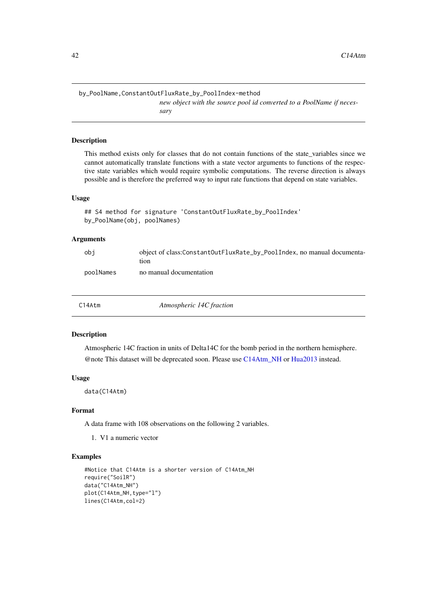by\_PoolName,ConstantOutFluxRate\_by\_PoolIndex-method

*new object with the source pool id converted to a PoolName if necessary*

## Description

This method exists only for classes that do not contain functions of the state\_variables since we cannot automatically translate functions with a state vector arguments to functions of the respective state variables which would require symbolic computations. The reverse direction is always possible and is therefore the preferred way to input rate functions that depend on state variables.

## Usage

```
## S4 method for signature 'ConstantOutFluxRate_by_PoolIndex'
by_PoolName(obj, poolNames)
```
# Arguments

| obi       | object of class:ConstantOutFluxRate_by_PoolIndex, no manual documenta-<br>tıon |
|-----------|--------------------------------------------------------------------------------|
| poolNames | no manual documentation                                                        |

|  | C14Atm | Atmospheric 14C fraction |  |
|--|--------|--------------------------|--|
|--|--------|--------------------------|--|

#### Description

Atmospheric 14C fraction in units of Delta14C for the bomb period in the northern hemisphere. @note This dataset will be deprecated soon. Please use [C14Atm\\_NH](#page-42-0) or [Hua2013](#page-159-0) instead.

### Usage

data(C14Atm)

#### Format

A data frame with 108 observations on the following 2 variables.

1. V1 a numeric vector

# Examples

```
#Notice that C14Atm is a shorter version of C14Atm_NH
require("SoilR")
data("C14Atm_NH")
plot(C14Atm_NH,type="l")
lines(C14Atm,col=2)
```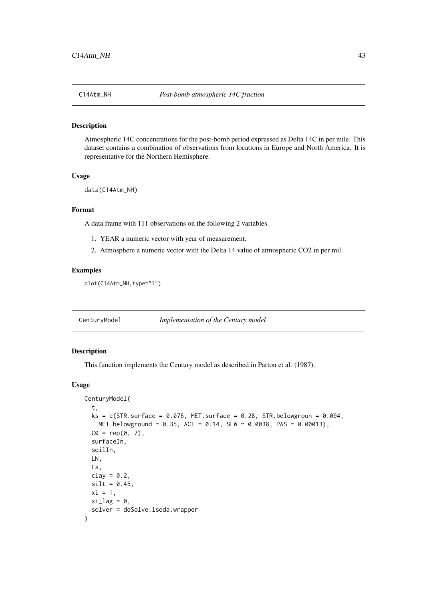<span id="page-42-0"></span>

#### Description

Atmospheric 14C concentrations for the post-bomb period expressed as Delta 14C in per mile. This dataset contains a combination of observations from locations in Europe and North America. It is representative for the Northern Hemisphere.

## Usage

data(C14Atm\_NH)

#### Format

A data frame with 111 observations on the following 2 variables.

- 1. YEAR a numeric vector with year of measurement.
- 2. Atmosphere a numeric vector with the Delta 14 value of atmospheric CO2 in per mil.

## Examples

```
plot(C14Atm_NH,type="l")
```
CenturyModel *Implementation of the Century model*

### Description

This function implements the Century model as described in Parton et al. (1987).

### Usage

```
CenturyModel(
 t,
 ks = c(STR.surface = 0.076, MET.surface = 0.28, STR.belowgroun = 0.094,MET.belowground = 0.35, ACT = 0.14, SLW = 0.0038, PAS = 0.00013),
 CO = rep(0, 7),surfaceIn,
 soilIn,
 LN,
 Ls,
 clay = 0.2,
 silt = 0.45,xi = 1,
 xi\_lag = 0,
  solver = deSolve.lsoda.wrapper
)
```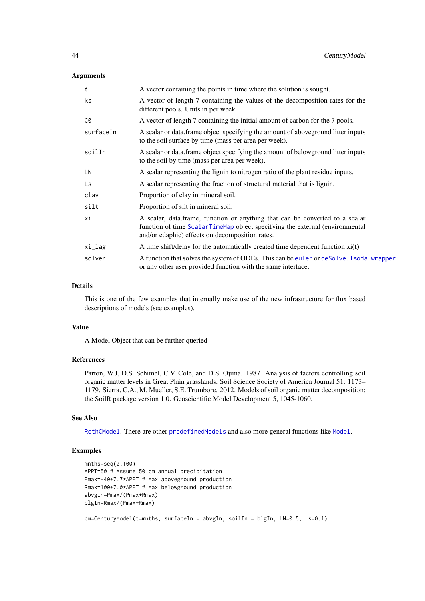## Arguments

| t         | A vector containing the points in time where the solution is sought.                                                                                                                                            |  |
|-----------|-----------------------------------------------------------------------------------------------------------------------------------------------------------------------------------------------------------------|--|
| ks.       | A vector of length 7 containing the values of the decomposition rates for the<br>different pools. Units in per week.                                                                                            |  |
| C0        | A vector of length 7 containing the initial amount of carbon for the 7 pools.                                                                                                                                   |  |
| surfaceIn | A scalar or data. frame object specifying the amount of above ground litter inputs<br>to the soil surface by time (mass per area per week).                                                                     |  |
| soilIn    | A scalar or data. frame object specifying the amount of below ground litter inputs<br>to the soil by time (mass per area per week).                                                                             |  |
| LN        | A scalar representing the lignin to nitrogen ratio of the plant residue inputs.                                                                                                                                 |  |
| Ls        | A scalar representing the fraction of structural material that is lignin.                                                                                                                                       |  |
| clay      | Proportion of clay in mineral soil.                                                                                                                                                                             |  |
| silt      | Proportion of silt in mineral soil.                                                                                                                                                                             |  |
| хi        | A scalar, data.frame, function or anything that can be converted to a scalar<br>function of time ScalarTimeMap object specifying the external (environmental<br>and/or edaphic) effects on decomposition rates. |  |
| xi_lag    | A time shift/delay for the automatically created time dependent function $xi(t)$                                                                                                                                |  |
| solver    | A function that solves the system of ODEs. This can be euler or deSolve. 1soda. wrapper<br>or any other user provided function with the same interface.                                                         |  |

## Details

This is one of the few examples that internally make use of the new infrastructure for flux based descriptions of models (see examples).

## Value

A Model Object that can be further queried

#### References

Parton, W.J, D.S. Schimel, C.V. Cole, and D.S. Ojima. 1987. Analysis of factors controlling soil organic matter levels in Great Plain grasslands. Soil Science Society of America Journal 51: 1173– 1179. Sierra, C.A., M. Mueller, S.E. Trumbore. 2012. Models of soil organic matter decomposition: the SoilR package version 1.0. Geoscientific Model Development 5, 1045-1060.

# See Also

[RothCModel](#page-226-0). There are other [predefinedModels](#page-224-0) and also more general functions like [Model](#page-191-0).

# Examples

```
mnths=seq(0,100)
APPT=50 # Assume 50 cm annual precipitation
Pmax=-40+7.7*APPT # Max aboveground production
Rmax=100+7.0*APPT # Max belowground production
abvgIn=Pmax/(Pmax+Rmax)
blgIn=Rmax/(Pmax+Rmax)
cm=CenturyModel(t=mnths, surfaceIn = abvgIn, soilIn = blgIn, LN=0.5, Ls=0.1)
```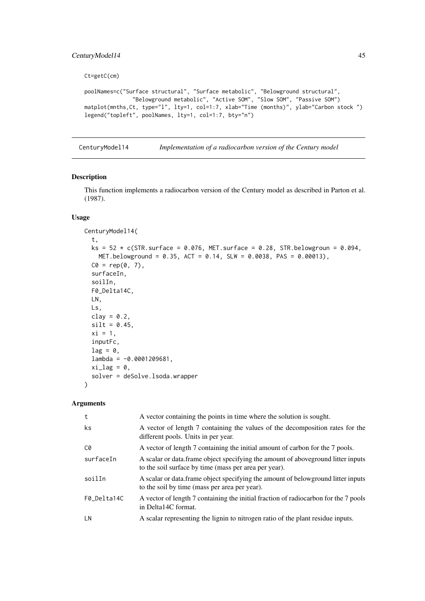#### CenturyModel14 45

Ct=getC(cm)

```
poolNames=c("Surface structural", "Surface metabolic", "Belowground structural",
               "Belowground metabolic", "Active SOM", "Slow SOM", "Passive SOM")
matplot(mnths,Ct, type="l", lty=1, col=1:7, xlab="Time (months)", ylab="Carbon stock ")
legend("topleft", poolNames, lty=1, col=1:7, bty="n")
```
CenturyModel14 *Implementation of a radiocarbon version of the Century model*

## Description

This function implements a radiocarbon version of the Century model as described in Parton et al. (1987).

# Usage

```
CenturyModel14(
  t,
  ks = 52 * c(STR.sumface = 0.076, MET.sumface = 0.28, STR.bellowground = 0.094,MET.belowground = 0.35, ACT = 0.14, SLW = 0.0038, PAS = 0.00013),
  CO = rep(0, 7),surfaceIn,
  soilIn,
  F0_Delta14C,
  LN,
  Ls,
  clay = 0.2,
  silt = 0.45,
  xi = 1,
  inputFc,
  lag = 0,
  lambda = -0.0001209681,xi\_lag = 0,
  solver = deSolve.lsoda.wrapper
\lambda
```

| t           | A vector containing the points in time where the solution is sought.                                                                        |
|-------------|---------------------------------------------------------------------------------------------------------------------------------------------|
| ks          | A vector of length 7 containing the values of the decomposition rates for the<br>different pools. Units in per year.                        |
| C0          | A vector of length 7 containing the initial amount of carbon for the 7 pools.                                                               |
| surfaceIn   | A scalar or data. frame object specifying the amount of above ground litter inputs<br>to the soil surface by time (mass per area per year). |
| soilIn      | A scalar or data. frame object specifying the amount of below ground litter inputs<br>to the soil by time (mass per area per year).         |
| F0 Delta14C | A vector of length 7 containing the initial fraction of radiocarbon for the 7 pools<br>in Delta14C format.                                  |
| LN          | A scalar representing the lignin to nitrogen ratio of the plant residue inputs.                                                             |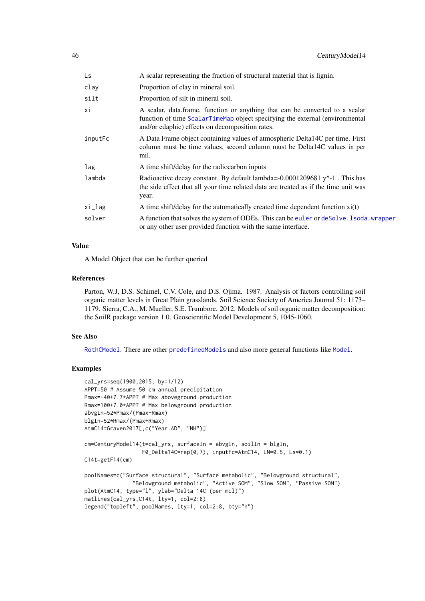| Ls      | A scalar representing the fraction of structural material that is lignin.                                                                                                                                       |  |
|---------|-----------------------------------------------------------------------------------------------------------------------------------------------------------------------------------------------------------------|--|
| clay    | Proportion of clay in mineral soil.                                                                                                                                                                             |  |
| silt    | Proportion of silt in mineral soil.                                                                                                                                                                             |  |
| хi      | A scalar, data frame, function or anything that can be converted to a scalar<br>function of time ScalarTimeMap object specifying the external (environmental<br>and/or edaphic) effects on decomposition rates. |  |
| inputFc | A Data Frame object containing values of atmospheric Delta14C per time. First<br>column must be time values, second column must be Delta14C values in per<br>mil.                                               |  |
| lag     | A time shift/delay for the radiocarbon inputs                                                                                                                                                                   |  |
| lambda  | Radioactive decay constant. By default lambda=-0.0001209681 y^-1. This has<br>the side effect that all your time related data are treated as if the time unit was<br>year.                                      |  |
| xi_lag  | A time shift/delay for the automatically created time dependent function $xi(t)$                                                                                                                                |  |
| solver  | A function that solves the system of ODEs. This can be euler or deSolve. 1 soda, wrapper<br>or any other user provided function with the same interface.                                                        |  |

# Value

A Model Object that can be further queried

#### References

Parton, W.J, D.S. Schimel, C.V. Cole, and D.S. Ojima. 1987. Analysis of factors controlling soil organic matter levels in Great Plain grasslands. Soil Science Society of America Journal 51: 1173– 1179. Sierra, C.A., M. Mueller, S.E. Trumbore. 2012. Models of soil organic matter decomposition: the SoilR package version 1.0. Geoscientific Model Development 5, 1045-1060.

#### See Also

[RothCModel](#page-226-0). There are other [predefinedModels](#page-224-0) and also more general functions like [Model](#page-191-0).

#### Examples

```
cal_yrs=seq(1900,2015, by=1/12)
APPT=50 # Assume 50 cm annual precipitation
Pmax=-40+7.7*APPT # Max aboveground production
Rmax=100+7.0*APPT # Max belowground production
abvgIn=52*Pmax/(Pmax+Rmax)
blgIn=52*Rmax/(Pmax+Rmax)
AtmC14=Graven2017[,c("Year.AD", "NH")]
cm=CenturyModel14(t=cal_yrs, surfaceIn = abvgIn, soilIn = blgIn,
                  F0_Delta14C=rep(0,7), inputFc=AtmC14, LN=0.5, Ls=0.1)
C14t=getF14(cm)
poolNames=c("Surface structural", "Surface metabolic", "Belowground structural",
               "Belowground metabolic", "Active SOM", "Slow SOM", "Passive SOM")
plot(AtmC14, type="l", ylab="Delta 14C (per mil)")
matlines(cal_yrs,C14t, lty=1, col=2:8)
legend("topleft", poolNames, lty=1, col=2:8, bty="n")
```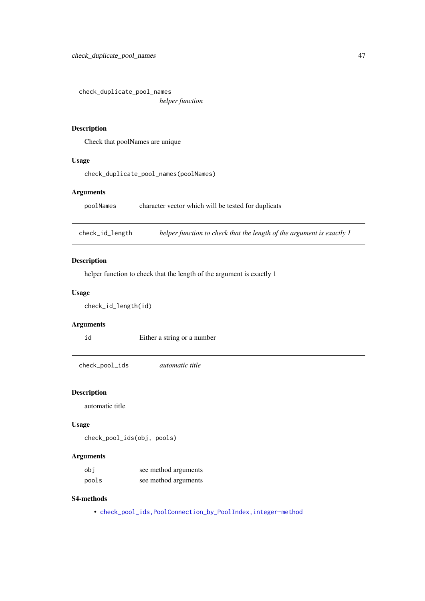check\_duplicate\_pool\_names

*helper function*

# Description

Check that poolNames are unique

## Usage

check\_duplicate\_pool\_names(poolNames)

# Arguments

poolNames character vector which will be tested for duplicats

check\_id\_length *helper function to check that the length of the argument is exactly 1*

# Description

helper function to check that the length of the argument is exactly 1

# Usage

check\_id\_length(id)

## Arguments

id Either a string or a number

check\_pool\_ids *automatic title*

## Description

automatic title

# Usage

check\_pool\_ids(obj, pools)

# Arguments

| obi   | see method arguments |
|-------|----------------------|
| pools | see method arguments |

#### S4-methods

• [check\\_pool\\_ids,PoolConnection\\_by\\_PoolIndex,integer-method](#page-0-0)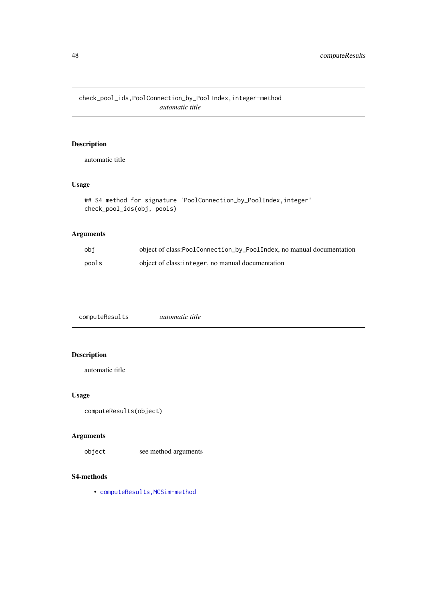check\_pool\_ids,PoolConnection\_by\_PoolIndex,integer-method *automatic title*

# Description

automatic title

# Usage

```
## S4 method for signature 'PoolConnection_by_PoolIndex, integer'
check_pool_ids(obj, pools)
```
# Arguments

| obi   | object of class:PoolConnection_by_PoolIndex, no manual documentation |
|-------|----------------------------------------------------------------------|
| pools | object of class: integer, no manual documentation                    |

computeResults *automatic title*

# Description

automatic title

# Usage

```
computeResults(object)
```
# Arguments

object see method arguments

### S4-methods

• [computeResults,MCSim-method](#page-0-0)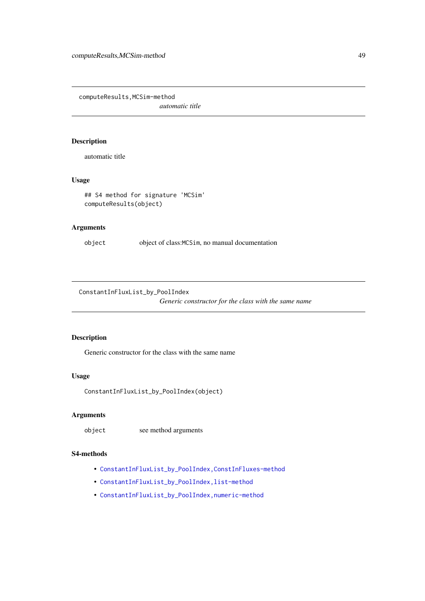computeResults,MCSim-method

*automatic title*

# Description

automatic title

# Usage

```
## S4 method for signature 'MCSim'
computeResults(object)
```
# Arguments

object object of class:MCSim, no manual documentation

ConstantInFluxList\_by\_PoolIndex

*Generic constructor for the class with the same name*

# Description

Generic constructor for the class with the same name

## Usage

ConstantInFluxList\_by\_PoolIndex(object)

# Arguments

object see method arguments

# S4-methods

- [ConstantInFluxList\\_by\\_PoolIndex,ConstInFluxes-method](#page-0-0)
- [ConstantInFluxList\\_by\\_PoolIndex,list-method](#page-0-0)
- [ConstantInFluxList\\_by\\_PoolIndex,numeric-method](#page-0-0)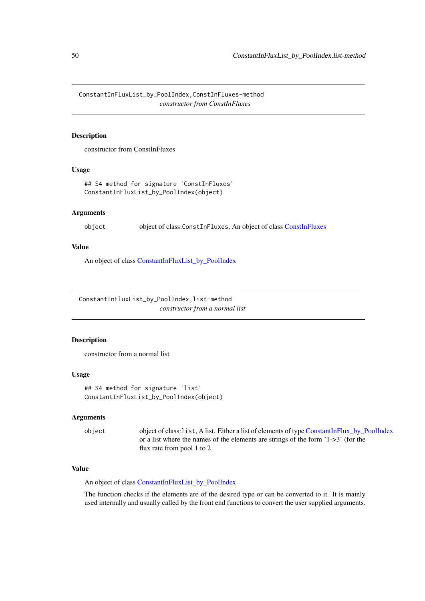ConstantInFluxList\_by\_PoolIndex,ConstInFluxes-method *constructor from ConstInFluxes*

# Description

constructor from ConstInFluxes

### Usage

## S4 method for signature 'ConstInFluxes' ConstantInFluxList\_by\_PoolIndex(object)

### Arguments

object object of class:ConstInFluxes, An object of class [ConstInFluxes](#page-67-0)

# Value

An object of class [ConstantInFluxList\\_by\\_PoolIndex](#page-50-0)

ConstantInFluxList\_by\_PoolIndex,list-method *constructor from a normal list*

# Description

constructor from a normal list

### Usage

```
## S4 method for signature 'list'
ConstantInFluxList_by_PoolIndex(object)
```
# Arguments

object object of class:list, A list. Either a list of elements of type [ConstantInFlux\\_by\\_PoolIndex](#page-52-0) or a list where the names of the elements are strings of the form '1->3' (for the flux rate from pool 1 to 2

## Value

An object of class [ConstantInFluxList\\_by\\_PoolIndex](#page-50-0)

The function checks if the elements are of the desired type or can be converted to it. It is mainly used internally and usually called by the front end functions to convert the user supplied arguments.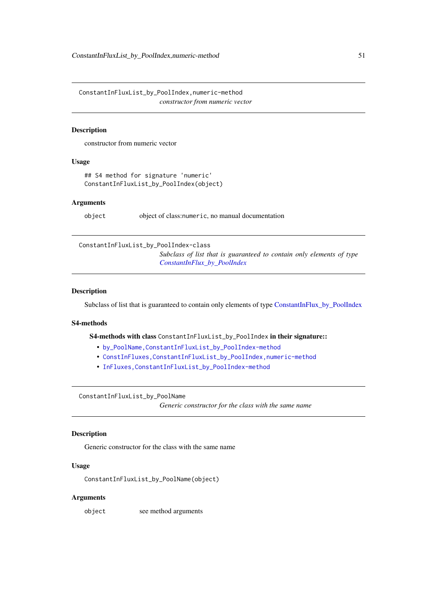ConstantInFluxList\_by\_PoolIndex,numeric-method *constructor from numeric vector*

#### Description

constructor from numeric vector

#### Usage

## S4 method for signature 'numeric' ConstantInFluxList\_by\_PoolIndex(object)

### Arguments

object object of class:numeric, no manual documentation

<span id="page-50-0"></span>ConstantInFluxList\_by\_PoolIndex-class

*Subclass of list that is guaranteed to contain only elements of type [ConstantInFlux\\_by\\_PoolIndex](#page-52-0)*

### Description

Subclass of list that is guaranteed to contain only elements of type [ConstantInFlux\\_by\\_PoolIndex](#page-52-0)

# S4-methods

S4-methods with class ConstantInFluxList\_by\_PoolIndex in their signature::

- [by\\_PoolName,ConstantInFluxList\\_by\\_PoolIndex-method](#page-0-0)
- [ConstInFluxes,ConstantInFluxList\\_by\\_PoolIndex,numeric-method](#page-0-0)
- [InFluxes,ConstantInFluxList\\_by\\_PoolIndex-method](#page-0-0)

ConstantInFluxList\_by\_PoolName

*Generic constructor for the class with the same name*

# Description

Generic constructor for the class with the same name

# Usage

ConstantInFluxList\_by\_PoolName(object)

## Arguments

object see method arguments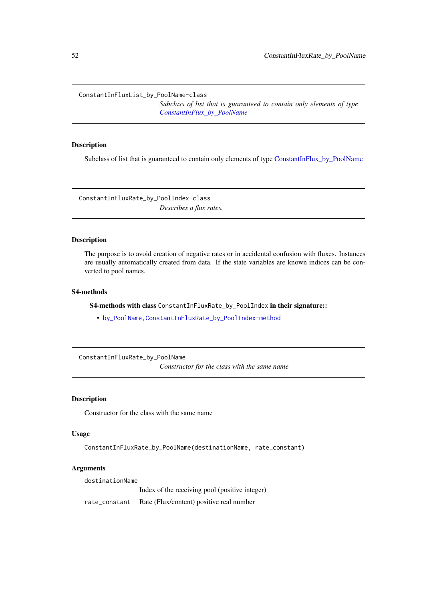ConstantInFluxList\_by\_PoolName-class

*Subclass of list that is guaranteed to contain only elements of type [ConstantInFlux\\_by\\_PoolName](#page-52-1)*

## Description

Subclass of list that is guaranteed to contain only elements of type [ConstantInFlux\\_by\\_PoolName](#page-52-1)

ConstantInFluxRate\_by\_PoolIndex-class *Describes a flux rates.*

## Description

The purpose is to avoid creation of negative rates or in accidental confusion with fluxes. Instances are usually automatically created from data. If the state variables are known indices can be converted to pool names.

## S4-methods

S4-methods with class ConstantInFluxRate\_by\_PoolIndex in their signature::

• [by\\_PoolName,ConstantInFluxRate\\_by\\_PoolIndex-method](#page-0-0)

ConstantInFluxRate\_by\_PoolName

*Constructor for the class with the same name*

# Description

Constructor for the class with the same name

## Usage

ConstantInFluxRate\_by\_PoolName(destinationName, rate\_constant)

## Arguments

destinationName

Index of the receiving pool (positive integer)

rate\_constant Rate (Flux/content) positive real number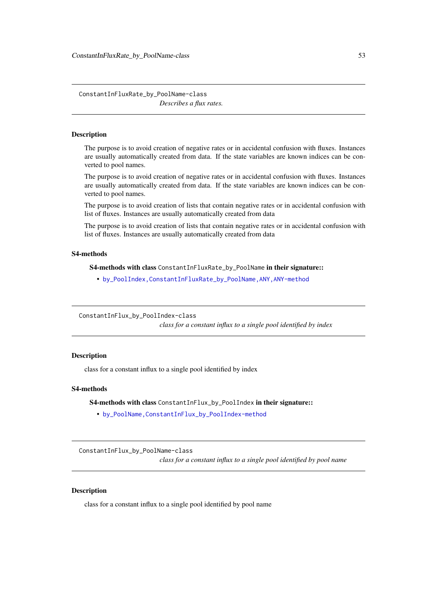ConstantInFluxRate\_by\_PoolName-class *Describes a flux rates.*

#### **Description**

The purpose is to avoid creation of negative rates or in accidental confusion with fluxes. Instances are usually automatically created from data. If the state variables are known indices can be converted to pool names.

The purpose is to avoid creation of negative rates or in accidental confusion with fluxes. Instances are usually automatically created from data. If the state variables are known indices can be converted to pool names.

The purpose is to avoid creation of lists that contain negative rates or in accidental confusion with list of fluxes. Instances are usually automatically created from data

The purpose is to avoid creation of lists that contain negative rates or in accidental confusion with list of fluxes. Instances are usually automatically created from data

# S4-methods

S4-methods with class ConstantInFluxRate\_by\_PoolName in their signature::

• [by\\_PoolIndex,ConstantInFluxRate\\_by\\_PoolName,ANY,ANY-method](#page-0-0)

<span id="page-52-0"></span>ConstantInFlux\_by\_PoolIndex-class

*class for a constant influx to a single pool identified by index*

# Description

class for a constant influx to a single pool identified by index

## S4-methods

S4-methods with class ConstantInFlux\_by\_PoolIndex in their signature::

• [by\\_PoolName,ConstantInFlux\\_by\\_PoolIndex-method](#page-0-0)

<span id="page-52-1"></span>ConstantInFlux\_by\_PoolName-class

*class for a constant influx to a single pool identified by pool name*

## Description

class for a constant influx to a single pool identified by pool name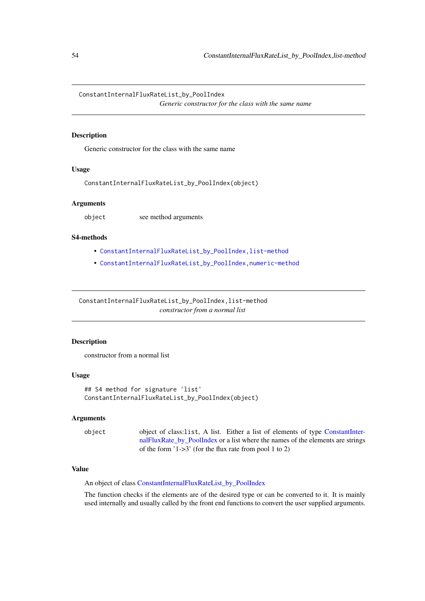ConstantInternalFluxRateList\_by\_PoolIndex

*Generic constructor for the class with the same name*

# Description

Generic constructor for the class with the same name

# Usage

ConstantInternalFluxRateList\_by\_PoolIndex(object)

## Arguments

object see method arguments

### S4-methods

- [ConstantInternalFluxRateList\\_by\\_PoolIndex,list-method](#page-0-0)
- [ConstantInternalFluxRateList\\_by\\_PoolIndex,numeric-method](#page-0-0)

ConstantInternalFluxRateList\_by\_PoolIndex,list-method *constructor from a normal list*

## Description

constructor from a normal list

## Usage

```
## S4 method for signature 'list'
ConstantInternalFluxRateList_by_PoolIndex(object)
```
## Arguments

```
object object of class:list, A list. Either a list of elements of type ConstantInter-
                  nalFluxRate_by_PoolIndex or a list where the names of the elements are strings
                  of the form '1->3' (for the flux rate from pool 1 to 2)
```
# Value

An object of class [ConstantInternalFluxRateList\\_by\\_PoolIndex](#page-54-0)

The function checks if the elements are of the desired type or can be converted to it. It is mainly used internally and usually called by the front end functions to convert the user supplied arguments.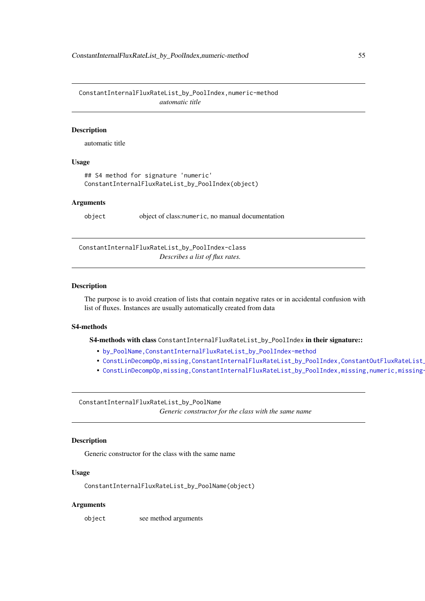ConstantInternalFluxRateList\_by\_PoolIndex,numeric-method *automatic title*

## Description

automatic title

## Usage

```
## S4 method for signature 'numeric'
ConstantInternalFluxRateList_by_PoolIndex(object)
```
### Arguments

object object of class:numeric, no manual documentation

<span id="page-54-0"></span>ConstantInternalFluxRateList\_by\_PoolIndex-class *Describes a list of flux rates.*

#### Description

The purpose is to avoid creation of lists that contain negative rates or in accidental confusion with list of fluxes. Instances are usually automatically created from data

## S4-methods

S4-methods with class ConstantInternalFluxRateList\_by\_PoolIndex in their signature::

- [by\\_PoolName,ConstantInternalFluxRateList\\_by\\_PoolIndex-method](#page-0-0)
- ConstLinDecompOp,missing,ConstantInternalFluxRateList\_by\_PoolIndex,ConstantOutFluxRateList\_
- ConstLinDecompOp,missing,ConstantInternalFluxRateList\_by\_PoolIndex,missing,numeric,missing-

ConstantInternalFluxRateList\_by\_PoolName *Generic constructor for the class with the same name*

# Description

Generic constructor for the class with the same name

## Usage

ConstantInternalFluxRateList\_by\_PoolName(object)

## Arguments

object see method arguments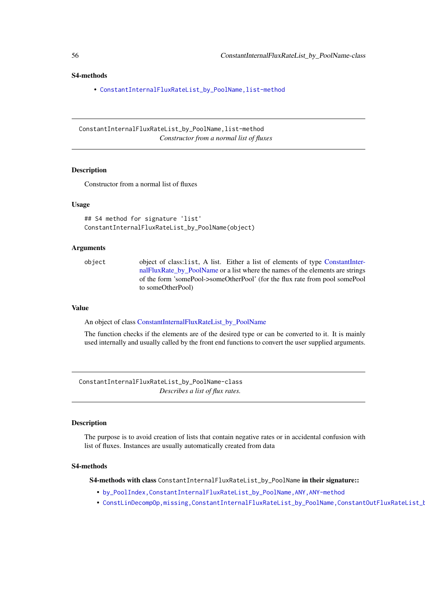### S4-methods

• [ConstantInternalFluxRateList\\_by\\_PoolName,list-method](#page-0-0)

ConstantInternalFluxRateList\_by\_PoolName,list-method *Constructor from a normal list of fluxes*

#### Description

Constructor from a normal list of fluxes

## Usage

```
## S4 method for signature 'list'
ConstantInternalFluxRateList_by_PoolName(object)
```
#### Arguments

object object of class:list, A list. Either a list of elements of type [ConstantInter](#page-59-0)[nalFluxRate\\_by\\_PoolName](#page-59-0) or a list where the names of the elements are strings of the form 'somePool->someOtherPool' (for the flux rate from pool somePool to someOtherPool)

## Value

An object of class [ConstantInternalFluxRateList\\_by\\_PoolName](#page-55-0)

The function checks if the elements are of the desired type or can be converted to it. It is mainly used internally and usually called by the front end functions to convert the user supplied arguments.

<span id="page-55-0"></span>ConstantInternalFluxRateList\_by\_PoolName-class *Describes a list of flux rates.*

#### Description

The purpose is to avoid creation of lists that contain negative rates or in accidental confusion with list of fluxes. Instances are usually automatically created from data

#### S4-methods

S4-methods with class ConstantInternalFluxRateList\_by\_PoolName in their signature::

- [by\\_PoolIndex,ConstantInternalFluxRateList\\_by\\_PoolName,ANY,ANY-method](#page-0-0)
- ConstLinDecompOp,missing,ConstantInternalFluxRateList\_by\_PoolName,ConstantOutFluxRateList\_b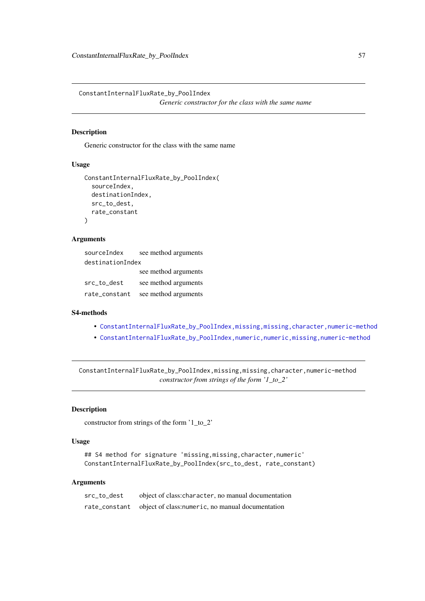ConstantInternalFluxRate\_by\_PoolIndex *Generic constructor for the class with the same name*

### Description

Generic constructor for the class with the same name

# Usage

```
ConstantInternalFluxRate_by_PoolIndex(
  sourceIndex,
  destinationIndex,
  src_to_dest,
  rate_constant
)
```
# Arguments

| sourceIndex      | see method arguments |  |
|------------------|----------------------|--|
| destinationIndex |                      |  |
|                  | see method arguments |  |
| src_to_dest      | see method arguments |  |
| rate_constant    | see method arguments |  |

### S4-methods

- [ConstantInternalFluxRate\\_by\\_PoolIndex,missing,missing,character,numeric-method](#page-0-0)
- [ConstantInternalFluxRate\\_by\\_PoolIndex,numeric,numeric,missing,numeric-method](#page-0-0)

ConstantInternalFluxRate\_by\_PoolIndex,missing,missing,character,numeric-method *constructor from strings of the form '1\_to\_2'*

# Description

constructor from strings of the form '1\_to\_2'

# Usage

```
## S4 method for signature 'missing,missing,character,numeric'
ConstantInternalFluxRate_by_PoolIndex(src_to_dest, rate_constant)
```

| src to dest | object of class: character, no manual documentation             |  |
|-------------|-----------------------------------------------------------------|--|
|             | rate_constant object of class: numeric, no manual documentation |  |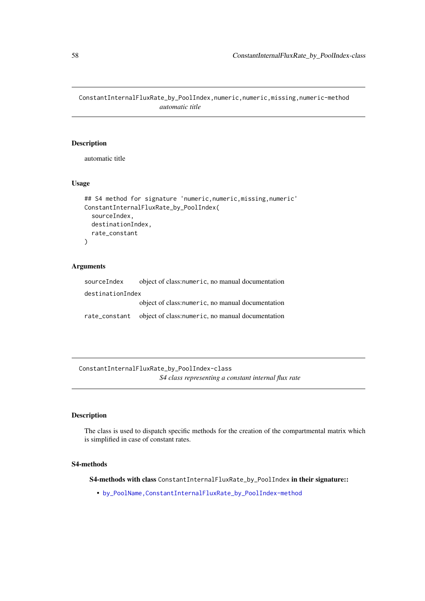ConstantInternalFluxRate\_by\_PoolIndex,numeric,numeric,missing,numeric-method *automatic title*

# Description

automatic title

# Usage

```
## S4 method for signature 'numeric, numeric, missing, numeric'
ConstantInternalFluxRate_by_PoolIndex(
  sourceIndex,
  destinationIndex,
  rate_constant
\lambda
```
## Arguments

| sourceIndex      | object of class: numeric, no manual documentation              |  |  |
|------------------|----------------------------------------------------------------|--|--|
| destinationIndex |                                                                |  |  |
|                  | object of class: numeric, no manual documentation              |  |  |
|                  | rate_constant object of class:numeric, no manual documentation |  |  |

<span id="page-57-0"></span>ConstantInternalFluxRate\_by\_PoolIndex-class *S4 class representing a constant internal flux rate*

# Description

The class is used to dispatch specific methods for the creation of the compartmental matrix which is simplified in case of constant rates.

# S4-methods

S4-methods with class ConstantInternalFluxRate\_by\_PoolIndex in their signature::

• [by\\_PoolName,ConstantInternalFluxRate\\_by\\_PoolIndex-method](#page-0-0)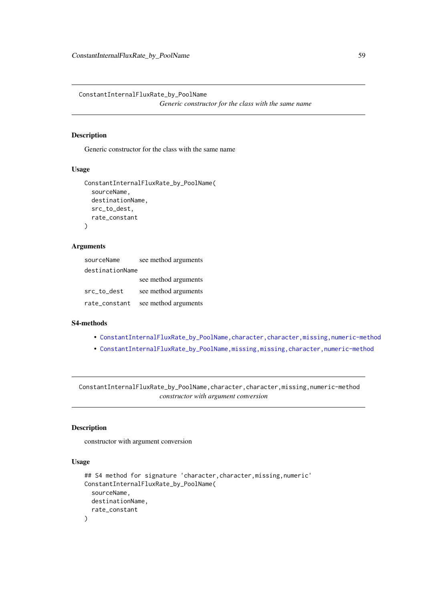ConstantInternalFluxRate\_by\_PoolName

*Generic constructor for the class with the same name*

# Description

Generic constructor for the class with the same name

# Usage

```
ConstantInternalFluxRate_by_PoolName(
  sourceName,
  destinationName,
  src_to_dest,
  rate_constant
\lambda
```
# Arguments

| sourceName      | see method arguments |  |
|-----------------|----------------------|--|
| destinationName |                      |  |
|                 | see method arguments |  |
| src to dest     | see method arguments |  |
| rate_constant   | see method arguments |  |

# S4-methods

- ConstantInternalFluxRate\_by\_PoolName, character, character, missing, numeric-method
- [ConstantInternalFluxRate\\_by\\_PoolName,missing,missing,character,numeric-method](#page-0-0)

ConstantInternalFluxRate\_by\_PoolName,character,character,missing,numeric-method *constructor with argument conversion*

# Description

constructor with argument conversion

#### Usage

```
## S4 method for signature 'character, character, missing, numeric'
ConstantInternalFluxRate_by_PoolName(
  sourceName,
  destinationName,
  rate_constant
)
```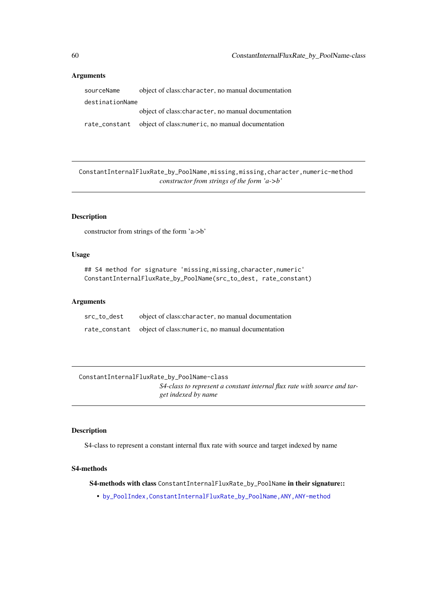# Arguments

| sourceName      | object of class: character, no manual documentation            |  |
|-----------------|----------------------------------------------------------------|--|
| destinationName |                                                                |  |
|                 | object of class: character, no manual documentation            |  |
|                 | rate_constant object of class:numeric, no manual documentation |  |

ConstantInternalFluxRate\_by\_PoolName,missing,missing,character,numeric-method *constructor from strings of the form 'a->b'*

# Description

constructor from strings of the form 'a->b'

# Usage

```
## S4 method for signature 'missing,missing,character,numeric'
ConstantInternalFluxRate_by_PoolName(src_to_dest, rate_constant)
```
### Arguments

| src_to_dest | object of class: character, no manual documentation            |
|-------------|----------------------------------------------------------------|
|             | rate_constant object of class:numeric, no manual documentation |

<span id="page-59-0"></span>ConstantInternalFluxRate\_by\_PoolName-class *S4-class to represent a constant internal flux rate with source and target indexed by name*

#### Description

S4-class to represent a constant internal flux rate with source and target indexed by name

# S4-methods

S4-methods with class ConstantInternalFluxRate\_by\_PoolName in their signature::

• [by\\_PoolIndex,ConstantInternalFluxRate\\_by\\_PoolName,ANY,ANY-method](#page-0-0)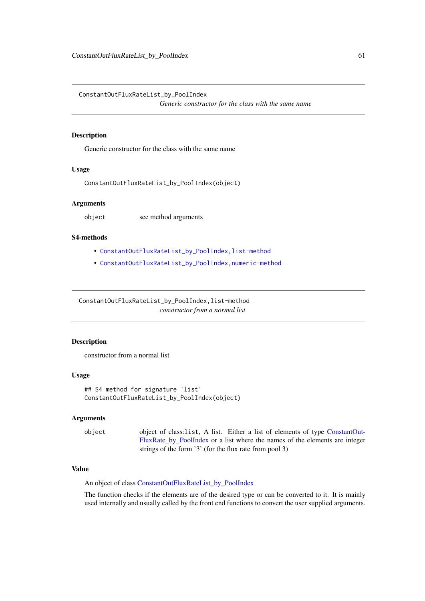ConstantOutFluxRateList\_by\_PoolIndex

*Generic constructor for the class with the same name*

## Description

Generic constructor for the class with the same name

# Usage

ConstantOutFluxRateList\_by\_PoolIndex(object)

## Arguments

object see method arguments

### S4-methods

- [ConstantOutFluxRateList\\_by\\_PoolIndex,list-method](#page-0-0)
- [ConstantOutFluxRateList\\_by\\_PoolIndex,numeric-method](#page-0-0)

ConstantOutFluxRateList\_by\_PoolIndex,list-method *constructor from a normal list*

## Description

constructor from a normal list

## Usage

```
## S4 method for signature 'list'
ConstantOutFluxRateList_by_PoolIndex(object)
```
### Arguments

object object of class:list, A list. Either a list of elements of type [ConstantOut-](#page-64-0)[FluxRate\\_by\\_PoolIndex](#page-64-0) or a list where the names of the elements are integer strings of the form '3' (for the flux rate from pool 3)

# Value

An object of class [ConstantOutFluxRateList\\_by\\_PoolIndex](#page-61-0)

The function checks if the elements are of the desired type or can be converted to it. It is mainly used internally and usually called by the front end functions to convert the user supplied arguments.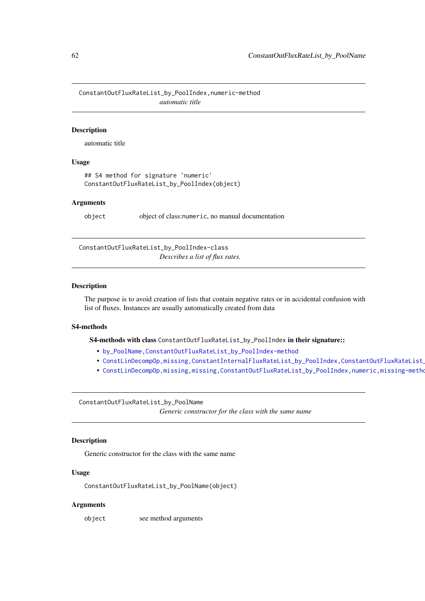ConstantOutFluxRateList\_by\_PoolIndex,numeric-method *automatic title*

### Description

automatic title

## Usage

```
## S4 method for signature 'numeric'
ConstantOutFluxRateList_by_PoolIndex(object)
```
### Arguments

object object of class:numeric, no manual documentation

<span id="page-61-0"></span>ConstantOutFluxRateList\_by\_PoolIndex-class *Describes a list of flux rates.*

#### Description

The purpose is to avoid creation of lists that contain negative rates or in accidental confusion with list of fluxes. Instances are usually automatically created from data

## S4-methods

S4-methods with class ConstantOutFluxRateList\_by\_PoolIndex in their signature::

- [by\\_PoolName,ConstantOutFluxRateList\\_by\\_PoolIndex-method](#page-0-0)
- ConstLinDecompOp,missing,ConstantInternalFluxRateList\_by\_PoolIndex,ConstantOutFluxRateList
- ConstLinDecompOp,missing,missing,ConstantOutFluxRateList\_by\_PoolIndex,numeric,missing-metho

ConstantOutFluxRateList\_by\_PoolName

*Generic constructor for the class with the same name*

# Description

Generic constructor for the class with the same name

# Usage

ConstantOutFluxRateList\_by\_PoolName(object)

## Arguments

object see method arguments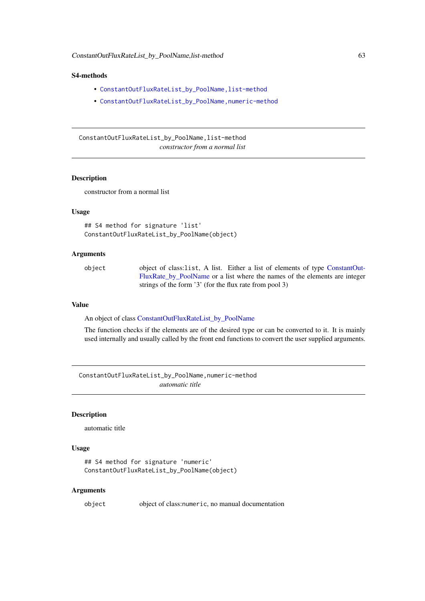## S4-methods

- [ConstantOutFluxRateList\\_by\\_PoolName,list-method](#page-0-0)
- [ConstantOutFluxRateList\\_by\\_PoolName,numeric-method](#page-0-0)

ConstantOutFluxRateList\_by\_PoolName,list-method *constructor from a normal list*

### Description

constructor from a normal list

#### Usage

```
## S4 method for signature 'list'
ConstantOutFluxRateList_by_PoolName(object)
```
# Arguments

object object of class:list, A list. Either a list of elements of type [ConstantOut-](#page-64-1)[FluxRate\\_by\\_PoolName](#page-64-1) or a list where the names of the elements are integer strings of the form '3' (for the flux rate from pool 3)

### Value

An object of class [ConstantOutFluxRateList\\_by\\_PoolName](#page-63-0)

The function checks if the elements are of the desired type or can be converted to it. It is mainly used internally and usually called by the front end functions to convert the user supplied arguments.

ConstantOutFluxRateList\_by\_PoolName,numeric-method *automatic title*

### Description

automatic title

# Usage

```
## S4 method for signature 'numeric'
ConstantOutFluxRateList_by_PoolName(object)
```
#### Arguments

object object of class:numeric, no manual documentation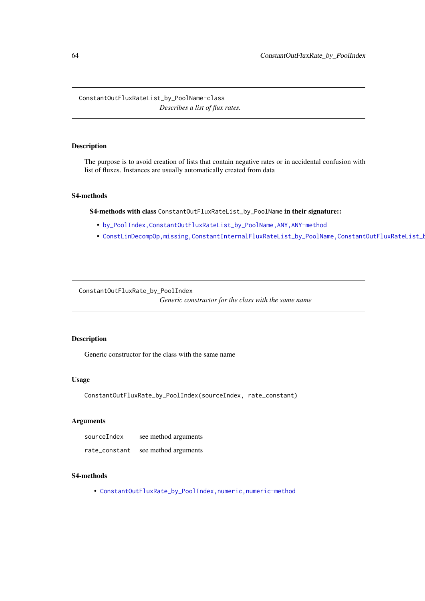<span id="page-63-0"></span>ConstantOutFluxRateList\_by\_PoolName-class *Describes a list of flux rates.*

## Description

The purpose is to avoid creation of lists that contain negative rates or in accidental confusion with list of fluxes. Instances are usually automatically created from data

## S4-methods

S4-methods with class ConstantOutFluxRateList\_by\_PoolName in their signature::

- [by\\_PoolIndex,ConstantOutFluxRateList\\_by\\_PoolName,ANY,ANY-method](#page-0-0)
- ConstLinDecompOp,missing,ConstantInternalFluxRateList\_by\_PoolName,ConstantOutFluxRateList\_I

ConstantOutFluxRate\_by\_PoolIndex

*Generic constructor for the class with the same name*

# Description

Generic constructor for the class with the same name

# Usage

ConstantOutFluxRate\_by\_PoolIndex(sourceIndex, rate\_constant)

# Arguments

| sourceIndex   | see method arguments |
|---------------|----------------------|
| rate_constant | see method arguments |

## S4-methods

• [ConstantOutFluxRate\\_by\\_PoolIndex,numeric,numeric-method](#page-0-0)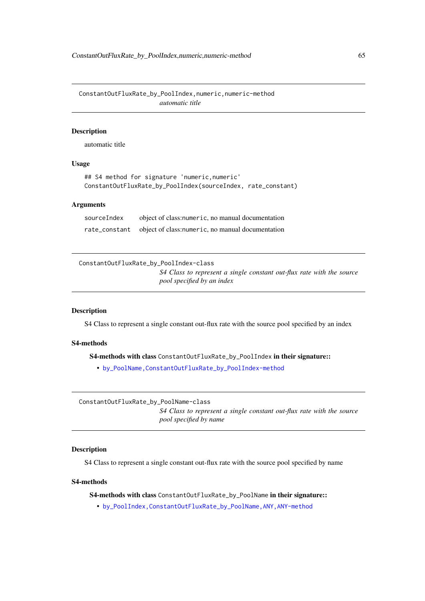ConstantOutFluxRate\_by\_PoolIndex,numeric,numeric-method *automatic title*

# Description

automatic title

## Usage

```
## S4 method for signature 'numeric,numeric'
ConstantOutFluxRate_by_PoolIndex(sourceIndex, rate_constant)
```
## Arguments

sourceIndex object of class:numeric, no manual documentation rate\_constant object of class:numeric, no manual documentation

<span id="page-64-0"></span>ConstantOutFluxRate\_by\_PoolIndex-class *S4 Class to represent a single constant out-flux rate with the source*

# *pool specified by an index*

### Description

S4 Class to represent a single constant out-flux rate with the source pool specified by an index

# S4-methods

S4-methods with class ConstantOutFluxRate\_by\_PoolIndex in their signature::

• [by\\_PoolName,ConstantOutFluxRate\\_by\\_PoolIndex-method](#page-0-0)

<span id="page-64-1"></span>ConstantOutFluxRate\_by\_PoolName-class *S4 Class to represent a single constant out-flux rate with the source pool specified by name*

## Description

S4 Class to represent a single constant out-flux rate with the source pool specified by name

#### S4-methods

S4-methods with class ConstantOutFluxRate\_by\_PoolName in their signature::

• [by\\_PoolIndex,ConstantOutFluxRate\\_by\\_PoolName,ANY,ANY-method](#page-0-0)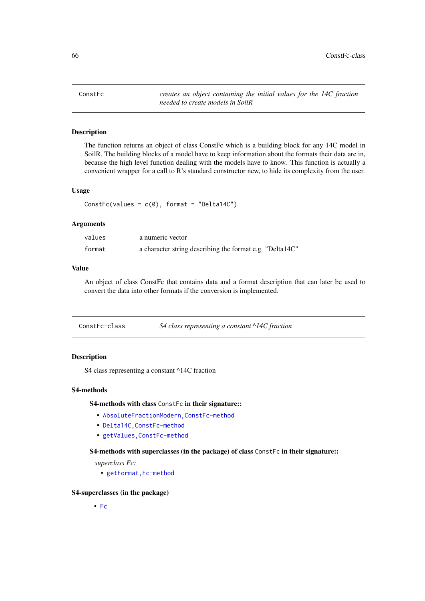ConstFc *creates an object containing the initial values for the 14C fraction needed to create models in SoilR*

### Description

The function returns an object of class ConstFc which is a building block for any 14C model in SoilR. The building blocks of a model have to keep information about the formats their data are in, because the high level function dealing with the models have to know. This function is actually a convenient wrapper for a call to R's standard constructor new, to hide its complexity from the user.

## Usage

```
ConstFc(values = c(\emptyset), format = "Delta14C")
```
### Arguments

| values | a numeric vector                                         |
|--------|----------------------------------------------------------|
| format | a character string describing the format e.g. "Delta14C" |

# Value

An object of class ConstFc that contains data and a format description that can later be used to convert the data into other formats if the conversion is implemented.

| ConstFc-class | S4 class representing a constant $\triangle$ 14C fraction |  |
|---------------|-----------------------------------------------------------|--|
|---------------|-----------------------------------------------------------|--|

# Description

S4 class representing a constant ^14C fraction

#### S4-methods

S4-methods with class ConstFc in their signature::

- [AbsoluteFractionModern,ConstFc-method](#page-0-0)
- [Delta14C,ConstFc-method](#page-0-0)
- [getValues,ConstFc-method](#page-0-0)

## S4-methods with superclasses (in the package) of class ConstFc in their signature::

*superclass Fc:*

• getFormat, Fc-method

# S4-superclasses (in the package)

• [Fc](#page-84-0)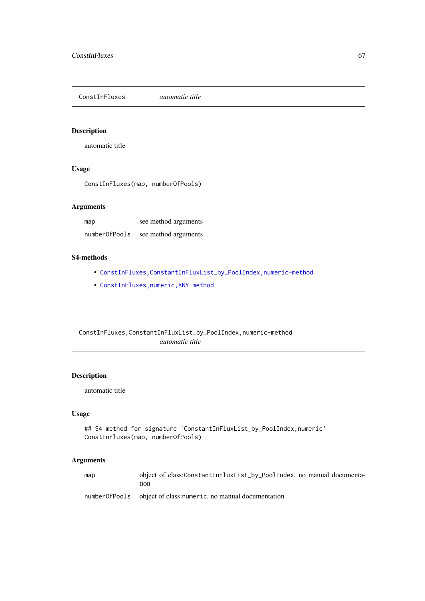ConstInFluxes *automatic title*

# Description

automatic title

# Usage

ConstInFluxes(map, numberOfPools)

# Arguments

| map           | see method arguments |
|---------------|----------------------|
| numberOfPools | see method arguments |

# S4-methods

- ConstInFluxes, ConstantInFluxList\_by\_PoolIndex, numeric-method
- [ConstInFluxes,numeric,ANY-method](#page-0-0)

ConstInFluxes,ConstantInFluxList\_by\_PoolIndex,numeric-method *automatic title*

# Description

automatic title

# Usage

```
## S4 method for signature 'ConstantInFluxList_by_PoolIndex,numeric'
ConstInFluxes(map, numberOfPools)
```

| map | object of class:ConstantInFluxList_by_PoolIndex, no manual documenta-<br>tion |
|-----|-------------------------------------------------------------------------------|
|     | number of Pools object of class: numeric, no manual documentation             |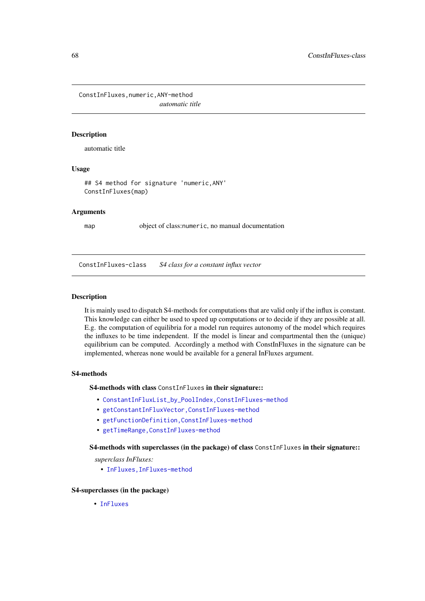ConstInFluxes,numeric,ANY-method *automatic title*

# Description

automatic title

# Usage

## S4 method for signature 'numeric,ANY' ConstInFluxes(map)

#### Arguments

map object of class:numeric, no manual documentation

<span id="page-67-0"></span>ConstInFluxes-class *S4 class for a constant influx vector*

## Description

It is mainly used to dispatch S4-methods for computations that are valid only if the influx is constant. This knowledge can either be used to speed up computations or to decide if they are possible at all. E.g. the computation of equilibria for a model run requires autonomy of the model which requires the influxes to be time independent. If the model is linear and compartmental then the (unique) equilibrium can be computed. Accordingly a method with ConstInFluxes in the signature can be implemented, whereas none would be available for a general InFluxes argument.

## S4-methods

S4-methods with class ConstInFluxes in their signature::

- [ConstantInFluxList\\_by\\_PoolIndex,ConstInFluxes-method](#page-0-0)
- [getConstantInFluxVector,ConstInFluxes-method](#page-0-0)
- [getFunctionDefinition,ConstInFluxes-method](#page-0-0)
- [getTimeRange,ConstInFluxes-method](#page-0-0)

S4-methods with superclasses (in the package) of class ConstInFluxes in their signature::

*superclass InFluxes:*

• [InFluxes,InFluxes-method](#page-0-0)

## S4-superclasses (in the package)

• [InFluxes](#page-168-0)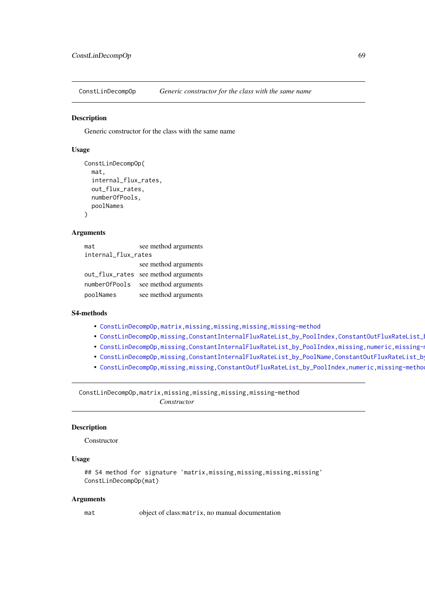ConstLinDecompOp *Generic constructor for the class with the same name*

## Description

Generic constructor for the class with the same name

## Usage

```
ConstLinDecompOp(
  mat,
  internal_flux_rates,
  out_flux_rates,
  numberOfPools,
  poolNames
\lambda
```
# Arguments

| mat                 | see method arguments                |  |
|---------------------|-------------------------------------|--|
| internal_flux_rates |                                     |  |
|                     | see method arguments                |  |
|                     | out_flux_rates see method arguments |  |
| numberOfPools       | see method arguments                |  |
| poolNames           | see method arguments                |  |

## S4-methods

- [ConstLinDecompOp,matrix,missing,missing,missing,missing-method](#page-0-0)
- ConstLinDecompOp,missing,ConstantInternalFluxRateList\_by\_PoolIndex,ConstantOutFluxRateList\_
- ConstLinDecompOp,missing,ConstantInternalFluxRateList\_by\_PoolIndex,missing,numeric,missing-
- ConstLinDecompOp,missing,ConstantInternalFluxRateList\_by\_PoolName,ConstantOutFluxRateList\_b
- ConstLinDecompOp,missing,missing,ConstantOutFluxRateList\_by\_PoolIndex,numeric,missing-metho

ConstLinDecompOp,matrix,missing,missing,missing,missing-method *Constructor*

# Description

Constructor

## Usage

```
## S4 method for signature 'matrix,missing,missing,missing,missing'
ConstLinDecompOp(mat)
```
#### Arguments

mat object of class:matrix, no manual documentation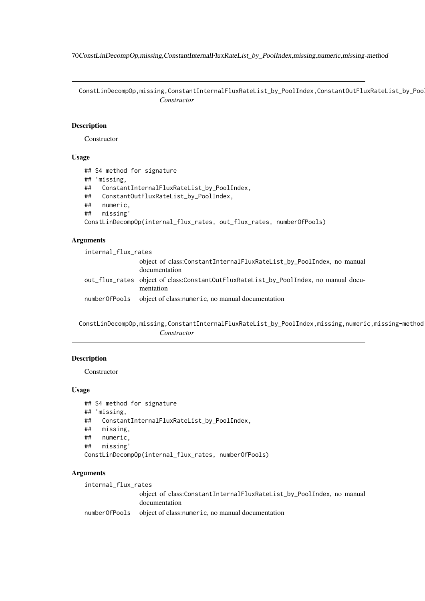70ConstLinDecompOp,missing,ConstantInternalFluxRateList\_by\_PoolIndex,missing,numeric,missing-method

ConstLinDecompOp,missing,ConstantInternalFluxRateList\_by\_PoolIndex,ConstantOutFluxRateList\_by\_Poo *Constructor*

### Description

**Constructor** 

# Usage

```
## S4 method for signature
## 'missing,
## ConstantInternalFluxRateList_by_PoolIndex,
## ConstantOutFluxRateList_by_PoolIndex,
## numeric,
## missing'
ConstLinDecompOp(internal_flux_rates, out_flux_rates, numberOfPools)
```
### Arguments

| internal_flux_rates |                                                                                                   |
|---------------------|---------------------------------------------------------------------------------------------------|
|                     | object of class:ConstantInternalFluxRateList_by_PoolIndex, no manual<br>documentation             |
|                     | out_flux_rates object of class:ConstantOutFluxRateList_by_PoolIndex, no manual docu-<br>mentation |
|                     | number Of Pools object of class: numeric, no manual documentation                                 |

ConstLinDecompOp,missing,ConstantInternalFluxRateList\_by\_PoolIndex,missing,numeric,missing-method *Constructor*

# Description

Constructor

# Usage

```
## S4 method for signature
## 'missing,
## ConstantInternalFluxRateList_by_PoolIndex,
## missing,
## numeric,
## missing'
ConstLinDecompOp(internal_flux_rates, numberOfPools)
```
## Arguments

internal\_flux\_rates object of class:ConstantInternalFluxRateList\_by\_PoolIndex, no manual documentation numberOfPools object of class:numeric, no manual documentation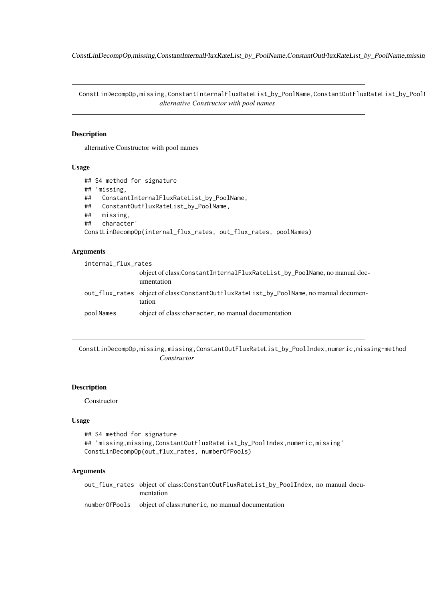ConstLinDecompOp,missing,ConstantInternalFluxRateList\_by\_PoolName,ConstantOutFluxRateList\_by\_PoolName,missin

ConstLinDecompOp,missing,ConstantInternalFluxRateList\_by\_PoolName,ConstantOutFluxRateList\_by\_Pool *alternative Constructor with pool names*

### Description

alternative Constructor with pool names

# Usage

```
## S4 method for signature
## 'missing,
## ConstantInternalFluxRateList_by_PoolName,
## ConstantOutFluxRateList_by_PoolName,
## missing,
## character'
ConstLinDecompOp(internal_flux_rates, out_flux_rates, poolNames)
```
## Arguments

| internal_flux_rates |                                                                                                  |  |
|---------------------|--------------------------------------------------------------------------------------------------|--|
|                     | object of class: ConstantInternalFluxRateList_by_PoolName, no manual doc-<br>umentation          |  |
|                     | out_flux_rates object of class:ConstantOutFluxRateList_by_PoolName, no manual documen-<br>tation |  |
| poolNames           | object of class: character, no manual documentation                                              |  |

ConstLinDecompOp,missing,missing,ConstantOutFluxRateList\_by\_PoolIndex,numeric,missing-method *Constructor*

## Description

Constructor

#### Usage

```
## S4 method for signature
## 'missing,missing,ConstantOutFluxRateList_by_PoolIndex,numeric,missing'
ConstLinDecompOp(out_flux_rates, numberOfPools)
```
## Arguments

out\_flux\_rates object of class:ConstantOutFluxRateList\_by\_PoolIndex, no manual documentation numberOfPools object of class:numeric, no manual documentation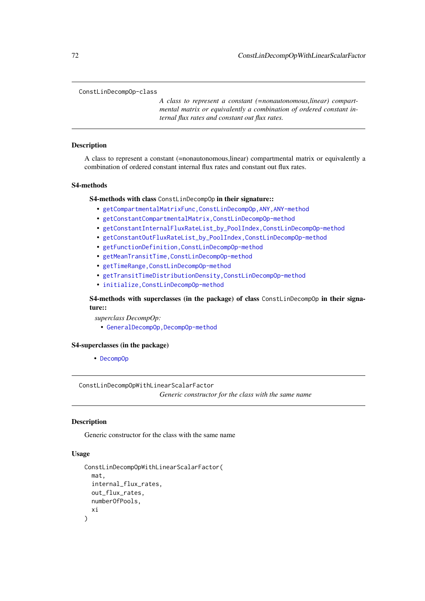#### ConstLinDecompOp-class

*A class to represent a constant (=nonautonomous,linear) compartmental matrix or equivalently a combination of ordered constant internal flux rates and constant out flux rates.*

## Description

A class to represent a constant (=nonautonomous,linear) compartmental matrix or equivalently a combination of ordered constant internal flux rates and constant out flux rates.

#### S4-methods

S4-methods with class ConstLinDecompOp in their signature::

- [getCompartmentalMatrixFunc,ConstLinDecompOp,ANY,ANY-method](#page-0-0)
- [getConstantCompartmentalMatrix,ConstLinDecompOp-method](#page-0-0)
- [getConstantInternalFluxRateList\\_by\\_PoolIndex,ConstLinDecompOp-method](#page-0-0)
- [getConstantOutFluxRateList\\_by\\_PoolIndex,ConstLinDecompOp-method](#page-0-0)
- [getFunctionDefinition,ConstLinDecompOp-method](#page-0-0)
- [getMeanTransitTime,ConstLinDecompOp-method](#page-0-0)
- getTimeRange, ConstLinDecompOp-method
- [getTransitTimeDistributionDensity,ConstLinDecompOp-method](#page-0-0)
- [initialize,ConstLinDecompOp-method](#page-0-0)

S4-methods with superclasses (in the package) of class ConstLinDecompOp in their signature::

*superclass DecompOp:*

• [GeneralDecompOp,DecompOp-method](#page-0-0)

### S4-superclasses (in the package)

• [DecompOp](#page-74-0)

ConstLinDecompOpWithLinearScalarFactor

*Generic constructor for the class with the same name*

# Description

Generic constructor for the class with the same name

## Usage

```
ConstLinDecompOpWithLinearScalarFactor(
  mat,
  internal_flux_rates,
  out_flux_rates,
  numberOfPools,
  xi
)
```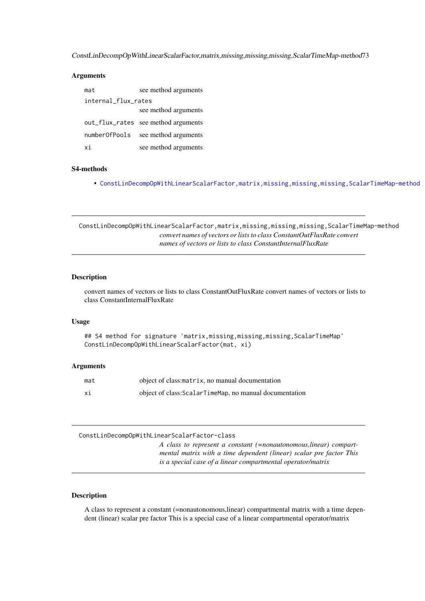ConstLinDecompOpWithLinearScalarFactor,matrix,missing,missing,missing,ScalarTimeMap-method73

#### Arguments

| mat                 | see method arguments                |
|---------------------|-------------------------------------|
| internal flux rates |                                     |
|                     | see method arguments                |
|                     | out_flux_rates see method arguments |
| numberOfPools       | see method arguments                |
| xi                  | see method arguments                |

# S4-methods

• [ConstLinDecompOpWithLinearScalarFactor,matrix,missing,missing,missing,ScalarTimeMap-method](#page-0-0)

ConstLinDecompOpWithLinearScalarFactor,matrix,missing,missing,missing,ScalarTimeMap-method *convert names of vectors or lists to class ConstantOutFluxRate convert names of vectors or lists to class ConstantInternalFluxRate*

# Description

convert names of vectors or lists to class ConstantOutFluxRate convert names of vectors or lists to class ConstantInternalFluxRate

#### Usage

## S4 method for signature 'matrix,missing,missing,missing,ScalarTimeMap' ConstLinDecompOpWithLinearScalarFactor(mat, xi)

#### Arguments

| mat | object of class: matrix, no manual documentation        |
|-----|---------------------------------------------------------|
| хi  | object of class: ScalarTimeMap, no manual documentation |

<span id="page-72-0"></span>ConstLinDecompOpWithLinearScalarFactor-class

*A class to represent a constant (=nonautonomous,linear) compartmental matrix with a time dependent (linear) scalar pre factor This is a special case of a linear compartmental operator/matrix*

# Description

A class to represent a constant (=nonautonomous,linear) compartmental matrix with a time dependent (linear) scalar pre factor This is a special case of a linear compartmental operator/matrix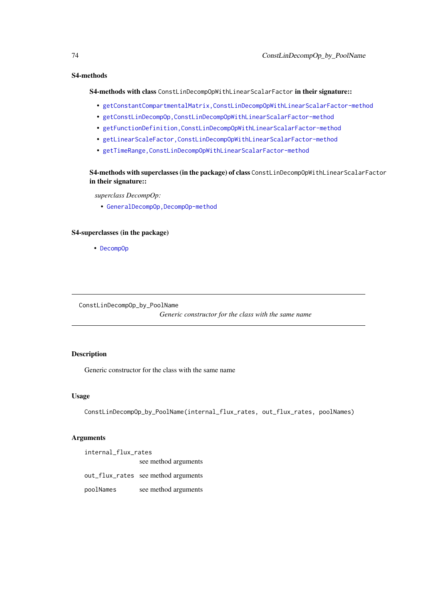#### S4-methods

S4-methods with class ConstLinDecompOpWithLinearScalarFactor in their signature::

- [getConstantCompartmentalMatrix,ConstLinDecompOpWithLinearScalarFactor-method](#page-0-0)
- [getConstLinDecompOp,ConstLinDecompOpWithLinearScalarFactor-method](#page-0-0)
- [getFunctionDefinition,ConstLinDecompOpWithLinearScalarFactor-method](#page-0-0)
- [getLinearScaleFactor,ConstLinDecompOpWithLinearScalarFactor-method](#page-0-0)
- [getTimeRange,ConstLinDecompOpWithLinearScalarFactor-method](#page-0-0)

S4-methods with superclasses (in the package) of class ConstLinDecompOpWithLinearScalarFactor in their signature::

*superclass DecompOp:*

• [GeneralDecompOp,DecompOp-method](#page-0-0)

## S4-superclasses (in the package)

• [DecompOp](#page-74-0)

ConstLinDecompOp\_by\_PoolName

*Generic constructor for the class with the same name*

#### Description

Generic constructor for the class with the same name

#### Usage

ConstLinDecompOp\_by\_PoolName(internal\_flux\_rates, out\_flux\_rates, poolNames)

# Arguments

internal\_flux\_rates see method arguments out\_flux\_rates see method arguments

poolNames see method arguments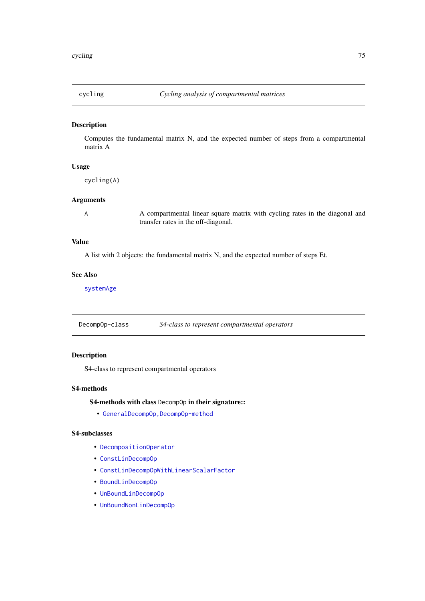## Description

Computes the fundamental matrix N, and the expected number of steps from a compartmental matrix A

# Usage

cycling(A)

#### Arguments

A Compartmental linear square matrix with cycling rates in the diagonal and transfer rates in the off-diagonal.

# Value

A list with 2 objects: the fundamental matrix N, and the expected number of steps Et.

#### See Also

[systemAge](#page-239-0)

<span id="page-74-0"></span>DecompOp-class *S4-class to represent compartmental operators*

# Description

S4-class to represent compartmental operators

#### S4-methods

S4-methods with class DecompOp in their signature::

• [GeneralDecompOp,DecompOp-method](#page-0-0)

# S4-subclasses

- [DecompositionOperator](#page-75-0)
- [ConstLinDecompOp](#page-71-0)
- [ConstLinDecompOpWithLinearScalarFactor](#page-72-0)
- [BoundLinDecompOp](#page-29-0)
- [UnBoundLinDecompOp](#page-276-0)
- [UnBoundNonLinDecompOp](#page-279-0)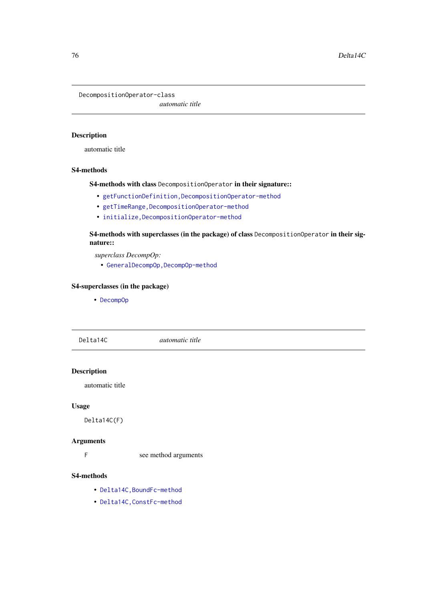<span id="page-75-0"></span>DecompositionOperator-class

*automatic title*

## Description

automatic title

# S4-methods

S4-methods with class DecompositionOperator in their signature::

- [getFunctionDefinition,DecompositionOperator-method](#page-0-0)
- getTimeRange, DecompositionOperator-method
- [initialize,DecompositionOperator-method](#page-0-0)

S4-methods with superclasses (in the package) of class DecompositionOperator in their signature::

*superclass DecompOp:*

• [GeneralDecompOp,DecompOp-method](#page-0-0)

# S4-superclasses (in the package)

• [DecompOp](#page-74-0)

Delta14C *automatic title*

# Description

automatic title

# Usage

Delta14C(F)

#### Arguments

F see method arguments

# S4-methods

- [Delta14C,BoundFc-method](#page-0-0)
- [Delta14C,ConstFc-method](#page-0-0)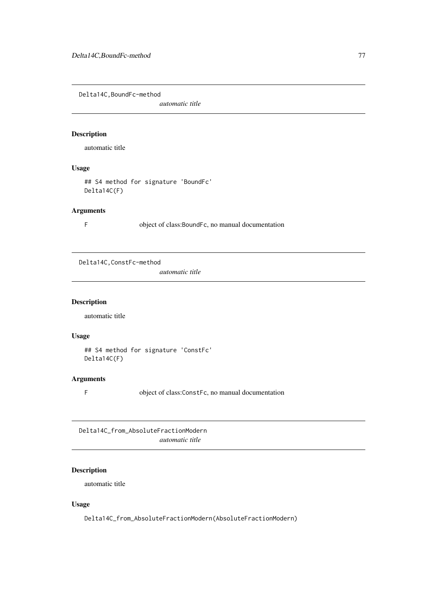Delta14C,BoundFc-method

*automatic title*

#### Description

automatic title

# Usage

## S4 method for signature 'BoundFc' Delta14C(F)

## Arguments

F object of class:BoundFc, no manual documentation

Delta14C,ConstFc-method

*automatic title*

# Description

automatic title

# Usage

```
## S4 method for signature 'ConstFc'
Delta14C(F)
```
# Arguments

F object of class:ConstFc, no manual documentation

Delta14C\_from\_AbsoluteFractionModern *automatic title*

# Description

automatic title

# Usage

Delta14C\_from\_AbsoluteFractionModern(AbsoluteFractionModern)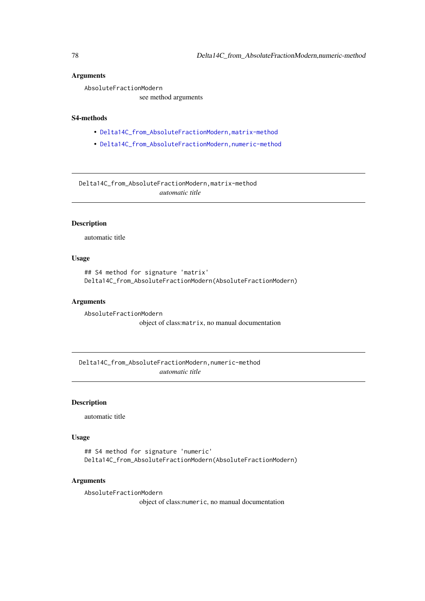#### Arguments

AbsoluteFractionModern

see method arguments

#### S4-methods

- [Delta14C\\_from\\_AbsoluteFractionModern,matrix-method](#page-0-0)
- [Delta14C\\_from\\_AbsoluteFractionModern,numeric-method](#page-0-0)

Delta14C\_from\_AbsoluteFractionModern,matrix-method *automatic title*

## Description

automatic title

#### Usage

```
## S4 method for signature 'matrix'
Delta14C_from_AbsoluteFractionModern(AbsoluteFractionModern)
```
#### Arguments

```
AbsoluteFractionModern
                 object of class:matrix, no manual documentation
```
Delta14C\_from\_AbsoluteFractionModern,numeric-method *automatic title*

#### Description

automatic title

# Usage

```
## S4 method for signature 'numeric'
Delta14C_from_AbsoluteFractionModern(AbsoluteFractionModern)
```
# Arguments

AbsoluteFractionModern

object of class:numeric, no manual documentation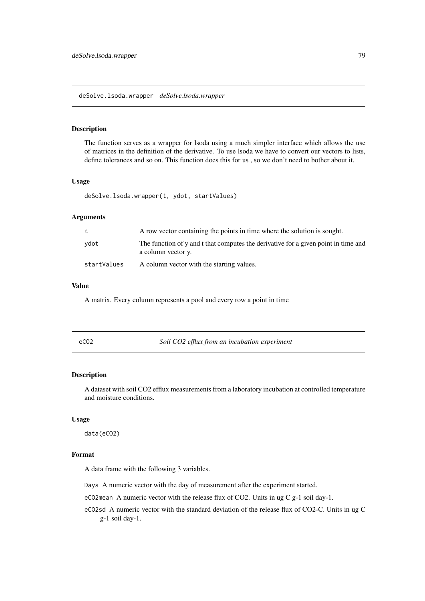<span id="page-78-0"></span>deSolve.lsoda.wrapper *deSolve.lsoda.wrapper*

#### Description

The function serves as a wrapper for lsoda using a much simpler interface which allows the use of matrices in the definition of the derivative. To use lsoda we have to convert our vectors to lists, define tolerances and so on. This function does this for us , so we don't need to bother about it.

## Usage

deSolve.lsoda.wrapper(t, ydot, startValues)

## Arguments

| t           | A row vector containing the points in time where the solution is sought.                                 |
|-------------|----------------------------------------------------------------------------------------------------------|
| ydot        | The function of y and t that computes the derivative for a given point in time and<br>a column vector y. |
| startValues | A column vector with the starting values.                                                                |

# Value

A matrix. Every column represents a pool and every row a point in time

#### Description

A dataset with soil CO2 efflux measurements from a laboratory incubation at controlled temperature and moisture conditions.

# Usage

data(eCO2)

#### Format

A data frame with the following 3 variables.

Days A numeric vector with the day of measurement after the experiment started.

eCO2mean A numeric vector with the release flux of CO2. Units in ug C g-1 soil day-1.

eCO2sd A numeric vector with the standard deviation of the release flux of CO2-C. Units in ug C g-1 soil day-1.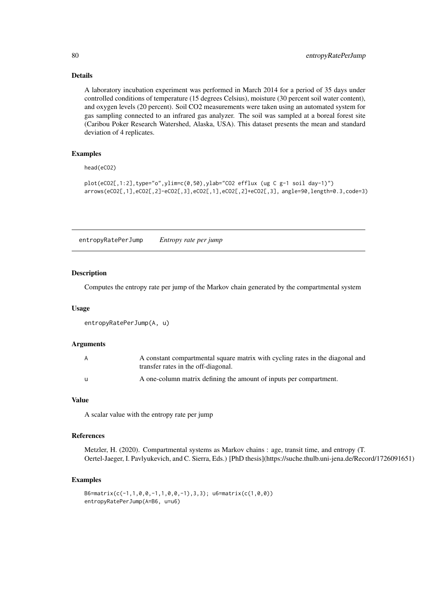#### Details

A laboratory incubation experiment was performed in March 2014 for a period of 35 days under controlled conditions of temperature (15 degrees Celsius), moisture (30 percent soil water content), and oxygen levels (20 percent). Soil CO2 measurements were taken using an automated system for gas sampling connected to an infrared gas analyzer. The soil was sampled at a boreal forest site (Caribou Poker Research Watershed, Alaska, USA). This dataset presents the mean and standard deviation of 4 replicates.

# Examples

head(eCO2)

```
plot(eCO2[,1:2],type="o",ylim=c(0,50),ylab="CO2 efflux (ug C g-1 soil day-1)")
arrows(eCO2[,1],eCO2[,2]-eCO2[,3],eCO2[,1],eCO2[,2]+eCO2[,3], angle=90,length=0.3,code=3)
```
entropyRatePerJump *Entropy rate per jump*

#### Description

Computes the entropy rate per jump of the Markov chain generated by the compartmental system

#### Usage

```
entropyRatePerJump(A, u)
```
#### Arguments

| A | A constant compartmental square matrix with cycling rates in the diagonal and<br>transfer rates in the off-diagonal. |
|---|----------------------------------------------------------------------------------------------------------------------|
|   | A one-column matrix defining the amount of inputs per compartment.                                                   |

#### Value

A scalar value with the entropy rate per jump

#### References

Metzler, H. (2020). Compartmental systems as Markov chains : age, transit time, and entropy (T. Oertel-Jaeger, I. Pavlyukevich, and C. Sierra, Eds.) [PhD thesis](https://suche.thulb.uni-jena.de/Record/1726091651)

## Examples

```
B6=matrix(c(-1,1,0,0,-1,1,0,0,-1),3,3); u6=matrix(c(1,0,0))
entropyRatePerJump(A=B6, u=u6)
```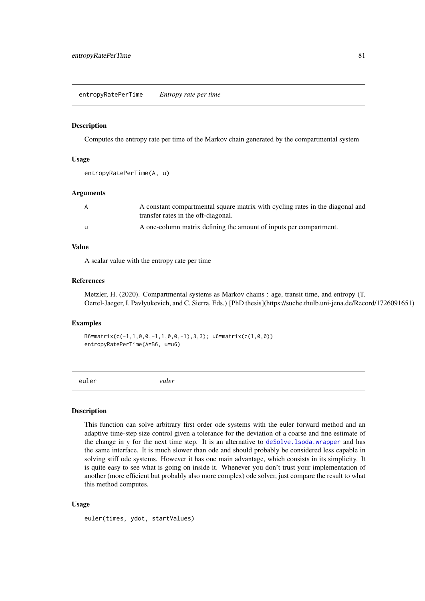entropyRatePerTime *Entropy rate per time*

#### Description

Computes the entropy rate per time of the Markov chain generated by the compartmental system

#### Usage

```
entropyRatePerTime(A, u)
```
# Arguments

| A            | A constant compartmental square matrix with cycling rates in the diagonal and<br>transfer rates in the off-diagonal. |
|--------------|----------------------------------------------------------------------------------------------------------------------|
| $\mathbf{u}$ | A one-column matrix defining the amount of inputs per compartment.                                                   |

# Value

A scalar value with the entropy rate per time

# References

Metzler, H. (2020). Compartmental systems as Markov chains : age, transit time, and entropy (T. Oertel-Jaeger, I. Pavlyukevich, and C. Sierra, Eds.) [PhD thesis](https://suche.thulb.uni-jena.de/Record/1726091651)

## Examples

```
B6=matrix(c(-1,1,0,0,-1,1,0,0,-1),3,3); u6=matrix(c(1,0,0))
entropyRatePerTime(A=B6, u=u6)
```
<span id="page-80-0"></span>euler *euler*

#### Description

This function can solve arbitrary first order ode systems with the euler forward method and an adaptive time-step size control given a tolerance for the deviation of a coarse and fine estimate of the change in y for the next time step. It is an alternative to [deSolve.lsoda.wrapper](#page-78-0) and has the same interface. It is much slower than ode and should probably be considered less capable in solving stiff ode systems. However it has one main advantage, which consists in its simplicity. It is quite easy to see what is going on inside it. Whenever you don't trust your implementation of another (more efficient but probably also more complex) ode solver, just compare the result to what this method computes.

# Usage

```
euler(times, ydot, startValues)
```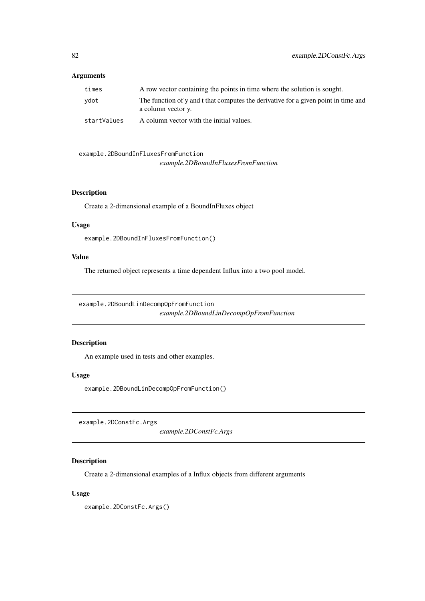# Arguments

| times       | A row vector containing the points in time where the solution is sought.                                 |
|-------------|----------------------------------------------------------------------------------------------------------|
| vdot        | The function of y and t that computes the derivative for a given point in time and<br>a column vector y. |
| startValues | A column vector with the initial values.                                                                 |

example.2DBoundInFluxesFromFunction *example.2DBoundInFluxesFromFunction*

# Description

Create a 2-dimensional example of a BoundInFluxes object

#### Usage

example.2DBoundInFluxesFromFunction()

# Value

The returned object represents a time dependent Influx into a two pool model.

example.2DBoundLinDecompOpFromFunction *example.2DBoundLinDecompOpFromFunction*

#### Description

An example used in tests and other examples.

## Usage

example.2DBoundLinDecompOpFromFunction()

example.2DConstFc.Args

*example.2DConstFc.Args*

#### Description

Create a 2-dimensional examples of a Influx objects from different arguments

## Usage

example.2DConstFc.Args()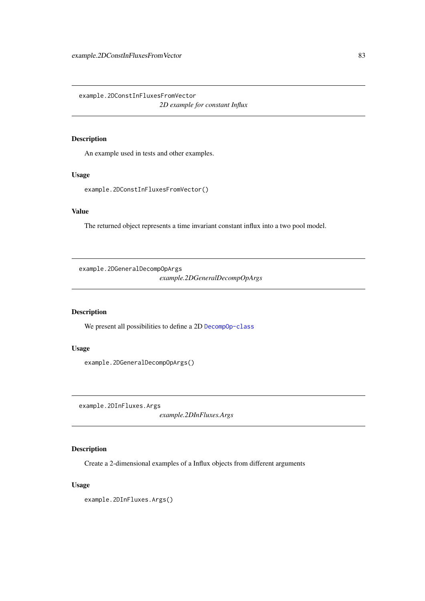example.2DConstInFluxesFromVector

*2D example for constant Influx*

# Description

An example used in tests and other examples.

## Usage

example.2DConstInFluxesFromVector()

# Value

The returned object represents a time invariant constant influx into a two pool model.

example.2DGeneralDecompOpArgs

*example.2DGeneralDecompOpArgs*

# Description

We present all possibilities to define a 2D [DecompOp-class](#page-74-0)

# Usage

example.2DGeneralDecompOpArgs()

example.2DInFluxes.Args

*example.2DInFluxes.Args*

# Description

Create a 2-dimensional examples of a Influx objects from different arguments

# Usage

example.2DInFluxes.Args()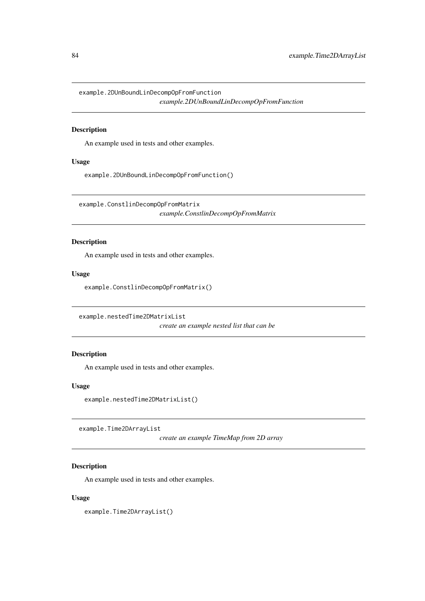example.2DUnBoundLinDecompOpFromFunction *example.2DUnBoundLinDecompOpFromFunction*

#### Description

An example used in tests and other examples.

# Usage

example.2DUnBoundLinDecompOpFromFunction()

example.ConstlinDecompOpFromMatrix

*example.ConstlinDecompOpFromMatrix*

## Description

An example used in tests and other examples.

#### Usage

example.ConstlinDecompOpFromMatrix()

example.nestedTime2DMatrixList

*create an example nested list that can be*

#### Description

An example used in tests and other examples.

# Usage

example.nestedTime2DMatrixList()

example.Time2DArrayList

*create an example TimeMap from 2D array*

# Description

An example used in tests and other examples.

#### Usage

example.Time2DArrayList()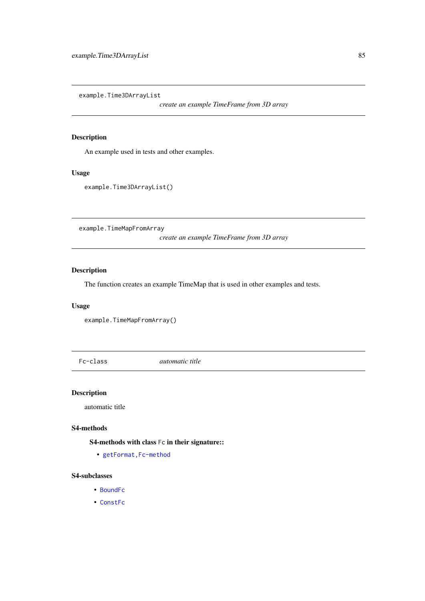example.Time3DArrayList

*create an example TimeFrame from 3D array*

# Description

An example used in tests and other examples.

# Usage

example.Time3DArrayList()

example.TimeMapFromArray

*create an example TimeFrame from 3D array*

# Description

The function creates an example TimeMap that is used in other examples and tests.

## Usage

```
example.TimeMapFromArray()
```
Fc-class *automatic title*

#### Description

automatic title

#### S4-methods

S4-methods with class Fc in their signature::

• getFormat, Fc-method

# S4-subclasses

- [BoundFc](#page-26-0)
- [ConstFc](#page-65-0)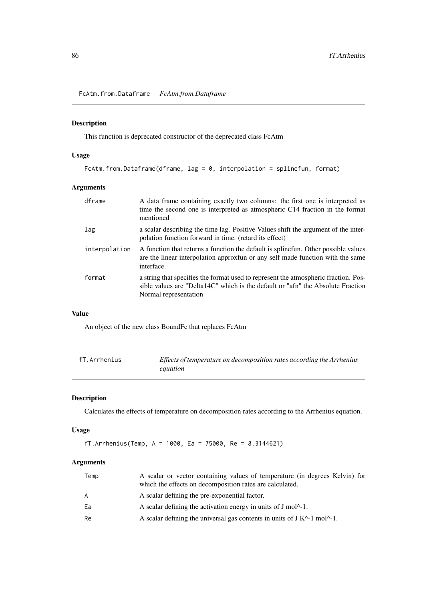FcAtm.from.Dataframe *FcAtm.from.Dataframe*

# Description

This function is deprecated constructor of the deprecated class FcAtm

# Usage

```
FcAtm.from.Dataframe(dframe, lag = 0, interpolation = splinefun, format)
```
# Arguments

| dframe        | A data frame containing exactly two columns: the first one is interpreted as<br>time the second one is interpreted as atmospheric C14 fraction in the format<br>mentioned                       |
|---------------|-------------------------------------------------------------------------------------------------------------------------------------------------------------------------------------------------|
| lag           | a scalar describing the time lag. Positive Values shift the argument of the inter-<br>polation function forward in time. (retard its effect)                                                    |
| interpolation | A function that returns a function the default is splinefun. Other possible values<br>are the linear interpolation approxfun or any self made function with the same<br>interface.              |
| format        | a string that specifies the format used to represent the atmospheric fraction. Pos-<br>sible values are "Delta14C" which is the default or "afn" the Absolute Fraction<br>Normal representation |

## Value

An object of the new class BoundFc that replaces FcAtm

| fT.Arrhenius | Effects of temperature on decomposition rates according the Arrhenius |
|--------------|-----------------------------------------------------------------------|
|              | equation                                                              |

# Description

Calculates the effects of temperature on decomposition rates according to the Arrhenius equation.

## Usage

fT.Arrhenius(Temp, A = 1000, Ea = 75000, Re = 8.3144621)

# Arguments

| A scalar or vector containing values of temperature (in degrees Kelvin) for<br>which the effects on decomposition rates are calculated. |
|-----------------------------------------------------------------------------------------------------------------------------------------|
| A scalar defining the pre-exponential factor.                                                                                           |
| A scalar defining the activation energy in units of J mol <sup><math>\wedge</math>-1.</sup>                                             |
| A scalar defining the universal gas contents in units of $J K^{\prime -1}$ mol <sup><math>\prime -1</math></sup> .                      |
|                                                                                                                                         |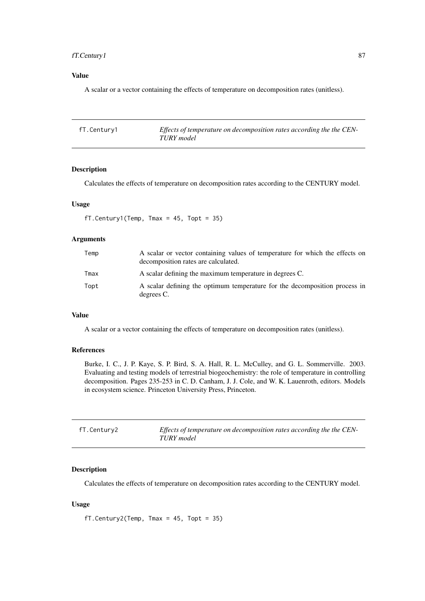#### fT.Century1 87

#### Value

A scalar or a vector containing the effects of temperature on decomposition rates (unitless).

| fT.Century1 | Effects of temperature on decomposition rates according the the CEN- |
|-------------|----------------------------------------------------------------------|
|             | TURY model                                                           |

# Description

Calculates the effects of temperature on decomposition rates according to the CENTURY model.

#### Usage

fT.Century1(Temp, Tmax =  $45$ , Topt =  $35$ )

## Arguments

| Temp | A scalar or vector containing values of temperature for which the effects on<br>decomposition rates are calculated. |
|------|---------------------------------------------------------------------------------------------------------------------|
| Tmax | A scalar defining the maximum temperature in degrees C.                                                             |
| Topt | A scalar defining the optimum temperature for the decomposition process in<br>degrees C.                            |

#### Value

A scalar or a vector containing the effects of temperature on decomposition rates (unitless).

#### References

Burke, I. C., J. P. Kaye, S. P. Bird, S. A. Hall, R. L. McCulley, and G. L. Sommerville. 2003. Evaluating and testing models of terrestrial biogeochemistry: the role of temperature in controlling decomposition. Pages 235-253 in C. D. Canham, J. J. Cole, and W. K. Lauenroth, editors. Models in ecosystem science. Princeton University Press, Princeton.

| fT.Century2 | Effects of temperature on decomposition rates according the the CEN- |
|-------------|----------------------------------------------------------------------|
|             | TURY model                                                           |

## Description

Calculates the effects of temperature on decomposition rates according to the CENTURY model.

# Usage

fT.Century2(Temp, Tmax = 45, Topt = 35)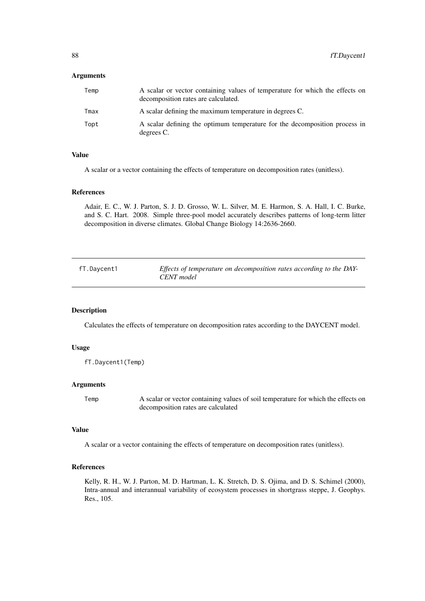#### Arguments

| Temp | A scalar or vector containing values of temperature for which the effects on<br>decomposition rates are calculated. |
|------|---------------------------------------------------------------------------------------------------------------------|
| Tmax | A scalar defining the maximum temperature in degrees C.                                                             |
| Topt | A scalar defining the optimum temperature for the decomposition process in<br>degrees C.                            |

#### Value

A scalar or a vector containing the effects of temperature on decomposition rates (unitless).

#### References

Adair, E. C., W. J. Parton, S. J. D. Grosso, W. L. Silver, M. E. Harmon, S. A. Hall, I. C. Burke, and S. C. Hart. 2008. Simple three-pool model accurately describes patterns of long-term litter decomposition in diverse climates. Global Change Biology 14:2636-2660.

| fT.Daycent1 | Effects of temperature on decomposition rates according to the DAY- |
|-------------|---------------------------------------------------------------------|
|             | CENT model                                                          |

#### Description

Calculates the effects of temperature on decomposition rates according to the DAYCENT model.

## Usage

```
fT.Daycent1(Temp)
```
#### Arguments

Temp A scalar or vector containing values of soil temperature for which the effects on decomposition rates are calculated

#### Value

A scalar or a vector containing the effects of temperature on decomposition rates (unitless).

#### References

Kelly, R. H., W. J. Parton, M. D. Hartman, L. K. Stretch, D. S. Ojima, and D. S. Schimel (2000), Intra-annual and interannual variability of ecosystem processes in shortgrass steppe, J. Geophys. Res., 105.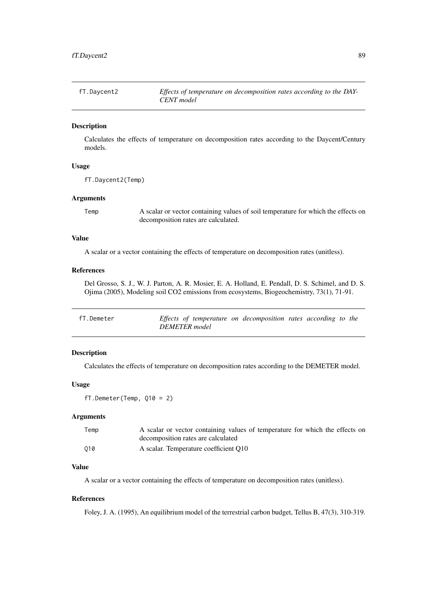| fT.Daycent2 | Effects of temperature on decomposition rates according to the DAY- |
|-------------|---------------------------------------------------------------------|
|             | CENT model                                                          |

#### Description

Calculates the effects of temperature on decomposition rates according to the Daycent/Century models.

#### Usage

fT.Daycent2(Temp)

#### Arguments

Temp A scalar or vector containing values of soil temperature for which the effects on decomposition rates are calculated.

# Value

A scalar or a vector containing the effects of temperature on decomposition rates (unitless).

## References

Del Grosso, S. J., W. J. Parton, A. R. Mosier, E. A. Holland, E. Pendall, D. S. Schimel, and D. S. Ojima (2005), Modeling soil CO2 emissions from ecosystems, Biogeochemistry, 73(1), 71-91.

| fT.Demeter |               | Effects of temperature on decomposition rates according to the |
|------------|---------------|----------------------------------------------------------------|
|            | DEMETER model |                                                                |

## Description

Calculates the effects of temperature on decomposition rates according to the DEMETER model.

#### Usage

fT.Demeter(Temp, Q10 = 2)

#### Arguments

| Temp | A scalar or vector containing values of temperature for which the effects on |
|------|------------------------------------------------------------------------------|
|      | decomposition rates are calculated                                           |
| 010  | A scalar. Temperature coefficient O10                                        |

#### Value

A scalar or a vector containing the effects of temperature on decomposition rates (unitless).

#### References

Foley, J. A. (1995), An equilibrium model of the terrestrial carbon budget, Tellus B, 47(3), 310-319.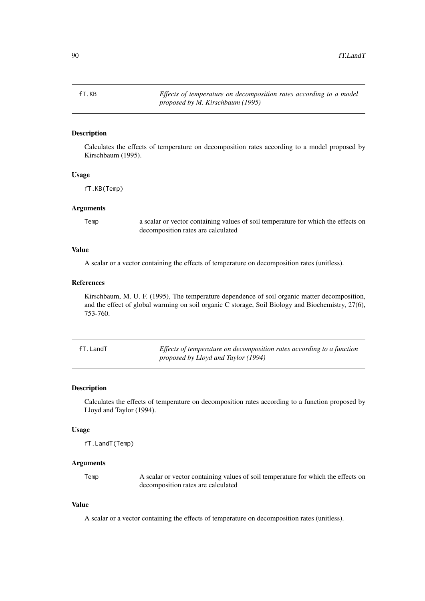## Description

Calculates the effects of temperature on decomposition rates according to a model proposed by Kirschbaum (1995).

# Usage

fT.KB(Temp)

#### Arguments

Temp a scalar or vector containing values of soil temperature for which the effects on decomposition rates are calculated

#### Value

A scalar or a vector containing the effects of temperature on decomposition rates (unitless).

#### References

Kirschbaum, M. U. F. (1995), The temperature dependence of soil organic matter decomposition, and the effect of global warming on soil organic C storage, Soil Biology and Biochemistry, 27(6), 753-760.

fT.LandT *Effects of temperature on decomposition rates according to a function proposed by Lloyd and Taylor (1994)*

#### Description

Calculates the effects of temperature on decomposition rates according to a function proposed by Lloyd and Taylor (1994).

#### Usage

fT.LandT(Temp)

#### Arguments

Temp A scalar or vector containing values of soil temperature for which the effects on decomposition rates are calculated

#### Value

A scalar or a vector containing the effects of temperature on decomposition rates (unitless).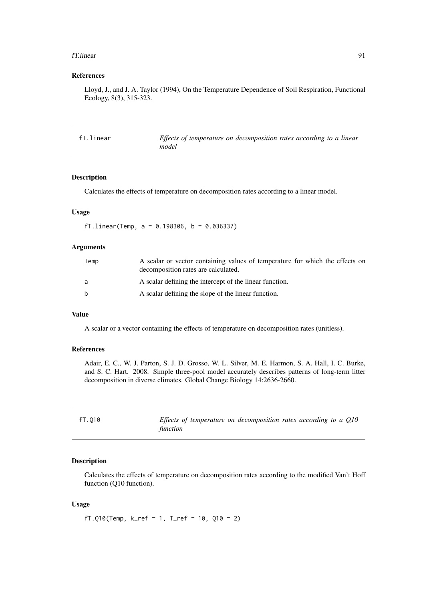#### fT.linear 91

## References

Lloyd, J., and J. A. Taylor (1994), On the Temperature Dependence of Soil Respiration, Functional Ecology, 8(3), 315-323.

| fT.linear | Effects of temperature on decomposition rates according to a linear |
|-----------|---------------------------------------------------------------------|
|           | model                                                               |

#### Description

Calculates the effects of temperature on decomposition rates according to a linear model.

#### Usage

```
fT.linear(Temp, a = 0.198306, b = 0.036337)
```
# Arguments

| Temp         | A scalar or vector containing values of temperature for which the effects on<br>decomposition rates are calculated. |
|--------------|---------------------------------------------------------------------------------------------------------------------|
| a            | A scalar defining the intercept of the linear function.                                                             |
| <sub>b</sub> | A scalar defining the slope of the linear function.                                                                 |

#### Value

A scalar or a vector containing the effects of temperature on decomposition rates (unitless).

# References

Adair, E. C., W. J. Parton, S. J. D. Grosso, W. L. Silver, M. E. Harmon, S. A. Hall, I. C. Burke, and S. C. Hart. 2008. Simple three-pool model accurately describes patterns of long-term litter decomposition in diverse climates. Global Change Biology 14:2636-2660.

| fT.010 | Effects of temperature on decomposition rates according to a O10 |
|--------|------------------------------------------------------------------|
|        | function                                                         |

#### Description

Calculates the effects of temperature on decomposition rates according to the modified Van't Hoff function (Q10 function).

# Usage

fT.Q10(Temp, k\_ref = 1, T\_ref = 10, Q10 = 2)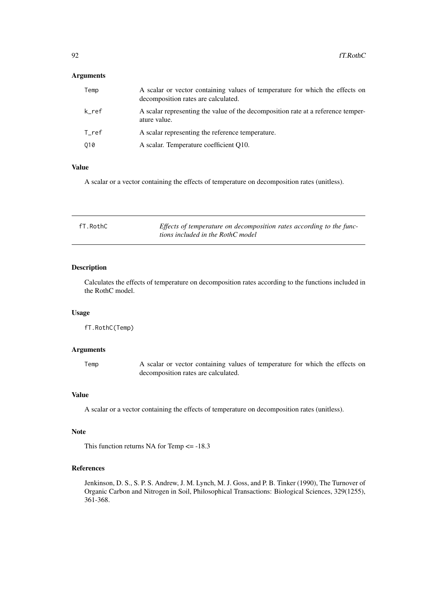# Arguments

| Temp  | A scalar or vector containing values of temperature for which the effects on<br>decomposition rates are calculated. |
|-------|---------------------------------------------------------------------------------------------------------------------|
| k ref | A scalar representing the value of the decomposition rate at a reference temper-<br>ature value.                    |
| T ref | A scalar representing the reference temperature.                                                                    |
| 010   | A scalar. Temperature coefficient Q10.                                                                              |

#### Value

A scalar or a vector containing the effects of temperature on decomposition rates (unitless).

| fT.RothC | Effects of temperature on decomposition rates according to the func- |
|----------|----------------------------------------------------------------------|
|          | tions included in the RothC model                                    |

## Description

Calculates the effects of temperature on decomposition rates according to the functions included in the RothC model.

## Usage

fT.RothC(Temp)

#### Arguments

Temp A scalar or vector containing values of temperature for which the effects on decomposition rates are calculated.

#### Value

A scalar or a vector containing the effects of temperature on decomposition rates (unitless).

#### Note

This function returns NA for Temp <= -18.3

# References

Jenkinson, D. S., S. P. S. Andrew, J. M. Lynch, M. J. Goss, and P. B. Tinker (1990), The Turnover of Organic Carbon and Nitrogen in Soil, Philosophical Transactions: Biological Sciences, 329(1255), 361-368.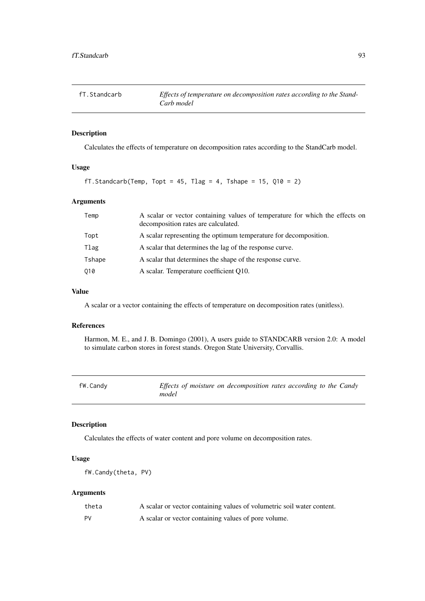| fT.Standcarb | Effects of temperature on decomposition rates according to the Stand- |
|--------------|-----------------------------------------------------------------------|
|              | Carb model                                                            |

## Description

Calculates the effects of temperature on decomposition rates according to the StandCarb model.

# Usage

```
fT.Standcarb(Temp, Topt = 45, Tlag = 4, Tshape = 15, Q10 = 2)
```
#### Arguments

| Temp   | A scalar or vector containing values of temperature for which the effects on<br>decomposition rates are calculated. |
|--------|---------------------------------------------------------------------------------------------------------------------|
| Topt   | A scalar representing the optimum temperature for decomposition.                                                    |
| Tlag   | A scalar that determines the lag of the response curve.                                                             |
| Tshape | A scalar that determines the shape of the response curve.                                                           |
| 010    | A scalar. Temperature coefficient Q10.                                                                              |

#### Value

A scalar or a vector containing the effects of temperature on decomposition rates (unitless).

# References

Harmon, M. E., and J. B. Domingo (2001), A users guide to STANDCARB version 2.0: A model to simulate carbon stores in forest stands. Oregon State University, Corvallis.

| fW.Candy |  |
|----------|--|
|----------|--|

*Effects of moisture on decomposition rates according to the Candy model*

## Description

Calculates the effects of water content and pore volume on decomposition rates.

# Usage

```
fW.Candy(theta, PV)
```
# Arguments

| theta | A scalar or vector containing values of volumetric soil water content. |
|-------|------------------------------------------------------------------------|
| PV    | A scalar or vector containing values of pore volume.                   |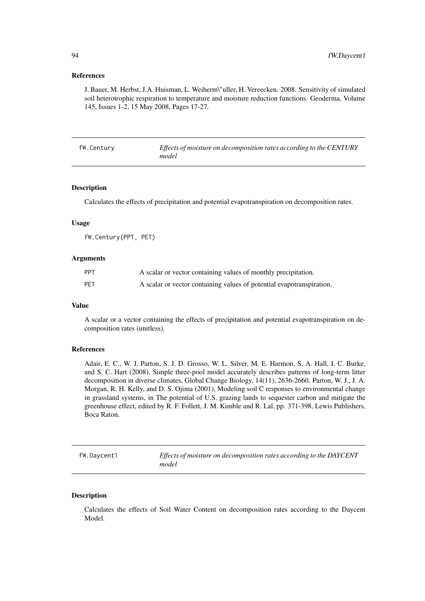#### References

J. Bauer, M. Herbst, J.A. Huisman, L. Weiherm\"uller, H. Vereecken. 2008. Sensitivity of simulated soil heterotrophic respiration to temperature and moisture reduction functions. Geoderma, Volume 145, Issues 1-2, 15 May 2008, Pages 17-27.

| fW.Century | Effects of moisture on decomposition rates according to the CENTURY |
|------------|---------------------------------------------------------------------|
|            | model                                                               |

#### Description

Calculates the effects of precipitation and potential evapotranspiration on decomposition rates.

# Usage

fW.Century(PPT, PET)

#### Arguments

| PPT | A scalar or vector containing values of monthly precipitation.        |
|-----|-----------------------------------------------------------------------|
| PET | A scalar or vector containing values of potential evapotranspiration. |

## Value

A scalar or a vector containing the effects of precipitation and potential evapotranspiration on decomposition rates (unitless).

#### References

Adair, E. C., W. J. Parton, S. J. D. Grosso, W. L. Silver, M. E. Harmon, S. A. Hall, I. C. Burke, and S. C. Hart (2008), Simple three-pool model accurately describes patterns of long-term litter decomposition in diverse climates, Global Change Biology, 14(11), 2636-2660. Parton, W. J., J. A. Morgan, R. H. Kelly, and D. S. Ojima (2001), Modeling soil C responses to environmental change in grassland systems, in The potential of U.S. grazing lands to sequester carbon and mitigate the greenhouse effect, edited by R. F. Follett, J. M. Kimble and R. Lal, pp. 371-398, Lewis Publishers, Boca Raton.

fW.Daycent1 *Effects of moisture on decomposition rates according to the DAYCENT model*

# Description

Calculates the effects of Soil Water Content on decomposition rates according to the Daycent Model.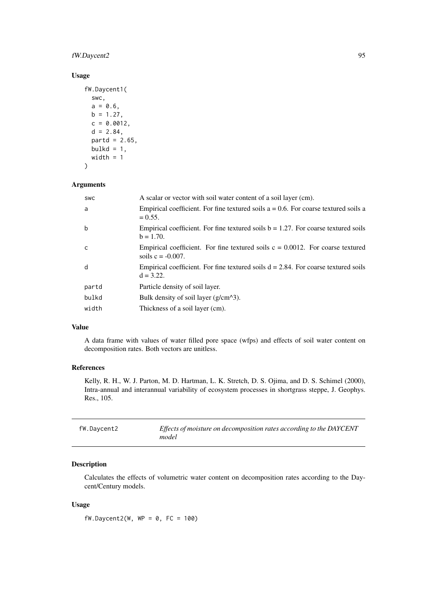#### fW.Daycent2 95

# Usage

```
fW.Daycent1(
  swc,
  a = 0.6,
  b = 1.27,
  c = 0.0012,
  d = 2.84,
  partd = 2.65,
  bulkd = 1,
  width = 1)
```
# Arguments

| SWC   | A scalar or vector with soil water content of a soil layer (cm).                                          |
|-------|-----------------------------------------------------------------------------------------------------------|
| a     | Empirical coefficient. For fine textured soils $a = 0.6$ . For coarse textured soils a<br>$= 0.55.$       |
| b     | Empirical coefficient. For fine textured soils $b = 1.27$ . For coarse textured soils<br>$b = 1.70$ .     |
| C     | Empirical coefficient. For fine textured soils $c = 0.0012$ . For coarse textured<br>soils $c = -0.007$ . |
| d     | Empirical coefficient. For fine textured soils $d = 2.84$ . For coarse textured soils<br>$d = 3.22$ .     |
| partd | Particle density of soil layer.                                                                           |
| bulkd | Bulk density of soil layer $(g/cm^{3})$ .                                                                 |
| width | Thickness of a soil layer (cm).                                                                           |

# Value

A data frame with values of water filled pore space (wfps) and effects of soil water content on decomposition rates. Both vectors are unitless.

# References

Kelly, R. H., W. J. Parton, M. D. Hartman, L. K. Stretch, D. S. Ojima, and D. S. Schimel (2000), Intra-annual and interannual variability of ecosystem processes in shortgrass steppe, J. Geophys. Res., 105.

| fW.Daycent2 | Effects of moisture on decomposition rates according to the DAYCENT<br>model |
|-------------|------------------------------------------------------------------------------|
|             |                                                                              |

# Description

Calculates the effects of volumetric water content on decomposition rates according to the Daycent/Century models.

# Usage

 $fW.Daycent2(W, WP = 0, FC = 100)$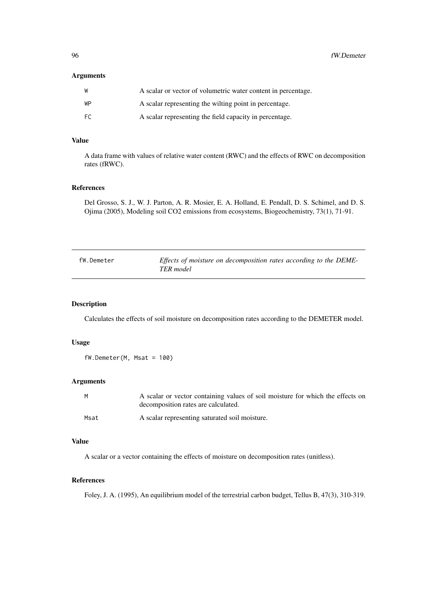96 fW.Demeter

# Arguments

| W   | A scalar or vector of volumetric water content in percentage. |
|-----|---------------------------------------------------------------|
| WP  | A scalar representing the wilting point in percentage.        |
| FC. | A scalar representing the field capacity in percentage.       |

# Value

A data frame with values of relative water content (RWC) and the effects of RWC on decomposition rates (fRWC).

#### References

Del Grosso, S. J., W. J. Parton, A. R. Mosier, E. A. Holland, E. Pendall, D. S. Schimel, and D. S. Ojima (2005), Modeling soil CO2 emissions from ecosystems, Biogeochemistry, 73(1), 71-91.

| fW.Demeter | Effects of moisture on decomposition rates according to the DEME- |
|------------|-------------------------------------------------------------------|
|            | TER model                                                         |

#### Description

Calculates the effects of soil moisture on decomposition rates according to the DEMETER model.

#### Usage

 $fW.Demeter(M, Msat = 100)$ 

## Arguments

| M    | A scalar or vector containing values of soil moisture for which the effects on<br>decomposition rates are calculated. |
|------|-----------------------------------------------------------------------------------------------------------------------|
| Msat | A scalar representing saturated soil moisture.                                                                        |

# Value

A scalar or a vector containing the effects of moisture on decomposition rates (unitless).

#### References

Foley, J. A. (1995), An equilibrium model of the terrestrial carbon budget, Tellus B, 47(3), 310-319.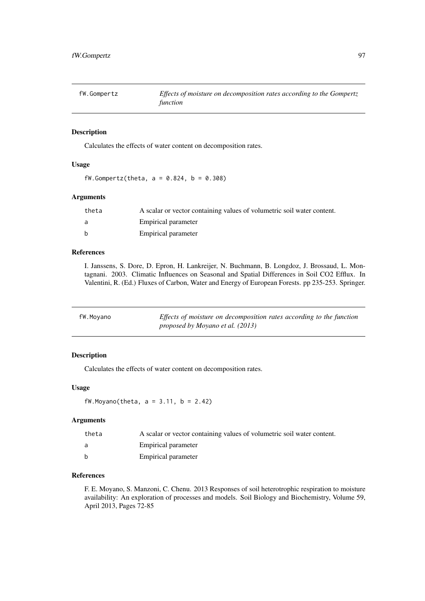| fW.Gompertz | Effects of moisture on decomposition rates according to the Gompertz |
|-------------|----------------------------------------------------------------------|
|             | function                                                             |

#### Description

Calculates the effects of water content on decomposition rates.

# Usage

 $fW.Gompertz(theta, a = 0.824, b = 0.308)$ 

## Arguments

| theta        | A scalar or vector containing values of volumetric soil water content. |
|--------------|------------------------------------------------------------------------|
| a            | Empirical parameter                                                    |
| <sub>b</sub> | Empirical parameter                                                    |

#### References

I. Janssens, S. Dore, D. Epron, H. Lankreijer, N. Buchmann, B. Longdoz, J. Brossaud, L. Montagnani. 2003. Climatic Influences on Seasonal and Spatial Differences in Soil CO2 Efflux. In Valentini, R. (Ed.) Fluxes of Carbon, Water and Energy of European Forests. pp 235-253. Springer.

| fW.Moyano | Effects of moisture on decomposition rates according to the function |
|-----------|----------------------------------------------------------------------|
|           | proposed by Moyano et al. (2013)                                     |

# Description

Calculates the effects of water content on decomposition rates.

## Usage

fW.Moyano(theta, a = 3.11, b = 2.42)

## Arguments

| theta | A scalar or vector containing values of volumetric soil water content. |
|-------|------------------------------------------------------------------------|
| a     | Empirical parameter                                                    |
| h     | Empirical parameter                                                    |

# References

F. E. Moyano, S. Manzoni, C. Chenu. 2013 Responses of soil heterotrophic respiration to moisture availability: An exploration of processes and models. Soil Biology and Biochemistry, Volume 59, April 2013, Pages 72-85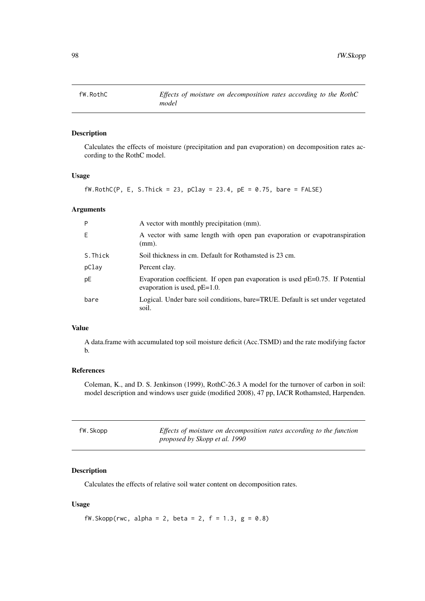# Description

Calculates the effects of moisture (precipitation and pan evaporation) on decomposition rates according to the RothC model.

# Usage

 $fW.RothC(P, E, S.Thick = 23, pClay = 23.4, pE = 0.75, bare = FALSE)$ 

# Arguments

| P       | A vector with monthly precipitation (mm).                                                                            |
|---------|----------------------------------------------------------------------------------------------------------------------|
| Ε       | A vector with same length with open pan evaporation or evapotranspiration<br>(mm).                                   |
| S.Thick | Soil thickness in cm. Default for Rothamsted is 23 cm.                                                               |
| pClay   | Percent clay.                                                                                                        |
| pE      | Evaporation coefficient. If open pan evaporation is used $pE=0.75$ . If Potential<br>evaporation is used, $pE=1.0$ . |
| bare    | Logical. Under bare soil conditions, bare=TRUE. Default is set under vegetated<br>soil.                              |

# Value

A data.frame with accumulated top soil moisture deficit (Acc.TSMD) and the rate modifying factor b.

# References

Coleman, K., and D. S. Jenkinson (1999), RothC-26.3 A model for the turnover of carbon in soil: model description and windows user guide (modified 2008), 47 pp, IACR Rothamsted, Harpenden.

| fW.Skopp | Effects of moisture on decomposition rates according to the function |
|----------|----------------------------------------------------------------------|
|          | proposed by Skopp et al. 1990                                        |

# Description

Calculates the effects of relative soil water content on decomposition rates.

# Usage

fW.Skopp(rwc, alpha = 2, beta = 2,  $f = 1.3$ ,  $g = 0.8$ )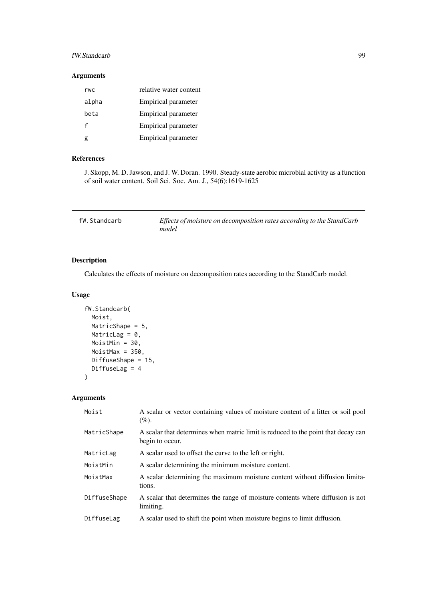# fW.Standcarb 99

#### Arguments

| rwc   | relative water content     |
|-------|----------------------------|
| alpha | Empirical parameter        |
| beta  | Empirical parameter        |
| f     | <b>Empirical parameter</b> |
|       | Empirical parameter        |

# References

J. Skopp, M. D. Jawson, and J. W. Doran. 1990. Steady-state aerobic microbial activity as a function of soil water content. Soil Sci. Soc. Am. J., 54(6):1619-1625

| fW.Standcarb | Effects of moisture on decomposition rates according to the StandCarb<br>model |
|--------------|--------------------------------------------------------------------------------|
|--------------|--------------------------------------------------------------------------------|

## Description

Calculates the effects of moisture on decomposition rates according to the StandCarb model.

# Usage

```
fW.Standcarb(
  Moist,
  MatricShape = 5,
  MatricLag = 0,
  MoistMin = 30,
  MoistMax = 350,
  DiffuseShape = 15,
  DiffuseLag = 4
)
```
## Arguments

| Moist        | A scalar or vector containing values of moisture content of a litter or soil pool<br>$(\%).$         |
|--------------|------------------------------------------------------------------------------------------------------|
| MatricShape  | A scalar that determines when matric limit is reduced to the point that decay can<br>begin to occur. |
| MatricLag    | A scalar used to offset the curve to the left or right.                                              |
| MoistMin     | A scalar determining the minimum moisture content.                                                   |
| MoistMax     | A scalar determining the maximum moisture content without diffusion limita-<br>tions.                |
| DiffuseShape | A scalar that determines the range of moisture contents where diffusion is not<br>limiting.          |
| DiffuseLag   | A scalar used to shift the point when moisture begins to limit diffusion.                            |
|              |                                                                                                      |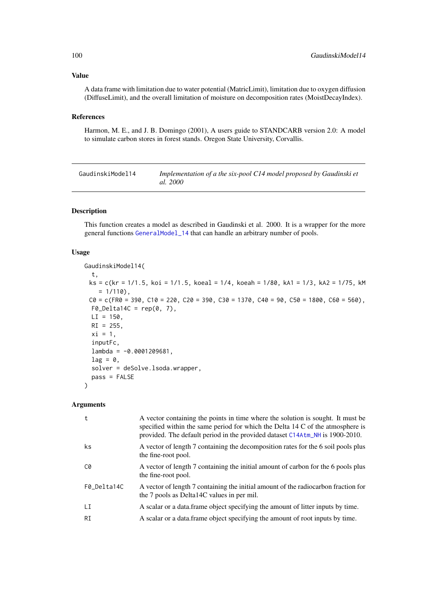#### Value

A data frame with limitation due to water potential (MatricLimit), limitation due to oxygen diffusion (DiffuseLimit), and the overall limitation of moisture on decomposition rates (MoistDecayIndex).

# References

Harmon, M. E., and J. B. Domingo (2001), A users guide to STANDCARB version 2.0: A model to simulate carbon stores in forest stands. Oregon State University, Corvallis.

| GaudinskiModel14 | Implementation of a the six-pool C14 model proposed by Gaudinski et |
|------------------|---------------------------------------------------------------------|
|                  | <i>al.</i> 2000                                                     |

## Description

This function creates a model as described in Gaudinski et al. 2000. It is a wrapper for the more general functions [GeneralModel\\_14](#page-104-0) that can handle an arbitrary number of pools.

#### Usage

GaudinskiModel14( t,  $ks = c(kr = 1/1.5, koi = 1/1.5, kocal = 1/4, kocal = 1/80, kAI = 1/3, kA2 = 1/75, kM$  $= 1/110$ ,  $CO = C(FR0 = 390, C10 = 220, C20 = 390, C30 = 1370, C40 = 90, C50 = 1800, C60 = 560)$  $FØ\_Delta14C = rep(0, 7),$  $LI = 150$ ,  $RI = 255$ ,  $xi = 1$ , inputFc,  $lambda = -0.0001209681,$  $lag = 0$ , solver = deSolve.lsoda.wrapper, pass = FALSE )

#### Arguments

| t           | A vector containing the points in time where the solution is sought. It must be<br>specified within the same period for which the Delta 14 C of the atmosphere is<br>provided. The default period in the provided dataset C14Atm_NH is 1900-2010. |
|-------------|---------------------------------------------------------------------------------------------------------------------------------------------------------------------------------------------------------------------------------------------------|
| ks          | A vector of length 7 containing the decomposition rates for the 6 soil pools plus<br>the fine-root pool.                                                                                                                                          |
| C0          | A vector of length 7 containing the initial amount of carbon for the 6 pools plus<br>the fine-root pool.                                                                                                                                          |
| F0 Delta14C | A vector of length 7 containing the initial amount of the radiocarbon fraction for<br>the 7 pools as Delta14C values in per mil.                                                                                                                  |
| LI          | A scalar or a data. frame object specifying the amount of litter inputs by time.                                                                                                                                                                  |
| RI          | A scalar or a data.frame object specifying the amount of root inputs by time.                                                                                                                                                                     |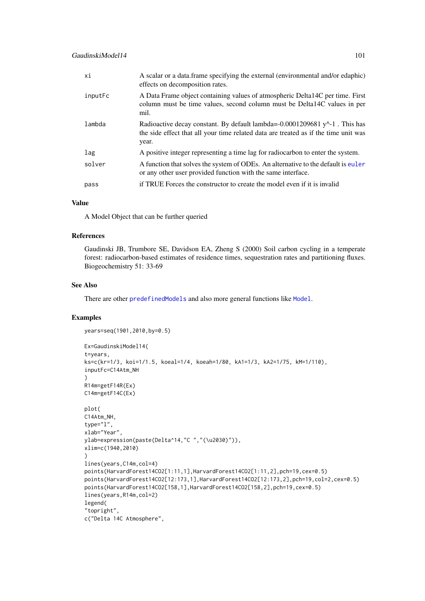| xi      | A scalar or a data.frame specifying the external (environmental and/or edaphic)<br>effects on decomposition rates.                                                             |
|---------|--------------------------------------------------------------------------------------------------------------------------------------------------------------------------------|
| inputFc | A Data Frame object containing values of atmospheric Delta 14C per time. First<br>column must be time values, second column must be Delta14C values in per<br>mil.             |
| lambda  | Radioactive decay constant. By default lambda=-0.0001209681 $y^2$ -1. This has<br>the side effect that all your time related data are treated as if the time unit was<br>year. |
| lag     | A positive integer representing a time lag for radiocarbon to enter the system.                                                                                                |
| solver  | A function that solves the system of ODEs. An alternative to the default is euler<br>or any other user provided function with the same interface.                              |
| pass    | if TRUE Forces the constructor to create the model even if it is invalid                                                                                                       |

# Value

A Model Object that can be further queried

#### References

Gaudinski JB, Trumbore SE, Davidson EA, Zheng S (2000) Soil carbon cycling in a temperate forest: radiocarbon-based estimates of residence times, sequestration rates and partitioning fluxes. Biogeochemistry 51: 33-69

# See Also

There are other [predefinedModels](#page-224-0) and also more general functions like [Model](#page-191-0).

## Examples

```
years=seq(1901,2010,by=0.5)
```

```
Ex=GaudinskiModel14(
t=years,
ks=c(kr=1/3, koi=1/1.5, koeal=1/4, koeah=1/80, kA1=1/3, kA2=1/75, kM=1/110),
inputFc=C14Atm_NH
\lambdaR14m=getF14R(Ex)
C14m=getF14C(Ex)
plot(
C14Atm_NH,
type="l",
xlab="Year",
ylab=expression(paste(Delta^14,"C ","(\u2030)")),
xlim=c(1940,2010)
)
lines(years,C14m,col=4)
points(HarvardForest14CO2[1:11,1],HarvardForest14CO2[1:11,2],pch=19,cex=0.5)
points(HarvardForest14CO2[12:173,1],HarvardForest14CO2[12:173,2],pch=19,col=2,cex=0.5)
points(HarvardForest14CO2[158,1],HarvardForest14CO2[158,2],pch=19,cex=0.5)
lines(years,R14m,col=2)
legend(
"topright",
c("Delta 14C Atmosphere",
```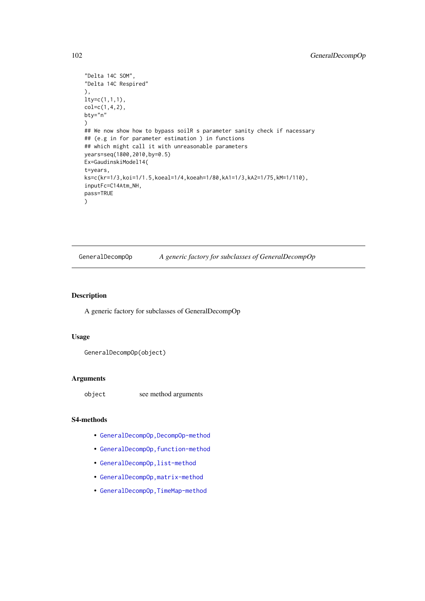```
"Delta 14C SOM",
"Delta 14C Respired"
),
lty=c(1,1,1),
col=c(1,4,2),
bty="n"
)
## We now show how to bypass soilR s parameter sanity check if nacessary
## (e.g in for parameter estimation ) in functions
## which might call it with unreasonable parameters
years=seq(1800,2010,by=0.5)
Ex=GaudinskiModel14(
t=years,
ks=c(kr=1/3,koi=1/1.5,koeal=1/4,koeah=1/80,kA1=1/3,kA2=1/75,kM=1/110),
inputFc=C14Atm_NH,
pass=TRUE
)
```
<span id="page-101-0"></span>GeneralDecompOp *A generic factory for subclasses of GeneralDecompOp*

#### Description

A generic factory for subclasses of GeneralDecompOp

#### Usage

```
GeneralDecompOp(object)
```
#### Arguments

object see method arguments

# S4-methods

- [GeneralDecompOp,DecompOp-method](#page-0-0)
- GeneralDecompOp, function-method
- [GeneralDecompOp,list-method](#page-0-0)
- [GeneralDecompOp,matrix-method](#page-0-0)
- [GeneralDecompOp,TimeMap-method](#page-0-0)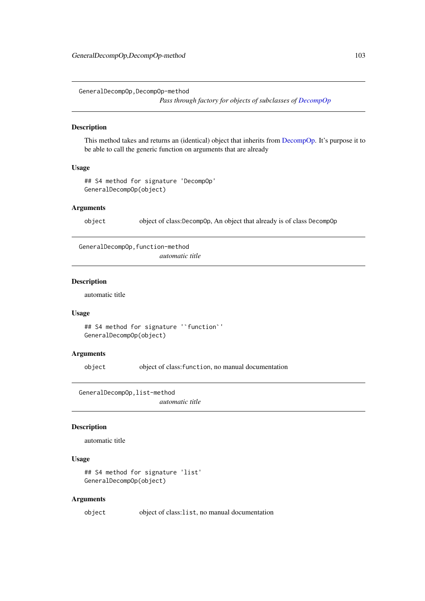GeneralDecompOp,DecompOp-method

*Pass through factory for objects of subclasses of [DecompOp](#page-74-0)*

#### Description

This method takes and returns an (identical) object that inherits from [DecompOp.](#page-74-0) It's purpose it to be able to call the generic function on arguments that are already

# Usage

## S4 method for signature 'DecompOp' GeneralDecompOp(object)

#### Arguments

object object of class:DecompOp, An object that already is of class DecompOp

GeneralDecompOp,function-method

*automatic title*

#### Description

automatic title

#### Usage

```
## S4 method for signature '`function`'
GeneralDecompOp(object)
```
#### Arguments

object object of class:function, no manual documentation

GeneralDecompOp,list-method

*automatic title*

#### Description

automatic title

#### Usage

```
## S4 method for signature 'list'
GeneralDecompOp(object)
```
#### Arguments

object object of class:list, no manual documentation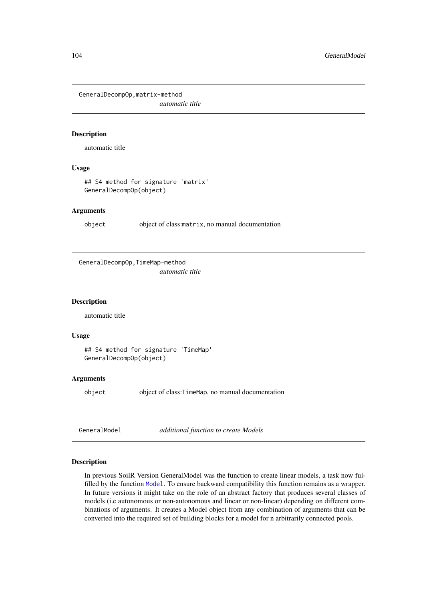GeneralDecompOp,matrix-method *automatic title*

#### Description

automatic title

# Usage

## S4 method for signature 'matrix' GeneralDecompOp(object)

#### Arguments

object object of class:matrix, no manual documentation

GeneralDecompOp,TimeMap-method

*automatic title*

#### Description

automatic title

## Usage

```
## S4 method for signature 'TimeMap'
GeneralDecompOp(object)
```
## Arguments

object object of class:TimeMap, no manual documentation

<span id="page-103-0"></span>GeneralModel *additional function to create Models*

#### Description

In previous SoilR Version GeneralModel was the function to create linear models, a task now fulfilled by the function [Model](#page-191-0). To ensure backward compatibility this function remains as a wrapper. In future versions it might take on the role of an abstract factory that produces several classes of models (i.e autonomous or non-autonomous and linear or non-linear) depending on different combinations of arguments. It creates a Model object from any combination of arguments that can be converted into the required set of building blocks for a model for n arbitrarily connected pools.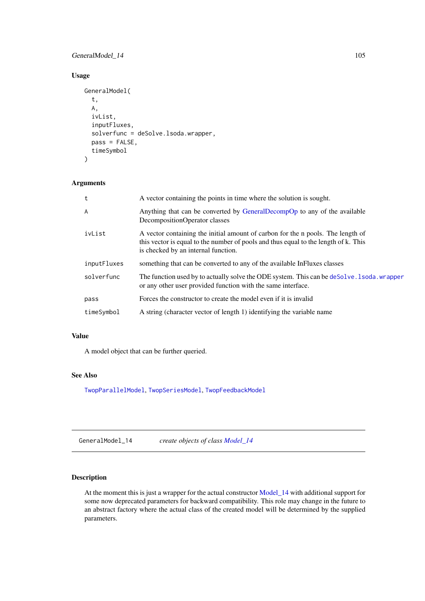## GeneralModel\_14 105

# Usage

```
GeneralModel(
  t,
  A,
  ivList,
  inputFluxes,
  solverfunc = deSolve.lsoda.wrapper,
  pass = FALSE,
  timeSymbol
\lambda
```
# Arguments

| A vector containing the points in time where the solution is sought.                                                                                                                                          |
|---------------------------------------------------------------------------------------------------------------------------------------------------------------------------------------------------------------|
| Anything that can be converted by GeneralDecompOp to any of the available<br>DecompositionOperator classes                                                                                                    |
| A vector containing the initial amount of carbon for the n pools. The length of<br>this vector is equal to the number of pools and thus equal to the length of k. This<br>is checked by an internal function. |
| something that can be converted to any of the available InFluxes classes                                                                                                                                      |
| The function used by to actually solve the ODE system. This can be deSolve . Isoda wrapper<br>or any other user provided function with the same interface.                                                    |
| Forces the constructor to create the model even if it is invalid                                                                                                                                              |
| A string (character vector of length 1) identifying the variable name                                                                                                                                         |
|                                                                                                                                                                                                               |

#### Value

A model object that can be further queried.

#### See Also

[TwopParallelModel](#page-268-0), [TwopSeriesModel](#page-271-0), [TwopFeedbackModel](#page-263-0)

<span id="page-104-0"></span>GeneralModel\_14 *create objects of class [Model\\_14](#page-197-0)*

# Description

At the moment this is just a wrapper for the actual constructor [Model\\_14](#page-194-0) with additional support for some now deprecated parameters for backward compatibility. This role may change in the future to an abstract factory where the actual class of the created model will be determined by the supplied parameters.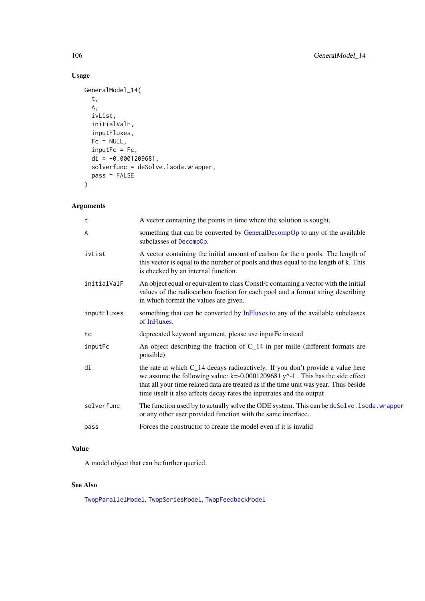# Usage

```
GeneralModel_14(
  t,
  A,
  ivList,
  initialValF,
  inputFluxes,
  Fc = NULL,inputFc = fc,di = -0.0001209681,
  solverfunc = deSolve.lsoda.wrapper,
  pass = FALSE
\lambda
```
# Arguments

| t           | A vector containing the points in time where the solution is sought.                                                                                                                                                                                                                                                                      |
|-------------|-------------------------------------------------------------------------------------------------------------------------------------------------------------------------------------------------------------------------------------------------------------------------------------------------------------------------------------------|
| A           | something that can be converted by GeneralDecompOp to any of the available<br>subclasses of DecompOp.                                                                                                                                                                                                                                     |
| ivList      | A vector containing the initial amount of carbon for the n pools. The length of<br>this vector is equal to the number of pools and thus equal to the length of k. This<br>is checked by an internal function.                                                                                                                             |
| initialValF | An object equal or equivalent to class ConstFc containing a vector with the initial<br>values of the radiocarbon fraction for each pool and a format string describing<br>in which format the values are given.                                                                                                                           |
| inputFluxes | something that can be converted by InFluxes to any of the available subclasses<br>of InFluxes.                                                                                                                                                                                                                                            |
| Fc          | deprecated keyword argument, please use inputFc instead                                                                                                                                                                                                                                                                                   |
| inputFc     | An object describing the fraction of $C_1$ 14 in per mille (different formats are<br>possible)                                                                                                                                                                                                                                            |
| di          | the rate at which C_14 decays radioactively. If you don't provide a value here<br>we assume the following value: $k = -0.0001209681 y^2 - 1$ . This has the side effect<br>that all your time related data are treated as if the time unit was year. Thus beside<br>time itself it also affects decay rates the inputrates and the output |
| solverfunc  | The function used by to actually solve the ODE system. This can be deSolve. 1soda. wrapper<br>or any other user provided function with the same interface.                                                                                                                                                                                |
| pass        | Forces the constructor to create the model even if it is invalid                                                                                                                                                                                                                                                                          |
|             |                                                                                                                                                                                                                                                                                                                                           |

# Value

A model object that can be further queried.

# See Also

[TwopParallelModel](#page-268-0), [TwopSeriesModel](#page-271-0), [TwopFeedbackModel](#page-263-0)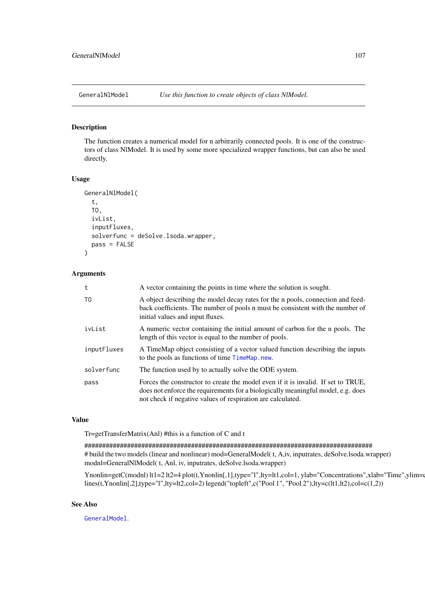#### Description

The function creates a numerical model for n arbitrarily connected pools. It is one of the constructors of class NlModel. It is used by some more specialized wrapper functions, but can also be used directly.

# Usage

```
GeneralNlModel(
  t,
  TO,
  ivList,
  inputFluxes,
  solverfunc = deSolve.lsoda.wrapper,
  pass = FALSE
)
```
#### Arguments

| t              | A vector containing the points in time where the solution is sought.                                                                                                                                                                 |
|----------------|--------------------------------------------------------------------------------------------------------------------------------------------------------------------------------------------------------------------------------------|
| T <sub>0</sub> | A object describing the model decay rates for the n pools, connection and feed-<br>back coefficients. The number of pools n must be consistent with the number of<br>initial values and input fluxes.                                |
| ivList         | A numeric vector containing the initial amount of carbon for the n pools. The<br>length of this vector is equal to the number of pools.                                                                                              |
| inputFluxes    | A TimeMap object consisting of a vector valued function describing the inputs<br>to the pools as functions of time TimeMap.new.                                                                                                      |
| solverfunc     | The function used by to actually solve the ODE system.                                                                                                                                                                               |
| pass           | Forces the constructor to create the model even if it is invalid. If set to TRUE,<br>does not enforce the requirements for a biologically meaningful model, e.g. does<br>not check if negative values of respiration are calculated. |

#### Value

Tr=getTransferMatrix(Anl) #this is a function of C and t

################################################################################# # build the two models (linear and nonlinear) mod=GeneralModel( t, A,iv, inputrates, deSolve.lsoda.wrapper) modnl=GeneralNlModel( t, Anl, iv, inputrates, deSolve.lsoda.wrapper)

Ynonlin=getC(modnl) lt1=2 lt2=4 plot(t,Ynonlin[,1],type="l",lty=lt1,col=1, ylab="Concentrations",xlab="Time",ylim=0 lines(t,Ynonlin[,2],type="l",lty=lt2,col=2) legend("topleft",c("Pool 1", "Pool 2"),lty=c(lt1,lt2),col=c(1,2))

# See Also

[GeneralModel](#page-103-0).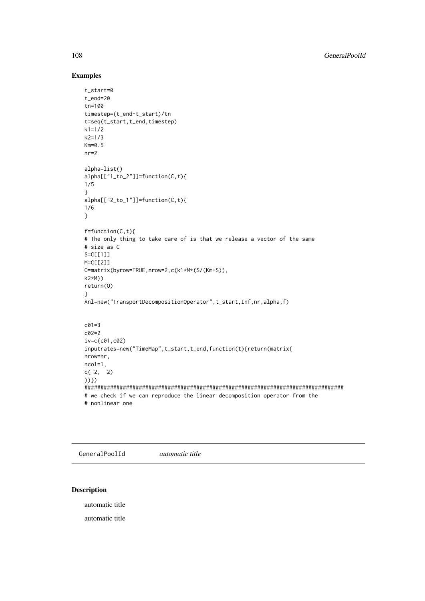#### Examples

```
t_start=0
t_end=20
tn=100
timestep=(t_end-t_start)/tn
t=seq(t_start,t_end,timestep)
k1 = 1/2k2=1/3
Km=0.5
nr=2
alpha=list()
alpha[["1_to_2"]]=function(C,t){
1/5
}
alpha[["2_to_1"]]=function(C,t){
1/6
}
f=function(C,t){
# The only thing to take care of is that we release a vector of the same
# size as C
S=C[[1]]M=C<sub>[[2]</sub>]
O=matrix(byrow=TRUE,nrow=2,c(k1*M*(S/(Km+S)),
k2*M))
return(O)
}
Anl=new("TransportDecompositionOperator",t_start,Inf,nr,alpha,f)
c01=3
c02=2
iv=c(c01,c02)
inputrates=new("TimeMap",t_start,t_end,function(t){return(matrix(
nrow=nr,
ncol=1,
c( 2, 2)
))})
#################################################################################
# we check if we can reproduce the linear decomposition operator from the
# nonlinear one
```
GeneralPoolId *automatic title*

# Description

automatic title

automatic title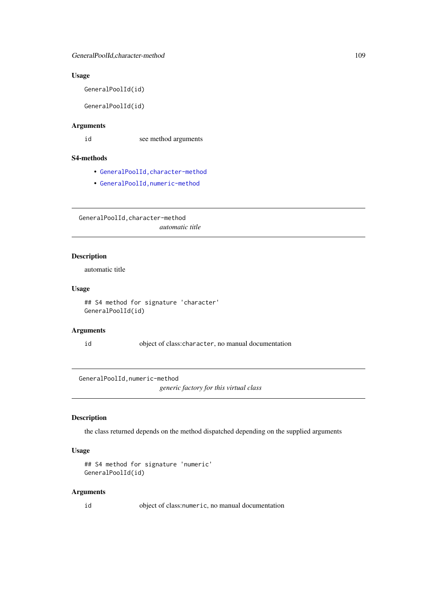### Usage

GeneralPoolId(id)

GeneralPoolId(id)

## Arguments

id see method arguments

#### S4-methods

- [GeneralPoolId,character-method](#page-0-0)
- [GeneralPoolId,numeric-method](#page-0-0)

GeneralPoolId,character-method *automatic title*

#### Description

automatic title

### Usage

```
## S4 method for signature 'character'
GeneralPoolId(id)
```
#### Arguments

id object of class:character, no manual documentation

GeneralPoolId,numeric-method

*generic factory for this virtual class*

# Description

the class returned depends on the method dispatched depending on the supplied arguments

## Usage

```
## S4 method for signature 'numeric'
GeneralPoolId(id)
```
#### Arguments

id object of class:numeric, no manual documentation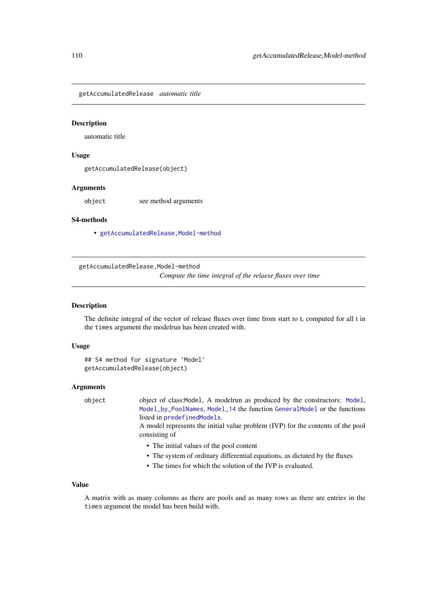getAccumulatedRelease *automatic title*

#### Description

automatic title

#### Usage

getAccumulatedRelease(object)

#### Arguments

object see method arguments

#### S4-methods

• [getAccumulatedRelease,Model-method](#page-0-0)

getAccumulatedRelease,Model-method

*Compute the time integral of the relaese fluxes over time*

### Description

The definite integral of the vector of release fluxes over time from start to t, computed for all t in the times argument the modelrun has been created with.

#### Usage

```
## S4 method for signature 'Model'
getAccumulatedRelease(object)
```
### Arguments

object object of class:Model, A modelrun as produced by the constructors: [Model](#page-191-0), [Model\\_by\\_PoolNames](#page-198-0), [Model\\_14](#page-194-0) the function [GeneralModel](#page-103-0) or the functions listed in [predefinedModels](#page-224-0).

> A model represents the initial value problem (IVP) for the contents of the pool consisting of

- The initial values of the pool content
- The system of ordinary differential equations, as dictated by the fluxes
- The times for which the solution of the IVP is evaluated.

#### Value

A matrix with as many columns as there are pools and as many rows as there are entries in the times argument the model has been build with.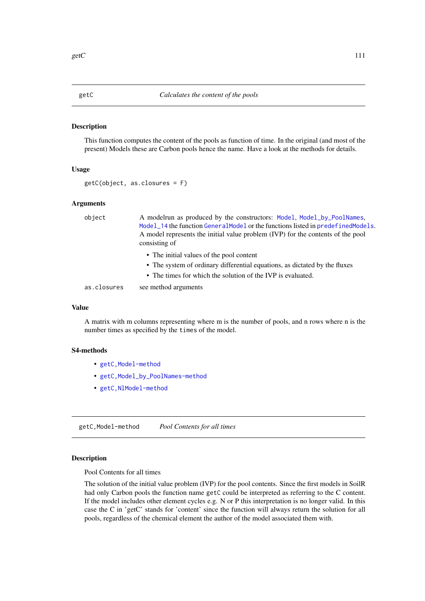#### Description

This function computes the content of the pools as function of time. In the original (and most of the present) Models these are Carbon pools hence the name. Have a look at the methods for details.

### Usage

getC(object, as.closures = F)

#### Arguments

| object      | A modelrun as produced by the constructors: Model, Model_by_PoolNames,<br>Model_14 the function GeneralModel or the functions listed in predefinedModels.<br>A model represents the initial value problem (IVP) for the contents of the pool<br>consisting of |
|-------------|---------------------------------------------------------------------------------------------------------------------------------------------------------------------------------------------------------------------------------------------------------------|
|             | • The initial values of the pool content                                                                                                                                                                                                                      |
|             | • The system of ordinary differential equations, as dictated by the fluxes                                                                                                                                                                                    |
|             | • The times for which the solution of the IVP is evaluated.                                                                                                                                                                                                   |
| as.closures | see method arguments                                                                                                                                                                                                                                          |

### Value

A matrix with m columns representing where m is the number of pools, and n rows where n is the number times as specified by the times of the model.

#### S4-methods

- [getC,Model-method](#page-0-0)
- [getC,Model\\_by\\_PoolNames-method](#page-0-0)
- [getC,NlModel-method](#page-0-0)

getC,Model-method *Pool Contents for all times*

#### Description

Pool Contents for all times

The solution of the initial value problem (IVP) for the pool contents. Since the first models in SoilR had only Carbon pools the function name getC could be interpreted as referring to the C content. If the model includes other element cycles e.g. N or P this interpretation is no longer valid. In this case the C in 'getC' stands for 'content' since the function will always return the solution for all pools, regardless of the chemical element the author of the model associated them with.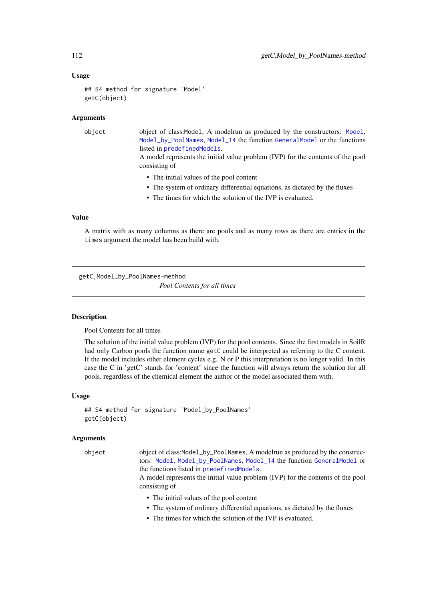#### Usage

```
## S4 method for signature 'Model'
getC(object)
```
#### Arguments

| object | object of class: Model, A modelrun as produced by the constructors: Model,                       |
|--------|--------------------------------------------------------------------------------------------------|
|        | Model_by_PoolNames, Model_14 the function GeneralModel or the functions                          |
|        | listed in predefined Models.                                                                     |
|        | A model represents the initial value problem (IVP) for the contents of the pool<br>consisting of |
|        | • The initial values of the pool content                                                         |
|        | • The system of ordinary differential equations, as dictated by the fluxes                       |
|        | • The times for which the solution of the IVP is evaluated.                                      |
|        |                                                                                                  |
|        |                                                                                                  |

# Value

A matrix with as many columns as there are pools and as many rows as there are entries in the times argument the model has been build with.

getC,Model\_by\_PoolNames-method *Pool Contents for all times*

### Description

Pool Contents for all times

The solution of the initial value problem (IVP) for the pool contents. Since the first models in SoilR had only Carbon pools the function name getC could be interpreted as referring to the C content. If the model includes other element cycles e.g. N or P this interpretation is no longer valid. In this case the C in 'getC' stands for 'content' since the function will always return the solution for all pools, regardless of the chemical element the author of the model associated them with.

#### Usage

```
## S4 method for signature 'Model_by_PoolNames'
getC(object)
```
#### Arguments

object object of class:Model\_by\_PoolNames, A modelrun as produced by the constructors: [Model](#page-191-0), [Model\\_by\\_PoolNames](#page-198-0), [Model\\_14](#page-194-0) the function [GeneralModel](#page-103-0) or the functions listed in [predefinedModels](#page-224-0).

> A model represents the initial value problem (IVP) for the contents of the pool consisting of

- The initial values of the pool content
- The system of ordinary differential equations, as dictated by the fluxes
- The times for which the solution of the IVP is evaluated.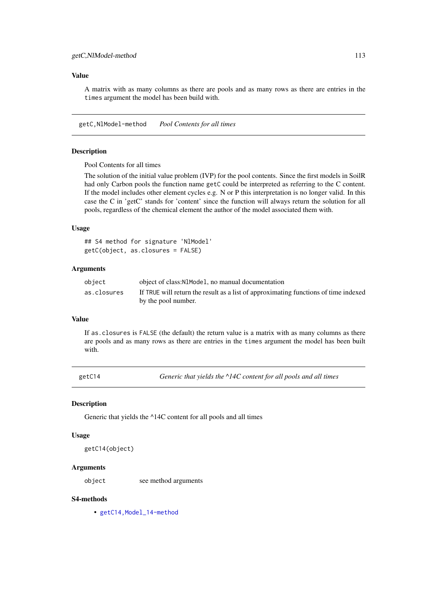#### Value

A matrix with as many columns as there are pools and as many rows as there are entries in the times argument the model has been build with.

getC,NlModel-method *Pool Contents for all times*

#### Description

Pool Contents for all times

The solution of the initial value problem (IVP) for the pool contents. Since the first models in SoilR had only Carbon pools the function name getC could be interpreted as referring to the C content. If the model includes other element cycles e.g. N or P this interpretation is no longer valid. In this case the C in 'getC' stands for 'content' since the function will always return the solution for all pools, regardless of the chemical element the author of the model associated them with.

#### Usage

## S4 method for signature 'NlModel' getC(object, as.closures = FALSE)

#### Arguments

| object      | object of class: N1 Mode 1, no manual documentation                                 |
|-------------|-------------------------------------------------------------------------------------|
| as.closures | If TRUE will return the result as a list of approximating functions of time indexed |
|             | by the pool number.                                                                 |

### Value

If as.closures is FALSE (the default) the return value is a matrix with as many columns as there are pools and as many rows as there are entries in the times argument the model has been built with.

getC14 *Generic that yields the ^14C content for all pools and all times*

#### Description

Generic that yields the ^14C content for all pools and all times

#### Usage

getC14(object)

## Arguments

object see method arguments

#### S4-methods

• [getC14,Model\\_14-method](#page-0-0)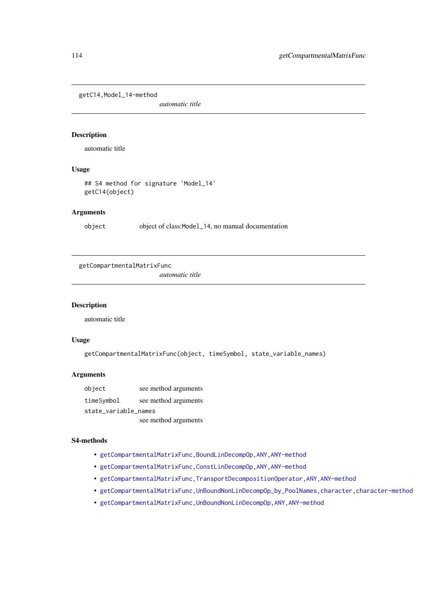getC14,Model\_14-method

*automatic title*

#### Description

automatic title

## Usage

## S4 method for signature 'Model\_14' getC14(object)

### Arguments

object object of class:Model\_14, no manual documentation

getCompartmentalMatrixFunc

*automatic title*

### Description

automatic title

# Usage

getCompartmentalMatrixFunc(object, timeSymbol, state\_variable\_names)

### Arguments

| object               | see method arguments |
|----------------------|----------------------|
| timeSymbol           | see method arguments |
| state_variable_names |                      |

see method arguments

#### S4-methods

- [getCompartmentalMatrixFunc,BoundLinDecompOp,ANY,ANY-method](#page-0-0)
- [getCompartmentalMatrixFunc,ConstLinDecompOp,ANY,ANY-method](#page-0-0)
- [getCompartmentalMatrixFunc,TransportDecompositionOperator,ANY,ANY-method](#page-0-0)
- [getCompartmentalMatrixFunc,UnBoundNonLinDecompOp\\_by\\_PoolNames,character,character-method](#page-0-0)
- [getCompartmentalMatrixFunc,UnBoundNonLinDecompOp,ANY,ANY-method](#page-0-0)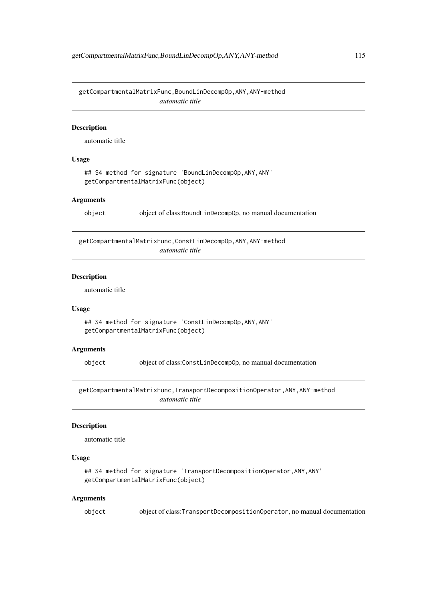getCompartmentalMatrixFunc,BoundLinDecompOp,ANY,ANY-method *automatic title*

#### Description

automatic title

### Usage

```
## S4 method for signature 'BoundLinDecompOp,ANY,ANY'
getCompartmentalMatrixFunc(object)
```
#### Arguments

object object of class:BoundLinDecompOp, no manual documentation

getCompartmentalMatrixFunc,ConstLinDecompOp,ANY,ANY-method *automatic title*

### Description

automatic title

#### Usage

```
## S4 method for signature 'ConstLinDecompOp,ANY,ANY'
getCompartmentalMatrixFunc(object)
```
#### Arguments

object object of class:ConstLinDecompOp, no manual documentation

getCompartmentalMatrixFunc,TransportDecompositionOperator,ANY,ANY-method *automatic title*

#### Description

automatic title

#### Usage

```
## S4 method for signature 'TransportDecompositionOperator, ANY, ANY'
getCompartmentalMatrixFunc(object)
```
#### Arguments

object object of class:TransportDecompositionOperator, no manual documentation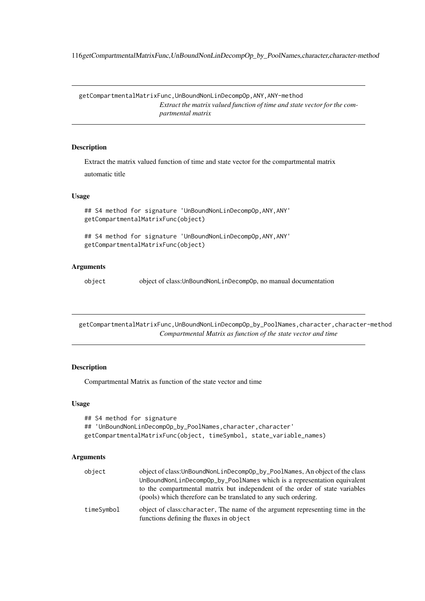116getCompartmentalMatrixFunc,UnBoundNonLinDecompOp\_by\_PoolNames,character,character-method

getCompartmentalMatrixFunc,UnBoundNonLinDecompOp,ANY,ANY-method *Extract the matrix valued function of time and state vector for the compartmental matrix*

#### Description

Extract the matrix valued function of time and state vector for the compartmental matrix automatic title

#### Usage

```
## S4 method for signature 'UnBoundNonLinDecompOp,ANY,ANY'
getCompartmentalMatrixFunc(object)
```

```
## S4 method for signature 'UnBoundNonLinDecompOp,ANY,ANY'
getCompartmentalMatrixFunc(object)
```
### Arguments

object object of class:UnBoundNonLinDecompOp, no manual documentation

getCompartmentalMatrixFunc,UnBoundNonLinDecompOp\_by\_PoolNames,character,character-method *Compartmental Matrix as function of the state vector and time*

#### Description

Compartmental Matrix as function of the state vector and time

## Usage

```
## S4 method for signature
## 'UnBoundNonLinDecompOp_by_PoolNames, character, character'
getCompartmentalMatrixFunc(object, timeSymbol, state_variable_names)
```
### Arguments

| object     | object of class: UnBoundNonLinDecompOp_by_PoolNames, An object of the class                                              |
|------------|--------------------------------------------------------------------------------------------------------------------------|
|            | UnBoundNonLinDecompOp_by_PoolNames which is a representation equivalent                                                  |
|            | to the compartmental matrix but independent of the order of state variables                                              |
|            | (pools) which therefore can be translated to any such ordering.                                                          |
| timeSymbol | object of class: character, The name of the argument representing time in the<br>functions defining the fluxes in object |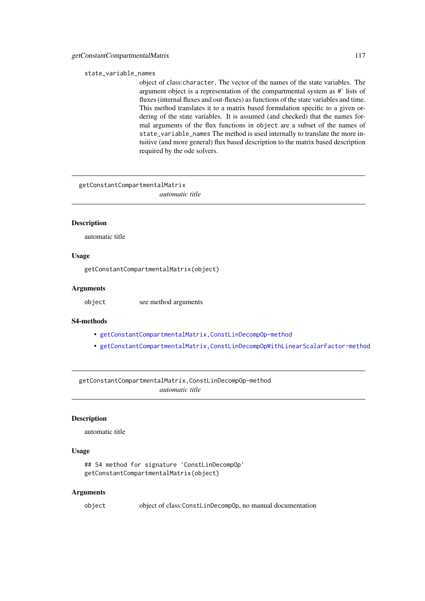#### state\_variable\_names

object of class:character, The vector of the names of the state variables. The argument object is a representation of the compartmental system as #' lists of fluxes (internal fluxes and out-fluxes) as functions of the state variables and time. This method translates it to a matrix based formulation specific to a given ordering of the state variables. It is assumed (and checked) that the names formal arguments of the flux functions in object are a subset of the names of state\_variable\_names The method is used internally to translate the more intuitive (and more general) flux based description to the matrix based description required by the ode solvers.

getConstantCompartmentalMatrix

*automatic title*

### Description

automatic title

# Usage

getConstantCompartmentalMatrix(object)

#### Arguments

object see method arguments

#### S4-methods

- [getConstantCompartmentalMatrix,ConstLinDecompOp-method](#page-0-0)
- [getConstantCompartmentalMatrix,ConstLinDecompOpWithLinearScalarFactor-method](#page-0-0)

getConstantCompartmentalMatrix,ConstLinDecompOp-method *automatic title*

## Description

automatic title

### Usage

```
## S4 method for signature 'ConstLinDecompOp'
getConstantCompartmentalMatrix(object)
```
#### Arguments

object object of class:ConstLinDecompOp, no manual documentation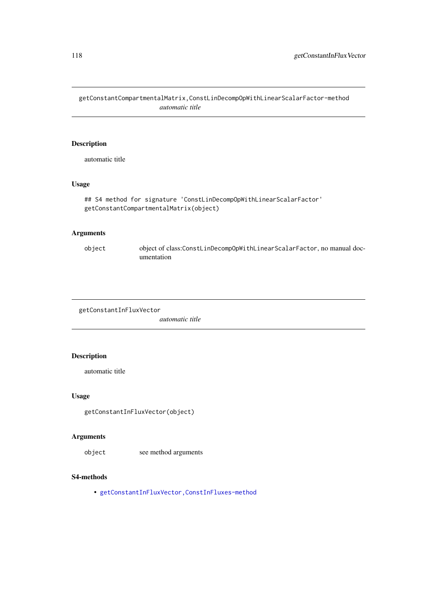getConstantCompartmentalMatrix,ConstLinDecompOpWithLinearScalarFactor-method *automatic title*

## Description

automatic title

# Usage

```
## S4 method for signature 'ConstLinDecompOpWithLinearScalarFactor'
getConstantCompartmentalMatrix(object)
```
# Arguments

object object of class:ConstLinDecompOpWithLinearScalarFactor, no manual documentation

```
getConstantInFluxVector
```
*automatic title*

# Description

automatic title

### Usage

getConstantInFluxVector(object)

## Arguments

object see method arguments

### S4-methods

• [getConstantInFluxVector,ConstInFluxes-method](#page-0-0)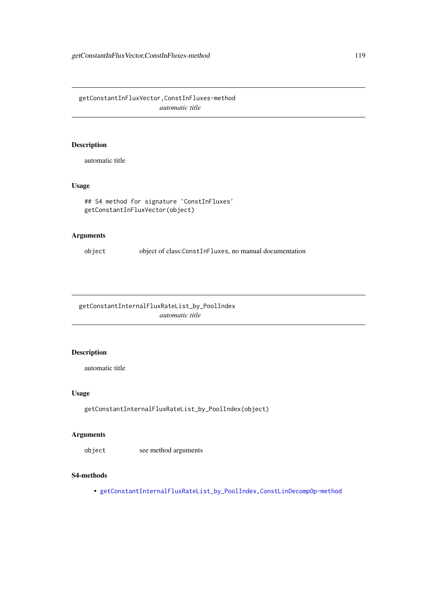getConstantInFluxVector,ConstInFluxes-method *automatic title*

# Description

automatic title

## Usage

```
## S4 method for signature 'ConstInFluxes'
getConstantInFluxVector(object)
```
### Arguments

object object of class:ConstInFluxes, no manual documentation

getConstantInternalFluxRateList\_by\_PoolIndex *automatic title*

### Description

automatic title

## Usage

getConstantInternalFluxRateList\_by\_PoolIndex(object)

## Arguments

object see method arguments

# S4-methods

• [getConstantInternalFluxRateList\\_by\\_PoolIndex,ConstLinDecompOp-method](#page-0-0)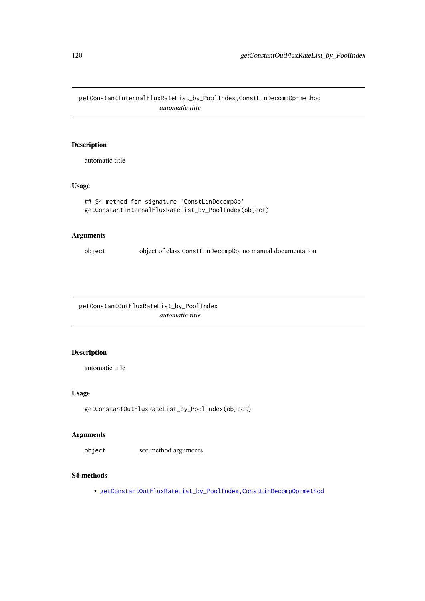getConstantInternalFluxRateList\_by\_PoolIndex,ConstLinDecompOp-method *automatic title*

# Description

automatic title

## Usage

```
## S4 method for signature 'ConstLinDecompOp'
getConstantInternalFluxRateList_by_PoolIndex(object)
```
### Arguments

object object of class:ConstLinDecompOp, no manual documentation

getConstantOutFluxRateList\_by\_PoolIndex *automatic title*

#### Description

automatic title

### Usage

```
getConstantOutFluxRateList_by_PoolIndex(object)
```
#### Arguments

object see method arguments

# S4-methods

• [getConstantOutFluxRateList\\_by\\_PoolIndex,ConstLinDecompOp-method](#page-0-0)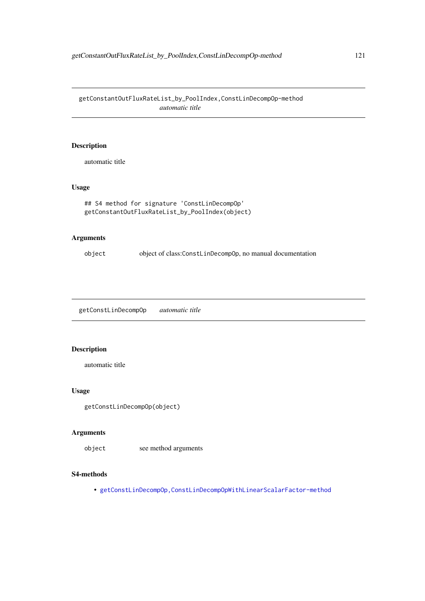getConstantOutFluxRateList\_by\_PoolIndex,ConstLinDecompOp-method *automatic title*

### Description

automatic title

## Usage

```
## S4 method for signature 'ConstLinDecompOp'
getConstantOutFluxRateList_by_PoolIndex(object)
```
# Arguments

object object of class:ConstLinDecompOp, no manual documentation

getConstLinDecompOp *automatic title*

# Description

automatic title

## Usage

```
getConstLinDecompOp(object)
```
### Arguments

object see method arguments

#### S4-methods

• [getConstLinDecompOp,ConstLinDecompOpWithLinearScalarFactor-method](#page-0-0)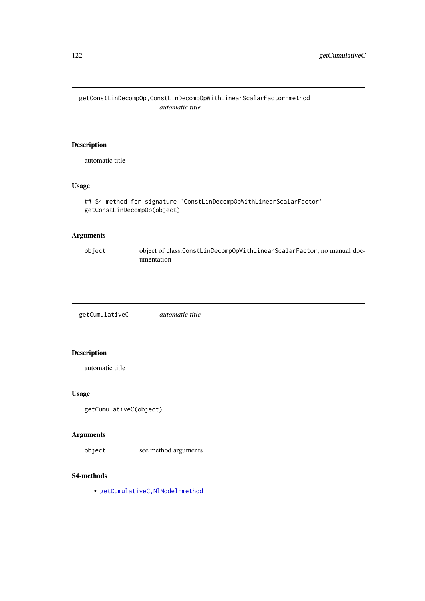getConstLinDecompOp,ConstLinDecompOpWithLinearScalarFactor-method *automatic title*

# Description

automatic title

# Usage

```
## S4 method for signature 'ConstLinDecompOpWithLinearScalarFactor'
getConstLinDecompOp(object)
```
# Arguments

object object of class:ConstLinDecompOpWithLinearScalarFactor, no manual documentation

getCumulativeC *automatic title*

### Description

automatic title

## Usage

```
getCumulativeC(object)
```
# Arguments

object see method arguments

# S4-methods

• [getCumulativeC,NlModel-method](#page-0-0)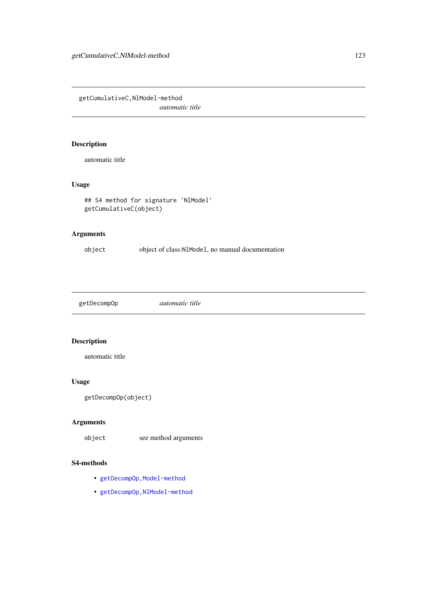getCumulativeC,NlModel-method

*automatic title*

# Description

automatic title

# Usage

```
## S4 method for signature 'NlModel'
getCumulativeC(object)
```
# Arguments

object object of class:NlModel, no manual documentation

getDecompOp *automatic title*

## Description

automatic title

## Usage

getDecompOp(object)

# Arguments

object see method arguments

#### S4-methods

- getDecompOp, Model-method
- [getDecompOp,NlModel-method](#page-0-0)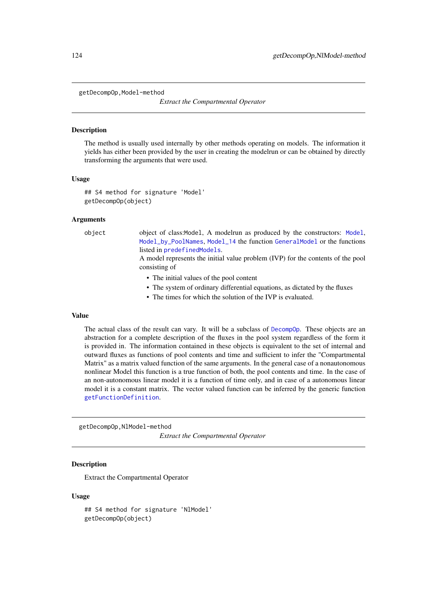getDecompOp,Model-method

*Extract the Compartmental Operator*

#### Description

The method is usually used internally by other methods operating on models. The information it yields has either been provided by the user in creating the modelrun or can be obtained by directly transforming the arguments that were used.

#### Usage

```
## S4 method for signature 'Model'
getDecompOp(object)
```
#### Arguments

object object of class:Model, A modelrun as produced by the constructors: [Model](#page-191-0), [Model\\_by\\_PoolNames](#page-198-0), [Model\\_14](#page-194-0) the function [GeneralModel](#page-103-0) or the functions listed in [predefinedModels](#page-224-0).

> A model represents the initial value problem (IVP) for the contents of the pool consisting of

- The initial values of the pool content
- The system of ordinary differential equations, as dictated by the fluxes
- The times for which the solution of the IVP is evaluated.

#### Value

The actual class of the result can vary. It will be a subclass of [DecompOp](#page-74-0). These objects are an abstraction for a complete description of the fluxes in the pool system regardless of the form it is provided in. The information contained in these objects is equivalent to the set of internal and outward fluxes as functions of pool contents and time and sufficient to infer the "Compartmental Matrix" as a matrix valued function of the same arguments. In the general case of a nonautonomous nonlinear Model this function is a true function of both, the pool contents and time. In the case of an non-autonomous linear model it is a function of time only, and in case of a autonomous linear model it is a constant matrix. The vector valued function can be inferred by the generic function [getFunctionDefinition](#page-129-0).

getDecompOp,NlModel-method *Extract the Compartmental Operator*

#### **Description**

Extract the Compartmental Operator

#### Usage

```
## S4 method for signature 'NlModel'
getDecompOp(object)
```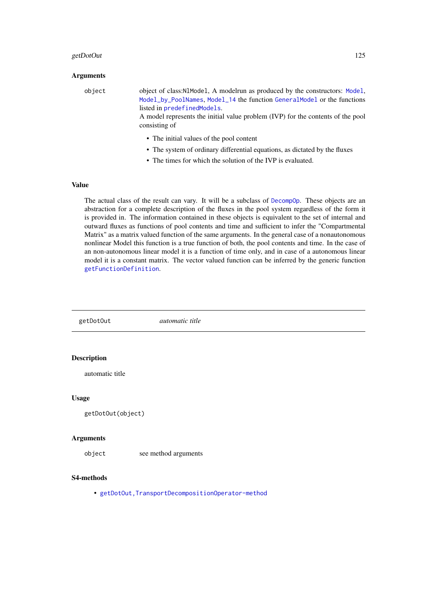#### getDotOut 125

## Arguments

object object of class:NlModel, A modelrun as produced by the constructors: [Model](#page-191-0), [Model\\_by\\_PoolNames](#page-198-0), [Model\\_14](#page-194-0) the function [GeneralModel](#page-103-0) or the functions listed in [predefinedModels](#page-224-0).

> A model represents the initial value problem (IVP) for the contents of the pool consisting of

- The initial values of the pool content
- The system of ordinary differential equations, as dictated by the fluxes
- The times for which the solution of the IVP is evaluated.

## Value

The actual class of the result can vary. It will be a subclass of [DecompOp](#page-74-0). These objects are an abstraction for a complete description of the fluxes in the pool system regardless of the form it is provided in. The information contained in these objects is equivalent to the set of internal and outward fluxes as functions of pool contents and time and sufficient to infer the "Compartmental Matrix" as a matrix valued function of the same arguments. In the general case of a nonautonomous nonlinear Model this function is a true function of both, the pool contents and time. In the case of an non-autonomous linear model it is a function of time only, and in case of a autonomous linear model it is a constant matrix. The vector valued function can be inferred by the generic function [getFunctionDefinition](#page-129-0).

getDotOut *automatic title* Description automatic title Usage getDotOut(object) Arguments object see method arguments S4-methods • [getDotOut,TransportDecompositionOperator-method](#page-0-0)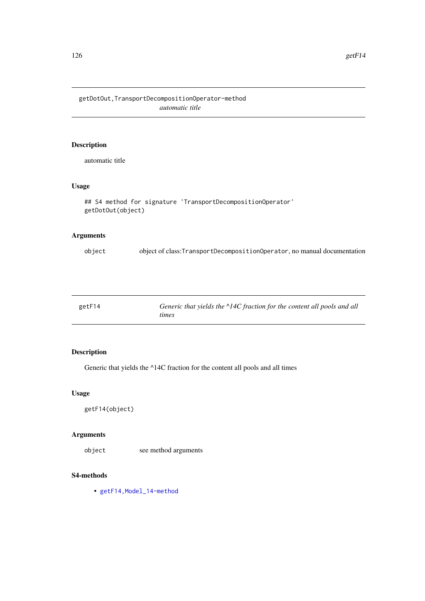getDotOut,TransportDecompositionOperator-method *automatic title*

# Description

automatic title

# Usage

```
## S4 method for signature 'TransportDecompositionOperator'
getDotOut(object)
```
### Arguments

| object | object of class: Transport Decomposition Operator, no manual documentation |  |  |  |
|--------|----------------------------------------------------------------------------|--|--|--|
|        |                                                                            |  |  |  |

| getF14 | Generic that yields the $\triangle$ 14C fraction for the content all pools and all |
|--------|------------------------------------------------------------------------------------|
|        | times                                                                              |

### Description

Generic that yields the ^14C fraction for the content all pools and all times

### Usage

```
getF14(object)
```
# Arguments

object see method arguments

# S4-methods

• [getF14,Model\\_14-method](#page-0-0)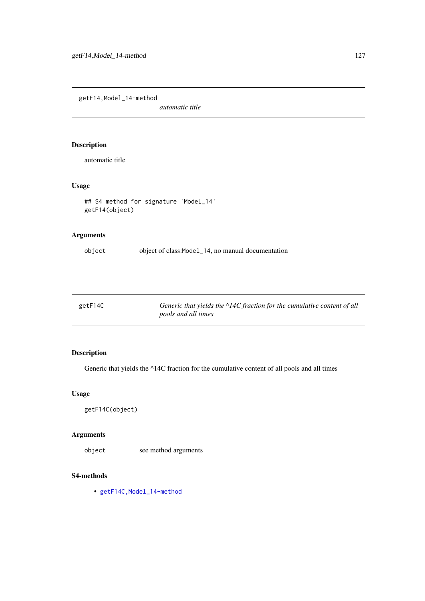getF14,Model\_14-method

*automatic title*

# Description

automatic title

# Usage

```
## S4 method for signature 'Model_14'
getF14(object)
```
# Arguments

object object of class:Model\_14, no manual documentation

| getF14C | Generic that yields the $\triangle$ 14C fraction for the cumulative content of all |
|---------|------------------------------------------------------------------------------------|
|         | <i>pools and all times</i>                                                         |

# Description

Generic that yields the ^14C fraction for the cumulative content of all pools and all times

### Usage

```
getF14C(object)
```
# Arguments

object see method arguments

# S4-methods

• [getF14C,Model\\_14-method](#page-0-0)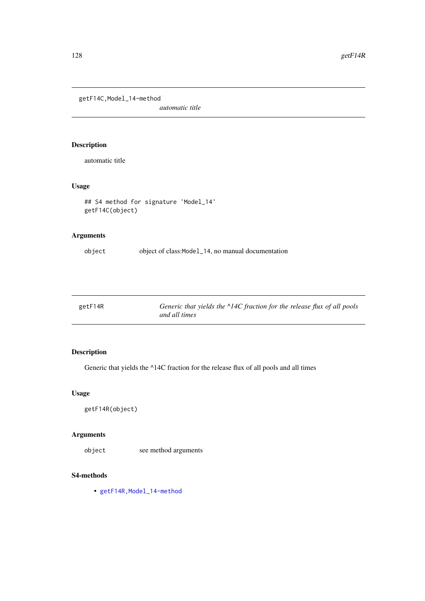getF14C,Model\_14-method

*automatic title*

# Description

automatic title

# Usage

```
## S4 method for signature 'Model_14'
getF14C(object)
```
# Arguments

object object of class:Model\_14, no manual documentation

| getF14R | Generic that yields the $\triangle$ 14C fraction for the release flux of all pools |
|---------|------------------------------------------------------------------------------------|
|         | and all times                                                                      |

### Description

Generic that yields the ^14C fraction for the release flux of all pools and all times

### Usage

```
getF14R(object)
```
# Arguments

object see method arguments

# S4-methods

• getF14R, Model\_14-method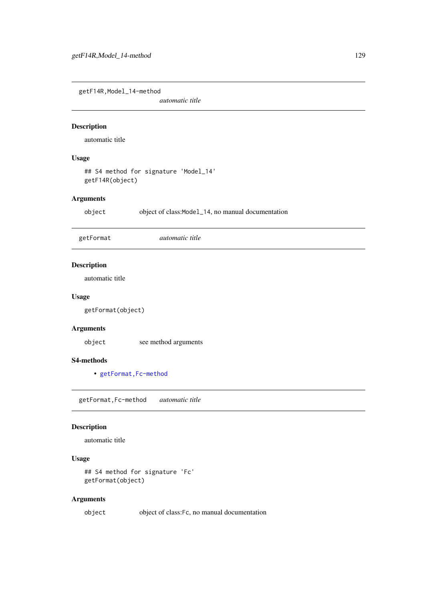getF14R,Model\_14-method

*automatic title*

#### Description

automatic title

#### Usage

## S4 method for signature 'Model\_14' getF14R(object)

## Arguments

object object of class:Model\_14, no manual documentation

getFormat *automatic title*

### Description

automatic title

#### Usage

getFormat(object)

### Arguments

object see method arguments

#### S4-methods

• getFormat, Fc-method

getFormat,Fc-method *automatic title*

#### Description

automatic title

## Usage

```
## S4 method for signature 'Fc'
getFormat(object)
```
### Arguments

object object of class:Fc, no manual documentation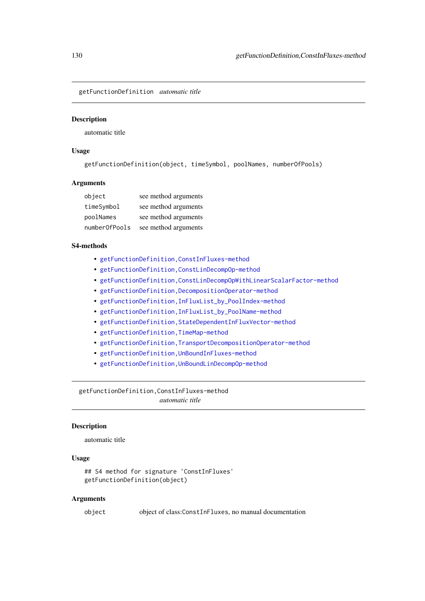<span id="page-129-0"></span>getFunctionDefinition *automatic title*

#### Description

automatic title

### Usage

getFunctionDefinition(object, timeSymbol, poolNames, numberOfPools)

### Arguments

| object        | see method arguments |
|---------------|----------------------|
| timeSymbol    | see method arguments |
| poolNames     | see method arguments |
| number0fPools | see method arguments |

#### S4-methods

- [getFunctionDefinition,ConstInFluxes-method](#page-0-0)
- [getFunctionDefinition,ConstLinDecompOp-method](#page-0-0)
- [getFunctionDefinition,ConstLinDecompOpWithLinearScalarFactor-method](#page-0-0)
- [getFunctionDefinition,DecompositionOperator-method](#page-0-0)
- [getFunctionDefinition,InFluxList\\_by\\_PoolIndex-method](#page-0-0)
- [getFunctionDefinition,InFluxList\\_by\\_PoolName-method](#page-0-0)
- [getFunctionDefinition,StateDependentInFluxVector-method](#page-0-0)
- getFunctionDefinition, TimeMap-method
- [getFunctionDefinition,TransportDecompositionOperator-method](#page-0-0)
- [getFunctionDefinition,UnBoundInFluxes-method](#page-0-0)
- [getFunctionDefinition,UnBoundLinDecompOp-method](#page-0-0)

getFunctionDefinition,ConstInFluxes-method *automatic title*

#### Description

automatic title

#### Usage

```
## S4 method for signature 'ConstInFluxes'
getFunctionDefinition(object)
```
#### Arguments

object object of class:ConstInFluxes, no manual documentation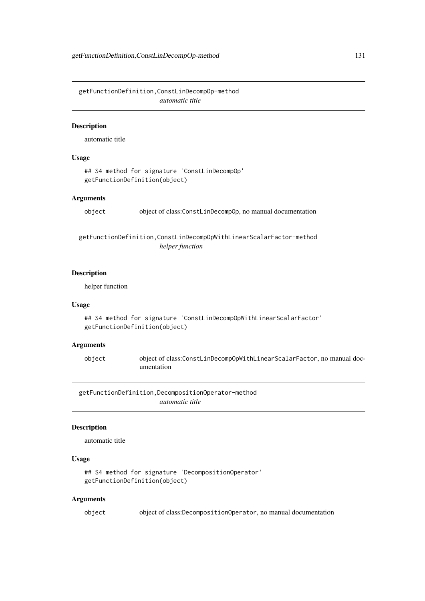getFunctionDefinition,ConstLinDecompOp-method *automatic title*

#### Description

automatic title

#### Usage

```
## S4 method for signature 'ConstLinDecompOp'
getFunctionDefinition(object)
```
#### Arguments

object object of class:ConstLinDecompOp, no manual documentation

getFunctionDefinition,ConstLinDecompOpWithLinearScalarFactor-method *helper function*

#### Description

helper function

#### Usage

```
## S4 method for signature 'ConstLinDecompOpWithLinearScalarFactor'
getFunctionDefinition(object)
```
## Arguments

object object of class:ConstLinDecompOpWithLinearScalarFactor, no manual documentation

getFunctionDefinition,DecompositionOperator-method *automatic title*

#### Description

automatic title

### Usage

```
## S4 method for signature 'DecompositionOperator'
getFunctionDefinition(object)
```
### Arguments

object object of class:DecompositionOperator, no manual documentation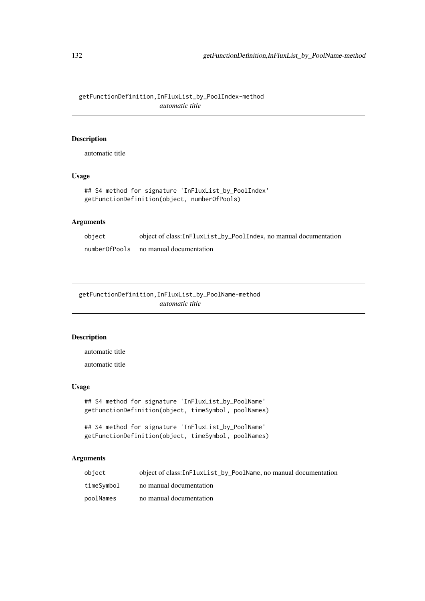getFunctionDefinition,InFluxList\_by\_PoolIndex-method *automatic title*

# Description

automatic title

## Usage

```
## S4 method for signature 'InFluxList_by_PoolIndex'
getFunctionDefinition(object, numberOfPools)
```
## Arguments

| object        | object of class:InFluxList_by_PoolIndex, no manual documentation |
|---------------|------------------------------------------------------------------|
| numberOfPools | no manual documentation                                          |

getFunctionDefinition,InFluxList\_by\_PoolName-method *automatic title*

## Description

automatic title

automatic title

# Usage

```
## S4 method for signature 'InFluxList_by_PoolName'
getFunctionDefinition(object, timeSymbol, poolNames)
```

```
## S4 method for signature 'InFluxList_by_PoolName'
getFunctionDefinition(object, timeSymbol, poolNames)
```
#### Arguments

| object     | object of class: InFluxList_by_PoolName, no manual documentation |
|------------|------------------------------------------------------------------|
| timeSvmbol | no manual documentation                                          |
| poolNames  | no manual documentation                                          |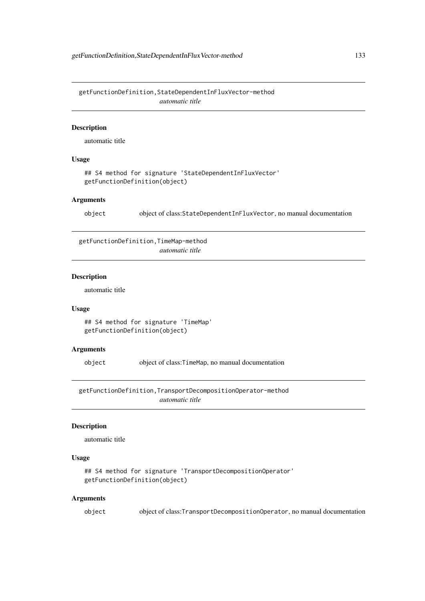getFunctionDefinition,StateDependentInFluxVector-method *automatic title*

#### Description

automatic title

## Usage

```
## S4 method for signature 'StateDependentInFluxVector'
getFunctionDefinition(object)
```
#### Arguments

object object of class:StateDependentInFluxVector, no manual documentation

getFunctionDefinition,TimeMap-method

*automatic title*

# Description

automatic title

#### Usage

## S4 method for signature 'TimeMap' getFunctionDefinition(object)

#### Arguments

object object of class:TimeMap, no manual documentation

getFunctionDefinition,TransportDecompositionOperator-method *automatic title*

#### Description

automatic title

## Usage

```
## S4 method for signature 'TransportDecompositionOperator'
getFunctionDefinition(object)
```
#### Arguments

object object of class:TransportDecompositionOperator, no manual documentation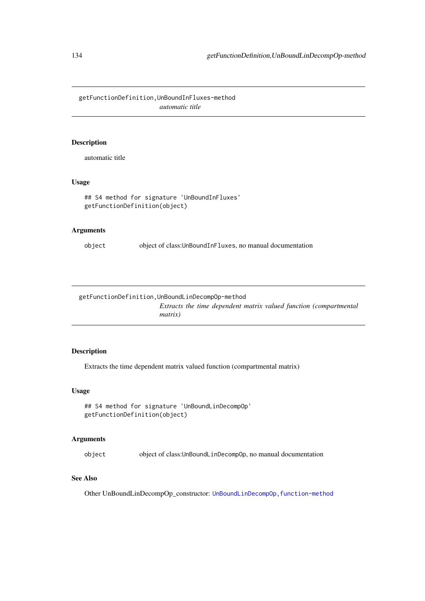getFunctionDefinition,UnBoundInFluxes-method *automatic title*

### Description

automatic title

## Usage

```
## S4 method for signature 'UnBoundInFluxes'
getFunctionDefinition(object)
```
## Arguments

object object of class:UnBoundInFluxes, no manual documentation

getFunctionDefinition,UnBoundLinDecompOp-method *Extracts the time dependent matrix valued function (compartmental matrix)*

## Description

Extracts the time dependent matrix valued function (compartmental matrix)

## Usage

```
## S4 method for signature 'UnBoundLinDecompOp'
getFunctionDefinition(object)
```
#### Arguments

object object of class:UnBoundLinDecompOp, no manual documentation

#### See Also

Other UnBoundLinDecompOp\_constructor: UnBoundLinDecompOp, function-method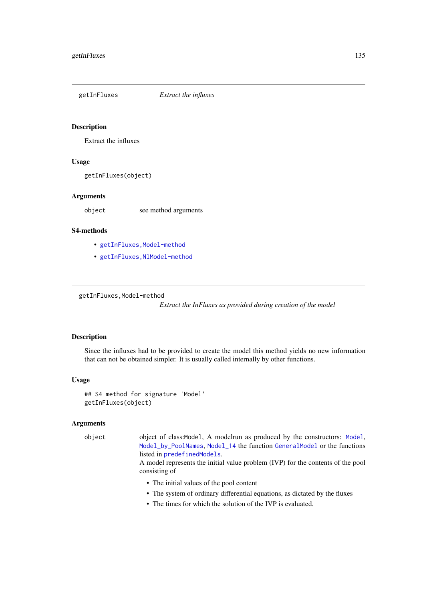#### Description

Extract the influxes

### Usage

getInFluxes(object)

#### Arguments

object see method arguments

### S4-methods

- [getInFluxes,Model-method](#page-0-0)
- [getInFluxes,NlModel-method](#page-0-0)

getInFluxes,Model-method

*Extract the InFluxes as provided during creation of the model*

## Description

Since the influxes had to be provided to create the model this method yields no new information that can not be obtained simpler. It is usually called internally by other functions.

#### Usage

```
## S4 method for signature 'Model'
getInFluxes(object)
```
### Arguments

object object of class:Model, A modelrun as produced by the constructors: [Model](#page-191-0), [Model\\_by\\_PoolNames](#page-198-0), [Model\\_14](#page-194-0) the function [GeneralModel](#page-103-0) or the functions listed in [predefinedModels](#page-224-0).

> A model represents the initial value problem (IVP) for the contents of the pool consisting of

- The initial values of the pool content
- The system of ordinary differential equations, as dictated by the fluxes
- The times for which the solution of the IVP is evaluated.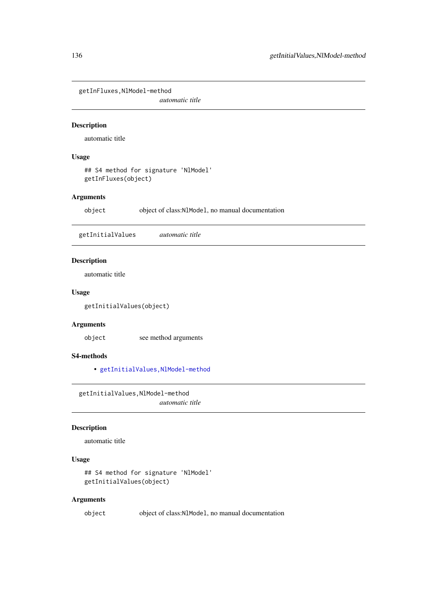getInFluxes,NlModel-method

*automatic title*

#### Description

automatic title

### Usage

## S4 method for signature 'NlModel' getInFluxes(object)

### Arguments

object object of class:NlModel, no manual documentation

getInitialValues *automatic title*

### Description

automatic title

### Usage

getInitialValues(object)

## Arguments

object see method arguments

## S4-methods

• [getInitialValues,NlModel-method](#page-0-0)

getInitialValues,NlModel-method *automatic title*

## Description

automatic title

## Usage

```
## S4 method for signature 'NlModel'
getInitialValues(object)
```
### Arguments

object object of class:NlModel, no manual documentation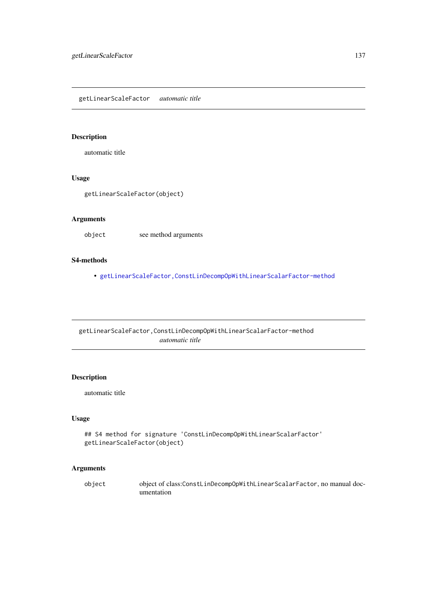getLinearScaleFactor *automatic title*

## Description

automatic title

### Usage

getLinearScaleFactor(object)

### Arguments

object see method arguments

#### S4-methods

• [getLinearScaleFactor,ConstLinDecompOpWithLinearScalarFactor-method](#page-0-0)

getLinearScaleFactor,ConstLinDecompOpWithLinearScalarFactor-method *automatic title*

### Description

automatic title

# Usage

```
## S4 method for signature 'ConstLinDecompOpWithLinearScalarFactor'
getLinearScaleFactor(object)
```
### Arguments

object object of class:ConstLinDecompOpWithLinearScalarFactor, no manual documentation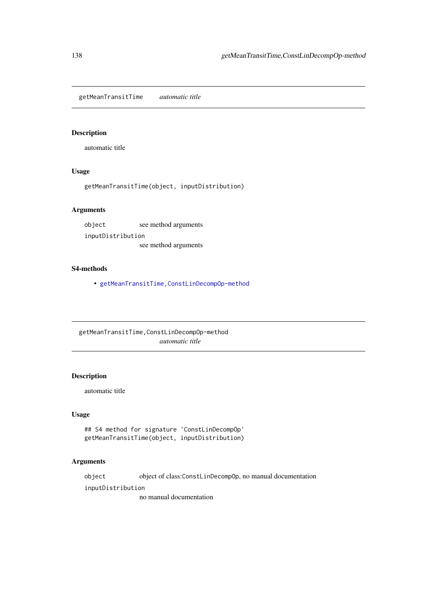getMeanTransitTime *automatic title*

# Description

automatic title

# Usage

getMeanTransitTime(object, inputDistribution)

# Arguments

object see method arguments inputDistribution see method arguments

## S4-methods

• [getMeanTransitTime,ConstLinDecompOp-method](#page-0-0)

getMeanTransitTime,ConstLinDecompOp-method *automatic title*

#### Description

automatic title

### Usage

```
## S4 method for signature 'ConstLinDecompOp'
getMeanTransitTime(object, inputDistribution)
```
### Arguments

object object of class:ConstLinDecompOp, no manual documentation

inputDistribution

no manual documentation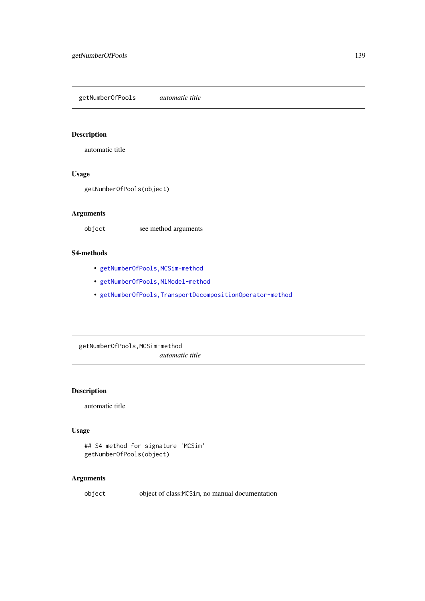getNumberOfPools *automatic title*

### Description

automatic title

## Usage

getNumberOfPools(object)

### Arguments

object see method arguments

#### S4-methods

- [getNumberOfPools,MCSim-method](#page-0-0)
- [getNumberOfPools,NlModel-method](#page-0-0)
- [getNumberOfPools,TransportDecompositionOperator-method](#page-0-0)

getNumberOfPools,MCSim-method *automatic title*

## Description

automatic title

## Usage

```
## S4 method for signature 'MCSim'
getNumberOfPools(object)
```
### Arguments

object object of class:MCSim, no manual documentation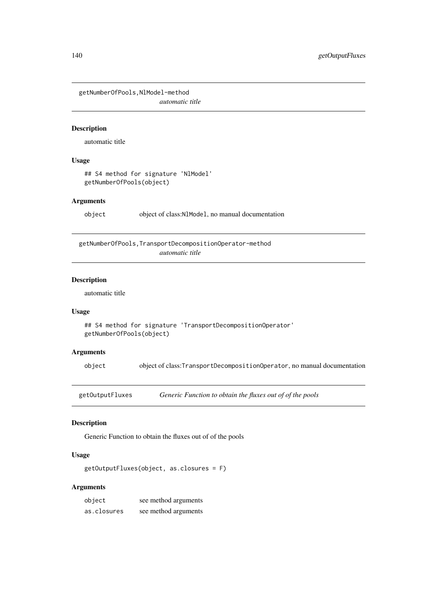getNumberOfPools,NlModel-method *automatic title*

### Description

automatic title

### Usage

```
## S4 method for signature 'NlModel'
getNumberOfPools(object)
```
### Arguments

object object of class:NlModel, no manual documentation

getNumberOfPools,TransportDecompositionOperator-method *automatic title*

### Description

automatic title

### Usage

```
## S4 method for signature 'TransportDecompositionOperator'
getNumberOfPools(object)
```
#### Arguments

object object of class:TransportDecompositionOperator, no manual documentation

getOutputFluxes *Generic Function to obtain the fluxes out of of the pools*

### Description

Generic Function to obtain the fluxes out of of the pools

# Usage

getOutputFluxes(object, as.closures = F)

#### Arguments

| object      | see method arguments |
|-------------|----------------------|
| as.closures | see method arguments |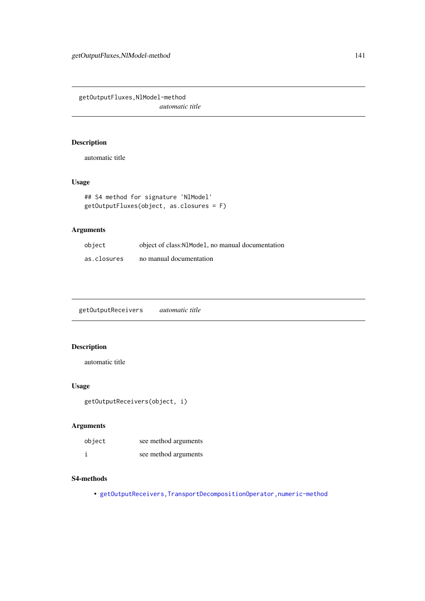getOutputFluxes,NlModel-method *automatic title*

### Description

automatic title

# Usage

```
## S4 method for signature 'NlModel'
getOutputFluxes(object, as.closures = F)
```
# Arguments

| object      | object of class:N1Mode1, no manual documentation |
|-------------|--------------------------------------------------|
| as.closures | no manual documentation                          |

getOutputReceivers *automatic title*

## Description

automatic title

# Usage

```
getOutputReceivers(object, i)
```
## Arguments

| object | see method arguments |
|--------|----------------------|
| È      | see method arguments |

### S4-methods

• [getOutputReceivers,TransportDecompositionOperator,numeric-method](#page-0-0)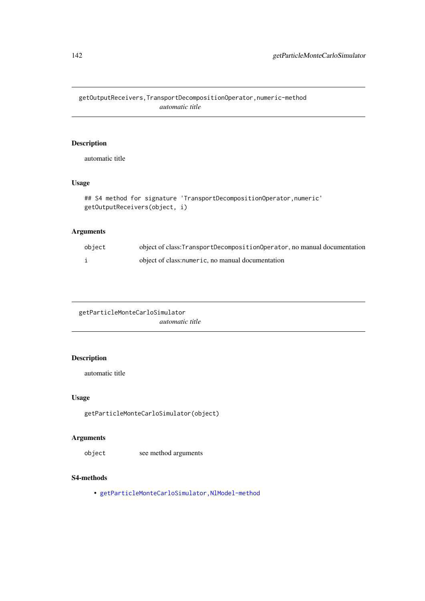getOutputReceivers,TransportDecompositionOperator,numeric-method *automatic title*

### Description

automatic title

## Usage

```
## S4 method for signature 'TransportDecompositionOperator,numeric'
getOutputReceivers(object, i)
```
# Arguments

| object | object of class: TransportDecompositionOperator, no manual documentation |
|--------|--------------------------------------------------------------------------|
|        | object of class: numeric, no manual documentation                        |

getParticleMonteCarloSimulator *automatic title*

# Description

automatic title

# Usage

getParticleMonteCarloSimulator(object)

# Arguments

object see method arguments

# S4-methods

• [getParticleMonteCarloSimulator,NlModel-method](#page-0-0)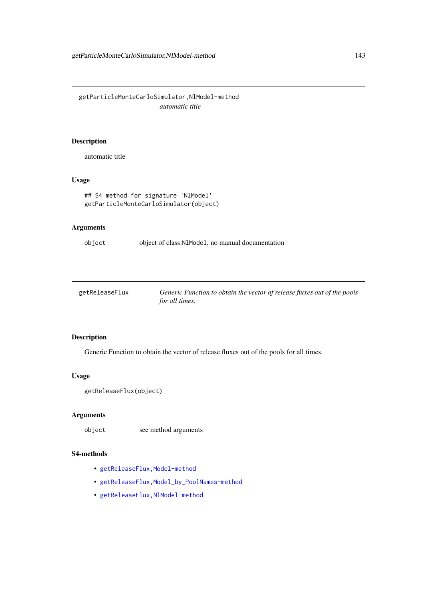getParticleMonteCarloSimulator,NlModel-method *automatic title*

# Description

automatic title

## Usage

```
## S4 method for signature 'NlModel'
getParticleMonteCarloSimulator(object)
```
## Arguments

object object of class:NlModel, no manual documentation

| getReleaseFlux | Generic Function to obtain the vector of release fluxes out of the pools |
|----------------|--------------------------------------------------------------------------|
|                | for all times.                                                           |

### Description

Generic Function to obtain the vector of release fluxes out of the pools for all times.

#### Usage

```
getReleaseFlux(object)
```
### Arguments

object see method arguments

## S4-methods

- getReleaseFlux, Model-method
- [getReleaseFlux,Model\\_by\\_PoolNames-method](#page-0-0)
- [getReleaseFlux,NlModel-method](#page-0-0)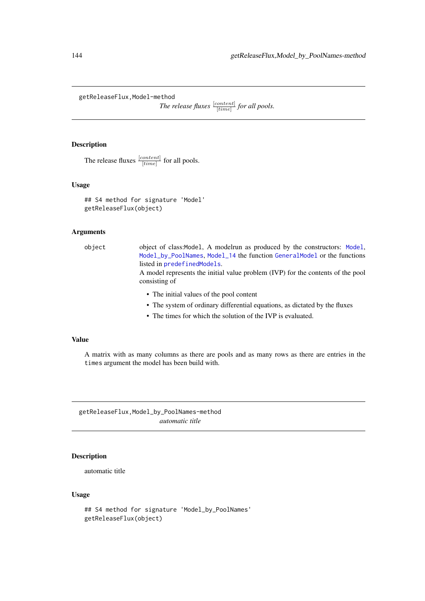getReleaseFlux,Model-method

*The release fluxes*  $\frac{[content]}{[time]}$  *for all pools.* 

## Description

The release fluxes  $\frac{[content]}{[time]}$  for all pools.

### Usage

```
## S4 method for signature 'Model'
getReleaseFlux(object)
```
### Arguments

object object of class:Model, A modelrun as produced by the constructors: [Model](#page-191-0), [Model\\_by\\_PoolNames](#page-198-0), [Model\\_14](#page-194-0) the function [GeneralModel](#page-103-0) or the functions listed in [predefinedModels](#page-224-0).

A model represents the initial value problem (IVP) for the contents of the pool consisting of

- The initial values of the pool content
- The system of ordinary differential equations, as dictated by the fluxes
- The times for which the solution of the IVP is evaluated.

# Value

A matrix with as many columns as there are pools and as many rows as there are entries in the times argument the model has been build with.

getReleaseFlux,Model\_by\_PoolNames-method *automatic title*

## Description

automatic title

#### Usage

```
## S4 method for signature 'Model_by_PoolNames'
getReleaseFlux(object)
```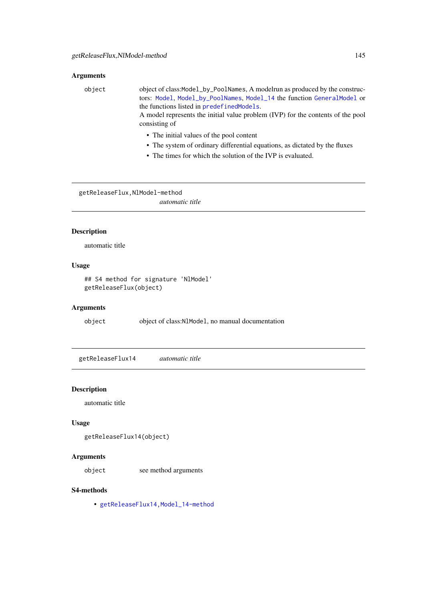# Arguments

| object | object of class:Model_by_PoolNames, A modelrun as produced by the construc-<br>tors: Model, Model_by_PoolNames, Model_14 the function GeneralModel or<br>the functions listed in predefined Models.<br>A model represents the initial value problem (IVP) for the contents of the pool<br>consisting of |
|--------|---------------------------------------------------------------------------------------------------------------------------------------------------------------------------------------------------------------------------------------------------------------------------------------------------------|
|        | • The initial values of the pool content<br>• The system of ordinary differential equations, as dictated by the fluxes                                                                                                                                                                                  |

• The times for which the solution of the IVP is evaluated.

getReleaseFlux,NlModel-method

*automatic title*

# Description

automatic title

# Usage

## S4 method for signature 'NlModel' getReleaseFlux(object)

## Arguments

object object of class:NlModel, no manual documentation

getReleaseFlux14 *automatic title*

## Description

automatic title

# Usage

getReleaseFlux14(object)

# Arguments

object see method arguments

#### S4-methods

• [getReleaseFlux14,Model\\_14-method](#page-0-0)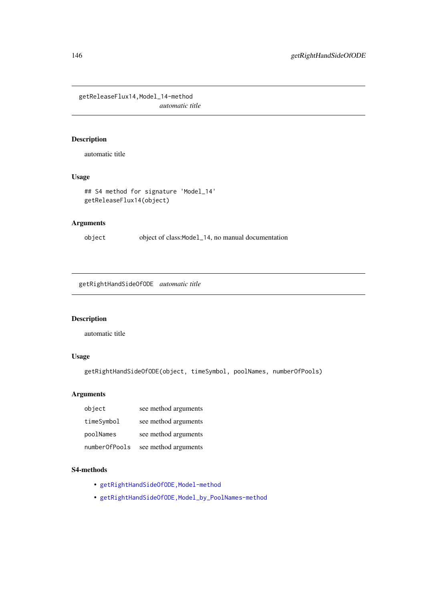getReleaseFlux14,Model\_14-method *automatic title*

# Description

automatic title

# Usage

```
## S4 method for signature 'Model_14'
getReleaseFlux14(object)
```
# Arguments

object object of class:Model\_14, no manual documentation

getRightHandSideOfODE *automatic title*

## Description

automatic title

# Usage

```
getRightHandSideOfODE(object, timeSymbol, poolNames, numberOfPools)
```
## Arguments

| object        | see method arguments |
|---------------|----------------------|
| timeSymbol    | see method arguments |
| poolNames     | see method arguments |
| numberOfPools | see method arguments |

# S4-methods

- getRightHandSideOfODE, Model-method
- [getRightHandSideOfODE,Model\\_by\\_PoolNames-method](#page-0-0)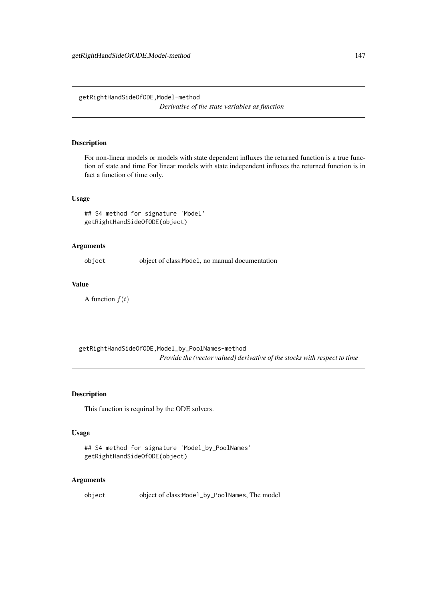getRightHandSideOfODE,Model-method *Derivative of the state variables as function*

## Description

For non-linear models or models with state dependent influxes the returned function is a true function of state and time For linear models with state independent influxes the returned function is in fact a function of time only.

#### Usage

```
## S4 method for signature 'Model'
getRightHandSideOfODE(object)
```
# Arguments

object object of class:Model, no manual documentation

#### Value

A function  $f(t)$ 

getRightHandSideOfODE,Model\_by\_PoolNames-method *Provide the (vector valued) derivative of the stocks with respect to time*

## Description

This function is required by the ODE solvers.

## Usage

```
## S4 method for signature 'Model_by_PoolNames'
getRightHandSideOfODE(object)
```
## Arguments

object object of class:Model\_by\_PoolNames, The model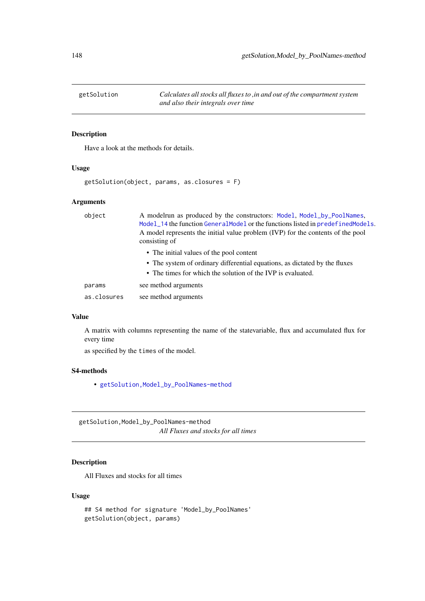#### Description

Have a look at the methods for details.

# Usage

```
getSolution(object, params, as.closures = F)
```
#### Arguments

| object      | A modelrun as produced by the constructors: Model, Model_by_PoolNames,<br>Model_14 the function GeneralModel or the functions listed in predefinedModels.<br>A model represents the initial value problem (IVP) for the contents of the pool<br>consisting of |
|-------------|---------------------------------------------------------------------------------------------------------------------------------------------------------------------------------------------------------------------------------------------------------------|
|             | • The initial values of the pool content                                                                                                                                                                                                                      |
|             | • The system of ordinary differential equations, as dictated by the fluxes                                                                                                                                                                                    |
|             | • The times for which the solution of the IVP is evaluated.                                                                                                                                                                                                   |
| params      | see method arguments                                                                                                                                                                                                                                          |
| as.closures | see method arguments                                                                                                                                                                                                                                          |

#### Value

A matrix with columns representing the name of the statevariable, flux and accumulated flux for every time

as specified by the times of the model.

#### S4-methods

• [getSolution,Model\\_by\\_PoolNames-method](#page-0-0)

getSolution,Model\_by\_PoolNames-method *All Fluxes and stocks for all times*

# Description

All Fluxes and stocks for all times

# Usage

```
## S4 method for signature 'Model_by_PoolNames'
getSolution(object, params)
```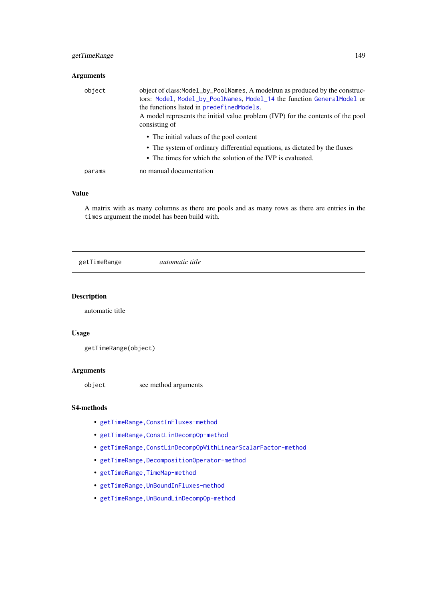## getTimeRange 149

# Arguments

| object | object of class:Model_by_PoolNames, A modelrun as produced by the construc-<br>tors: Model, Model_by_PoolNames, Model_14 the function GeneralModel or<br>the functions listed in predefined Models.<br>A model represents the initial value problem (IVP) for the contents of the pool<br>consisting of |
|--------|---------------------------------------------------------------------------------------------------------------------------------------------------------------------------------------------------------------------------------------------------------------------------------------------------------|
|        | • The initial values of the pool content<br>• The system of ordinary differential equations, as dictated by the fluxes<br>• The times for which the solution of the IVP is evaluated.                                                                                                                   |
| params | no manual documentation                                                                                                                                                                                                                                                                                 |

# Value

A matrix with as many columns as there are pools and as many rows as there are entries in the times argument the model has been build with.

getTimeRange *automatic title*

## Description

automatic title

# Usage

```
getTimeRange(object)
```
# Arguments

object see method arguments

# S4-methods

- [getTimeRange,ConstInFluxes-method](#page-0-0)
- [getTimeRange,ConstLinDecompOp-method](#page-0-0)
- [getTimeRange,ConstLinDecompOpWithLinearScalarFactor-method](#page-0-0)
- [getTimeRange,DecompositionOperator-method](#page-0-0)
- getTimeRange, TimeMap-method
- [getTimeRange,UnBoundInFluxes-method](#page-0-0)
- [getTimeRange,UnBoundLinDecompOp-method](#page-0-0)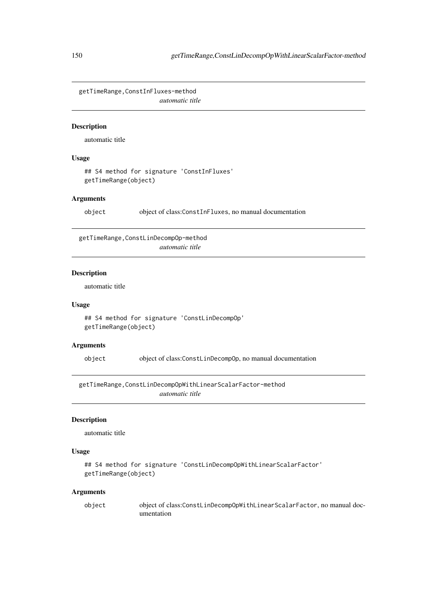getTimeRange,ConstInFluxes-method *automatic title*

## Description

automatic title

#### Usage

## S4 method for signature 'ConstInFluxes' getTimeRange(object)

# Arguments

object object of class:ConstInFluxes, no manual documentation

getTimeRange,ConstLinDecompOp-method *automatic title*

#### Description

automatic title

## Usage

```
## S4 method for signature 'ConstLinDecompOp'
getTimeRange(object)
```
## Arguments

object object of class:ConstLinDecompOp, no manual documentation

getTimeRange,ConstLinDecompOpWithLinearScalarFactor-method *automatic title*

# Description

automatic title

# Usage

```
## S4 method for signature 'ConstLinDecompOpWithLinearScalarFactor'
getTimeRange(object)
```

| object | object of class:ConstLinDecompOpWithLinearScalarFactor, no manual doc- |
|--------|------------------------------------------------------------------------|
|        | umentation                                                             |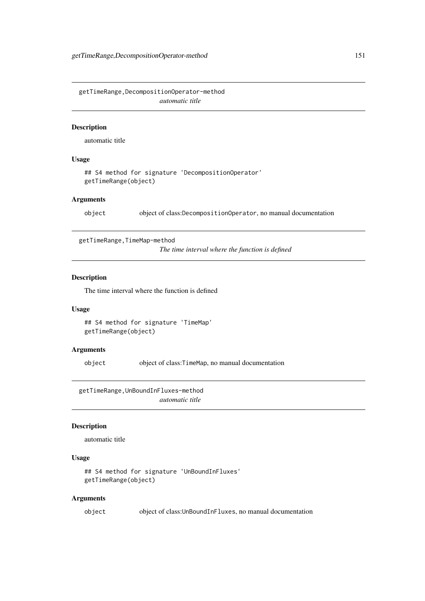getTimeRange,DecompositionOperator-method *automatic title*

#### Description

automatic title

## Usage

```
## S4 method for signature 'DecompositionOperator'
getTimeRange(object)
```
## Arguments

object object of class:DecompositionOperator, no manual documentation

getTimeRange,TimeMap-method

*The time interval where the function is defined*

# Description

The time interval where the function is defined

# Usage

```
## S4 method for signature 'TimeMap'
getTimeRange(object)
```
#### Arguments

object object of class:TimeMap, no manual documentation

getTimeRange,UnBoundInFluxes-method *automatic title*

## Description

automatic title

#### Usage

```
## S4 method for signature 'UnBoundInFluxes'
getTimeRange(object)
```
#### Arguments

object object of class:UnBoundInFluxes, no manual documentation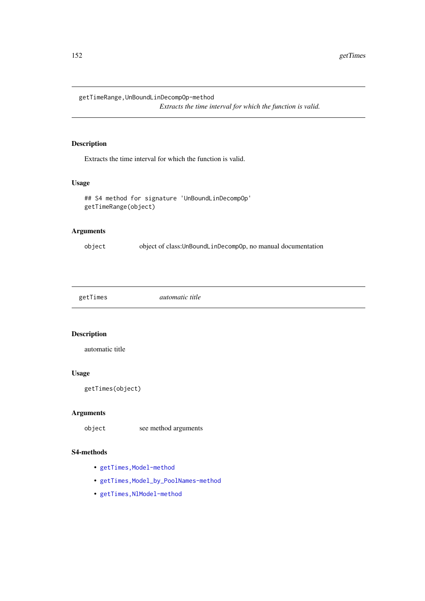getTimeRange,UnBoundLinDecompOp-method

*Extracts the time interval for which the function is valid.*

## Description

Extracts the time interval for which the function is valid.

## Usage

```
## S4 method for signature 'UnBoundLinDecompOp'
getTimeRange(object)
```
# Arguments

object object of class:UnBoundLinDecompOp, no manual documentation

| getTimes | <i>automatic title</i> |  |
|----------|------------------------|--|
|----------|------------------------|--|

# Description

automatic title

# Usage

```
getTimes(object)
```
## Arguments

object see method arguments

# S4-methods

- getTimes, Model-method
- getTimes, Model\_by\_PoolNames-method
- [getTimes,NlModel-method](#page-0-0)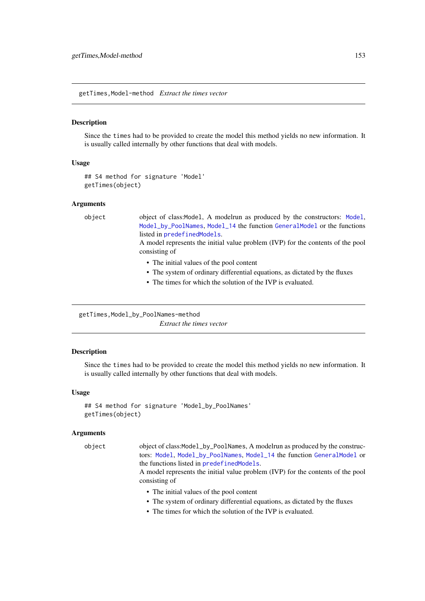getTimes,Model-method *Extract the times vector*

#### Description

Since the times had to be provided to create the model this method yields no new information. It is usually called internally by other functions that deal with models.

#### Usage

```
## S4 method for signature 'Model'
getTimes(object)
```
#### Arguments

object object of class:Model, A modelrun as produced by the constructors: [Model](#page-191-0), [Model\\_by\\_PoolNames](#page-198-0), [Model\\_14](#page-194-0) the function [GeneralModel](#page-103-0) or the functions listed in [predefinedModels](#page-224-0).

> A model represents the initial value problem (IVP) for the contents of the pool consisting of

- The initial values of the pool content
- The system of ordinary differential equations, as dictated by the fluxes
- The times for which the solution of the IVP is evaluated.

```
getTimes, Model_by_PoolNames-method
```
*Extract the times vector*

#### Description

Since the times had to be provided to create the model this method yields no new information. It is usually called internally by other functions that deal with models.

#### Usage

```
## S4 method for signature 'Model_by_PoolNames'
getTimes(object)
```
#### Arguments

object object of class:Model\_by\_PoolNames, A modelrun as produced by the constructors: [Model](#page-191-0), [Model\\_by\\_PoolNames](#page-198-0), [Model\\_14](#page-194-0) the function [GeneralModel](#page-103-0) or the functions listed in [predefinedModels](#page-224-0).

> A model represents the initial value problem (IVP) for the contents of the pool consisting of

- The initial values of the pool content
- The system of ordinary differential equations, as dictated by the fluxes
- The times for which the solution of the IVP is evaluated.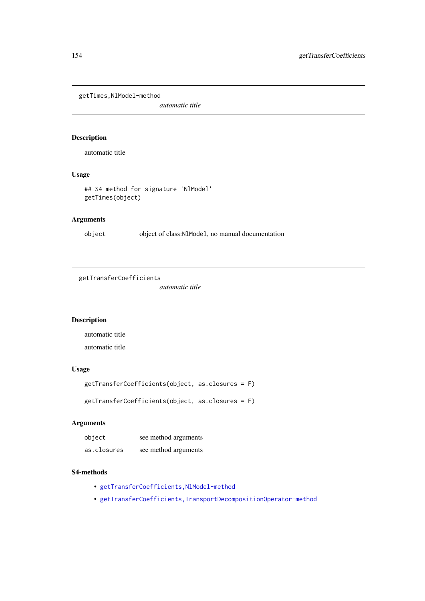getTimes,NlModel-method

*automatic title*

# Description

automatic title

#### Usage

## S4 method for signature 'NlModel' getTimes(object)

# Arguments

object object of class:NlModel, no manual documentation

```
getTransferCoefficients
```
*automatic title*

# Description

automatic title automatic title

# Usage

```
getTransferCoefficients(object, as.closures = F)
```
getTransferCoefficients(object, as.closures = F)

# Arguments

| object      | see method arguments |
|-------------|----------------------|
| as.closures | see method arguments |

## S4-methods

- getTransferCoefficients, NlModel-method
- [getTransferCoefficients,TransportDecompositionOperator-method](#page-0-0)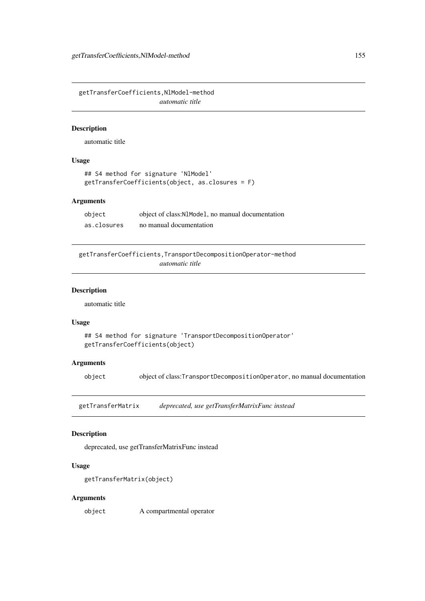getTransferCoefficients,NlModel-method *automatic title*

## Description

automatic title

#### Usage

```
## S4 method for signature 'NlModel'
getTransferCoefficients(object, as.closures = F)
```
#### Arguments

| object      | object of class: N1Mode1, no manual documentation |
|-------------|---------------------------------------------------|
| as.closures | no manual documentation                           |

getTransferCoefficients,TransportDecompositionOperator-method *automatic title*

#### Description

automatic title

#### Usage

```
## S4 method for signature 'TransportDecompositionOperator'
getTransferCoefficients(object)
```
#### Arguments

object object of class:TransportDecompositionOperator, no manual documentation

getTransferMatrix *deprecated, use getTransferMatrixFunc instead*

#### Description

deprecated, use getTransferMatrixFunc instead

# Usage

```
getTransferMatrix(object)
```
#### Arguments

object A compartmental operator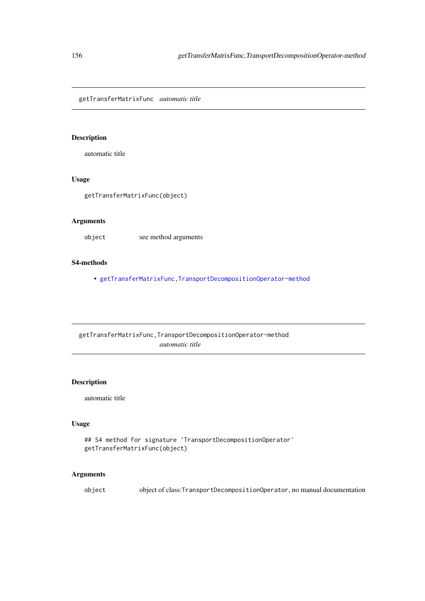getTransferMatrixFunc *automatic title*

#### Description

automatic title

# Usage

getTransferMatrixFunc(object)

## Arguments

object see method arguments

#### S4-methods

• [getTransferMatrixFunc,TransportDecompositionOperator-method](#page-0-0)

getTransferMatrixFunc,TransportDecompositionOperator-method *automatic title*

## Description

automatic title

# Usage

```
## S4 method for signature 'TransportDecompositionOperator'
getTransferMatrixFunc(object)
```
# Arguments

object object of class:TransportDecompositionOperator, no manual documentation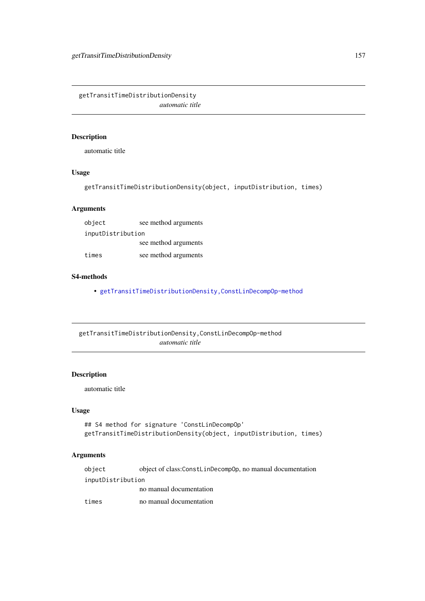getTransitTimeDistributionDensity *automatic title*

# Description

automatic title

# Usage

getTransitTimeDistributionDensity(object, inputDistribution, times)

# Arguments

| object            | see method arguments |
|-------------------|----------------------|
| inputDistribution |                      |
|                   | see method arguments |
| times             | see method arguments |

## S4-methods

• [getTransitTimeDistributionDensity,ConstLinDecompOp-method](#page-0-0)

getTransitTimeDistributionDensity,ConstLinDecompOp-method *automatic title*

# Description

automatic title

#### Usage

```
## S4 method for signature 'ConstLinDecompOp'
getTransitTimeDistributionDensity(object, inputDistribution, times)
```

| object            | object of class:ConstLinDecompOp, no manual documentation |
|-------------------|-----------------------------------------------------------|
| inputDistribution |                                                           |
|                   | no manual documentation                                   |
| times             | no manual documentation                                   |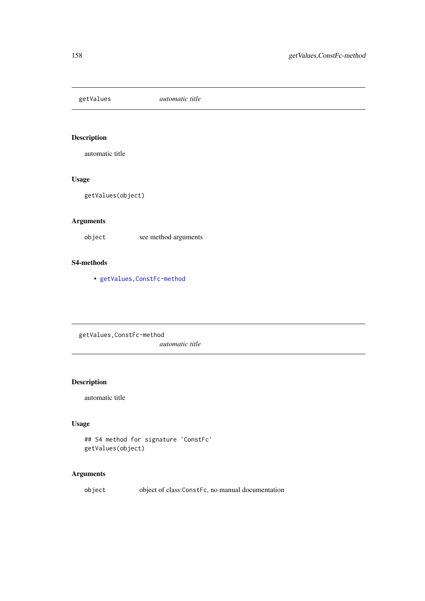# Description

automatic title

# Usage

getValues(object)

# Arguments

object see method arguments

#### S4-methods

• [getValues,ConstFc-method](#page-0-0)

getValues,ConstFc-method *automatic title*

# Description

automatic title

# Usage

```
## S4 method for signature 'ConstFc'
getValues(object)
```
# Arguments

object object of class:ConstFc, no manual documentation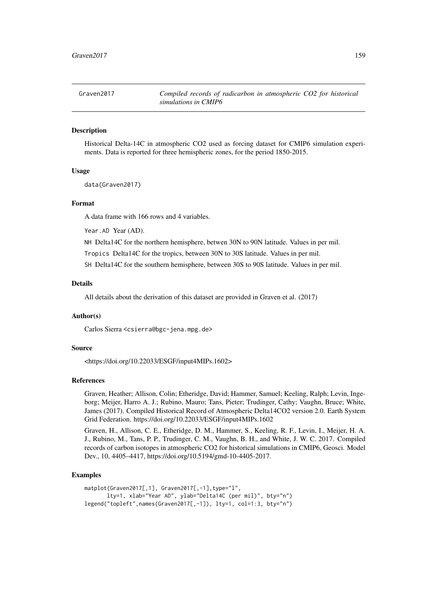Graven2017 *Compiled records of radicarbon in atmospheric CO2 for historical simulations in CMIP6*

#### Description

Historical Delta-14C in atmospheric CO2 used as forcing dataset for CMIP6 simulation experiments. Data is reported for three hemispheric zones, for the period 1850-2015.

#### Usage

data(Graven2017)

#### Format

A data frame with 166 rows and 4 variables.

Year.AD Year (AD).

NH Delta14C for the northern hemisphere, betwen 30N to 90N latitude. Values in per mil.

Tropics Delta14C for the tropics, between 30N to 30S latitude. Values in per mil.

SH Delta14C for the southern hemisphere, between 30S to 90S latitude. Values in per mil.

## Details

All details about the derivation of this dataset are provided in Graven et al. (2017)

#### Author(s)

Carlos Sierra <csierra@bgc-jena.mpg.de>

#### Source

<https://doi.org/10.22033/ESGF/input4MIPs.1602>

#### References

Graven, Heather; Allison, Colin; Etheridge, David; Hammer, Samuel; Keeling, Ralph; Levin, Ingeborg; Meijer, Harro A. J.; Rubino, Mauro; Tans, Pieter; Trudinger, Cathy; Vaughn, Bruce; White, James (2017). Compiled Historical Record of Atmospheric Delta14CO2 version 2.0. Earth System Grid Federation. https://doi.org/10.22033/ESGF/input4MIPs.1602

Graven, H., Allison, C. E., Etheridge, D. M., Hammer, S., Keeling, R. F., Levin, I., Meijer, H. A. J., Rubino, M., Tans, P. P., Trudinger, C. M., Vaughn, B. H., and White, J. W. C. 2017. Compiled records of carbon isotopes in atmospheric CO2 for historical simulations in CMIP6, Geosci. Model Dev., 10, 4405–4417, https://doi.org/10.5194/gmd-10-4405-2017.

#### Examples

```
matplot(Graven2017[,1], Graven2017[,-1],type="l",
      lty=1, xlab="Year AD", ylab="Delta14C (per mil)", bty="n")
legend("topleft",names(Graven2017[,-1]), lty=1, col=1:3, bty="n")
```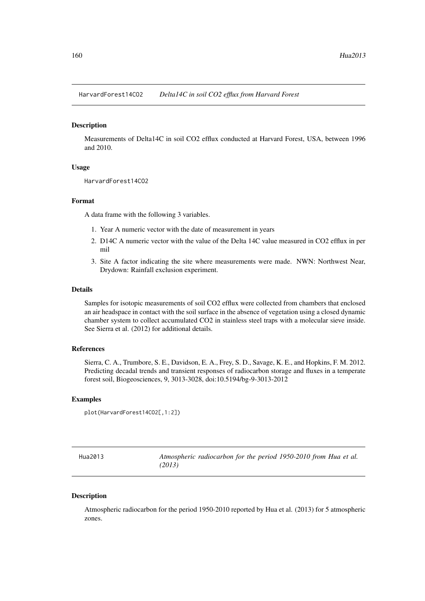HarvardForest14CO2 *Delta14C in soil CO2 efflux from Harvard Forest*

#### Description

Measurements of Delta14C in soil CO2 efflux conducted at Harvard Forest, USA, between 1996 and 2010.

#### Usage

HarvardForest14CO2

#### Format

A data frame with the following 3 variables.

- 1. Year A numeric vector with the date of measurement in years
- 2. D14C A numeric vector with the value of the Delta 14C value measured in CO2 efflux in per mil
- 3. Site A factor indicating the site where measurements were made. NWN: Northwest Near, Drydown: Rainfall exclusion experiment.

#### Details

Samples for isotopic measurements of soil CO2 efflux were collected from chambers that enclosed an air headspace in contact with the soil surface in the absence of vegetation using a closed dynamic chamber system to collect accumulated CO2 in stainless steel traps with a molecular sieve inside. See Sierra et al. (2012) for additional details.

## References

Sierra, C. A., Trumbore, S. E., Davidson, E. A., Frey, S. D., Savage, K. E., and Hopkins, F. M. 2012. Predicting decadal trends and transient responses of radiocarbon storage and fluxes in a temperate forest soil, Biogeosciences, 9, 3013-3028, doi:10.5194/bg-9-3013-2012

#### Examples

```
plot(HarvardForest14CO2[,1:2])
```

| Hua2013 | Atmospheric radiocarbon for the period 1950-2010 from Hua et al. |
|---------|------------------------------------------------------------------|
|         | (2013)                                                           |

#### Description

Atmospheric radiocarbon for the period 1950-2010 reported by Hua et al. (2013) for 5 atmospheric zones.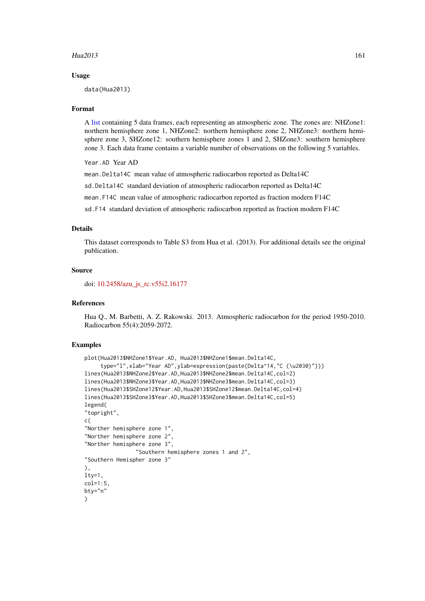#### Hua2013 161

#### Usage

data(Hua2013)

#### Format

A [list](#page-0-0) containing 5 data frames, each representing an atmospheric zone. The zones are: NHZone1: northern hemisphere zone 1, NHZone2: northern hemisphere zone 2, NHZone3: northern hemisphere zone 3, SHZone12: southern hemisphere zones 1 and 2, SHZone3: southern hemisphere zone 3. Each data frame contains a variable number of observations on the following 5 variables.

Year.AD Year AD

mean.Delta14C mean value of atmospheric radiocarbon reported as Delta14C

sd.Delta14C standard deviation of atmospheric radiocarbon reported as Delta14C

mean.F14C mean value of atmospheric radiocarbon reported as fraction modern F14C

sd.F14 standard deviation of atmospheric radiocarbon reported as fraction modern F14C

#### Details

This dataset corresponds to Table S3 from Hua et al. (2013). For additional details see the original publication.

#### Source

doi: [10.2458/azu\\_js\\_rc.v55i2.16177](https://doi.org/10.2458/azu_js_rc.v55i2.16177)

#### References

Hua Q., M. Barbetti, A. Z. Rakowski. 2013. Atmospheric radiocarbon for the period 1950-2010. Radiocarbon 55(4):2059-2072.

#### Examples

```
plot(Hua2013$NHZone1$Year.AD, Hua2013$NHZone1$mean.Delta14C,
     type="l",xlab="Year AD",ylab=expression(paste(Delta^14,"C (\u2030)")))
lines(Hua2013$NHZone2$Year.AD,Hua2013$NHZone2$mean.Delta14C,col=2)
lines(Hua2013$NHZone3$Year.AD,Hua2013$NHZone3$mean.Delta14C,col=3)
lines(Hua2013$SHZone12$Year.AD,Hua2013$SHZone12$mean.Delta14C,col=4)
lines(Hua2013$SHZone3$Year.AD,Hua2013$SHZone3$mean.Delta14C,col=5)
legend(
"topright",
c(
"Norther hemisphere zone 1",
"Norther hemisphere zone 2",
"Norther hemisphere zone 3",
                "Southern hemisphere zones 1 and 2",
"Southern Hemispher zone 3"
),
1ty=1,
col=1:5.
bty="n"
)
```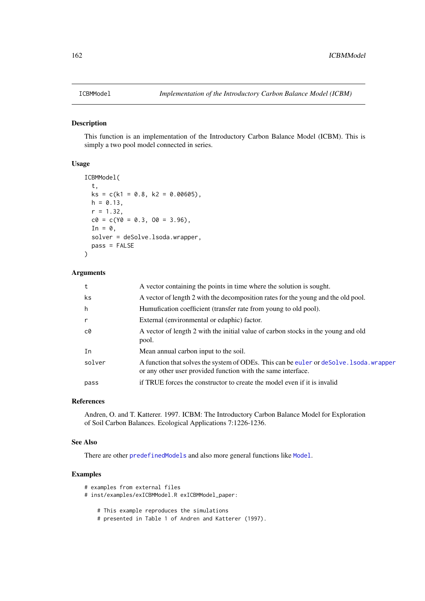#### Description

This function is an implementation of the Introductory Carbon Balance Model (ICBM). This is simply a two pool model connected in series.

# Usage

```
ICBMModel(
  t,
  ks = c(k1 = 0.8, k2 = 0.00605),
  h = 0.13,
  r = 1.32,
  c0 = c(Y0 = 0.3, 00 = 3.96),
  In = \theta,
  solver = deSolve.lsoda.wrapper,
  pass = FALSE
)
```
## Arguments

| t            | A vector containing the points in time where the solution is sought.                                                                                     |
|--------------|----------------------------------------------------------------------------------------------------------------------------------------------------------|
| ks           | A vector of length 2 with the decomposition rates for the young and the old pool.                                                                        |
| h            | Humufication coefficient (transfer rate from young to old pool).                                                                                         |
| $\mathsf{r}$ | External (environmental or edaphic) factor.                                                                                                              |
| c0           | A vector of length 2 with the initial value of carbon stocks in the young and old<br>pool.                                                               |
| In           | Mean annual carbon input to the soil.                                                                                                                    |
| solver       | A function that solves the system of ODEs. This can be euler or deSolve. 1 soda, wrapper<br>or any other user provided function with the same interface. |
| pass         | if TRUE forces the constructor to create the model even if it is invalid                                                                                 |
|              |                                                                                                                                                          |

#### References

Andren, O. and T. Katterer. 1997. ICBM: The Introductory Carbon Balance Model for Exploration of Soil Carbon Balances. Ecological Applications 7:1226-1236.

## See Also

There are other [predefinedModels](#page-224-0) and also more general functions like [Model](#page-191-0).

# Examples

```
# examples from external files
# inst/examples/exICBMModel.R exICBMModel_paper:
   # This example reproduces the simulations
   # presented in Table 1 of Andren and Katterer (1997).
```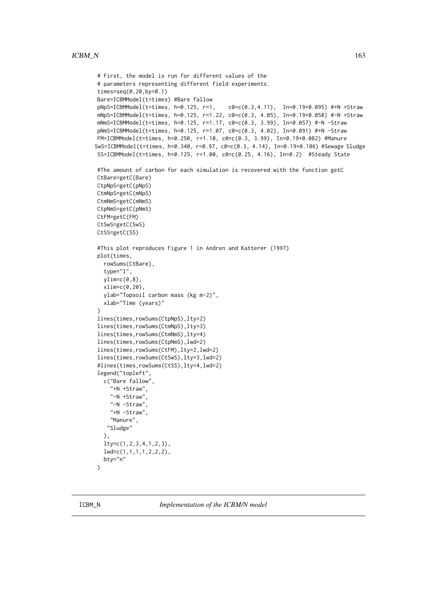```
# First, the model is run for different values of the
# parameters representing different field experiments.
times=seq(0,20,by=0.1)
Bare=ICBMModel(t=times) #Bare fallow
pNpS=ICBMModel(t=times, h=0.125, r=1, c0=c(0.3,4.11), In=0.19+0.095) #+N +Straw
mNpS=ICBMModel(t=times, h=0.125, r=1.22, c0=c(0.3, 4.05), In=0.19+0.058) #-N +Straw
mNmS=ICBMModel(t=times, h=0.125, r=1.17, c0=c(0.3, 3.99), In=0.057) #-N -Straw
pNmS=ICBMModel(t=times, h=0.125, r=1.07, c0=c(0.3, 4.02), In=0.091) #+N -Straw
FM=ICBMModel(t=times, h=0.250, r=1.10, c0=c(0.3, 3.99), In=0.19+0.082) #Manure
SwS=ICBMModel(t=times, h=0.340, r=0.97, c0=c(0.3, 4.14), In=0.19+0.106) #Sewage Sludge
SS=ICBMModel(t=times, h=0.125, r=1.00, c0 = c(0.25, 4.16), In=0.2) #Steady State
#The amount of carbon for each simulation is recovered with the function getC
CtBare=getC(Bare)
CtpNpS=getC(pNpS)
CtmNpS=getC(mNpS)
CtmNmS=getC(mNmS)
CtpNmS=getC(pNmS)
CtFM=getC(FM)
CtSwS=getC(SwS)
CtSS=getC(SS)
#This plot reproduces Figure 1 in Andren and Katterer (1997)
plot(times,
  rowSums(CtBare),
  type="l",
  ylim=c(0,8),xlim=c(0,20),
  ylab="Topsoil carbon mass (kg m-2)",
  xlab="Time (years)"
\Deltalines(times,rowSums(CtpNpS),lty=2)
lines(times,rowSums(CtmNpS),lty=3)
lines(times,rowSums(CtmNmS),lty=4)
lines(times,rowSums(CtpNmS),lwd=2)
lines(times,rowSums(CtFM),lty=2,lwd=2)
lines(times,rowSums(CtSwS),lty=3,lwd=2)
#lines(times,rowSums(CtSS),lty=4,lwd=2)
legend("topleft",
  c("Bare fallow",
    "+N +Straw",
    "-N +Straw",
    "-N -Straw",
    "+N -Straw",
    "Manure",
   "Sludge"
  ),
  lty=c(1,2,3,4,1,2,3),
  lwd=c(1,1,1,1,2,2,2),
  bty="n"
```
 $\lambda$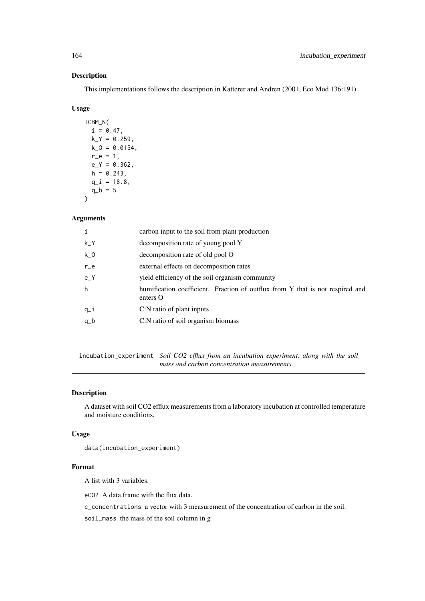# Description

This implementations follows the description in Katterer and Andren (2001, Eco Mod 136:191).

#### Usage

ICBM\_N(  $i = 0.47$ ,  $k_Y = 0.259$ ,  $k_0 = 0.0154$ ,  $r_{-}e = 1$ ,  $e_Y = 0.362$ ,  $h = 0.243$ ,  $q_i = 18.8$ ,  $q_b = 5$  $\lambda$ 

#### Arguments

|          | carbon input to the soil from plant production                                            |
|----------|-------------------------------------------------------------------------------------------|
| k Y      | decomposition rate of young pool Y                                                        |
| $k_0$    | decomposition rate of old pool O                                                          |
| $r_{-}e$ | external effects on decomposition rates                                                   |
| $e_{-}Y$ | yield efficiency of the soil organism community                                           |
| h        | humification coefficient. Fraction of outflux from Y that is not respired and<br>enters O |
| $q_i$    | C:N ratio of plant inputs                                                                 |
| $q_b$    | C:N ratio of soil organism biomass                                                        |
|          |                                                                                           |

incubation\_experiment *Soil CO2 efflux from an incubation experiment, along with the soil mass and carbon concentration measurements.*

## Description

A dataset with soil CO2 efflux measurements from a laboratory incubation at controlled temperature and moisture conditions.

#### Usage

data(incubation\_experiment)

## Format

A list with 3 variables.

eCO2 A data.frame with the flux data.

c\_concentrations a vector with 3 measurement of the concentration of carbon in the soil.

soil\_mass the mass of the soil column in g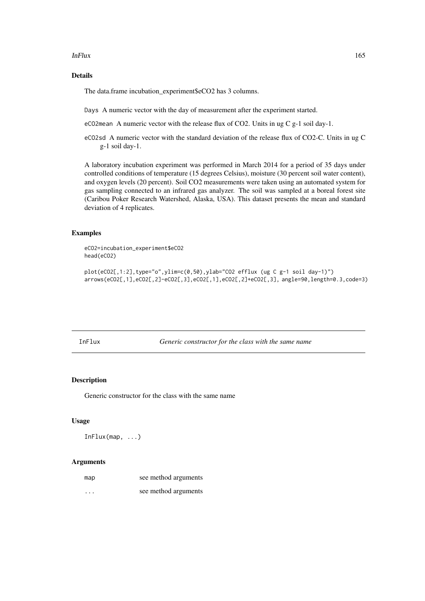#### InFlux 2008 2012 165

#### Details

The data.frame incubation\_experiment\$eCO2 has 3 columns.

Days A numeric vector with the day of measurement after the experiment started.

eCO2mean A numeric vector with the release flux of CO2. Units in ug C g-1 soil day-1.

eCO2sd A numeric vector with the standard deviation of the release flux of CO2-C. Units in ug C g-1 soil day-1.

A laboratory incubation experiment was performed in March 2014 for a period of 35 days under controlled conditions of temperature (15 degrees Celsius), moisture (30 percent soil water content), and oxygen levels (20 percent). Soil CO2 measurements were taken using an automated system for gas sampling connected to an infrared gas analyzer. The soil was sampled at a boreal forest site (Caribou Poker Research Watershed, Alaska, USA). This dataset presents the mean and standard deviation of 4 replicates.

# Examples

eCO2=incubation\_experiment\$eCO2 head(eCO2)

plot(eCO2[,1:2],type="o",ylim=c(0,50),ylab="CO2 efflux (ug C g-1 soil day-1)") arrows(eCO2[,1],eCO2[,2]-eCO2[,3],eCO2[,1],eCO2[,2]+eCO2[,3], angle=90,length=0.3,code=3)

InFlux *Generic constructor for the class with the same name*

#### Description

Generic constructor for the class with the same name

## Usage

InFlux(map, ...)

| map      | see method arguments |
|----------|----------------------|
| $\cdots$ | see method arguments |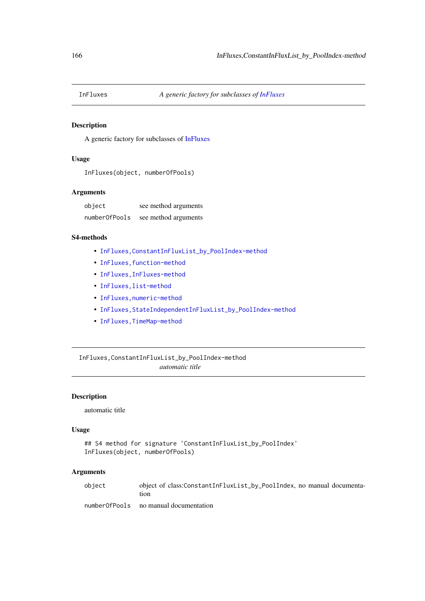## Description

A generic factory for subclasses of [InFluxes](#page-168-0)

#### Usage

```
InFluxes(object, numberOfPools)
```
#### Arguments

| object        | see method arguments |
|---------------|----------------------|
| numberOfPools | see method arguments |

#### S4-methods

- [InFluxes,ConstantInFluxList\\_by\\_PoolIndex-method](#page-0-0)
- InFluxes, function-method
- [InFluxes,InFluxes-method](#page-0-0)
- [InFluxes,list-method](#page-0-0)
- [InFluxes,numeric-method](#page-0-0)
- [InFluxes,StateIndependentInFluxList\\_by\\_PoolIndex-method](#page-0-0)
- [InFluxes,TimeMap-method](#page-0-0)

InFluxes,ConstantInFluxList\_by\_PoolIndex-method *automatic title*

## Description

automatic title

## Usage

```
## S4 method for signature 'ConstantInFluxList_by_PoolIndex'
InFluxes(object, numberOfPools)
```
## Arguments

object object of class:ConstantInFluxList\_by\_PoolIndex, no manual documentation

numberOfPools no manual documentation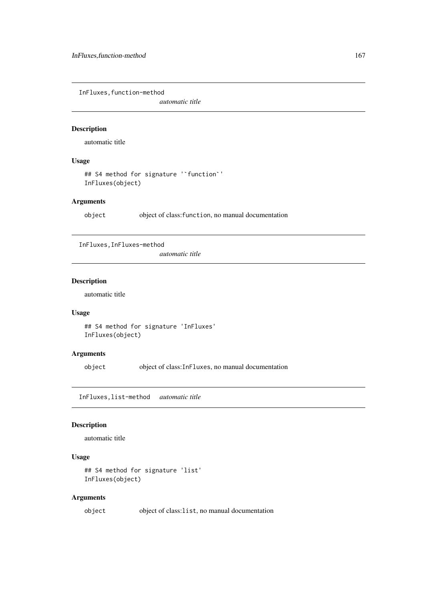InFluxes,function-method

*automatic title*

# Description

automatic title

# Usage

```
## S4 method for signature '`function`'
InFluxes(object)
```
## Arguments

object object of class:function, no manual documentation

InFluxes,InFluxes-method

*automatic title*

# Description

automatic title

## Usage

## S4 method for signature 'InFluxes' InFluxes(object)

## Arguments

object object of class:InFluxes, no manual documentation

InFluxes,list-method *automatic title*

## Description

automatic title

# Usage

```
## S4 method for signature 'list'
InFluxes(object)
```
# Arguments

object object of class:list, no manual documentation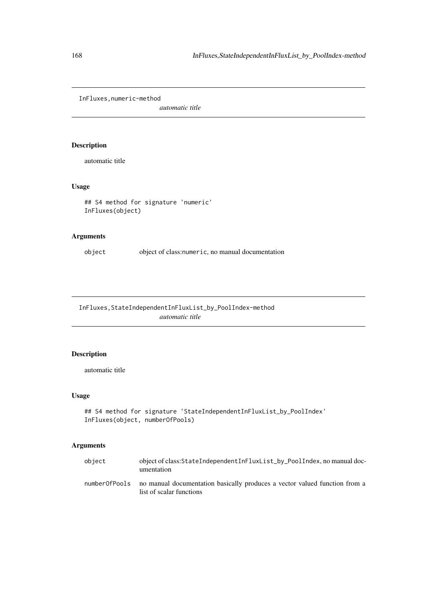InFluxes,numeric-method

*automatic title*

# Description

automatic title

## Usage

```
## S4 method for signature 'numeric'
InFluxes(object)
```
## Arguments

object object of class:numeric, no manual documentation

InFluxes,StateIndependentInFluxList\_by\_PoolIndex-method *automatic title*

## Description

automatic title

# Usage

```
## S4 method for signature 'StateIndependentInFluxList_by_PoolIndex'
InFluxes(object, numberOfPools)
```

| object        | object of class: StateIndependentInFluxList_by_PoolIndex, no manual doc-<br>umentation                 |
|---------------|--------------------------------------------------------------------------------------------------------|
| numberOfPools | no manual documentation basically produces a vector valued function from a<br>list of scalar functions |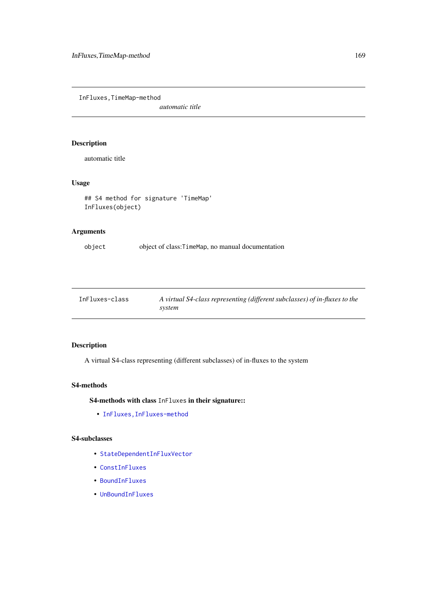InFluxes,TimeMap-method

*automatic title*

## Description

automatic title

# Usage

```
## S4 method for signature 'TimeMap'
InFluxes(object)
```
# Arguments

object object of class:TimeMap, no manual documentation

<span id="page-168-0"></span>

| InFluxes-class | A virtual S4-class representing (different subclasses) of in-fluxes to the |
|----------------|----------------------------------------------------------------------------|
|                | system                                                                     |

# Description

A virtual S4-class representing (different subclasses) of in-fluxes to the system

#### S4-methods

S4-methods with class InFluxes in their signature::

• [InFluxes,InFluxes-method](#page-0-0)

## S4-subclasses

- [StateDependentInFluxVector](#page-236-0)
- [ConstInFluxes](#page-67-0)
- [BoundInFluxes](#page-27-0)
- [UnBoundInFluxes](#page-275-0)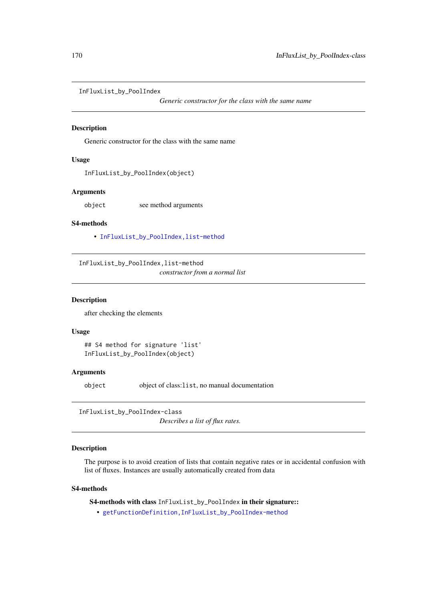InFluxList\_by\_PoolIndex

*Generic constructor for the class with the same name*

#### Description

Generic constructor for the class with the same name

## Usage

InFluxList\_by\_PoolIndex(object)

#### Arguments

object see method arguments

## S4-methods

• [InFluxList\\_by\\_PoolIndex,list-method](#page-0-0)

InFluxList\_by\_PoolIndex,list-method

*constructor from a normal list*

## Description

after checking the elements

#### Usage

```
## S4 method for signature 'list'
InFluxList_by_PoolIndex(object)
```
#### Arguments

object object of class:list, no manual documentation

InFluxList\_by\_PoolIndex-class

*Describes a list of flux rates.*

## Description

The purpose is to avoid creation of lists that contain negative rates or in accidental confusion with list of fluxes. Instances are usually automatically created from data

#### S4-methods

S4-methods with class InFluxList\_by\_PoolIndex in their signature::

• [getFunctionDefinition,InFluxList\\_by\\_PoolIndex-method](#page-0-0)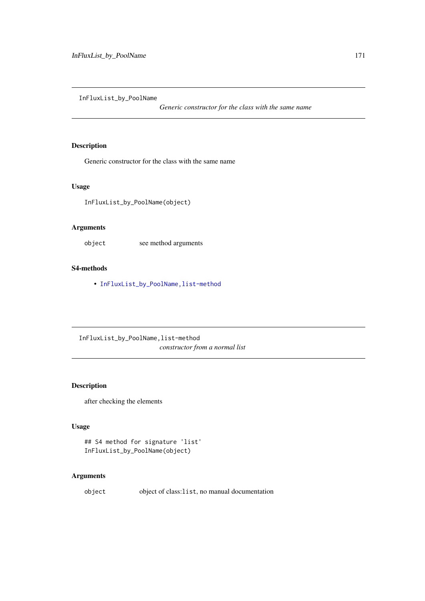InFluxList\_by\_PoolName

*Generic constructor for the class with the same name*

#### Description

Generic constructor for the class with the same name

#### Usage

InFluxList\_by\_PoolName(object)

## Arguments

object see method arguments

#### S4-methods

• [InFluxList\\_by\\_PoolName,list-method](#page-0-0)

InFluxList\_by\_PoolName,list-method *constructor from a normal list*

## Description

after checking the elements

## Usage

```
## S4 method for signature 'list'
InFluxList_by_PoolName(object)
```
# Arguments

object object of class:list, no manual documentation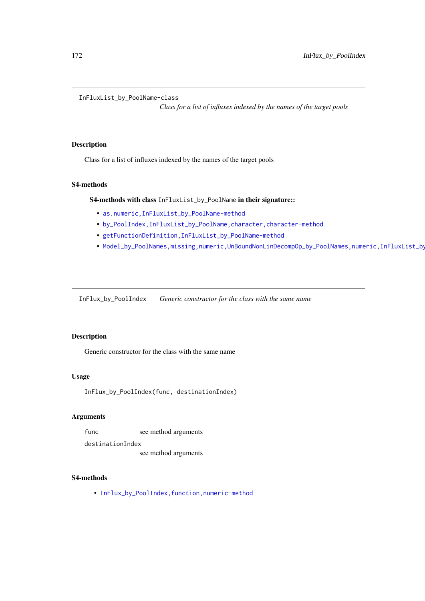InFluxList\_by\_PoolName-class

*Class for a list of influxes indexed by the names of the target pools*

# Description

Class for a list of influxes indexed by the names of the target pools

# S4-methods

S4-methods with class InFluxList\_by\_PoolName in their signature::

- [as.numeric,InFluxList\\_by\\_PoolName-method](#page-0-0)
- [by\\_PoolIndex,InFluxList\\_by\\_PoolName,character,character-method](#page-0-0)
- [getFunctionDefinition,InFluxList\\_by\\_PoolName-method](#page-0-0)
- Model\_by\_PoolNames,missing,numeric,UnBoundNonLinDecompOp\_by\_PoolNames,numeric,InFluxList\_by

InFlux\_by\_PoolIndex *Generic constructor for the class with the same name*

## Description

Generic constructor for the class with the same name

#### Usage

InFlux\_by\_PoolIndex(func, destinationIndex)

#### Arguments

func see method arguments

destinationIndex

see method arguments

#### S4-methods

• InFlux\_by\_PoolIndex, function, numeric-method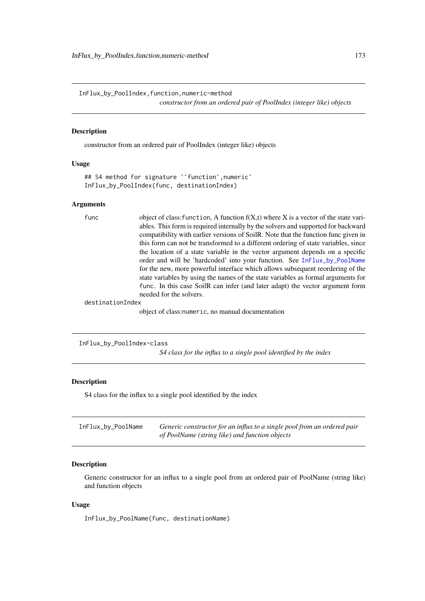InFlux\_by\_PoolIndex,function,numeric-method *constructor from an ordered pair of PoolIndex (integer like) objects*

#### Description

constructor from an ordered pair of PoolIndex (integer like) objects

#### Usage

```
## S4 method for signature '`function`,numeric'
InFlux_by_PoolIndex(func, destinationIndex)
```
#### Arguments

func object of class: function, A function  $f(X,t)$  where X is a vector of the state variables. This form is required internally by the solvers and supported for backward compatibility with earlier versions of SoilR. Note that the function func given in this form can not be transformed to a different ordering of state variables, since the location of a state variable in the vector argument depends on a specific order and will be 'hardcoded' into your function. See [InFlux\\_by\\_PoolName](#page-172-0) for the new, more powerful interface which allows subsequent reordering of the state variables by using the names of the state variables as formal arguments for func. In this case SoilR can infer (and later adapt) the vector argument form needed for the solvers.

destinationIndex

object of class:numeric, no manual documentation

InFlux\_by\_PoolIndex-class

*S4 class for the influx to a single pool identified by the index*

## Description

S4 class for the influx to a single pool identified by the index

<span id="page-172-0"></span>

| InFlux_by_PoolName | Generic constructor for an influx to a single pool from an ordered pair |
|--------------------|-------------------------------------------------------------------------|
|                    | of PoolName (string like) and function objects                          |

#### Description

Generic constructor for an influx to a single pool from an ordered pair of PoolName (string like) and function objects

# Usage

InFlux\_by\_PoolName(func, destinationName)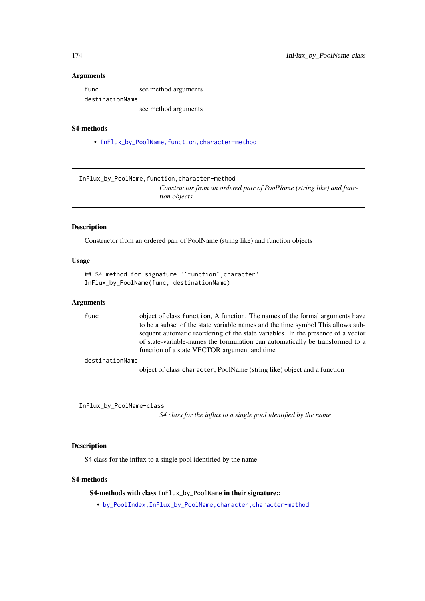#### Arguments

func see method arguments destinationName see method arguments

#### S4-methods

• InFlux\_by\_PoolName, function, character-method

InFlux\_by\_PoolName,function,character-method

*Constructor from an ordered pair of PoolName (string like) and function objects*

#### Description

Constructor from an ordered pair of PoolName (string like) and function objects

#### Usage

```
## S4 method for signature '`function`,character'
InFlux_by_PoolName(func, destinationName)
```
#### Arguments

func object of class:function, A function. The names of the formal arguments have to be a subset of the state variable names and the time symbol This allows subsequent automatic reordering of the state variables. In the presence of a vector of state-variable-names the formulation can automatically be transformed to a function of a state VECTOR argument and time

destinationName

object of class:character, PoolName (string like) object and a function

InFlux\_by\_PoolName-class

*S4 class for the influx to a single pool identified by the name*

#### Description

S4 class for the influx to a single pool identified by the name

#### S4-methods

#### S4-methods with class InFlux\_by\_PoolName in their signature::

• [by\\_PoolIndex,InFlux\\_by\\_PoolName,character,character-method](#page-0-0)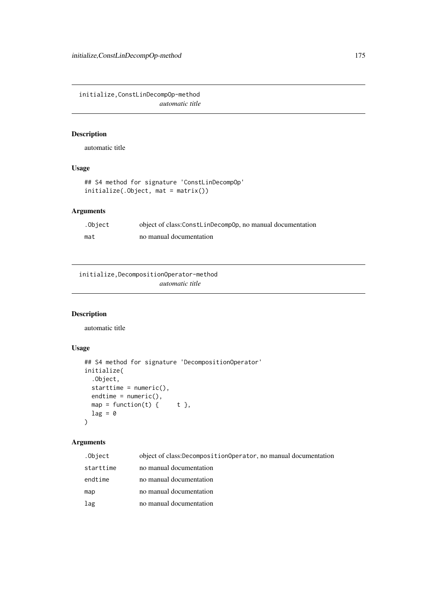initialize,ConstLinDecompOp-method *automatic title*

## Description

automatic title

# Usage

```
## S4 method for signature 'ConstLinDecompOp'
initialize(.Object, mat = matrix())
```
## Arguments

| .Object | object of class:ConstLinDecompOp, no manual documentation |
|---------|-----------------------------------------------------------|
| mat     | no manual documentation                                   |

initialize,DecompositionOperator-method *automatic title*

## Description

automatic title

## Usage

```
## S4 method for signature 'DecompositionOperator'
initialize(
  .Object,
 starttime = numeric(),endtime = numeric(),map = function(t) { t },
 lag = 0)
```

| .Object   | object of class:DecompositionOperator, no manual documentation |
|-----------|----------------------------------------------------------------|
| starttime | no manual documentation                                        |
| endtime   | no manual documentation                                        |
| map       | no manual documentation                                        |
| lag       | no manual documentation                                        |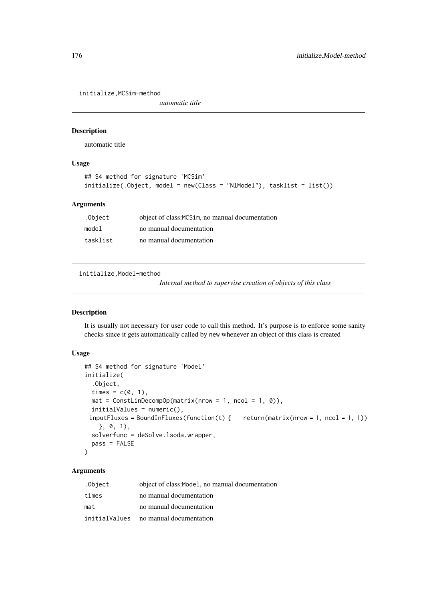initialize,MCSim-method

*automatic title*

#### Description

automatic title

# Usage

```
## S4 method for signature 'MCSim'
initialize(.Object, model = new(Class = "NlModel"), tasklist = list())
```
#### Arguments

| .Object  | object of class: MCS im, no manual documentation |
|----------|--------------------------------------------------|
| model    | no manual documentation                          |
| tasklist | no manual documentation                          |

initialize,Model-method

*Internal method to supervise creation of objects of this class*

#### Description

It is usually not necessary for user code to call this method. It's purpose is to enforce some sanity checks since it gets automatically called by new whenever an object of this class is created

#### Usage

```
## S4 method for signature 'Model'
initialize(
  .Object,
  times = c(\emptyset, 1),
  mat = ConstLinDecompOp(matrix(nrow = 1, ncol = 1, 0)),initialValues = numeric(),
 inputFluxes = BoundInFluxes(function(t) { return(matrix(now = 1, ncol = 1, 1))}}, 0, 1),
  solverfunc = deSolve.lsoda.wrapper,
  pass = FALSE
)
```

| .Object | object of class: Model, no manual documentation |
|---------|-------------------------------------------------|
| times   | no manual documentation                         |
| mat     | no manual documentation                         |
|         | initialValues no manual documentation           |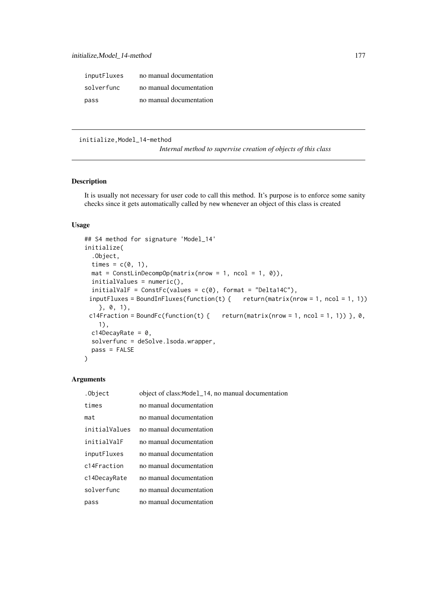| inputFluxes | no manual documentation |
|-------------|-------------------------|
| solverfunc  | no manual documentation |
| pass        | no manual documentation |

initialize,Model\_14-method

*Internal method to supervise creation of objects of this class*

## Description

It is usually not necessary for user code to call this method. It's purpose is to enforce some sanity checks since it gets automatically called by new whenever an object of this class is created

## Usage

```
## S4 method for signature 'Model_14'
initialize(
  .Object,
  times = c(\emptyset, 1),
  mat = ConstLinDecompOp(matrix(nrow = 1, ncol = 1, 0)),initialValues = numeric(),
  initialValF = ConstFc(values = c(0), format = "Delta14C"),inputFluxes = BoundInFluxes(function(t) { return(matrix(now = 1, ncol = 1, 1))}}, 0, 1),
 c14Fraction = BoundFc(function(t) { return(matrix(nrow = 1, ncol = 1, 1)) }, \theta,
    1),
  c14DecayRate = 0,
  solverfunc = deSolve.lsoda.wrapper,
  pass = FALSE
\lambda
```

| .Object       | object of class: Model_14, no manual documentation |
|---------------|----------------------------------------------------|
| times         | no manual documentation                            |
| mat           | no manual documentation                            |
| initialValues | no manual documentation                            |
| initialValF   | no manual documentation                            |
| inputFluxes   | no manual documentation                            |
| c14Fraction   | no manual documentation                            |
| c14DecayRate  | no manual documentation                            |
| solverfunc    | no manual documentation                            |
| pass          | no manual documentation                            |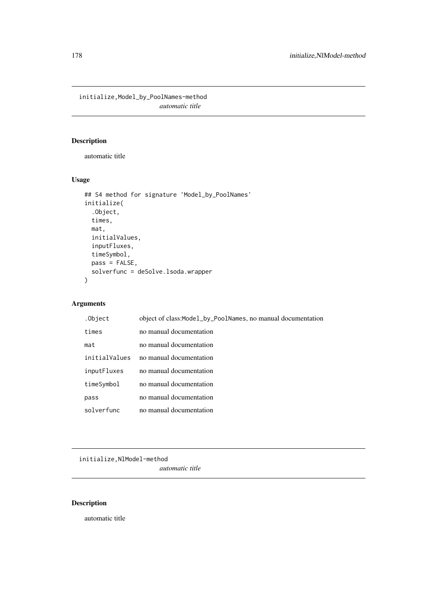initialize,Model\_by\_PoolNames-method *automatic title*

# Description

automatic title

# Usage

```
## S4 method for signature 'Model_by_PoolNames'
initialize(
  .Object,
  times,
  mat,
  initialValues,
  inputFluxes,
  timeSymbol,
  pass = FALSE,
  solverfunc = deSolve.lsoda.wrapper
\lambda
```
# Arguments

| .Object       | object of class: Model_by_PoolNames, no manual documentation |
|---------------|--------------------------------------------------------------|
| times         | no manual documentation                                      |
| mat           | no manual documentation                                      |
| initialValues | no manual documentation                                      |
| inputFluxes   | no manual documentation                                      |
| timeSymbol    | no manual documentation                                      |
| pass          | no manual documentation                                      |
| solverfunc    | no manual documentation                                      |

initialize,NlModel-method

*automatic title*

# Description

automatic title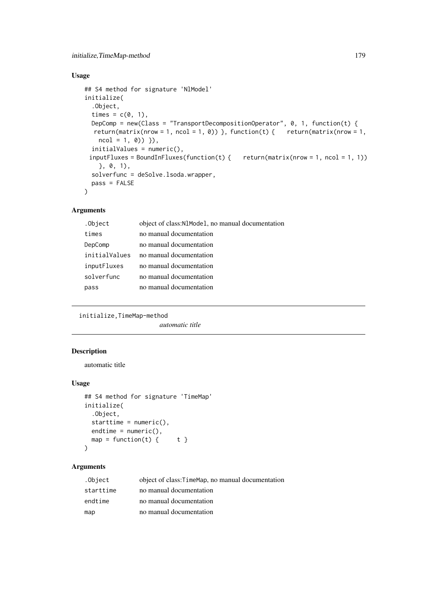## Usage

```
## S4 method for signature 'NlModel'
initialize(
  .Object,
  times = c(\emptyset, 1),
  DepComp = new(Class = "TransportDecompositionOperator", 0, 1, function(t) {
  return(matrix(nrow = 1, ncol = 1, 0)) }, function(t) { return(matrix(nrow = 1,
    ncol = 1, 0) }),
  initialValues = numeric(),
 inputFluxes = BoundInFluxes(function(t) { return(matrix(nrow = 1, ncol = 1, 1))}}, 0, 1),
  solverfunc = deSolve.lsoda.wrapper,
  pass = FALSE
)
```
#### Arguments

| .Object       | object of class: N1Mode1, no manual documentation |
|---------------|---------------------------------------------------|
| times         | no manual documentation                           |
| DepComp       | no manual documentation                           |
| initialValues | no manual documentation                           |
| inputFluxes   | no manual documentation                           |
| solverfunc    | no manual documentation                           |
| pass          | no manual documentation                           |
|               |                                                   |

initialize,TimeMap-method

*automatic title*

## Description

automatic title

#### Usage

```
## S4 method for signature 'TimeMap'
initialize(
  .Object,
 starttime = numeric(),
 endtime = numeric(),map = function(t) { t }
)
```

| .Object   | object of class: Time Map, no manual documentation |
|-----------|----------------------------------------------------|
| starttime | no manual documentation                            |
| endtime   | no manual documentation                            |
| map       | no manual documentation                            |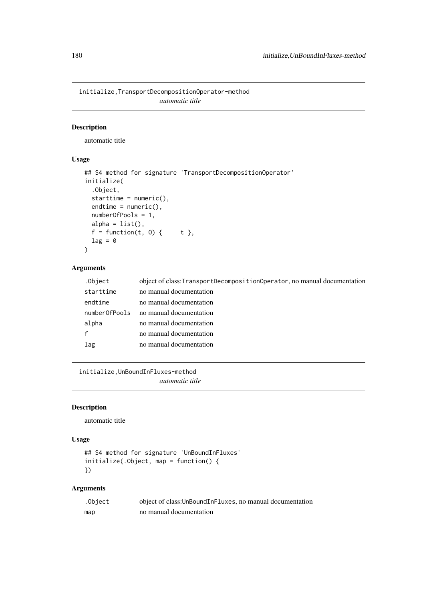initialize,TransportDecompositionOperator-method *automatic title*

## Description

automatic title

# Usage

```
## S4 method for signature 'TransportDecompositionOperator'
initialize(
  .Object,
 starttime = numeric(),
 endtime = numeric(),numberOfPools = 1,
 alpha = list(),
 f = function(t, 0) { t },
 lag = 0)
```
#### Arguments

| .Object       | object of class: TransportDecompositionOperator, no manual documentation |
|---------------|--------------------------------------------------------------------------|
| starttime     | no manual documentation                                                  |
| endtime       | no manual documentation                                                  |
| numberOfPools | no manual documentation                                                  |
| alpha         | no manual documentation                                                  |
| f             | no manual documentation                                                  |
| lag           | no manual documentation                                                  |
|               |                                                                          |

initialize,UnBoundInFluxes-method *automatic title*

## Description

automatic title

# Usage

```
## S4 method for signature 'UnBoundInFluxes'
initialize(.Object, map = function() {
})
```

| .Object | object of class: UnBoundInFluxes, no manual documentation |
|---------|-----------------------------------------------------------|
| map     | no manual documentation                                   |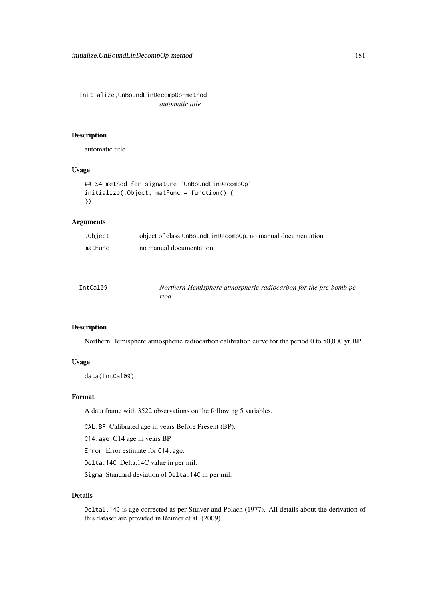initialize,UnBoundLinDecompOp-method *automatic title*

## Description

automatic title

# Usage

```
## S4 method for signature 'UnBoundLinDecompOp'
initialize(.Object, matFunc = function() {
})
```
## Arguments

| .Object | object of class: UnBoundLinDecompOp, no manual documentation |
|---------|--------------------------------------------------------------|
| matFunc | no manual documentation                                      |

| IntCal09 | Northern Hemisphere atmospheric radiocarbon for the pre-bomb pe- |
|----------|------------------------------------------------------------------|
|          | riod                                                             |

## Description

Northern Hemisphere atmospheric radiocarbon calibration curve for the period 0 to 50,000 yr BP.

## Usage

data(IntCal09)

## Format

A data frame with 3522 observations on the following 5 variables.

CAL.BP Calibrated age in years Before Present (BP).

C14.age C14 age in years BP.

Error Error estimate for C14.age.

Delta.14C Delta.14C value in per mil.

Sigma Standard deviation of Delta.14C in per mil.

# Details

Deltal.14C is age-corrected as per Stuiver and Polach (1977). All details about the derivation of this dataset are provided in Reimer et al. (2009).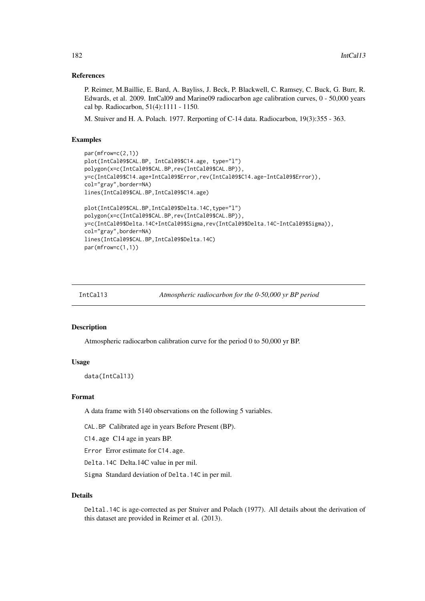#### References

P. Reimer, M.Baillie, E. Bard, A. Bayliss, J. Beck, P. Blackwell, C. Ramsey, C. Buck, G. Burr, R. Edwards, et al. 2009. IntCal09 and Marine09 radiocarbon age calibration curves, 0 - 50,000 years cal bp. Radiocarbon, 51(4):1111 - 1150.

M. Stuiver and H. A. Polach. 1977. Rerporting of C-14 data. Radiocarbon, 19(3):355 - 363.

#### Examples

```
par(mfrow=c(2,1))
plot(IntCal09$CAL.BP, IntCal09$C14.age, type="l")
polygon(x=c(IntCal09$CAL.BP,rev(IntCal09$CAL.BP)),
y=c(IntCal09$C14.age+IntCal09$Error,rev(IntCal09$C14.age-IntCal09$Error)),
col="gray",border=NA)
lines(IntCal09$CAL.BP,IntCal09$C14.age)
plot(IntCal09$CAL.BP,IntCal09$Delta.14C,type="l")
polygon(x=c(IntCal09$CAL.BP,rev(IntCal09$CAL.BP)),
y=c(IntCal09$Delta.14C+IntCal09$Sigma,rev(IntCal09$Delta.14C-IntCal09$Sigma)),
col="gray",border=NA)
lines(IntCal09$CAL.BP,IntCal09$Delta.14C)
par(mfrow=c(1,1))
```
<span id="page-181-0"></span>IntCal13 *Atmospheric radiocarbon for the 0-50,000 yr BP period*

## Description

Atmospheric radiocarbon calibration curve for the period 0 to 50,000 yr BP.

#### Usage

data(IntCal13)

## Format

A data frame with 5140 observations on the following 5 variables.

CAL.BP Calibrated age in years Before Present (BP).

C14.age C14 age in years BP.

Error Error estimate for C14.age.

Delta.14C Delta.14C value in per mil.

Sigma Standard deviation of Delta.14C in per mil.

# Details

Deltal.14C is age-corrected as per Stuiver and Polach (1977). All details about the derivation of this dataset are provided in Reimer et al. (2013).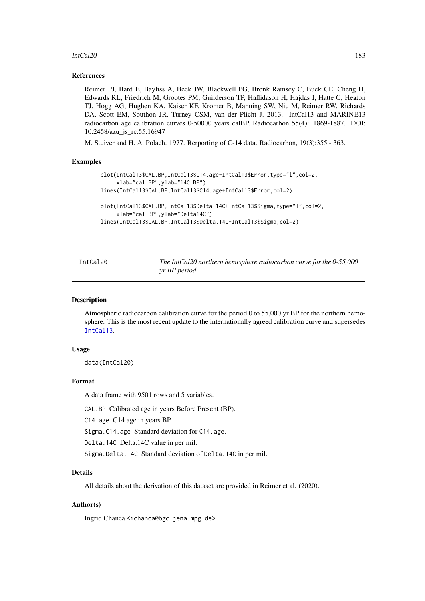#### IntCal20 183

#### References

Reimer PJ, Bard E, Bayliss A, Beck JW, Blackwell PG, Bronk Ramsey C, Buck CE, Cheng H, Edwards RL, Friedrich M, Grootes PM, Guilderson TP, Haflidason H, Hajdas I, Hatte C, Heaton TJ, Hogg AG, Hughen KA, Kaiser KF, Kromer B, Manning SW, Niu M, Reimer RW, Richards DA, Scott EM, Southon JR, Turney CSM, van der Plicht J. 2013. IntCal13 and MARINE13 radiocarbon age calibration curves 0-50000 years calBP. Radiocarbon 55(4): 1869-1887. DOI: 10.2458/azu\_js\_rc.55.16947

M. Stuiver and H. A. Polach. 1977. Rerporting of C-14 data. Radiocarbon, 19(3):355 - 363.

#### Examples

```
plot(IntCal13$CAL.BP,IntCal13$C14.age-IntCal13$Error,type="l",col=2,
     xlab="cal BP",ylab="14C BP")
lines(IntCal13$CAL.BP,IntCal13$C14.age+IntCal13$Error,col=2)
plot(IntCal13$CAL.BP,IntCal13$Delta.14C+IntCal13$Sigma,type="l",col=2,
     xlab="cal BP",ylab="Delta14C")
lines(IntCal13$CAL.BP,IntCal13$Delta.14C-IntCal13$Sigma,col=2)
```

| IntCal20 | The IntCal20 northern hemisphere radiocarbon curve for the 0-55,000 |
|----------|---------------------------------------------------------------------|
|          | yr BP period                                                        |

#### Description

Atmospheric radiocarbon calibration curve for the period 0 to 55,000 yr BP for the northern hemosphere. This is the most recent update to the internationally agreed calibration curve and supersedes [IntCal13](#page-181-0).

## Usage

data(IntCal20)

### Format

A data frame with 9501 rows and 5 variables.

CAL.BP Calibrated age in years Before Present (BP).

C14.age C14 age in years BP.

Sigma.C14.age Standard deviation for C14.age.

Delta.14C Delta.14C value in per mil.

Sigma.Delta.14C Standard deviation of Delta.14C in per mil.

## Details

All details about the derivation of this dataset are provided in Reimer et al. (2020).

# Author(s)

Ingrid Chanca <ichanca@bgc-jena.mpg.de>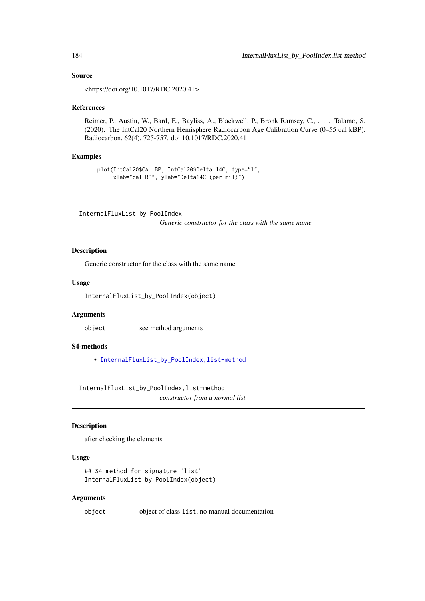#### Source

<https://doi.org/10.1017/RDC.2020.41>

#### References

Reimer, P., Austin, W., Bard, E., Bayliss, A., Blackwell, P., Bronk Ramsey, C., . . . Talamo, S. (2020). The IntCal20 Northern Hemisphere Radiocarbon Age Calibration Curve (0–55 cal kBP). Radiocarbon, 62(4), 725-757. doi:10.1017/RDC.2020.41

## Examples

```
plot(IntCal20$CAL.BP, IntCal20$Delta.14C, type="l",
     xlab="cal BP", ylab="Delta14C (per mil)")
```
InternalFluxList\_by\_PoolIndex *Generic constructor for the class with the same name*

#### Description

Generic constructor for the class with the same name

#### Usage

InternalFluxList\_by\_PoolIndex(object)

## Arguments

object see method arguments

## S4-methods

• [InternalFluxList\\_by\\_PoolIndex,list-method](#page-0-0)

InternalFluxList\_by\_PoolIndex,list-method *constructor from a normal list*

## Description

after checking the elements

## Usage

```
## S4 method for signature 'list'
InternalFluxList_by_PoolIndex(object)
```
#### Arguments

object object of class:list, no manual documentation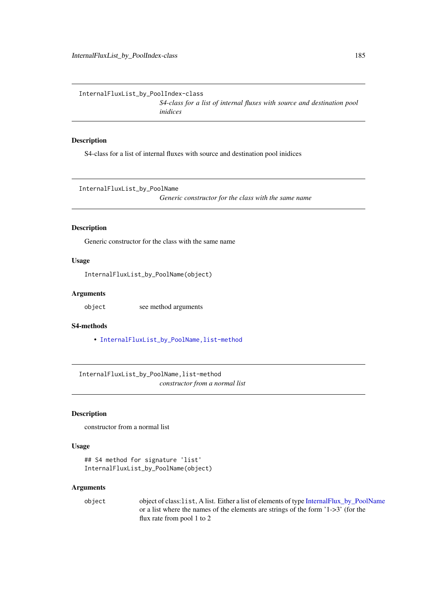InternalFluxList\_by\_PoolIndex-class

*S4-class for a list of internal fluxes with source and destination pool inidices*

## Description

S4-class for a list of internal fluxes with source and destination pool inidices

InternalFluxList\_by\_PoolName

*Generic constructor for the class with the same name*

#### Description

Generic constructor for the class with the same name

## Usage

InternalFluxList\_by\_PoolName(object)

## Arguments

object see method arguments

# S4-methods

• InternalFluxList\_by\_PoolName, list-method

InternalFluxList\_by\_PoolName,list-method *constructor from a normal list*

# Description

constructor from a normal list

#### Usage

```
## S4 method for signature 'list'
InternalFluxList_by_PoolName(object)
```
## Arguments

object object of class:list, A list. Either a list of elements of type [InternalFlux\\_by\\_PoolName](#page-188-0) or a list where the names of the elements are strings of the form '1->3' (for the flux rate from pool 1 to 2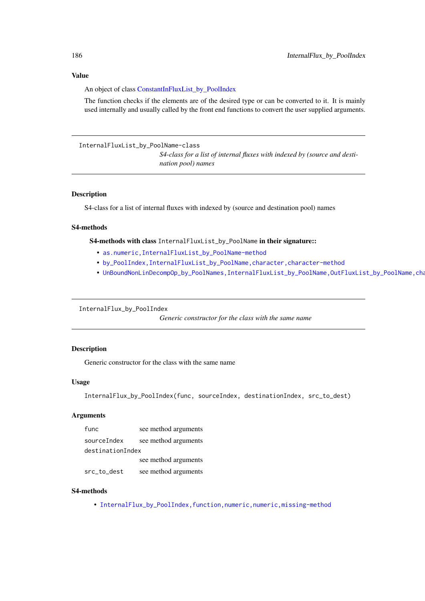#### Value

An object of class [ConstantInFluxList\\_by\\_PoolIndex](#page-50-0)

The function checks if the elements are of the desired type or can be converted to it. It is mainly used internally and usually called by the front end functions to convert the user supplied arguments.

InternalFluxList\_by\_PoolName-class

*S4-class for a list of internal fluxes with indexed by (source and destination pool) names*

#### Description

S4-class for a list of internal fluxes with indexed by (source and destination pool) names

#### S4-methods

S4-methods with class InternalFluxList\_by\_PoolName in their signature::

- [as.numeric,InternalFluxList\\_by\\_PoolName-method](#page-0-0)
- [by\\_PoolIndex,InternalFluxList\\_by\\_PoolName,character,character-method](#page-0-0)
- UnBoundNonLinDecompOp\_by\_PoolNames,InternalFluxList\_by\_PoolName,OutFluxList\_by\_PoolName,cha

InternalFlux\_by\_PoolIndex

*Generic constructor for the class with the same name*

## Description

Generic constructor for the class with the same name

#### Usage

InternalFlux\_by\_PoolIndex(func, sourceIndex, destinationIndex, src\_to\_dest)

#### Arguments

| func             | see method arguments |
|------------------|----------------------|
| sourceIndex      | see method arguments |
| destinationIndex |                      |
|                  | see method arguments |
| src_to_dest      | see method arguments |

## S4-methods

• InternalFlux\_by\_PoolIndex, function, numeric, numeric, missing-method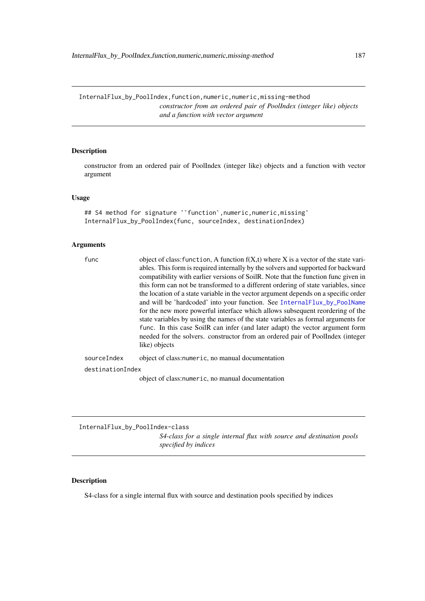InternalFlux\_by\_PoolIndex,function,numeric,numeric,missing-method *constructor from an ordered pair of PoolIndex (integer like) objects and a function with vector argument*

# Description

constructor from an ordered pair of PoolIndex (integer like) objects and a function with vector argument

## Usage

## S4 method for signature '`function`,numeric,numeric,missing' InternalFlux\_by\_PoolIndex(func, sourceIndex, destinationIndex)

#### Arguments

| func             | object of class: function, A function $f(X,t)$ where X is a vector of the state vari-<br>ables. This form is required internally by the solvers and supported for backward<br>compatibility with earlier versions of SoilR. Note that the function func given in<br>this form can not be transformed to a different ordering of state variables, since<br>the location of a state variable in the vector argument depends on a specific order<br>and will be 'hardcoded' into your function. See Internal Flux_by_PoolName<br>for the new more powerful interface which allows subsequent reordering of the<br>state variables by using the names of the state variables as formal arguments for<br>func. In this case SoilR can infer (and later adapt) the vector argument form<br>needed for the solvers. constructor from an ordered pair of PoolIndex (integer<br>like) objects |
|------------------|--------------------------------------------------------------------------------------------------------------------------------------------------------------------------------------------------------------------------------------------------------------------------------------------------------------------------------------------------------------------------------------------------------------------------------------------------------------------------------------------------------------------------------------------------------------------------------------------------------------------------------------------------------------------------------------------------------------------------------------------------------------------------------------------------------------------------------------------------------------------------------------|
| sourceIndex      | object of class: numeric, no manual documentation                                                                                                                                                                                                                                                                                                                                                                                                                                                                                                                                                                                                                                                                                                                                                                                                                                    |
| destinationIndex |                                                                                                                                                                                                                                                                                                                                                                                                                                                                                                                                                                                                                                                                                                                                                                                                                                                                                      |

object of class:numeric, no manual documentation

InternalFlux\_by\_PoolIndex-class *S4-class for a single internal flux with source and destination pools specified by indices*

# Description

S4-class for a single internal flux with source and destination pools specified by indices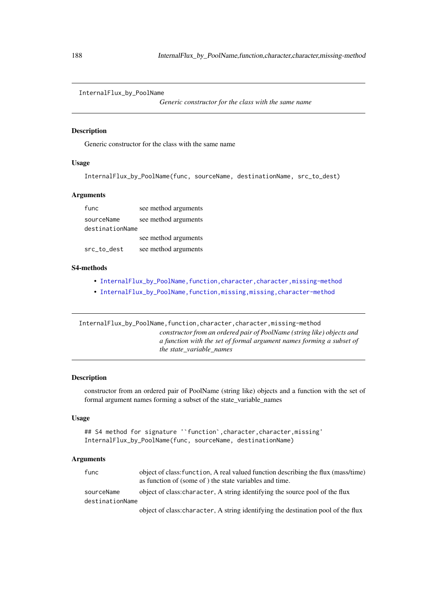#### <span id="page-187-0"></span>InternalFlux\_by\_PoolName

*Generic constructor for the class with the same name*

## Description

Generic constructor for the class with the same name

# Usage

InternalFlux\_by\_PoolName(func, sourceName, destinationName, src\_to\_dest)

#### Arguments

| func            | see method arguments |
|-----------------|----------------------|
| sourceName      | see method arguments |
| destinationName |                      |
|                 | see method arguments |
| src_to_dest     | see method arguments |

#### S4-methods

- InternalFlux\_by\_PoolName, function, character, character, missing-method
- [InternalFlux\\_by\\_PoolName,function,missing,missing,character-method](#page-0-0)

InternalFlux\_by\_PoolName,function,character,character,missing-method *constructor from an ordered pair of PoolName (string like) objects and a function with the set of formal argument names forming a subset of the state\_variable\_names*

#### Description

constructor from an ordered pair of PoolName (string like) objects and a function with the set of formal argument names forming a subset of the state\_variable\_names

## Usage

```
## S4 method for signature ''function', character, character, missing'
InternalFlux_by_PoolName(func, sourceName, destinationName)
```
#### Arguments

| func            | object of class: function, A real valued function describing the flux (mass/time)<br>as function of (some of) the state variables and time. |
|-----------------|---------------------------------------------------------------------------------------------------------------------------------------------|
| sourceName      | object of class: character, A string identifying the source pool of the flux                                                                |
| destinationName |                                                                                                                                             |
|                 |                                                                                                                                             |

object of class:character, A string identifying the destination pool of the flux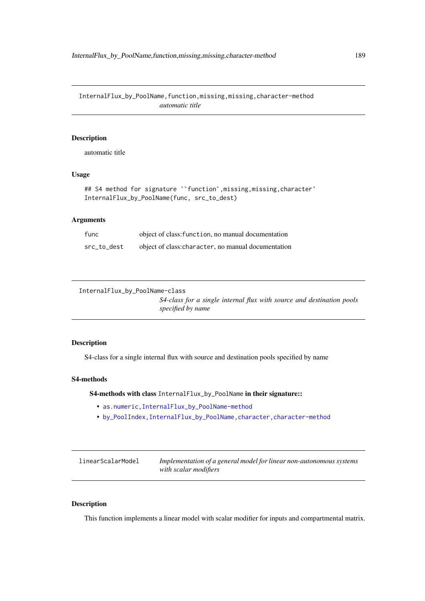InternalFlux\_by\_PoolName,function,missing,missing,character-method *automatic title*

## Description

automatic title

# Usage

```
## S4 method for signature ''function', missing, missing, character'
InternalFlux_by_PoolName(func, src_to_dest)
```
## Arguments

| func        | object of class: function, no manual documentation  |
|-------------|-----------------------------------------------------|
| src to dest | object of class: character, no manual documentation |

```
InternalFlux_by_PoolName-class
```
*S4-class for a single internal flux with source and destination pools specified by name*

#### Description

S4-class for a single internal flux with source and destination pools specified by name

# S4-methods

S4-methods with class InternalFlux\_by\_PoolName in their signature::

- [as.numeric,InternalFlux\\_by\\_PoolName-method](#page-0-0)
- [by\\_PoolIndex,InternalFlux\\_by\\_PoolName,character,character-method](#page-0-0)

| linearScalarModel | Implementation of a general model for linear non-autonomous systems |
|-------------------|---------------------------------------------------------------------|
|                   | with scalar modifiers                                               |

## Description

This function implements a linear model with scalar modifier for inputs and compartmental matrix.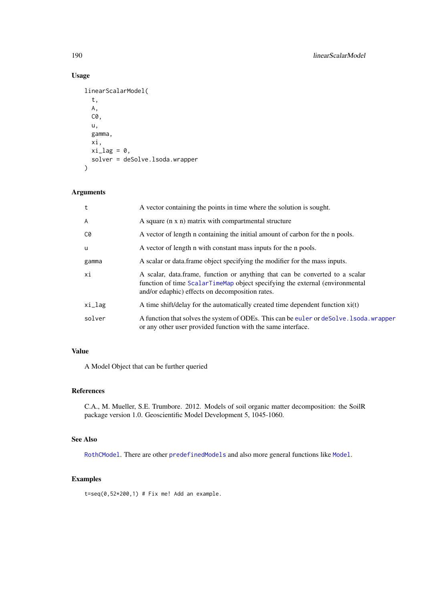# Usage

```
linearScalarModel(
  t,
  A,
  C0,
  u,
  gamma,
  xi,
  xi\_lag = 0,
  solver = deSolve.lsoda.wrapper
\lambda
```
## Arguments

| t      | A vector containing the points in time where the solution is sought.                                                                                                                                            |
|--------|-----------------------------------------------------------------------------------------------------------------------------------------------------------------------------------------------------------------|
| A      | A square (n x n) matrix with compartmental structure                                                                                                                                                            |
| C0     | A vector of length n containing the initial amount of carbon for the n pools.                                                                                                                                   |
| u      | A vector of length n with constant mass inputs for the n pools.                                                                                                                                                 |
| gamma  | A scalar or data frame object specifying the modifier for the mass inputs.                                                                                                                                      |
| xi     | A scalar, data frame, function or anything that can be converted to a scalar<br>function of time ScalarTimeMap object specifying the external (environmental<br>and/or edaphic) effects on decomposition rates. |
| xi_lag | A time shift/delay for the automatically created time dependent function $xi(t)$                                                                                                                                |
| solver | A function that solves the system of ODEs. This can be euler or deSolve. I soda, wrapper<br>or any other user provided function with the same interface.                                                        |

# Value

A Model Object that can be further queried

## References

C.A., M. Mueller, S.E. Trumbore. 2012. Models of soil organic matter decomposition: the SoilR package version 1.0. Geoscientific Model Development 5, 1045-1060.

## See Also

[RothCModel](#page-226-0). There are other [predefinedModels](#page-224-0) and also more general functions like [Model](#page-191-0).

## Examples

 $t=seq(0,52*200,1)$  # Fix me! Add an example.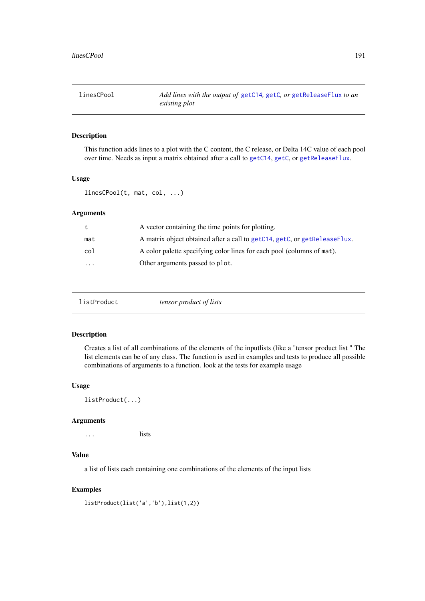## Description

This function adds lines to a plot with the C content, the C release, or Delta 14C value of each pool over time. Needs as input a matrix obtained after a call to [getC14](#page-112-0), [getC](#page-110-0), or [getReleaseFlux](#page-142-0).

## Usage

linesCPool(t, mat, col, ...)

## Arguments

| t       | A vector containing the time points for plotting.                         |
|---------|---------------------------------------------------------------------------|
| mat     | A matrix object obtained after a call to getC14, getC, or getReleaseFlux. |
| col     | A color palette specifying color lines for each pool (columns of mat).    |
| $\cdot$ | Other arguments passed to plot.                                           |

|--|--|--|

## Description

Creates a list of all combinations of the elements of the inputlists (like a "tensor product list " The list elements can be of any class. The function is used in examples and tests to produce all possible combinations of arguments to a function. look at the tests for example usage

## Usage

listProduct(...)

#### Arguments

... lists

## Value

a list of lists each containing one combinations of the elements of the input lists

## Examples

```
listProduct(list('a','b'),list(1,2))
```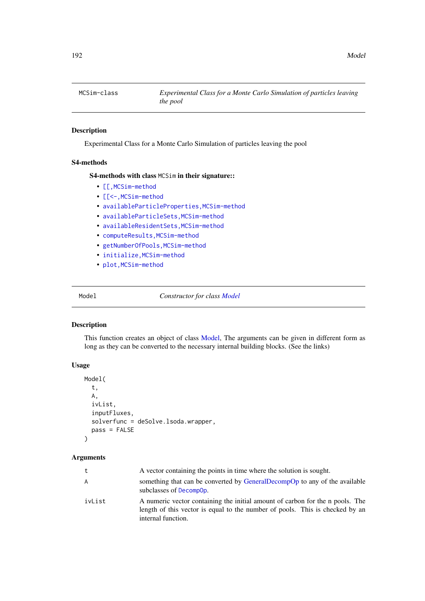# Description

Experimental Class for a Monte Carlo Simulation of particles leaving the pool

#### S4-methods

## S4-methods with class MCSim in their signature::

- [\[\[,MCSim-method](#page-0-0)
- [\[\[<-,MCSim-method](#page-0-0)
- [availableParticleProperties,MCSim-method](#page-0-0)
- [availableParticleSets,MCSim-method](#page-0-0)
- [availableResidentSets,MCSim-method](#page-0-0)
- [computeResults,MCSim-method](#page-0-0)
- [getNumberOfPools,MCSim-method](#page-0-0)
- [initialize,MCSim-method](#page-0-0)
- [plot,MCSim-method](#page-0-0)

<span id="page-191-0"></span>Model *Constructor for class [Model](#page-193-0)*

## Description

This function creates an object of class [Model,](#page-193-0) The arguments can be given in different form as long as they can be converted to the necessary internal building blocks. (See the links)

# Usage

```
Model(
  t,
  A,
  ivList,
  inputFluxes,
  solverfunc = deSolve.lsoda.wrapper,
  pass = FALSE
)
```

| t      | A vector containing the points in time where the solution is sought.                                                                                                                |
|--------|-------------------------------------------------------------------------------------------------------------------------------------------------------------------------------------|
| A      | something that can be converted by GeneralDecompOp to any of the available<br>subclasses of Decompop.                                                                               |
| ivList | A numeric vector containing the initial amount of carbon for the n pools. The<br>length of this vector is equal to the number of pools. This is checked by an<br>internal function. |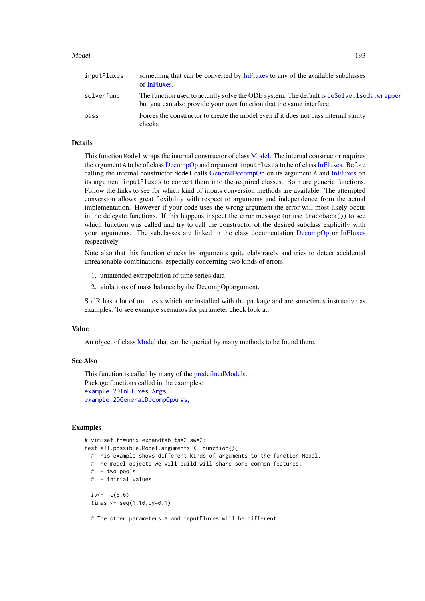#### Model 193

| inputFluxes | something that can be converted by InFluxes to any of the available subclasses<br>of InFluxes.                                                                      |
|-------------|---------------------------------------------------------------------------------------------------------------------------------------------------------------------|
| solverfunc  | The function used to actually solve the ODE system. The default is deSolve lost also wrapper<br>but you can also provide your own function that the same interface. |
| pass        | Forces the constructor to create the model even if it does not pass internal sanity<br>checks                                                                       |

#### Details

This function Model wraps the internal constructor of class [Model.](#page-193-0) The internal constructor requires the argument A to be of class [DecompOp](#page-74-0) and argument inputFluxes to be of class [InFluxes.](#page-168-0) Before calling the internal constructor Model calls [GeneralDecompOp](#page-101-0) on its argument A and [InFluxes](#page-165-0) on its argument inputFluxes to convert them into the required classes. Both are generic functions. Follow the links to see for which kind of inputs conversion methods are available. The attempted conversion allows great flexibility with respect to arguments and independence from the actual implementation. However if your code uses the wrong argument the error will most likely occur in the delegate functions. If this happens inspect the error message (or use  $traceback()$ ) to see which function was called and try to call the constructor of the desired subclass explicitly with your arguments. The subclasses are linked in the class documentation [DecompOp](#page-74-0) or [InFluxes](#page-168-0) respectively.

Note also that this function checks its arguments quite elaborately and tries to detect accidental unreasonable combinations, especially concerning two kinds of errors.

- 1. unintended extrapolation of time series data
- 2. violations of mass balance by the DecompOp argument.

SoilR has a lot of unit tests which are installed with the package and are sometimes instructive as examples. To see example scenarios for parameter check look at:

#### Value

An object of class [Model](#page-193-0) that can be queried by many methods to be found there.

#### See Also

This function is called by many of the [predefinedModels.](#page-224-0) Package functions called in the examples: [example.2DInFluxes.Args](#page-82-0), [example.2DGeneralDecompOpArgs](#page-82-1),

## Examples

```
# vim:set ff=unix expandtab ts=2 sw=2:
test.all.possible.Model.arguments <- function(){
  # This example shows different kinds of arguments to the function Model.
  # The model objects we will build will share some common features.
  # - two pools
  # - initial values
  iv<-c(5,6)times \leq - seq(1,10,by=0.1)
  # The other parameters A and inputFluxes will be different
```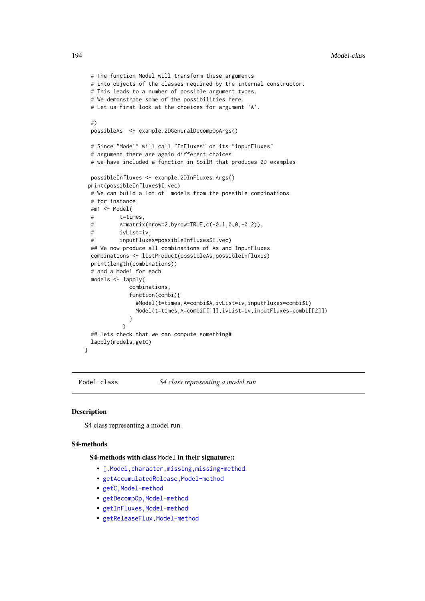```
# The function Model will transform these arguments
 # into objects of the classes required by the internal constructor.
 # This leads to a number of possible argument types.
 # We demonstrate some of the possibilities here.
 # Let us first look at the choeices for argument 'A'.
 #)
 possibleAs <- example.2DGeneralDecompOpArgs()
 # Since "Model" will call "InFluxes" on its "inputFluxes"
 # argument there are again different choices
 # we have included a function in SoilR that produces 2D examples
 possibleInfluxes <- example.2DInFluxes.Args()
print(possibleInfluxes$I.vec)
 # We can build a lot of models from the possible combinations
 # for instance
 #m1 <- Model(
 # t=times,
 # A=matrix(nrow=2,byrow=TRUE,c(-0.1,0,0,-0.2)),
 # ivList=iv,
 # inputFluxes=possibleInfluxes$I.vec)
 ## We now produce all combinations of As and InputFluxes
 combinations <- listProduct(possibleAs,possibleInfluxes)
 print(length(combinations))
 # and a Model for each
 models <- lapply(
             combinations,
             function(combi){
               #Model(t=times,A=combi$A,ivList=iv,inputFluxes=combi$I)
               Model(t=times,A=combi[[1]],ivList=iv,inputFluxes=combi[[2]])
             }
           )
 ## lets check that we can compute something#
 lapply(models,getC)
}
```
<span id="page-193-0"></span>Model-class *S4 class representing a model run*

#### Description

S4 class representing a model run

#### S4-methods

S4-methods with class Model in their signature::

- [\[,Model,character,missing,missing-method](#page-0-0)
- [getAccumulatedRelease,Model-method](#page-0-0)
- [getC,Model-method](#page-0-0)
- getDecompOp, Model-method
- [getInFluxes,Model-method](#page-0-0)
- [getReleaseFlux,Model-method](#page-0-0)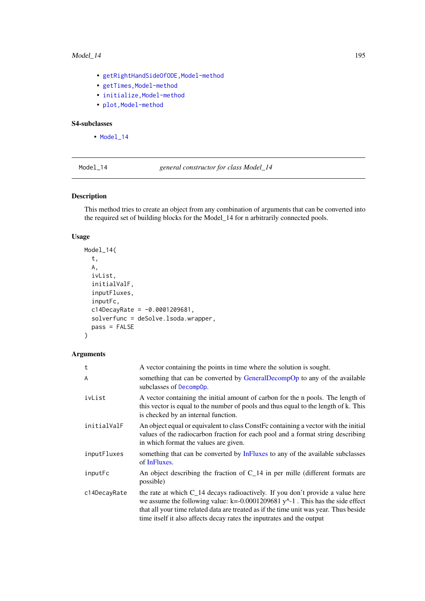#### Model\_14 195

- [getRightHandSideOfODE,Model-method](#page-0-0)
- getTimes, Model-method
- initialize, Model-method
- plot, Model-method

# S4-subclasses

• [Model\\_14](#page-197-0)

<span id="page-194-0"></span>Model\_14 *general constructor for class Model\_14*

# Description

This method tries to create an object from any combination of arguments that can be converted into the required set of building blocks for the Model\_14 for n arbitrarily connected pools.

## Usage

```
Model_14(
  t,
  A,
  ivList,
  initialValF,
  inputFluxes,
  inputFc,
  c14DecayRate = -0.0001209681,
  solverfunc = deSolve.lsoda.wrapper,
  pass = FALSE
\lambda
```

| t            | A vector containing the points in time where the solution is sought.                                                                                                                                                                                                                                                                         |
|--------------|----------------------------------------------------------------------------------------------------------------------------------------------------------------------------------------------------------------------------------------------------------------------------------------------------------------------------------------------|
| A            | something that can be converted by GeneralDecompOp to any of the available<br>subclasses of DecompOp.                                                                                                                                                                                                                                        |
| ivList       | A vector containing the initial amount of carbon for the n pools. The length of<br>this vector is equal to the number of pools and thus equal to the length of k. This<br>is checked by an internal function.                                                                                                                                |
| initialValF  | An object equal or equivalent to class Constrate containing a vector with the initial<br>values of the radiocarbon fraction for each pool and a format string describing<br>in which format the values are given.                                                                                                                            |
| inputFluxes  | something that can be converted by InFluxes to any of the available subclasses<br>of InFluxes.                                                                                                                                                                                                                                               |
| inputFc      | An object describing the fraction of $C_1$ 14 in per mille (different formats are<br>possible)                                                                                                                                                                                                                                               |
| c14DecayRate | the rate at which $C_{14}$ decays radioactively. If you don't provide a value here<br>we assume the following value: $k = 0.0001209681 y^2 - 1$ . This has the side effect<br>that all your time related data are treated as if the time unit was year. Thus beside<br>time itself it also affects decay rates the inputrates and the output |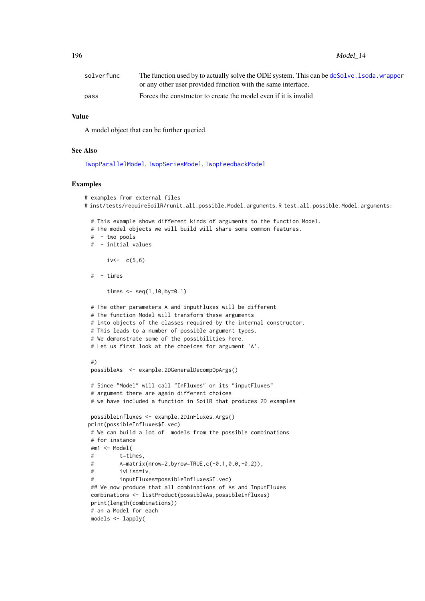196 Model\_14

| solverfunc | The function used by to actually solve the ODE system. This can be deSolve . I soda, wrapper<br>or any other user provided function with the same interface. |
|------------|--------------------------------------------------------------------------------------------------------------------------------------------------------------|
| pass       | Forces the constructor to create the model even if it is invalid                                                                                             |

## Value

A model object that can be further queried.

#### See Also

[TwopParallelModel](#page-268-0), [TwopSeriesModel](#page-271-0), [TwopFeedbackModel](#page-263-0)

#### Examples

```
# examples from external files
# inst/tests/requireSoilR/runit.all.possible.Model.arguments.R test.all.possible.Model.arguments:
 # This example shows different kinds of arguments to the function Model.
 # The model objects we will build will share some common features.
 # - two pools
 # - initial values
      iv<-c(5,6)# - times
      times <- seq(1,10,by=0.1)
 # The other parameters A and inputFluxes will be different
 # The function Model will transform these arguments
 # into objects of the classes required by the internal constructor.
 # This leads to a number of possible argument types.
 # We demonstrate some of the possibilities here.
 # Let us first look at the choeices for argument 'A'.
 #)
 possibleAs <- example.2DGeneralDecompOpArgs()
 # Since "Model" will call "InFluxes" on its "inputFluxes"
 # argument there are again different choices
 # we have included a function in SoilR that produces 2D examples
 possibleInfluxes <- example.2DInFluxes.Args()
print(possibleInfluxes$I.vec)
 # We can build a lot of models from the possible combinations
 # for instance
 #m1 <- Model(
 # t=times,
 # A=matrix(nrow=2,byrow=TRUE,c(-0.1,0,0,-0.2)),
 # ivList=iv,
 # inputFluxes=possibleInfluxes$I.vec)
 ## We now produce that all combinations of As and InputFluxes
 combinations <- listProduct(possibleAs,possibleInfluxes)
 print(length(combinations))
 # an a Model for each
 models <- lapply(
```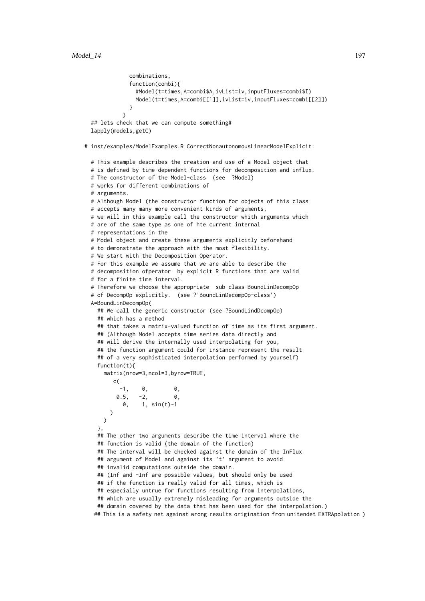```
combinations,
              function(combi){
                #Model(t=times,A=combi$A,ivList=iv,inputFluxes=combi$I)
               Model(t=times,A=combi[[1]],ivList=iv,inputFluxes=combi[[2]])
              }
           \rightarrow## lets check that we can compute something#
  lapply(models,getC)
# inst/examples/ModelExamples.R CorrectNonautonomousLinearModelExplicit:
  # This example describes the creation and use of a Model object that
  # is defined by time dependent functions for decomposition and influx.
  # The constructor of the Model-class (see ?Model)
  # works for different combinations of
  # arguments.
  # Although Model (the constructor function for objects of this class
  # accepts many many more convenient kinds of arguments,
  # we will in this example call the constructor whith arguments which
  # are of the same type as one of hte current internal
  # representations in the
  # Model object and create these arguments explicitly beforehand
  # to demonstrate the approach with the most flexibility.
  # We start with the Decomposition Operator.
  # For this example we assume that we are able to describe the
  # decomposition ofperator by explicit R functions that are valid
  # for a finite time interval.
  # Therefore we choose the appropriate sub class BoundLinDecompOp
  # of DecompOp explicitly. (see ?'BoundLinDecompOp-class')
  A=BoundLinDecompOp(
   ## We call the generic constructor (see ?BoundLindDcompOp)
   ## which has a method
   ## that takes a matrix-valued function of time as its first argument.
   ## (Although Model accepts time series data directly and
   ## will derive the internally used interpolating for you,
   ## the function argument could for instance represent the result
   ## of a very sophisticated interpolation performed by yourself)
    function(t){
     matrix(nrow=3,ncol=3,byrow=TRUE,
        c(
          -1, 0, 0,0.5, -2, 0,0, 1, sin(t)-1
        \lambda)
   },
   ## The other two arguments describe the time interval where the
   ## function is valid (the domain of the function)
   ## The interval will be checked against the domain of the InFlux
   ## argument of Model and against its 't' argument to avoid
   ## invalid computations outside the domain.
   ## (Inf and -Inf are possible values, but should only be used
   ## if the function is really valid for all times, which is
   ## especially untrue for functions resulting from interpolations,
   ## which are usually extremely misleading for arguments outside the
    ## domain covered by the data that has been used for the interpolation.)
   ## This is a safety net against wrong results origination from unitendet EXTRApolation )
```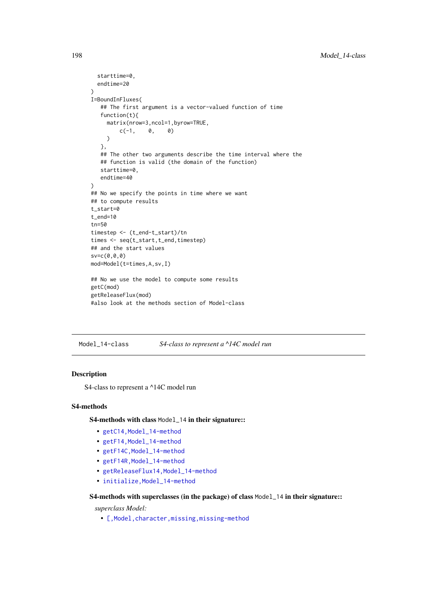```
starttime=0,
  endtime=20
\lambdaI=BoundInFluxes(
   ## The first argument is a vector-valued function of time
   function(t){
     matrix(nrow=3,ncol=1,byrow=TRUE,
         c(-1, 0, 0)\lambda},
   ## The other two arguments describe the time interval where the
   ## function is valid (the domain of the function)
   starttime=0,
   endtime=40
\lambda## No we specify the points in time where we want
## to compute results
t_start=0
t_end=10
tn=50
timestep <- (t_end-t_start)/tn
times <- seq(t_start,t_end,timestep)
## and the start values
sv=c(0,0,0)
mod=Model(t=times,A,sv,I)
## No we use the model to compute some results
getC(mod)
getReleaseFlux(mod)
#also look at the methods section of Model-class
```
<span id="page-197-0"></span>Model\_14-class *S4-class to represent a ^14C model run*

## Description

S4-class to represent a ^14C model run

#### S4-methods

S4-methods with class Model\_14 in their signature::

- [getC14,Model\\_14-method](#page-0-0)
- [getF14,Model\\_14-method](#page-0-0)
- [getF14C,Model\\_14-method](#page-0-0)
- getF14R, Model\_14-method
- [getReleaseFlux14,Model\\_14-method](#page-0-0)
- initialize.Model 14-method

S4-methods with superclasses (in the package) of class Model\_14 in their signature::

*superclass Model:*

• [\[,Model,character,missing,missing-method](#page-0-0)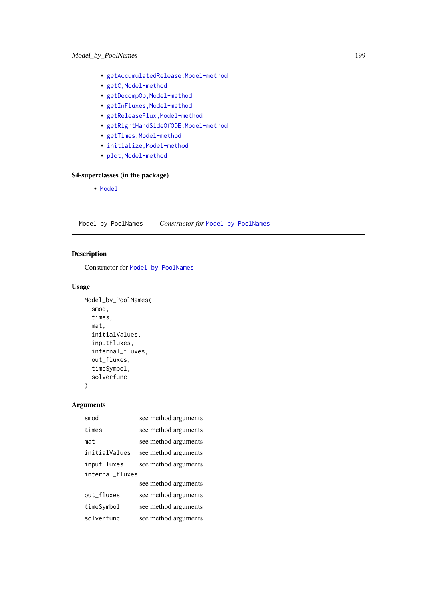- [getAccumulatedRelease,Model-method](#page-0-0)
- [getC,Model-method](#page-0-0)
- [getDecompOp,Model-method](#page-0-0)
- [getInFluxes,Model-method](#page-0-0)
- getReleaseFlux, Model-method
- [getRightHandSideOfODE,Model-method](#page-0-0)
- getTimes, Model-method
- [initialize,Model-method](#page-0-0)
- plot, Model-method

# S4-superclasses (in the package)

• [Model](#page-193-0)

Model\_by\_PoolNames *Constructor for* [Model\\_by\\_PoolNames](#page-201-0)

# Description

Constructor for [Model\\_by\\_PoolNames](#page-201-0)

## Usage

```
Model_by_PoolNames(
  smod,
  times,
  mat,
  initialValues,
  inputFluxes,
  internal_fluxes,
  out_fluxes,
  timeSymbol,
  solverfunc
)
```

| smod            | see method arguments |  |
|-----------------|----------------------|--|
| times           | see method arguments |  |
| mat             | see method arguments |  |
| initialValues   | see method arguments |  |
| inputFluxes     | see method arguments |  |
| internal_fluxes |                      |  |
|                 | see method arguments |  |
| out fluxes      | see method arguments |  |
| timeSymbol      | see method arguments |  |
| solverfunc      | see method arguments |  |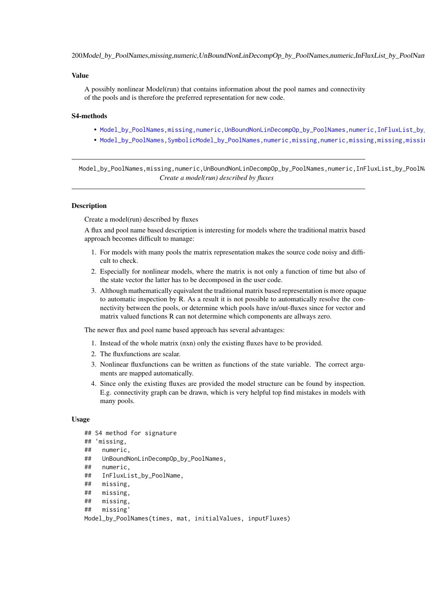200Model\_by\_PoolNames,missing,numeric,UnBoundNonLinDecompOp\_by\_PoolNames,numeric,InFluxList\_by\_PoolNan

#### Value

A possibly nonlinear Model(run) that contains information about the pool names and connectivity of the pools and is therefore the preferred representation for new code.

#### S4-methods

- Model\_by\_PoolNames,missing,numeric,UnBoundNonLinDecompOp\_by\_PoolNames,numeric,InFluxList\_by
- Model\_by\_PoolNames,SymbolicModel\_by\_PoolNames,numeric,missing,numeric,missing,missing,missi

Model\_by\_PoolNames,missing,numeric,UnBoundNonLinDecompOp\_by\_PoolNames,numeric,InFluxList\_by\_PoolN *Create a model(run) described by fluxes*

#### Description

Create a model(run) described by fluxes

A flux and pool name based description is interesting for models where the traditional matrix based approach becomes difficult to manage:

- 1. For models with many pools the matrix representation makes the source code noisy and difficult to check.
- 2. Especially for nonlinear models, where the matrix is not only a function of time but also of the state vector the latter has to be decomposed in the user code.
- 3. Although mathematically equivalent the traditional matrix based representation is more opaque to automatic inspection by R. As a result it is not possible to automatically resolve the connectivity between the pools, or determine which pools have in/out-fluxes since for vector and matrix valued functions R can not determine which components are allways zero.

The newer flux and pool name based approach has several advantages:

- 1. Instead of the whole matrix (nxn) only the existing fluxes have to be provided.
- 2. The fluxfunctions are scalar.
- 3. Nonlinear fluxfunctions can be written as functions of the state variable. The correct arguments are mapped automatically.
- 4. Since only the existing fluxes are provided the model structure can be found by inspection. E.g. connectivity graph can be drawn, which is very helpful top find mistakes in models with many pools.

#### Usage

```
## S4 method for signature
## 'missing,
## numeric,
## UnBoundNonLinDecompOp_by_PoolNames,
## numeric,
## InFluxList_by_PoolName,
## missing,
## missing,
## missing,
## missing'
```

```
Model_by_PoolNames(times, mat, initialValues, inputFluxes)
```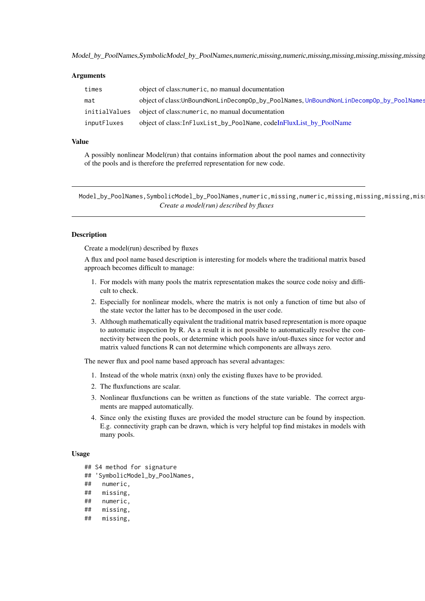Model\_by\_PoolNames,SymbolicModel\_by\_PoolNames,numeric,missing,numeric,missing,missing,missing,missing,missing

## Arguments

| times         | object of class: numeric, no manual documentation                                     |
|---------------|---------------------------------------------------------------------------------------|
| mat           | object of class:UnBoundNonLinDecompOp_by_PoolNames,UnBoundNonLinDecompOp_by_PoolNames |
| initialValues | object of class: numeric, no manual documentation                                     |
| inputFluxes   | object of class:InFluxList_by_PoolName, codeInFluxList_by_PoolName                    |

### Value

A possibly nonlinear Model(run) that contains information about the pool names and connectivity of the pools and is therefore the preferred representation for new code.

Model\_by\_PoolNames,SymbolicModel\_by\_PoolNames,numeric,missing,numeric,missing,missing,missing,mis *Create a model(run) described by fluxes*

#### Description

Create a model(run) described by fluxes

A flux and pool name based description is interesting for models where the traditional matrix based approach becomes difficult to manage:

- 1. For models with many pools the matrix representation makes the source code noisy and difficult to check.
- 2. Especially for nonlinear models, where the matrix is not only a function of time but also of the state vector the latter has to be decomposed in the user code.
- 3. Although mathematically equivalent the traditional matrix based representation is more opaque to automatic inspection by R. As a result it is not possible to automatically resolve the connectivity between the pools, or determine which pools have in/out-fluxes since for vector and matrix valued functions R can not determine which components are allways zero.

The newer flux and pool name based approach has several advantages:

- 1. Instead of the whole matrix (nxn) only the existing fluxes have to be provided.
- 2. The fluxfunctions are scalar.
- 3. Nonlinear fluxfunctions can be written as functions of the state variable. The correct arguments are mapped automatically.
- 4. Since only the existing fluxes are provided the model structure can be found by inspection. E.g. connectivity graph can be drawn, which is very helpful top find mistakes in models with many pools.

#### Usage

- ## S4 method for signature
- ## 'SymbolicModel\_by\_PoolNames,
- ## numeric,
- ## missing,
- ## numeric,
- ## missing,
- ## missing,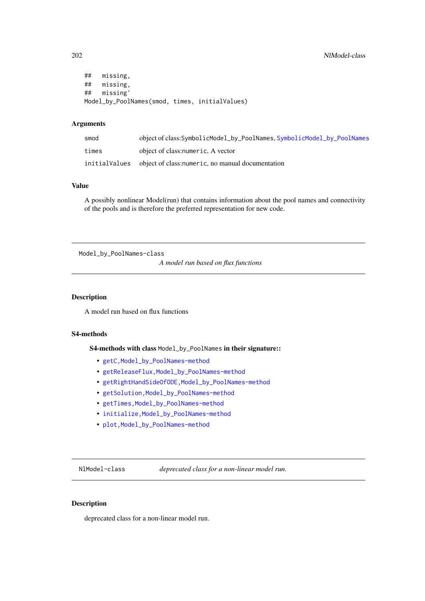```
## missing,
## missing,
## missing'
Model_by_PoolNames(smod, times, initialValues)
```
# Arguments

| smod          | object of class:SymbolicModel_by_PoolNames, SymbolicModel_by_PoolNames |
|---------------|------------------------------------------------------------------------|
| times         | object of class: numeric, A vector                                     |
| initialValues | object of class: numeric, no manual documentation                      |

## Value

A possibly nonlinear Model(run) that contains information about the pool names and connectivity of the pools and is therefore the preferred representation for new code.

<span id="page-201-0"></span>Model\_by\_PoolNames-class

*A model run based on flux functions*

#### Description

A model run based on flux functions

# S4-methods

S4-methods with class Model\_by\_PoolNames in their signature::

- [getC,Model\\_by\\_PoolNames-method](#page-0-0)
- [getReleaseFlux,Model\\_by\\_PoolNames-method](#page-0-0)
- [getRightHandSideOfODE,Model\\_by\\_PoolNames-method](#page-0-0)
- [getSolution,Model\\_by\\_PoolNames-method](#page-0-0)
- [getTimes,Model\\_by\\_PoolNames-method](#page-0-0)
- initialize, Model\_by\_PoolNames-method
- plot, Model\_by\_PoolNames-method

NlModel-class *deprecated class for a non-linear model run.*

## Description

deprecated class for a non-linear model run.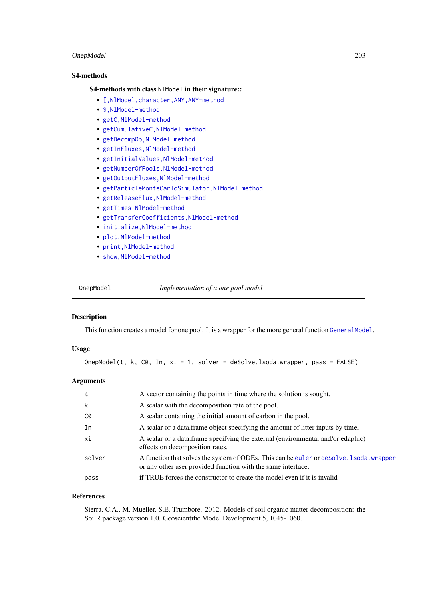#### OnepModel 203

## S4-methods

## S4-methods with class N1Mode1 in their signature::

- [\[,NlModel,character,ANY,ANY-method](#page-0-0)
- [\\$,NlModel-method](#page-0-0)
- [getC,NlModel-method](#page-0-0)
- [getCumulativeC,NlModel-method](#page-0-0)
- [getDecompOp,NlModel-method](#page-0-0)
- [getInFluxes,NlModel-method](#page-0-0)
- [getInitialValues,NlModel-method](#page-0-0)
- [getNumberOfPools,NlModel-method](#page-0-0)
- [getOutputFluxes,NlModel-method](#page-0-0)
- [getParticleMonteCarloSimulator,NlModel-method](#page-0-0)
- [getReleaseFlux,NlModel-method](#page-0-0)
- [getTimes,NlModel-method](#page-0-0)
- getTransferCoefficients, NlModel-method
- [initialize,NlModel-method](#page-0-0)
- [plot,NlModel-method](#page-0-0)
- print, NlModel-method
- [show,NlModel-method](#page-0-0)

OnepModel *Implementation of a one pool model*

## Description

This function creates a model for one pool. It is a wrapper for the more general function [GeneralModel](#page-103-0).

## Usage

OnepModel(t, k, C0, In, xi = 1, solver = deSolve.lsoda.wrapper, pass = FALSE)

## Arguments

|        | A vector containing the points in time where the solution is sought.                                                                                     |
|--------|----------------------------------------------------------------------------------------------------------------------------------------------------------|
| k      | A scalar with the decomposition rate of the pool.                                                                                                        |
| C0     | A scalar containing the initial amount of carbon in the pool.                                                                                            |
| In     | A scalar or a data. frame object specifying the amount of litter inputs by time.                                                                         |
| xi     | A scalar or a data. frame specifying the external (environmental and/or edaphic)<br>effects on decomposition rates.                                      |
| solver | A function that solves the system of ODEs. This can be euler or deSolve. I soda, wrapper<br>or any other user provided function with the same interface. |
| pass   | if TRUE forces the constructor to create the model even if it is invalid                                                                                 |

#### References

Sierra, C.A., M. Mueller, S.E. Trumbore. 2012. Models of soil organic matter decomposition: the SoilR package version 1.0. Geoscientific Model Development 5, 1045-1060.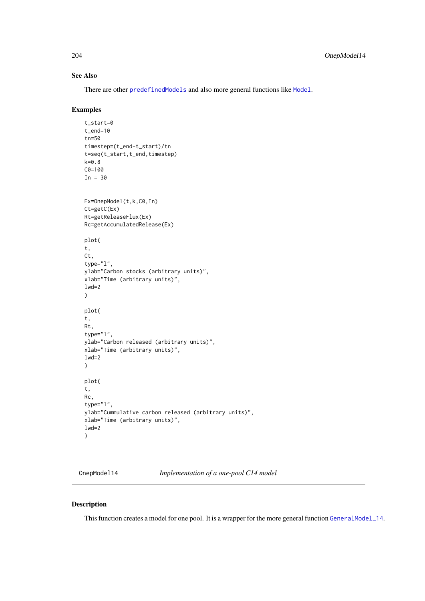## See Also

There are other [predefinedModels](#page-224-0) and also more general functions like [Model](#page-191-0).

#### Examples

```
t_start=0
t_end=10
tn=50
timestep=(t_end-t_start)/tn
t=seq(t_start,t_end,timestep)
k=0.8
C0=100
In = 30Ex=OnepModel(t,k,C0,In)
Ct=getC(Ex)
Rt=getReleaseFlux(Ex)
Rc=getAccumulatedRelease(Ex)
plot(
t,
Ct,
type="l",
ylab="Carbon stocks (arbitrary units)",
xlab="Time (arbitrary units)",
1wd=2\lambdaplot(
t,
Rt,
type="l",
ylab="Carbon released (arbitrary units)",
xlab="Time (arbitrary units)",
lwd=2
)
plot(
t,
Rc,
type="l",
ylab="Cummulative carbon released (arbitrary units)",
xlab="Time (arbitrary units)",
1wd=2)
```
OnepModel14 *Implementation of a one-pool C14 model*

## Description

This function creates a model for one pool. It is a wrapper for the more general function [GeneralModel\\_14](#page-104-0).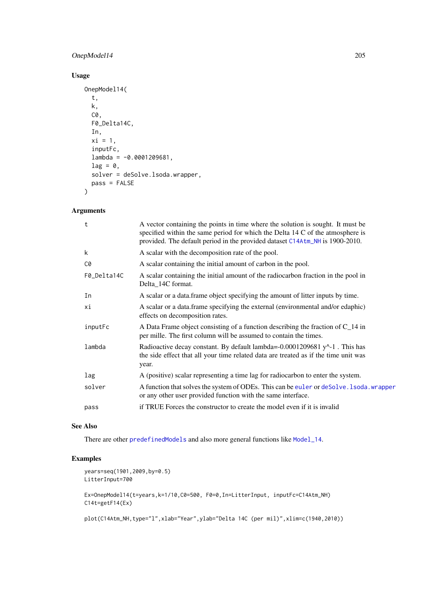## OnepModel14 205

## Usage

```
OnepModel14(
  t,
  k,
  C0,
  F0_Delta14C,
  In,
  xi = 1,
  inputFc,
  lambda = -0.0001209681,lag = 0,
  solver = deSolve.lsoda.wrapper,
  pass = FALSE
\lambda
```
# Arguments

| $\mathbf t$ | A vector containing the points in time where the solution is sought. It must be<br>specified within the same period for which the Delta 14 C of the atmosphere is<br>provided. The default period in the provided dataset C14Atm_NH is 1900-2010. |
|-------------|---------------------------------------------------------------------------------------------------------------------------------------------------------------------------------------------------------------------------------------------------|
| k           | A scalar with the decomposition rate of the pool.                                                                                                                                                                                                 |
| C0          | A scalar containing the initial amount of carbon in the pool.                                                                                                                                                                                     |
| F0_Delta14C | A scalar containing the initial amount of the radiocarbon fraction in the pool in<br>Delta_14C format.                                                                                                                                            |
| In          | A scalar or a data frame object specifying the amount of litter inputs by time.                                                                                                                                                                   |
| хi          | A scalar or a data.frame specifying the external (environmental and/or edaphic)<br>effects on decomposition rates.                                                                                                                                |
| inputFc     | A Data Frame object consisting of a function describing the fraction of $C_1$ 14 in<br>per mille. The first column will be assumed to contain the times.                                                                                          |
| lambda      | Radioactive decay constant. By default lambda=-0.0001209681 $y^2$ -1. This has<br>the side effect that all your time related data are treated as if the time unit was<br>year.                                                                    |
| lag         | A (positive) scalar representing a time lag for radiocarbon to enter the system.                                                                                                                                                                  |
| solver      | A function that solves the system of ODEs. This can be euler or deSolve. 1soda. wrapper<br>or any other user provided function with the same interface.                                                                                           |
| pass        | if TRUE Forces the constructor to create the model even if it is invalid                                                                                                                                                                          |
|             |                                                                                                                                                                                                                                                   |

# See Also

There are other [predefinedModels](#page-224-0) and also more general functions like [Model\\_14](#page-194-0).

## Examples

```
years=seq(1901,2009,by=0.5)
LitterInput=700
```
Ex=OnepModel14(t=years,k=1/10,C0=500, F0=0,In=LitterInput, inputFc=C14Atm\_NH) C14t=getF14(Ex)

plot(C14Atm\_NH,type="l",xlab="Year",ylab="Delta 14C (per mil)",xlim=c(1940,2010))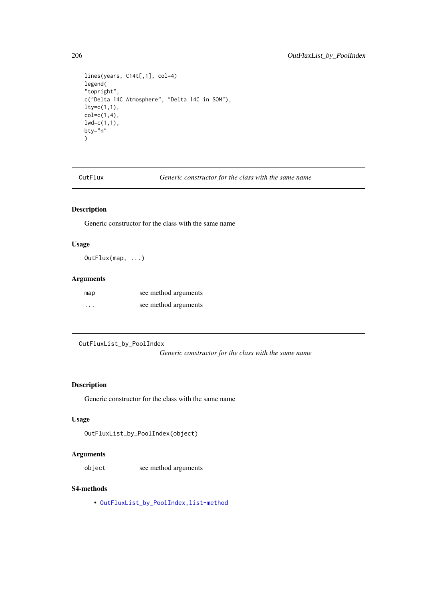```
lines(years, C14t[,1], col=4)
legend(
"topright",
c("Delta 14C Atmosphere", "Delta 14C in SOM"),
lty=c(1,1),
col=c(1,4),lwd=c(1,1),
bty="n"
\lambda
```
OutFlux *Generic constructor for the class with the same name*

# Description

Generic constructor for the class with the same name

# Usage

OutFlux(map, ...)

## Arguments

| map | see method arguments |
|-----|----------------------|
| .   | see method arguments |

```
OutFluxList_by_PoolIndex
```
*Generic constructor for the class with the same name*

## Description

Generic constructor for the class with the same name

# Usage

```
OutFluxList_by_PoolIndex(object)
```
## Arguments

object see method arguments

## S4-methods

• [OutFluxList\\_by\\_PoolIndex,list-method](#page-0-0)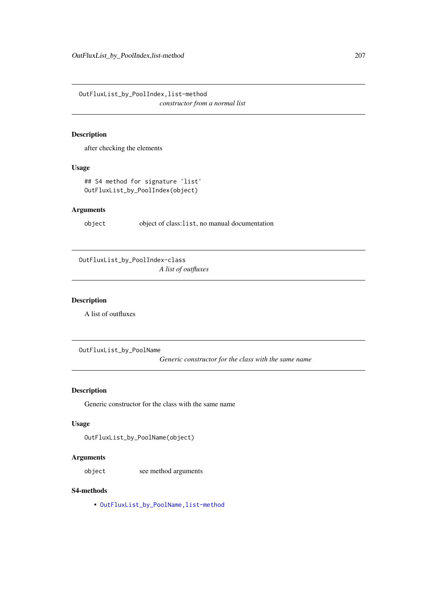OutFluxList\_by\_PoolIndex,list-method

*constructor from a normal list*

## Description

after checking the elements

# Usage

## S4 method for signature 'list' OutFluxList\_by\_PoolIndex(object)

## Arguments

object object of class:list, no manual documentation

OutFluxList\_by\_PoolIndex-class *A list of outfluxes*

## Description

A list of outfluxes

OutFluxList\_by\_PoolName

*Generic constructor for the class with the same name*

# Description

Generic constructor for the class with the same name

#### Usage

OutFluxList\_by\_PoolName(object)

## Arguments

object see method arguments

## S4-methods

• [OutFluxList\\_by\\_PoolName,list-method](#page-0-0)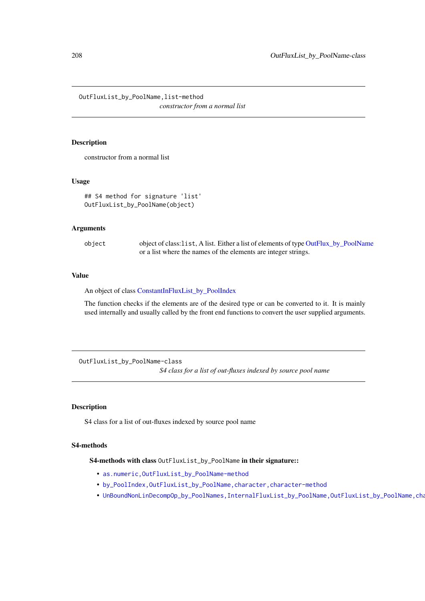OutFluxList\_by\_PoolName,list-method *constructor from a normal list*

## Description

constructor from a normal list

## Usage

```
## S4 method for signature 'list'
OutFluxList_by_PoolName(object)
```
#### Arguments

| object | object of class:1ist, A list. Either a list of elements of type OutFlux_by_PoolName |
|--------|-------------------------------------------------------------------------------------|
|        | or a list where the names of the elements are integer strings.                      |

## Value

An object of class [ConstantInFluxList\\_by\\_PoolIndex](#page-50-0)

The function checks if the elements are of the desired type or can be converted to it. It is mainly used internally and usually called by the front end functions to convert the user supplied arguments.

OutFluxList\_by\_PoolName-class *S4 class for a list of out-fluxes indexed by source pool name*

## Description

S4 class for a list of out-fluxes indexed by source pool name

# S4-methods

S4-methods with class OutFluxList\_by\_PoolName in their signature::

- [as.numeric,OutFluxList\\_by\\_PoolName-method](#page-0-0)
- [by\\_PoolIndex,OutFluxList\\_by\\_PoolName,character,character-method](#page-0-0)
- UnBoundNonLinDecompOp\_by\_PoolNames,InternalFluxList\_by\_PoolName,OutFluxList\_by\_PoolName,cha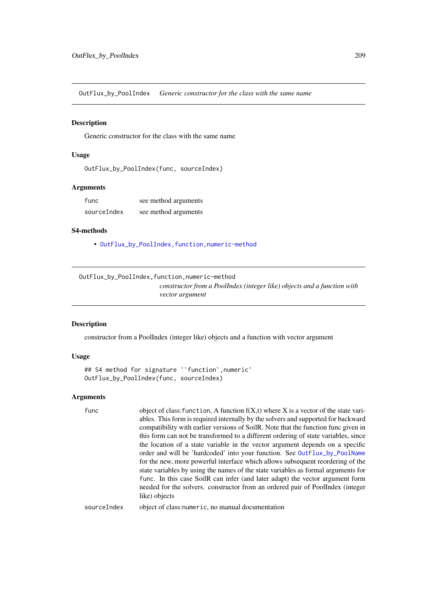OutFlux\_by\_PoolIndex *Generic constructor for the class with the same name*

#### Description

Generic constructor for the class with the same name

# Usage

```
OutFlux_by_PoolIndex(func, sourceIndex)
```
#### Arguments

| func        | see method arguments |
|-------------|----------------------|
| sourceIndex | see method arguments |

# S4-methods

• [OutFlux\\_by\\_PoolIndex,function,numeric-method](#page-0-0)

OutFlux\_by\_PoolIndex,function,numeric-method

*constructor from a PoolIndex (integer like) objects and a function with vector argument*

#### Description

constructor from a PoolIndex (integer like) objects and a function with vector argument

#### Usage

```
## S4 method for signature '`function`,numeric'
OutFlux_by_PoolIndex(func, sourceIndex)
```
## Arguments

func object of class: function, A function  $f(X,t)$  where X is a vector of the state variables. This form is required internally by the solvers and supported for backward compatibility with earlier versions of SoilR. Note that the function func given in this form can not be transformed to a different ordering of state variables, since the location of a state variable in the vector argument depends on a specific order and will be 'hardcoded' into your function. See [OutFlux\\_by\\_PoolName](#page-209-0) for the new, more powerful interface which allows subsequent reordering of the state variables by using the names of the state variables as formal arguments for func. In this case SoilR can infer (and later adapt) the vector argument form needed for the solvers. constructor from an ordered pair of PoolIndex (integer like) objects

sourceIndex object of class:numeric, no manual documentation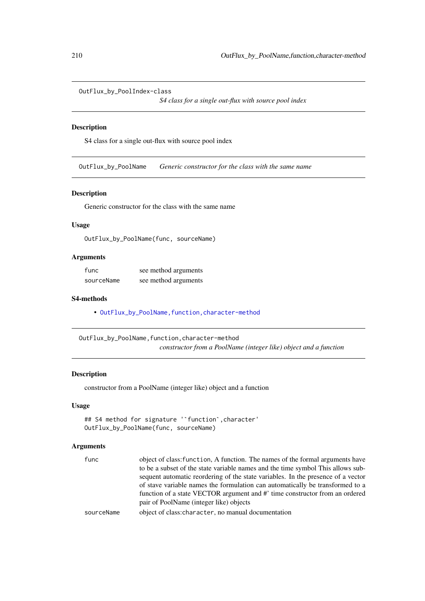```
OutFlux_by_PoolIndex-class
```
*S4 class for a single out-flux with source pool index*

#### Description

S4 class for a single out-flux with source pool index

<span id="page-209-0"></span>OutFlux\_by\_PoolName *Generic constructor for the class with the same name*

#### Description

Generic constructor for the class with the same name

## Usage

OutFlux\_by\_PoolName(func, sourceName)

## Arguments

| func       | see method arguments |
|------------|----------------------|
| sourceName | see method arguments |

#### S4-methods

• OutFlux\_by\_PoolName, function, character-method

OutFlux\_by\_PoolName,function,character-method *constructor from a PoolName (integer like) object and a function*

## Description

constructor from a PoolName (integer like) object and a function

## Usage

```
## S4 method for signature '`function`,character'
OutFlux_by_PoolName(func, sourceName)
```

| func       | object of class: function, A function. The names of the formal arguments have    |
|------------|----------------------------------------------------------------------------------|
|            | to be a subset of the state variable names and the time symbol This allows sub-  |
|            | sequent automatic reordering of the state variables. In the presence of a vector |
|            | of stave variable names the formulation can automatically be transformed to a    |
|            | function of a state VECTOR argument and #' time constructor from an ordered      |
|            | pair of PoolName (integer like) objects                                          |
| sourceName | object of class: character, no manual documentation                              |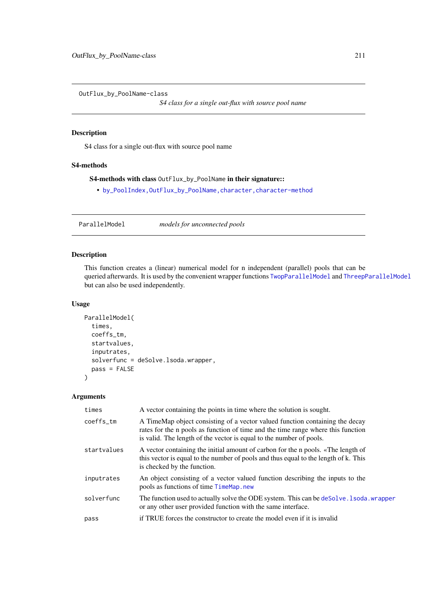<span id="page-210-0"></span>OutFlux\_by\_PoolName-class

*S4 class for a single out-flux with source pool name*

## Description

S4 class for a single out-flux with source pool name

### S4-methods

## S4-methods with class OutFlux\_by\_PoolName in their signature::

• [by\\_PoolIndex,OutFlux\\_by\\_PoolName,character,character-method](#page-0-0)

ParallelModel *models for unconnected pools*

## Description

This function creates a (linear) numerical model for n independent (parallel) pools that can be queried afterwards. It is used by the convenient wrapper functions [TwopParallelModel](#page-268-0) and [ThreepParallelModel](#page-247-0) but can also be used independently.

## Usage

```
ParallelModel(
  times,
  coeffs_tm,
  startvalues,
  inputrates,
  solverfunc = deSolve.lsoda.wrapper,
  pass = FALSE)
```

| times       | A vector containing the points in time where the solution is sought.                                                                                                                                                                    |
|-------------|-----------------------------------------------------------------------------------------------------------------------------------------------------------------------------------------------------------------------------------------|
| coeffs_tm   | A TimeMap object consisting of a vector valued function containing the decay<br>rates for the n pools as function of time and the time range where this function<br>is valid. The length of the vector is equal to the number of pools. |
| startvalues | A vector containing the initial amount of carbon for the n pools. «The length of<br>this vector is equal to the number of pools and thus equal to the length of k. This<br>is checked by the function.                                  |
| inputrates  | An object consisting of a vector valued function describing the inputs to the<br>pools as functions of time TimeMap.new                                                                                                                 |
| solverfunc  | The function used to actually solve the ODE system. This can be desolve . 1 soda wrapper<br>or any other user provided function with the same interface.                                                                                |
| pass        | if TRUE forces the constructor to create the model even if it is invalid                                                                                                                                                                |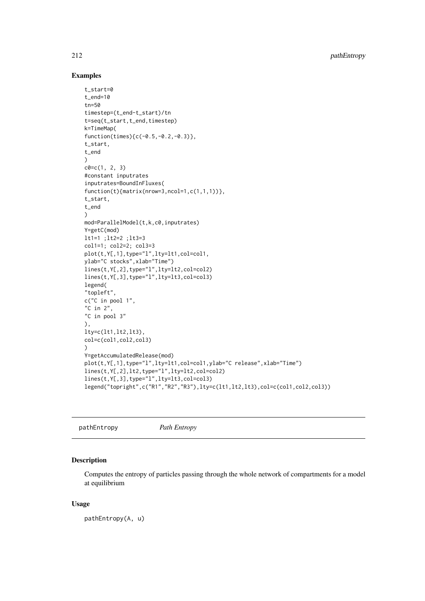212 pathEntropy pathEntropy pathEntropy

## Examples

```
t_start=0
t_end=10
tn=50
timestep=(t_end-t_start)/tn
t=seq(t_start,t_end,timestep)
k=TimeMap(
function(times){c(-0.5,-0.2,-0.3)},
t_start,
t_end
)
c0=c(1, 2, 3)#constant inputrates
inputrates=BoundInFluxes(
function(t){matrix(nrow=3,ncol=1,c(1,1,1))},
t_start,
t_end
\lambdamod=ParallelModel(t,k,c0,inputrates)
Y=getC(mod)
lt1=1 ;lt2=2 ;lt3=3
col1=1; col2=2; col3=3
plot(t,Y[,1],type="l",lty=lt1,col=col1,
ylab="C stocks",xlab="Time")
lines(t,Y[,2],type="l",lty=lt2,col=col2)
lines(t,Y[,3],type="l",lty=lt3,col=col3)
legend(
"topleft",
c("C in pool 1",
"C in 2",
"C in pool 3"
),
lty=c(lt1,lt2,lt3),
col=c(col1,col2,col3)
\lambdaY=getAccumulatedRelease(mod)
plot(t,Y[,1],type="l",lty=lt1,col=col1,ylab="C release",xlab="Time")
lines(t,Y[,2],lt2,type="l",lty=lt2,col=col2)
lines(t,Y[,3],type="l",lty=lt3,col=col3)
legend("topright",c("R1","R2","R3"),lty=c(lt1,lt2,lt3),col=c(col1,col2,col3))
```
pathEntropy *Path Entropy*

### Description

Computes the entropy of particles passing through the whole network of compartments for a model at equilibrium

# Usage

pathEntropy(A, u)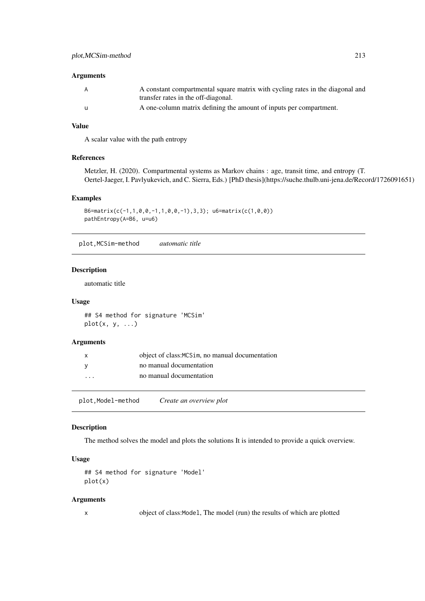# Arguments

| A   | A constant compartmental square matrix with cycling rates in the diagonal and |
|-----|-------------------------------------------------------------------------------|
|     | transfer rates in the off-diagonal.                                           |
| - u | A one-column matrix defining the amount of inputs per compartment.            |

## Value

A scalar value with the path entropy

#### References

Metzler, H. (2020). Compartmental systems as Markov chains : age, transit time, and entropy (T. Oertel-Jaeger, I. Pavlyukevich, and C. Sierra, Eds.) [PhD thesis](https://suche.thulb.uni-jena.de/Record/1726091651)

#### Examples

```
B6=matrix(c(-1,1,0,0,-1,1,0,0,-1),3,3); u6=matrix(c(1,0,0))
pathEntropy(A=B6, u=u6)
```
plot,MCSim-method *automatic title*

## Description

automatic title

#### Usage

## S4 method for signature 'MCSim'  $plot(x, y, ...)$ 

## Arguments

| $\mathsf{x}$            | object of class: MCS im, no manual documentation |
|-------------------------|--------------------------------------------------|
| - V                     | no manual documentation                          |
| $\cdot$ $\cdot$ $\cdot$ | no manual documentation                          |

plot,Model-method *Create an overview plot*

## Description

The method solves the model and plots the solutions It is intended to provide a quick overview.

#### Usage

```
## S4 method for signature 'Model'
plot(x)
```
#### Arguments

x object of class:Model, The model (run) the results of which are plotted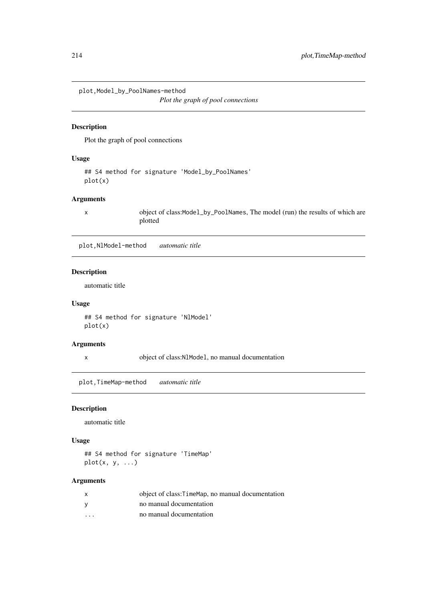plot,Model\_by\_PoolNames-method

*Plot the graph of pool connections*

## Description

Plot the graph of pool connections

# Usage

```
## S4 method for signature 'Model_by_PoolNames'
plot(x)
```
# Arguments

x object of class:Model\_by\_PoolNames, The model (run) the results of which are plotted

plot,NlModel-method *automatic title*

## Description

automatic title

## Usage

## S4 method for signature 'NlModel' plot(x)

# Arguments

x object of class:NlModel, no manual documentation

plot,TimeMap-method *automatic title*

### Description

automatic title

## Usage

## S4 method for signature 'TimeMap'  $plot(x, y, ...)$ 

| X        | object of class: Time Map, no manual documentation |
|----------|----------------------------------------------------|
| <b>V</b> | no manual documentation                            |
| .        | no manual documentation                            |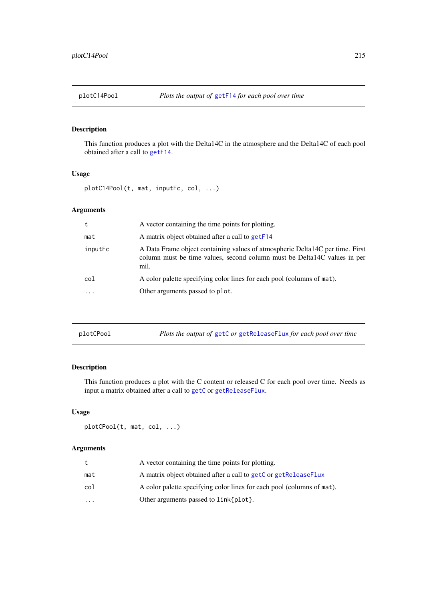# Description

This function produces a plot with the Delta14C in the atmosphere and the Delta14C of each pool obtained after a call to [getF14](#page-125-0).

# Usage

plotC14Pool(t, mat, inputFc, col, ...)

## Arguments

| t       | A vector containing the time points for plotting.                                                                                                                  |
|---------|--------------------------------------------------------------------------------------------------------------------------------------------------------------------|
| mat     | A matrix object obtained after a call to get F14                                                                                                                   |
| inputFc | A Data Frame object containing values of atmospheric Delta14C per time. First<br>column must be time values, second column must be Delta 14C values in per<br>mil. |
| col     | A color palette specifying color lines for each pool (columns of mat).                                                                                             |
| .       | Other arguments passed to plot.                                                                                                                                    |
|         |                                                                                                                                                                    |

| plotCPool | Plots the output of getC or getReleaseFlux for each pool over time |
|-----------|--------------------------------------------------------------------|
|-----------|--------------------------------------------------------------------|

## Description

This function produces a plot with the C content or released C for each pool over time. Needs as input a matrix obtained after a call to [getC](#page-110-0) or [getReleaseFlux](#page-142-0).

# Usage

```
plotCPool(t, mat, col, ...)
```

| t         | A vector containing the time points for plotting.                      |
|-----------|------------------------------------------------------------------------|
| mat       | A matrix object obtained after a call to getC or getReleaseFlux        |
| col       | A color palette specifying color lines for each pool (columns of mat). |
| $\ddotsc$ | Other arguments passed to link{plot}.                                  |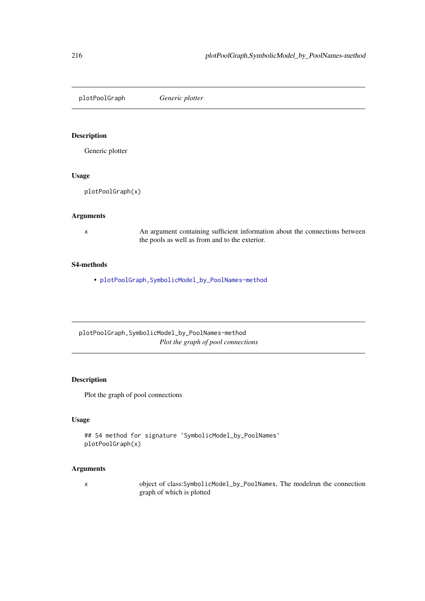plotPoolGraph *Generic plotter*

## Description

Generic plotter

## Usage

plotPoolGraph(x)

#### Arguments

x An argument containing sufficient information about the connections between the pools as well as from and to the exterior.

#### S4-methods

• [plotPoolGraph,SymbolicModel\\_by\\_PoolNames-method](#page-0-0)

plotPoolGraph,SymbolicModel\_by\_PoolNames-method *Plot the graph of pool connections*

# Description

Plot the graph of pool connections

# Usage

```
## S4 method for signature 'SymbolicModel_by_PoolNames'
plotPoolGraph(x)
```
## Arguments

x object of class:SymbolicModel\_by\_PoolNames, The modelrun the connection graph of which is plotted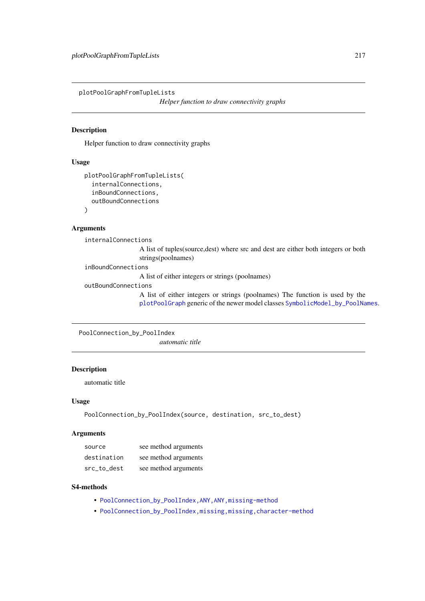plotPoolGraphFromTupleLists

*Helper function to draw connectivity graphs*

# Description

Helper function to draw connectivity graphs

# Usage

```
plotPoolGraphFromTupleLists(
  internalConnections,
  inBoundConnections,
  outBoundConnections
\lambda
```
#### Arguments

internalConnections

A list of tuples(source,dest) where src and dest are either both integers or both strings(poolnames)

inBoundConnections

A list of either integers or strings (poolnames)

outBoundConnections

A list of either integers or strings (poolnames) The function is used by the [plotPoolGraph](#page-215-0) generic of the newer model classes [SymbolicModel\\_by\\_PoolNames](#page-239-0).

PoolConnection\_by\_PoolIndex

*automatic title*

# Description

automatic title

# Usage

```
PoolConnection_by_PoolIndex(source, destination, src_to_dest)
```
## Arguments

| source      | see method arguments |
|-------------|----------------------|
| destination | see method arguments |
| src to dest | see method arguments |

#### S4-methods

- [PoolConnection\\_by\\_PoolIndex,ANY,ANY,missing-method](#page-0-0)
- [PoolConnection\\_by\\_PoolIndex,missing,missing,character-method](#page-0-0)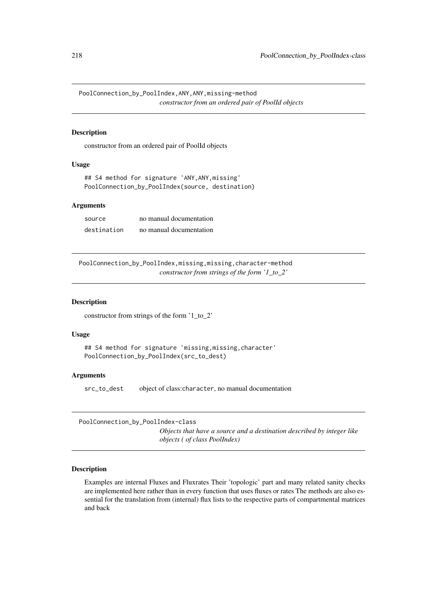PoolConnection\_by\_PoolIndex,ANY,ANY,missing-method *constructor from an ordered pair of PoolId objects*

# Description

constructor from an ordered pair of PoolId objects

# Usage

```
## S4 method for signature 'ANY,ANY,missing'
PoolConnection_by_PoolIndex(source, destination)
```
#### Arguments

| source      | no manual documentation |
|-------------|-------------------------|
| destination | no manual documentation |

PoolConnection\_by\_PoolIndex,missing,missing,character-method *constructor from strings of the form '1\_to\_2'*

#### Description

constructor from strings of the form '1\_to\_2'

#### Usage

```
## S4 method for signature 'missing, missing, character'
PoolConnection_by_PoolIndex(src_to_dest)
```
## Arguments

src\_to\_dest object of class:character, no manual documentation

```
PoolConnection_by_PoolIndex-class
```
*Objects that have a source and a destination described by integer like objects ( of class PoolIndex)*

# Description

Examples are internal Fluxes and Fluxrates Their 'topologic' part and many related sanity checks are implemented here rather than in every function that uses fluxes or rates The methods are also essential for the translation from (internal) flux lists to the respective parts of compartmental matrices and back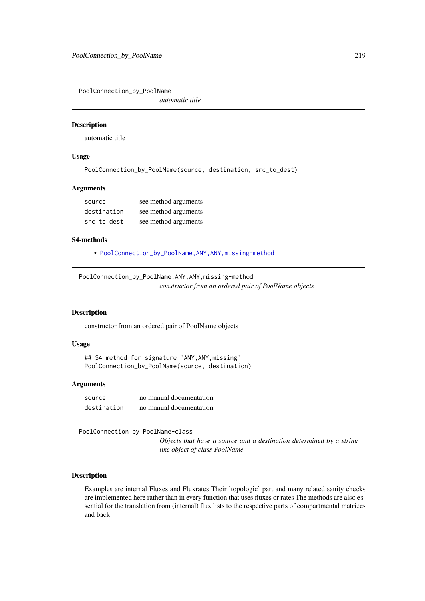PoolConnection\_by\_PoolName

*automatic title*

#### Description

automatic title

## Usage

PoolConnection\_by\_PoolName(source, destination, src\_to\_dest)

#### Arguments

| source      | see method arguments |
|-------------|----------------------|
| destination | see method arguments |
| src to dest | see method arguments |

#### S4-methods

• [PoolConnection\\_by\\_PoolName,ANY,ANY,missing-method](#page-0-0)

PoolConnection\_by\_PoolName,ANY,ANY,missing-method *constructor from an ordered pair of PoolName objects*

#### Description

constructor from an ordered pair of PoolName objects

## Usage

```
## S4 method for signature 'ANY,ANY,missing'
PoolConnection_by_PoolName(source, destination)
```
#### Arguments

source no manual documentation destination no manual documentation

PoolConnection\_by\_PoolName-class

*Objects that have a source and a destination determined by a string like object of class PoolName*

#### Description

Examples are internal Fluxes and Fluxrates Their 'topologic' part and many related sanity checks are implemented here rather than in every function that uses fluxes or rates The methods are also essential for the translation from (internal) flux lists to the respective parts of compartmental matrices and back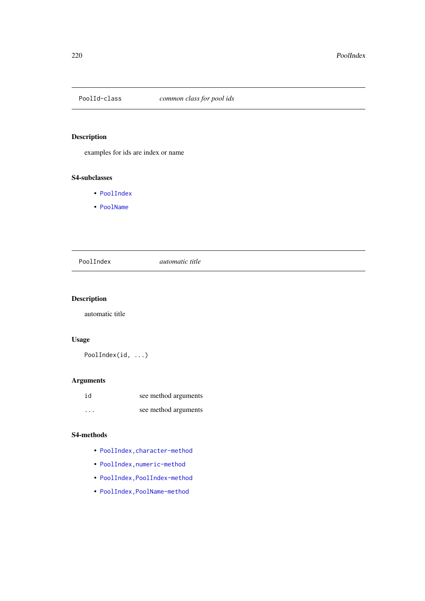<span id="page-219-0"></span>

# Description

examples for ids are index or name

# S4-subclasses

- [PoolIndex](#page-221-0)
- [PoolName](#page-224-0)

# PoolIndex *automatic title*

# Description

automatic title

# Usage

PoolIndex(id, ...)

# Arguments

| id      | see method arguments |
|---------|----------------------|
| $\cdot$ | see method arguments |

# S4-methods

- [PoolIndex,character-method](#page-0-0)
- [PoolIndex,numeric-method](#page-0-0)
- [PoolIndex,PoolIndex-method](#page-0-0)
- [PoolIndex,PoolName-method](#page-0-0)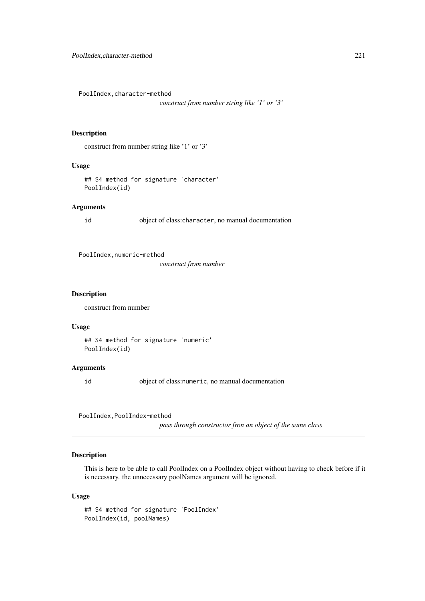PoolIndex,character-method

```
construct from number string like '1' or '3'
```
## Description

construct from number string like '1' or '3'

# Usage

## S4 method for signature 'character' PoolIndex(id)

# Arguments

id object of class:character, no manual documentation

PoolIndex, numeric-method

*construct from number*

## Description

construct from number

## Usage

## S4 method for signature 'numeric' PoolIndex(id)

#### Arguments

id object of class:numeric, no manual documentation

PoolIndex,PoolIndex-method

*pass through constructor fron an object of the same class*

# Description

This is here to be able to call PoolIndex on a PoolIndex object without having to check before if it is necessary. the unnecessary poolNames argument will be ignored.

## Usage

```
## S4 method for signature 'PoolIndex'
PoolIndex(id, poolNames)
```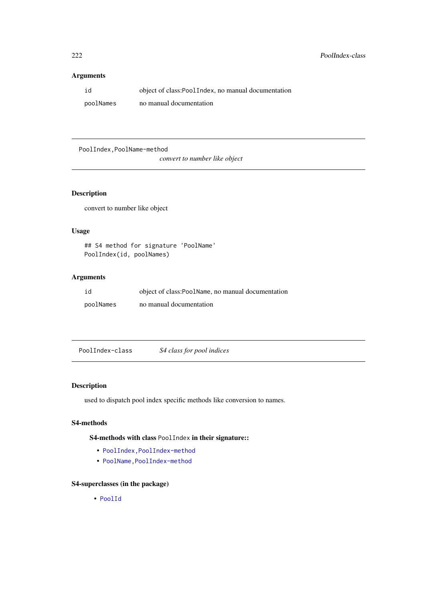# Arguments

| id        | object of class:PoolIndex, no manual documentation |
|-----------|----------------------------------------------------|
| poolNames | no manual documentation                            |

PoolIndex,PoolName-method

*convert to number like object*

# Description

convert to number like object

# Usage

```
## S4 method for signature 'PoolName'
PoolIndex(id, poolNames)
```
# Arguments

| id        | object of class:PoolName, no manual documentation |
|-----------|---------------------------------------------------|
| poolNames | no manual documentation                           |

<span id="page-221-0"></span>PoolIndex-class *S4 class for pool indices*

# Description

used to dispatch pool index specific methods like conversion to names.

# S4-methods

S4-methods with class PoolIndex in their signature::

- [PoolIndex,PoolIndex-method](#page-0-0)
- PoolName, PoolIndex-method

# S4-superclasses (in the package)

• [PoolId](#page-219-0)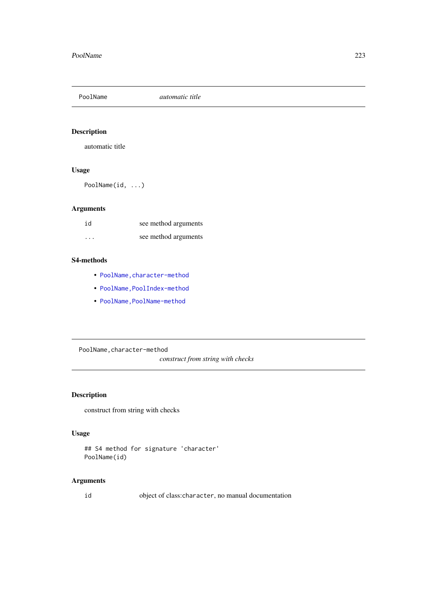# Description

automatic title

# Usage

PoolName(id, ...)

# Arguments

| id       | see method arguments |
|----------|----------------------|
| $\cdots$ | see method arguments |

## S4-methods

- [PoolName,character-method](#page-0-0)
- PoolName, PoolIndex-method
- PoolName, PoolName-method

PoolName,character-method

*construct from string with checks*

# Description

construct from string with checks

# Usage

```
## S4 method for signature 'character'
PoolName(id)
```
# Arguments

id object of class:character, no manual documentation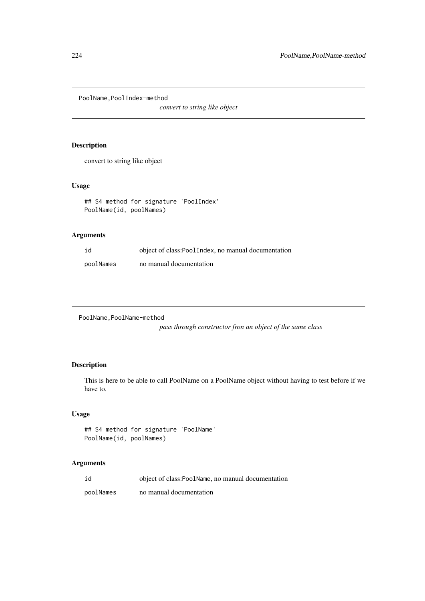PoolName,PoolIndex-method

*convert to string like object*

# Description

convert to string like object

# Usage

```
## S4 method for signature 'PoolIndex'
PoolName(id, poolNames)
```
# Arguments

| id        | object of class:PoolIndex, no manual documentation |
|-----------|----------------------------------------------------|
| poolNames | no manual documentation                            |

```
PoolName,PoolName-method
```
*pass through constructor fron an object of the same class*

# Description

This is here to be able to call PoolName on a PoolName object without having to test before if we have to.

## Usage

```
## S4 method for signature 'PoolName'
PoolName(id, poolNames)
```

| id        | object of class:PoolName, no manual documentation |
|-----------|---------------------------------------------------|
| poolNames | no manual documentation                           |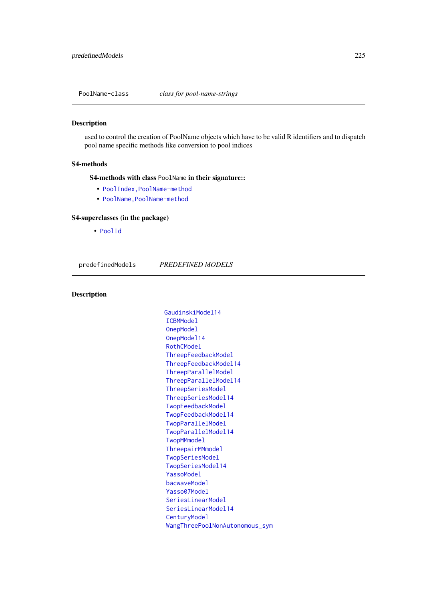<span id="page-224-0"></span>PoolName-class *class for pool-name-strings*

## Description

used to control the creation of PoolName objects which have to be valid R identifiers and to dispatch pool name specific methods like conversion to pool indices

## S4-methods

S4-methods with class PoolName in their signature::

- [PoolIndex,PoolName-method](#page-0-0)
- PoolName, PoolName-method

#### S4-superclasses (in the package)

• [PoolId](#page-219-0)

<span id="page-224-1"></span>predefinedModels *PREDEFINED MODELS*

# Description

[GaudinskiModel14](#page-99-0) [ICBMModel](#page-161-0) [OnepModel](#page-202-0) [OnepModel14](#page-203-0) [RothCModel](#page-226-0) [ThreepFeedbackModel](#page-241-0) [ThreepFeedbackModel14](#page-243-0) [ThreepParallelModel](#page-247-0) [ThreepParallelModel14](#page-248-0) [ThreepSeriesModel](#page-250-0) [ThreepSeriesModel14](#page-252-0) [TwopFeedbackModel](#page-263-0) [TwopFeedbackModel14](#page-265-0) [TwopParallelModel](#page-268-0) [TwopParallelModel14](#page-270-0) [TwopMMmodel](#page-267-0) [ThreepairMMmodel](#page-240-0) [TwopSeriesModel](#page-271-0) [TwopSeriesModel14](#page-273-0) [YassoModel](#page-283-0) [bacwaveModel](#page-23-0) [Yasso07Model](#page-282-0) [SeriesLinearModel](#page-231-0) [SeriesLinearModel14](#page-232-0) [CenturyModel](#page-42-0) [WangThreePoolNonAutonomous\\_sym](#page-280-0)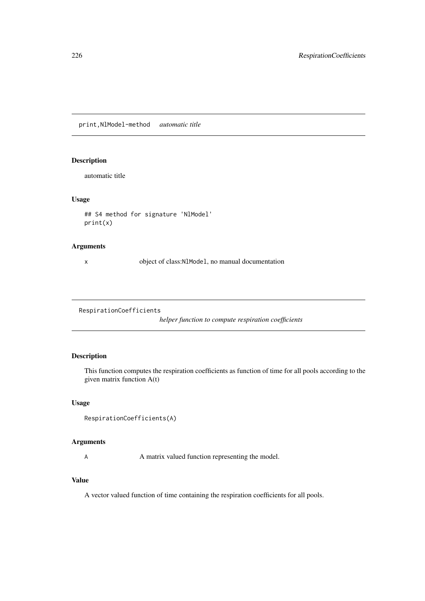print,NlModel-method *automatic title*

# Description

automatic title

# Usage

```
## S4 method for signature 'NlModel'
print(x)
```
# Arguments

x object of class:NlModel, no manual documentation

RespirationCoefficients

*helper function to compute respiration coefficients*

# Description

This function computes the respiration coefficients as function of time for all pools according to the given matrix function A(t)

# Usage

```
RespirationCoefficients(A)
```
# Arguments

A matrix valued function representing the model.

# Value

A vector valued function of time containing the respiration coefficients for all pools.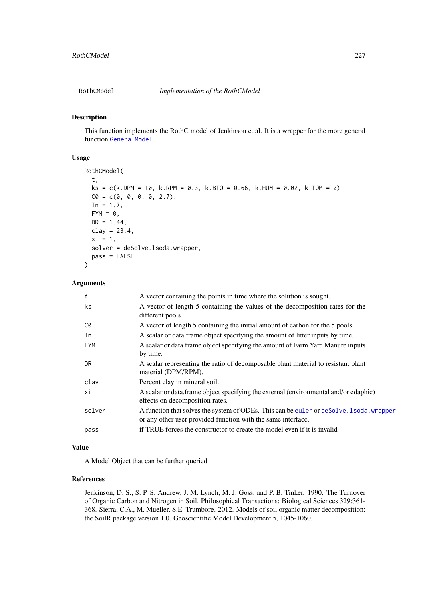<span id="page-226-0"></span>

# Description

This function implements the RothC model of Jenkinson et al. It is a wrapper for the more general function [GeneralModel](#page-103-0).

#### Usage

```
RothCModel(
 t,
 ks = c(k.DPM = 10, k.RPM = 0.3, k.BIO = 0.66, k.HUM = 0.02, k.IOM = 0),CO = c(0, 0, 0, 0, 2.7),
 In = 1.7,FYM = 0,DR = 1.44,
 clay = 23.4,
 xi = 1,
 solver = deSolve.lsoda.wrapper,
 pass = FALSE
)
```
## Arguments

| t          | A vector containing the points in time where the solution is sought.                                                                                     |
|------------|----------------------------------------------------------------------------------------------------------------------------------------------------------|
| ks.        | A vector of length 5 containing the values of the decomposition rates for the<br>different pools                                                         |
| C0         | A vector of length 5 containing the initial amount of carbon for the 5 pools.                                                                            |
| In         | A scalar or data.frame object specifying the amount of litter inputs by time.                                                                            |
| <b>FYM</b> | A scalar or data. frame object specifying the amount of Farm Yard Manure inputs<br>by time.                                                              |
| DR.        | A scalar representing the ratio of decomposable plant material to resistant plant<br>material (DPM/RPM).                                                 |
| clay       | Percent clay in mineral soil.                                                                                                                            |
| хi         | A scalar or data.frame object specifying the external (environmental and/or edaphic)<br>effects on decomposition rates.                                  |
| solver     | A function that solves the system of ODEs. This can be euler or deSolve. 1 soda, wrapper<br>or any other user provided function with the same interface. |
| pass       | if TRUE forces the constructor to create the model even if it is invalid                                                                                 |

#### Value

A Model Object that can be further queried

# References

Jenkinson, D. S., S. P. S. Andrew, J. M. Lynch, M. J. Goss, and P. B. Tinker. 1990. The Turnover of Organic Carbon and Nitrogen in Soil. Philosophical Transactions: Biological Sciences 329:361- 368. Sierra, C.A., M. Mueller, S.E. Trumbore. 2012. Models of soil organic matter decomposition: the SoilR package version 1.0. Geoscientific Model Development 5, 1045-1060.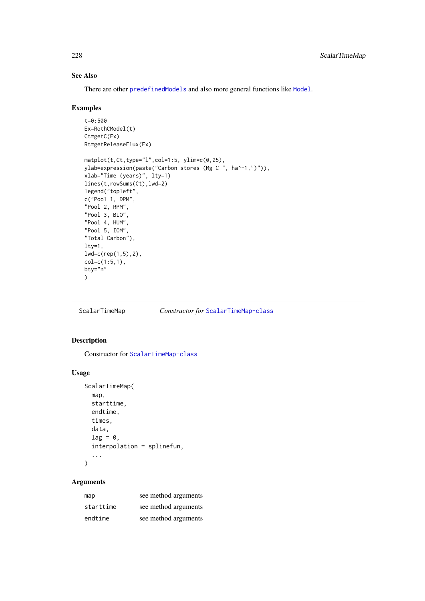# See Also

There are other [predefinedModels](#page-224-1) and also more general functions like [Model](#page-191-0).

## Examples

```
t=0:500
Ex=RothCModel(t)
Ct=getC(Ex)
Rt=getReleaseFlux(Ex)
matplot(t,Ct,type="l",col=1:5, ylim=c(0,25),
ylab=expression(paste("Carbon stores (Mg C ", ha^-1,")")),
xlab="Time (years)", lty=1)
lines(t,rowSums(Ct),lwd=2)
legend("topleft",
c("Pool 1, DPM",
"Pool 2, RPM",
"Pool 3, BIO",
"Pool 4, HUM",
"Pool 5, IOM",
"Total Carbon"),
lty=1,
lwd=c(rep(1,5),2),
col=c(1:5,1),bty="n"
)
```
ScalarTimeMap *Constructor for* [ScalarTimeMap-class](#page-230-0)

# Description

Constructor for [ScalarTimeMap-class](#page-230-0)

## Usage

```
ScalarTimeMap(
  map,
  starttime,
  endtime,
  times,
 data,
  lag = 0,
  interpolation = splinefun,
  ...
)
```

| map       | see method arguments |
|-----------|----------------------|
| starttime | see method arguments |
| endtime   | see method arguments |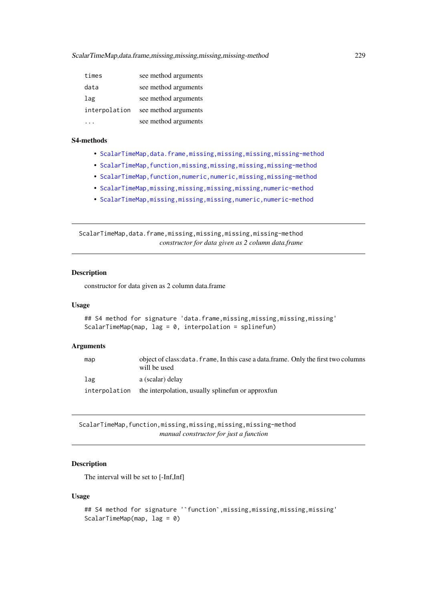| times         | see method arguments |
|---------------|----------------------|
| data          | see method arguments |
| lag           | see method arguments |
| interpolation | see method arguments |
|               | see method arguments |

### S4-methods

- [ScalarTimeMap,data.frame,missing,missing,missing,missing-method](#page-0-0)
- [ScalarTimeMap,function,missing,missing,missing,missing-method](#page-0-0)
- ScalarTimeMap, function, numeric, numeric, missing, missing-method
- [ScalarTimeMap,missing,missing,missing,missing,numeric-method](#page-0-0)
- [ScalarTimeMap,missing,missing,missing,numeric,numeric-method](#page-0-0)

ScalarTimeMap,data.frame,missing,missing,missing,missing-method *constructor for data given as 2 column data.frame*

## Description

constructor for data given as 2 column data.frame

# Usage

```
## S4 method for signature 'data.frame,missing,missing,missing,missing'
ScalarTimeMap(map, lag = 0, interpolation = splinefun)
```
#### Arguments

| map           | object of class: data, frame, In this case a data, frame. Only the first two columns<br>will be used |
|---------------|------------------------------------------------------------------------------------------------------|
| lag           | a (scalar) delay                                                                                     |
| interpolation | the interpolation, usually spline fun or approxfun                                                   |

ScalarTimeMap,function,missing,missing,missing,missing-method *manual constructor for just a function*

# Description

The interval will be set to [-Inf,Inf]

## Usage

```
## S4 method for signature '`function`,missing,missing,missing,missing'
ScalarTimeMap(map, lag = 0)
```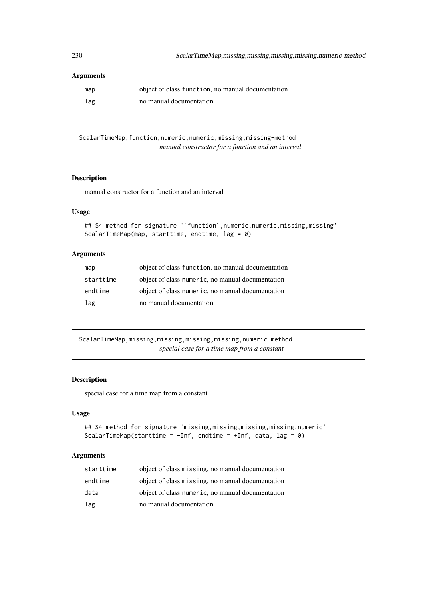## Arguments

| map | object of class: function, no manual documentation |
|-----|----------------------------------------------------|
| lag | no manual documentation                            |

ScalarTimeMap, function, numeric, numeric, missing, missing-method *manual constructor for a function and an interval*

# Description

manual constructor for a function and an interval

# Usage

```
## S4 method for signature ''function', numeric, numeric, missing, missing'
ScalarTimeMap(map, starttime, endtime, lag = 0)
```
## Arguments

| map       | object of class: function, no manual documentation |
|-----------|----------------------------------------------------|
| starttime | object of class: numeric, no manual documentation  |
| endtime   | object of class: numeric, no manual documentation  |
| lag       | no manual documentation                            |

ScalarTimeMap,missing,missing,missing,missing,numeric-method *special case for a time map from a constant*

## Description

special case for a time map from a constant

## Usage

```
## S4 method for signature 'missing,missing,missing,missing,numeric'
ScalarTimeMap(starttime = -Inf, endtime = +Inf, data, lag = 0)
```

| starttime | object of class: missing, no manual documentation |
|-----------|---------------------------------------------------|
| endtime   | object of class: missing, no manual documentation |
| data      | object of class: numeric, no manual documentation |
| lag       | no manual documentation                           |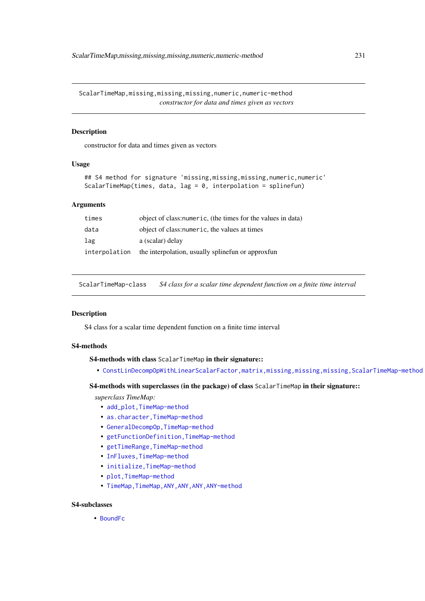ScalarTimeMap,missing,missing,missing,numeric,numeric-method *constructor for data and times given as vectors*

# Description

constructor for data and times given as vectors

## Usage

```
## S4 method for signature 'missing,missing,missing,numeric,numeric'
ScalarTimeMap(times, data, lag = 0, interpolation = splinefun)
```
## Arguments

| times         | object of class: numeric, (the times for the values in data) |
|---------------|--------------------------------------------------------------|
| data          | object of class: numeric, the values at times                |
| lag           | a (scalar) delay                                             |
| interpolation | the interpolation, usually spline fun or approxfun           |

<span id="page-230-0"></span>ScalarTimeMap-class *S4 class for a scalar time dependent function on a finite time interval*

#### Description

S4 class for a scalar time dependent function on a finite time interval

#### S4-methods

S4-methods with class ScalarTimeMap in their signature::

• [ConstLinDecompOpWithLinearScalarFactor,matrix,missing,missing,missing,ScalarTimeMap-method](#page-0-0)

# S4-methods with superclasses (in the package) of class ScalarTimeMap in their signature::

*superclass TimeMap:*

- add\_plot, TimeMap-method
- as.character, TimeMap-method
- [GeneralDecompOp,TimeMap-method](#page-0-0)
- [getFunctionDefinition,TimeMap-method](#page-0-0)
- getTimeRange, TimeMap-method
- [InFluxes,TimeMap-method](#page-0-0)
- initialize, TimeMap-method
- [plot,TimeMap-method](#page-0-0)
- TimeMap, TimeMap, ANY, ANY, ANY, ANY-method

## S4-subclasses

• [BoundFc](#page-26-0)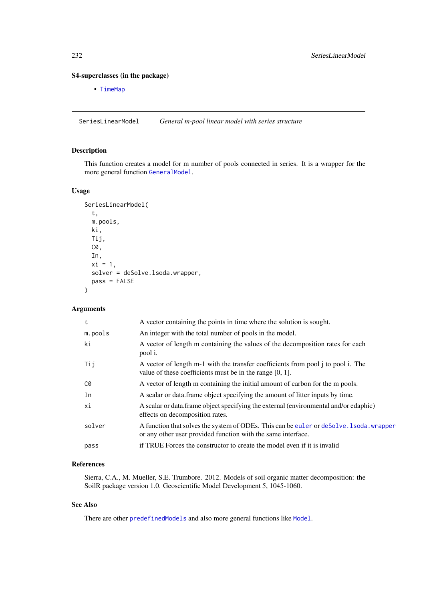## S4-superclasses (in the package)

• [TimeMap](#page-259-0)

<span id="page-231-0"></span>SeriesLinearModel *General m-pool linear model with series structure*

# Description

This function creates a model for m number of pools connected in series. It is a wrapper for the more general function [GeneralModel](#page-103-0).

# Usage

```
SeriesLinearModel(
  t,
  m.pools,
  ki,
  Tij,
  C0,
  In,
  xi = 1,
  solver = deSolve.lsoda.wrapper,
  pass = FALSE
)
```
# Arguments

| t       | A vector containing the points in time where the solution is sought.                                                                                    |
|---------|---------------------------------------------------------------------------------------------------------------------------------------------------------|
| m.pools | An integer with the total number of pools in the model.                                                                                                 |
| ki      | A vector of length m containing the values of the decomposition rates for each<br>pool i.                                                               |
| Tij     | A vector of length m-1 with the transfer coefficients from pool j to pool i. The<br>value of these coefficients must be in the range $[0, 1]$ .         |
| C0      | A vector of length m containing the initial amount of carbon for the m pools.                                                                           |
| In      | A scalar or data frame object specifying the amount of litter inputs by time.                                                                           |
| хi      | A scalar or data. frame object specifying the external (environmental and/or edaphic)<br>effects on decomposition rates.                                |
| solver  | A function that solves the system of ODEs. This can be euler or deSolve. 1soda. wrapper<br>or any other user provided function with the same interface. |
| pass    | if TRUE Forces the constructor to create the model even if it is invalid                                                                                |
|         |                                                                                                                                                         |

# References

Sierra, C.A., M. Mueller, S.E. Trumbore. 2012. Models of soil organic matter decomposition: the SoilR package version 1.0. Geoscientific Model Development 5, 1045-1060.

## See Also

There are other [predefinedModels](#page-224-1) and also more general functions like [Model](#page-191-0).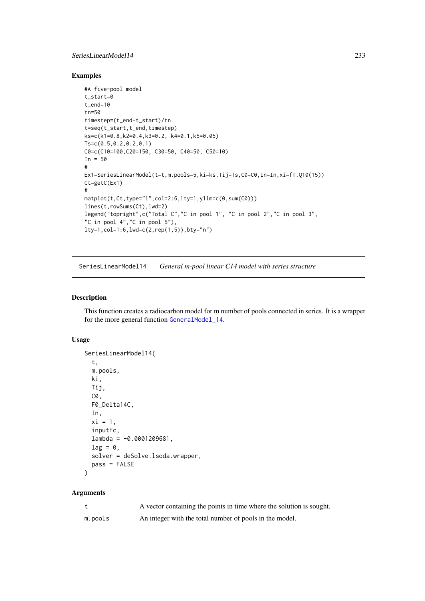#### SeriesLinearModel14 233

## Examples

```
#A five-pool model
t_start=0
t_end=10
tn=50
timestep=(t_end-t_start)/tn
t=seq(t_start,t_end,timestep)
ks=c(k1=0.8,k2=0.4,k3=0.2, k4=0.1,k5=0.05)
Ts=c(0.5,0.2,0.2,0.1)
C0=c(C10=100,C20=150, C30=50, C40=50, C50=10)
In = 50#
Ex1=SeriesLinearModel(t=t,m.pools=5,ki=ks,Tij=Ts,C0=C0,In=In,xi=fT.Q10(15))
Ct=getC(Ex1)
#
matplot(t,Ct,type="l",col=2:6,lty=1,ylim=c(0,sum(C0)))
lines(t,rowSums(Ct),lwd=2)
legend("topright",c("Total C","C in pool 1", "C in pool 2","C in pool 3",
"C in pool 4","C in pool 5"),
lty=1,col=1:6,lwd=c(2,rep(1,5)),bty="n")
```
<span id="page-232-0"></span>SeriesLinearModel14 *General m-pool linear C14 model with series structure*

#### Description

This function creates a radiocarbon model for m number of pools connected in series. It is a wrapper for the more general function [GeneralModel\\_14](#page-104-0).

# Usage

```
SeriesLinearModel14(
  t,
  m.pools,
  ki,
  Tij,
  C0,
  F0 Delta14C.
  In,
  xi = 1,
  inputFc,
  lambda = -0.0001209681,lag = 0,
  solver = deSolve.lsoda.wrapper,
  pass = FALSE
\lambda
```

|         | A vector containing the points in time where the solution is sought. |
|---------|----------------------------------------------------------------------|
| m.pools | An integer with the total number of pools in the model.              |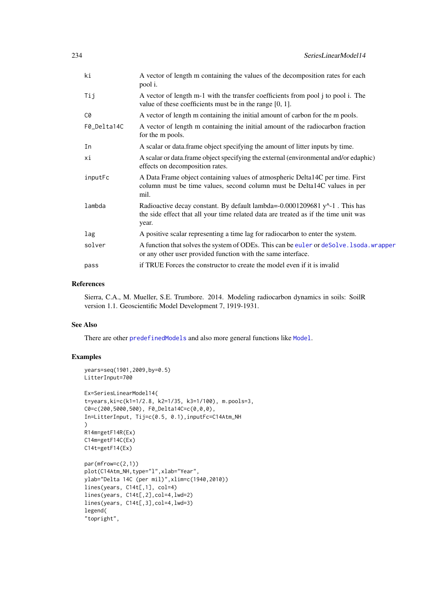| ki          | A vector of length m containing the values of the decomposition rates for each<br>pool i.                                                                                  |
|-------------|----------------------------------------------------------------------------------------------------------------------------------------------------------------------------|
| Tij         | A vector of length m-1 with the transfer coefficients from pool j to pool i. The<br>value of these coefficients must be in the range $[0, 1]$ .                            |
| C0          | A vector of length m containing the initial amount of carbon for the m pools.                                                                                              |
| F0_Delta14C | A vector of length m containing the initial amount of the radiocarbon fraction<br>for the m pools.                                                                         |
| In          | A scalar or data frame object specifying the amount of litter inputs by time.                                                                                              |
| хi          | A scalar or data frame object specifying the external (environmental and/or edaphic)<br>effects on decomposition rates.                                                    |
| inputFc     | A Data Frame object containing values of atmospheric Delta14C per time. First<br>column must be time values, second column must be Delta14C values in per<br>mil.          |
| lambda      | Radioactive decay constant. By default lambda=-0.0001209681 y^-1. This has<br>the side effect that all your time related data are treated as if the time unit was<br>year. |
| lag         | A positive scalar representing a time lag for radiocarbon to enter the system.                                                                                             |
| solver      | A function that solves the system of ODEs. This can be euler or deSolve. 1soda. wrapper<br>or any other user provided function with the same interface.                    |
| pass        | if TRUE Forces the constructor to create the model even if it is invalid                                                                                                   |

#### References

Sierra, C.A., M. Mueller, S.E. Trumbore. 2014. Modeling radiocarbon dynamics in soils: SoilR version 1.1. Geoscientific Model Development 7, 1919-1931.

# See Also

There are other [predefinedModels](#page-224-1) and also more general functions like [Model](#page-191-0).

# Examples

```
years=seq(1901,2009,by=0.5)
LitterInput=700
Ex=SeriesLinearModel14(
t=years,ki=c(k1=1/2.8, k2=1/35, k3=1/100), m.pools=3,
C0=c(200,5000,500), F0_Delta14C=c(0,0,0),
In=LitterInput, Tij=c(0.5, 0.1),inputFc=C14Atm_NH
)
R14m=getF14R(Ex)
C14m=getF14C(Ex)
C14t=getF14(Ex)
par(mfrow=c(2,1))
plot(C14Atm_NH,type="l",xlab="Year",
ylab="Delta 14C (per mil)",xlim=c(1940,2010))
lines(years, C14t[,1], col=4)
lines(years, C14t[,2],col=4,lwd=2)
lines(years, C14t[,3],col=4,lwd=3)
legend(
"topright",
```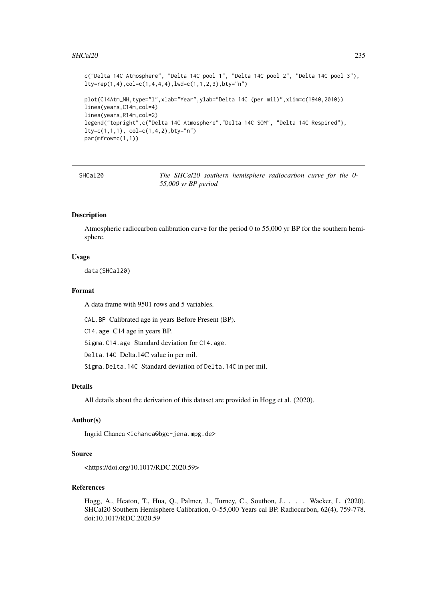#### SHCal20 235

```
c("Delta 14C Atmosphere", "Delta 14C pool 1", "Delta 14C pool 2", "Delta 14C pool 3"),
lty=rep(1,4), col=c(1,4,4,4), lwd=c(1,1,2,3), bty="n"plot(C14Atm_NH,type="l",xlab="Year",ylab="Delta 14C (per mil)",xlim=c(1940,2010))
lines(years,C14m,col=4)
lines(years,R14m,col=2)
legend("topright",c("Delta 14C Atmosphere","Delta 14C SOM", "Delta 14C Respired"),
lty=c(1,1,1), col=c(1,4,2), bty="n")par(mfrow=c(1,1))
```
SHCal20 *The SHCal20 southern hemisphere radiocarbon curve for the 0- 55,000 yr BP period*

# Description

Atmospheric radiocarbon calibration curve for the period 0 to 55,000 yr BP for the southern hemisphere.

#### Usage

data(SHCal20)

#### Format

A data frame with 9501 rows and 5 variables.

CAL.BP Calibrated age in years Before Present (BP).

C14.age C14 age in years BP.

Sigma.C14.age Standard deviation for C14.age.

Delta.14C Delta.14C value in per mil.

Sigma.Delta.14C Standard deviation of Delta.14C in per mil.

## Details

All details about the derivation of this dataset are provided in Hogg et al. (2020).

#### Author(s)

Ingrid Chanca <ichanca@bgc-jena.mpg.de>

# Source

<https://doi.org/10.1017/RDC.2020.59>

# References

Hogg, A., Heaton, T., Hua, Q., Palmer, J., Turney, C., Southon, J., . . . Wacker, L. (2020). SHCal20 Southern Hemisphere Calibration, 0–55,000 Years cal BP. Radiocarbon, 62(4), 759-778. doi:10.1017/RDC.2020.59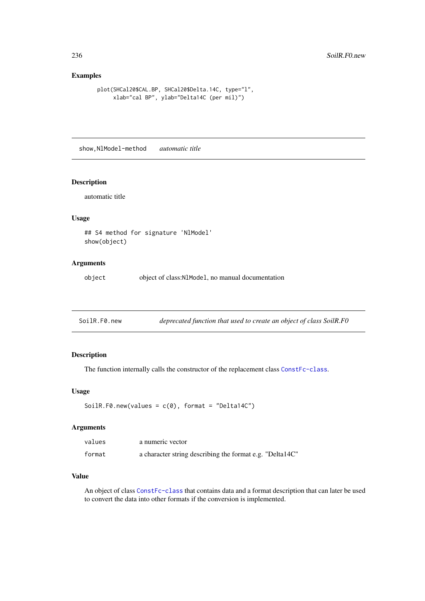# Examples

```
plot(SHCal20$CAL.BP, SHCal20$Delta.14C, type="l",
     xlab="cal BP", ylab="Delta14C (per mil)")
```
show,NlModel-method *automatic title*

# Description

automatic title

# Usage

```
## S4 method for signature 'NlModel'
show(object)
```
# Arguments

object object of class:NlModel, no manual documentation

| SoilR.F0.new | deprecated function that used to create an object of class SoilR.F0 |  |
|--------------|---------------------------------------------------------------------|--|
|              |                                                                     |  |

# Description

The function internally calls the constructor of the replacement class [ConstFc-class](#page-65-0).

# Usage

```
SoilR.F0.new(values = c(\theta), format = "Delta14C")
```
## Arguments

| values | a numeric vector                                         |
|--------|----------------------------------------------------------|
| format | a character string describing the format e.g. "Delta14C" |

# Value

An object of class [ConstFc-class](#page-65-0) that contains data and a format description that can later be used to convert the data into other formats if the conversion is implemented.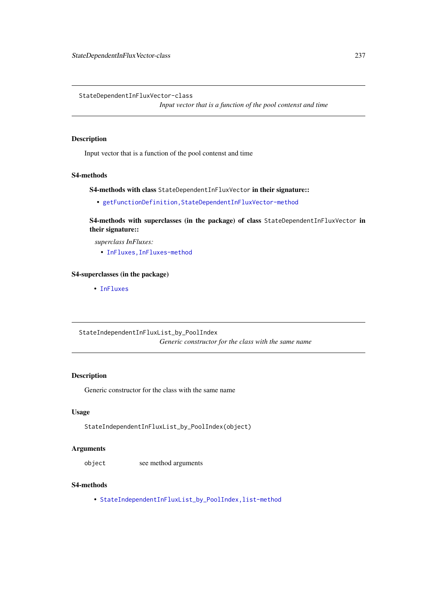StateDependentInFluxVector-class

*Input vector that is a function of the pool contenst and time*

## Description

Input vector that is a function of the pool contenst and time

# S4-methods

S4-methods with class StateDependentInFluxVector in their signature::

• [getFunctionDefinition,StateDependentInFluxVector-method](#page-0-0)

S4-methods with superclasses (in the package) of class StateDependentInFluxVector in their signature::

*superclass InFluxes:*

• [InFluxes,InFluxes-method](#page-0-0)

## S4-superclasses (in the package)

• [InFluxes](#page-168-0)

StateIndependentInFluxList\_by\_PoolIndex *Generic constructor for the class with the same name*

## Description

Generic constructor for the class with the same name

# Usage

StateIndependentInFluxList\_by\_PoolIndex(object)

# Arguments

object see method arguments

## S4-methods

• [StateIndependentInFluxList\\_by\\_PoolIndex,list-method](#page-0-0)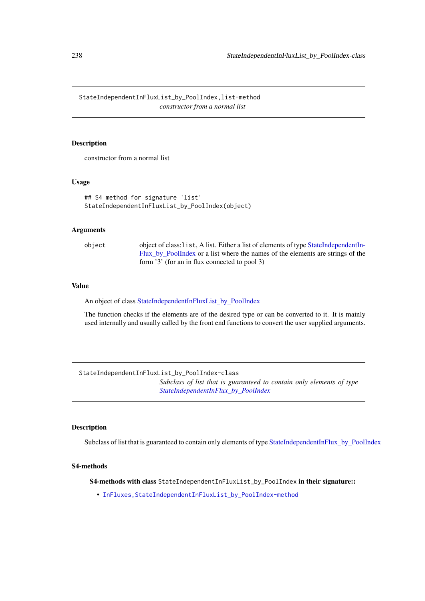StateIndependentInFluxList\_by\_PoolIndex,list-method *constructor from a normal list*

#### Description

constructor from a normal list

#### Usage

```
## S4 method for signature 'list'
StateIndependentInFluxList_by_PoolIndex(object)
```
# Arguments

object object of class:list, A list. Either a list of elements of type [StateIndependentIn-](#page-238-0)[Flux\\_by\\_PoolIndex](#page-238-0) or a list where the names of the elements are strings of the form '3' (for an in flux connected to pool 3)

## Value

An object of class [StateIndependentInFluxList\\_by\\_PoolIndex](#page-237-0)

The function checks if the elements are of the desired type or can be converted to it. It is mainly used internally and usually called by the front end functions to convert the user supplied arguments.

<span id="page-237-0"></span>StateIndependentInFluxList\_by\_PoolIndex-class *Subclass of list that is guaranteed to contain only elements of type [StateIndependentInFlux\\_by\\_PoolIndex](#page-238-0)*

# Description

Subclass of list that is guaranteed to contain only elements of type [StateIndependentInFlux\\_by\\_PoolIndex](#page-238-0)

## S4-methods

S4-methods with class StateIndependentInFluxList\_by\_PoolIndex in their signature::

• [InFluxes,StateIndependentInFluxList\\_by\\_PoolIndex-method](#page-0-0)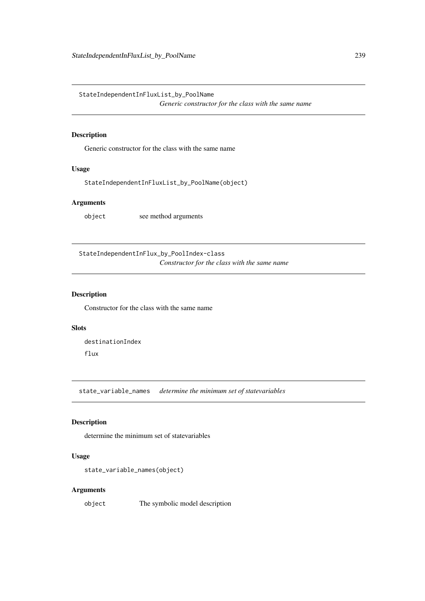StateIndependentInFluxList\_by\_PoolName

*Generic constructor for the class with the same name*

# Description

Generic constructor for the class with the same name

# Usage

StateIndependentInFluxList\_by\_PoolName(object)

# Arguments

object see method arguments

<span id="page-238-0"></span>StateIndependentInFlux\_by\_PoolIndex-class *Constructor for the class with the same name*

# Description

Constructor for the class with the same name

# Slots

destinationIndex flux

state\_variable\_names *determine the minimum set of statevariables*

# Description

determine the minimum set of statevariables

# Usage

```
state_variable_names(object)
```
## Arguments

object The symbolic model description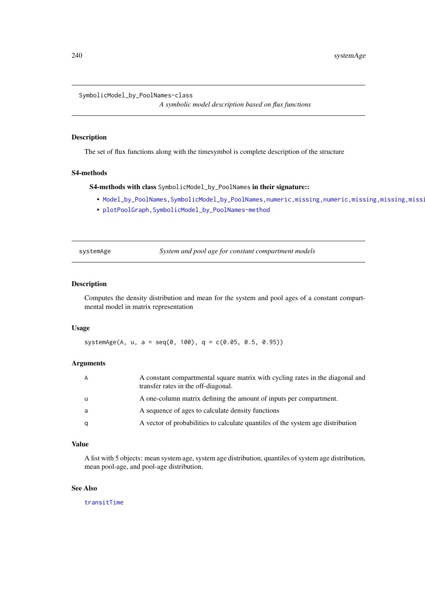```
SymbolicModel_by_PoolNames-class
```
*A symbolic model description based on flux functions*

# Description

The set of flux functions along with the timesymbol is complete description of the structure

## S4-methods

S4-methods with class SymbolicModel\_by\_PoolNames in their signature::

- Model\_by\_PoolNames,SymbolicModel\_by\_PoolNames,numeric,missing,numeric,missing,missing,missi
- [plotPoolGraph,SymbolicModel\\_by\\_PoolNames-method](#page-0-0)

systemAge *System and pool age for constant compartment models*

#### Description

Computes the density distribution and mean for the system and pool ages of a constant compartmental model in matrix representation

# Usage

systemAge(A, u, a = seq(0, 100), q =  $c(0.05, 0.5, 0.95)$ )

# Arguments

| A | A constant compartmental square matrix with cycling rates in the diagonal and<br>transfer rates in the off-diagonal. |
|---|----------------------------------------------------------------------------------------------------------------------|
| u | A one-column matrix defining the amount of inputs per compartment.                                                   |
| a | A sequence of ages to calculate density functions                                                                    |
| q | A vector of probabilities to calculate quantiles of the system age distribution                                      |

## Value

A list with 5 objects: mean system age, system age distribution, quantiles of system age distribution, mean pool-age, and pool-age distribution.

# See Also

[transitTime](#page-261-0)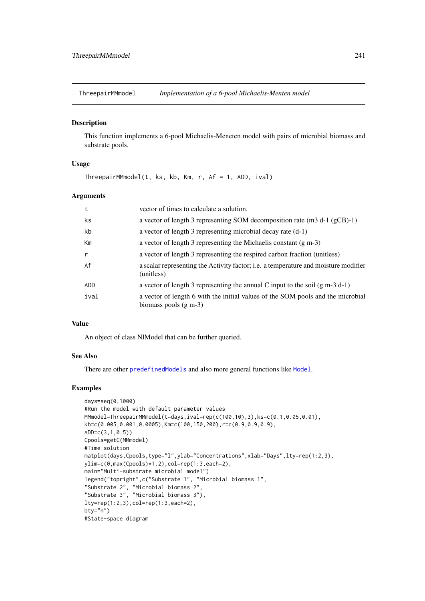<span id="page-240-0"></span>ThreepairMMmodel *Implementation of a 6-pool Michaelis-Menten model*

# Description

This function implements a 6-pool Michaelis-Meneten model with pairs of microbial biomass and substrate pools.

## Usage

ThreepairMMmodel(t, ks, kb, Km, r, Af = 1, ADD, ival)

#### Arguments

| t            | vector of times to calculate a solution.                                                                   |
|--------------|------------------------------------------------------------------------------------------------------------|
| ks           | a vector of length 3 representing SOM decomposition rate (m3 d-1 (gCB)-1)                                  |
| kb           | a vector of length 3 representing microbial decay rate (d-1)                                               |
| Km           | a vector of length 3 representing the Michaelis constant $(g m-3)$                                         |
| $\mathsf{r}$ | a vector of length 3 representing the respired carbon fraction (unitless)                                  |
| Af           | a scalar representing the Activity factor; i.e. a temperature and moisture modifier<br>(unitless)          |
| ADD.         | a vector of length 3 representing the annual C input to the soil $(g m-3 d-1)$                             |
| ival         | a vector of length 6 with the initial values of the SOM pools and the microbial<br>biomass pools $(g m-3)$ |

## Value

An object of class NlModel that can be further queried.

# See Also

There are other [predefinedModels](#page-224-1) and also more general functions like [Model](#page-191-0).

## Examples

```
days=seq(0,1000)
#Run the model with default parameter values
MMmodel=ThreepairMMmodel(t=days,ival=rep(c(100,10),3),ks=c(0.1,0.05,0.01),
kb=c(0.005,0.001,0.0005),Km=c(100,150,200),r=c(0.9,0.9,0.9),
ADD=c(3,1,0.5))
Cpools=getC(MMmodel)
#Time solution
matplot(days,Cpools,type="l",ylab="Concentrations",xlab="Days",lty=rep(1:2,3),
ylim=c(0,max(Cpools)*1.2),col=rep(1:3,each=2),
main="Multi-substrate microbial model")
legend("topright",c("Substrate 1", "Microbial biomass 1",
"Substrate 2", "Microbial biomass 2",
"Substrate 3", "Microbial biomass 3"),
lty=rep(1:2,3),col=rep(1:3,each=2),
bty="n"#State-space diagram
```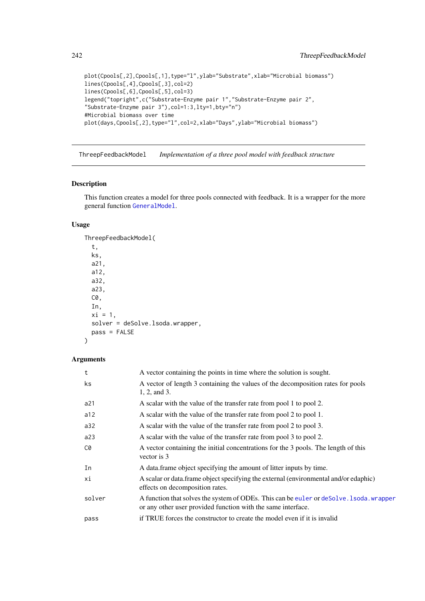```
plot(Cpools[,2],Cpools[,1],type="l",ylab="Substrate",xlab="Microbial biomass")
lines(Cpools[,4],Cpools[,3],col=2)
lines(Cpools[,6],Cpools[,5],col=3)
legend("topright",c("Substrate-Enzyme pair 1","Substrate-Enzyme pair 2",
"Substrate-Enzyme pair 3"),col=1:3,lty=1,bty="n")
#Microbial biomass over time
plot(days,Cpools[,2],type="l",col=2,xlab="Days",ylab="Microbial biomass")
```
<span id="page-241-0"></span>ThreepFeedbackModel *Implementation of a three pool model with feedback structure*

#### Description

This function creates a model for three pools connected with feedback. It is a wrapper for the more general function [GeneralModel](#page-103-0).

# Usage

```
ThreepFeedbackModel(
  t,
  ks,
  a21,
  a12,
  a32,
  a23,
  C0,
  In,
  xi = 1,
  solver = deSolve.lsoda.wrapper,
  pass = FALSE
\lambda
```

| t      | A vector containing the points in time where the solution is sought.                                                                                    |
|--------|---------------------------------------------------------------------------------------------------------------------------------------------------------|
| ks.    | A vector of length 3 containing the values of the decomposition rates for pools<br>$1, 2,$ and 3.                                                       |
| a21    | A scalar with the value of the transfer rate from pool 1 to pool 2.                                                                                     |
| a12    | A scalar with the value of the transfer rate from pool 2 to pool 1.                                                                                     |
| a32    | A scalar with the value of the transfer rate from pool 2 to pool 3.                                                                                     |
| a23    | A scalar with the value of the transfer rate from pool 3 to pool 2.                                                                                     |
| C0     | A vector containing the initial concentrations for the 3 pools. The length of this<br>vector is 3                                                       |
| In     | A data frame object specifying the amount of litter inputs by time.                                                                                     |
| хi     | A scalar or data frame object specifying the external (environmental and/or edaphic)<br>effects on decomposition rates.                                 |
| solver | A function that solves the system of ODEs. This can be euler or deSolve. 1soda. wrapper<br>or any other user provided function with the same interface. |
| pass   | if TRUE forces the constructor to create the model even if it is invalid                                                                                |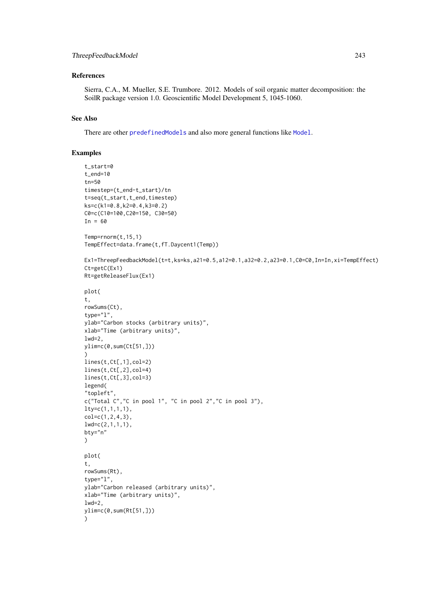#### ThreepFeedbackModel 243

#### References

Sierra, C.A., M. Mueller, S.E. Trumbore. 2012. Models of soil organic matter decomposition: the SoilR package version 1.0. Geoscientific Model Development 5, 1045-1060.

# See Also

There are other [predefinedModels](#page-224-1) and also more general functions like [Model](#page-191-0).

## Examples

```
t_start=0
t_end=10
tn=50
timestep=(t_end-t_start)/tn
t=seq(t_start,t_end,timestep)
ks=c(k1=0.8,k2=0.4,k3=0.2)
C0=c(C10=100,C20=150, C30=50)
In = 60Temp=rnorm(t,15,1)
TempEffect=data.frame(t,fT.Daycent1(Temp))
Ex1=ThreepFeedbackModel(t=t,ks=ks,a21=0.5,a12=0.1,a32=0.2,a23=0.1,C0=C0,In=In,xi=TempEffect)
Ct=getC(Ex1)
Rt=getReleaseFlux(Ex1)
plot(
t,
rowSums(Ct),
type="l",
ylab="Carbon stocks (arbitrary units)",
xlab="Time (arbitrary units)",
1wd=2,
ylim=c(0,sum(Ct[51,]))
)
lines(t,Ct[,1],col=2)
lines(t,Ct[,2],col=4)
lines(t,Ct[,3],col=3)
legend(
"topleft",
c("Total C","C in pool 1", "C in pool 2","C in pool 3"),
lty=c(1,1,1,1),
col=c(1,2,4,3),
lwd=c(2,1,1,1),
bty="n"
)
plot(
t,
rowSums(Rt),
type="l",
ylab="Carbon released (arbitrary units)",
xlab="Time (arbitrary units)",
1wd=2,
ylim=c(0,sum(Rt[51,]))
)
```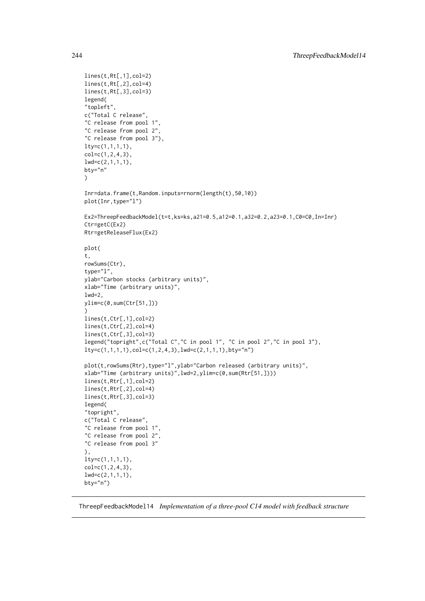```
lines(t,Rt[,1],col=2)
lines(t,Rt[,2],col=4)
lines(t,Rt[,3],col=3)
legend(
"topleft",
c("Total C release",
"C release from pool 1",
"C release from pool 2",
"C release from pool 3"),
ltv = c(1,1,1,1),
col=c(1,2,4,3),
lwd=c(2,1,1,1),
bty="n"
)
Inr=data.frame(t,Random.inputs=rnorm(length(t),50,10))
plot(Inr,type="l")
Ex2=ThreepFeedbackModel(t=t,ks=ks,a21=0.5,a12=0.1,a32=0.2,a23=0.1,C0=C0,In=Inr)
Ctr=getC(Ex2)
Rtr=getReleaseFlux(Ex2)
plot(
t,
rowSums(Ctr),
type="l",
ylab="Carbon stocks (arbitrary units)",
xlab="Time (arbitrary units)",
1wd=2,
ylim=c(0,sum(Ctr[51,]))
\lambdalines(t,Ctr[,1],col=2)
lines(t,Ctr[,2],col=4)
lines(t,Ctr[,3],col=3)
legend("topright",c("Total C","C in pool 1", "C in pool 2","C in pool 3"),
lty=c(1,1,1,1), col=c(1,2,4,3), lwd=c(2,1,1,1), bty="n")plot(t,rowSums(Rtr),type="l",ylab="Carbon released (arbitrary units)",
xlab="Time (arbitrary units)",lwd=2,ylim=c(0,sum(Rtr[51,])))
lines(t,Rtr[,1],col=2)
lines(t,Rtr[,2],col=4)
lines(t,Rtr[,3],col=3)
legend(
"topright",
c("Total C release",
"C release from pool 1",
"C release from pool 2",
"C release from pool 3"
),
lty=c(1,1,1,1),
col=c(1,2,4,3),
lwd=c(2,1,1,1),
bty="n")
```
<span id="page-243-0"></span>ThreepFeedbackModel14 *Implementation of a three-pool C14 model with feedback structure*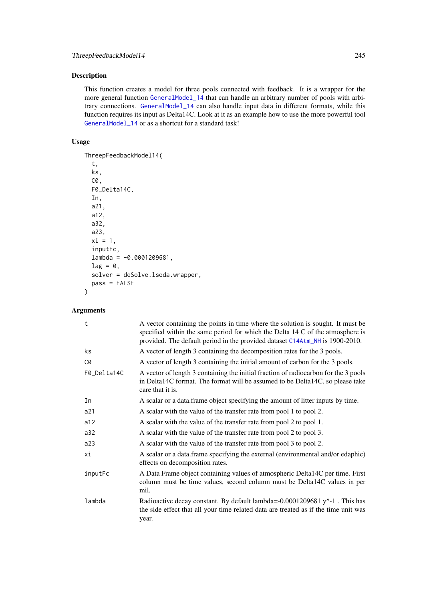# Description

This function creates a model for three pools connected with feedback. It is a wrapper for the more general function [GeneralModel\\_14](#page-104-0) that can handle an arbitrary number of pools with arbitrary connections. [GeneralModel\\_14](#page-104-0) can also handle input data in different formats, while this function requires its input as Delta14C. Look at it as an example how to use the more powerful tool [GeneralModel\\_14](#page-104-0) or as a shortcut for a standard task!

# Usage

```
ThreepFeedbackModel14(
  t,
  ks,
  C0,
  F0_Delta14C,
  In,
  a21,
  a12,
  a32,
  a23,
  xi = 1,
  inputFc,
  lambda = -0.0001209681,lag = 0,
  solver = deSolve.lsoda.wrapper,
 pass = FALSE
)
```

| t           | A vector containing the points in time where the solution is sought. It must be<br>specified within the same period for which the Delta 14 C of the atmosphere is<br>provided. The default period in the provided dataset C14Atm_NH is 1900-2010. |
|-------------|---------------------------------------------------------------------------------------------------------------------------------------------------------------------------------------------------------------------------------------------------|
| ks.         | A vector of length 3 containing the decomposition rates for the 3 pools.                                                                                                                                                                          |
| C0          | A vector of length 3 containing the initial amount of carbon for the 3 pools.                                                                                                                                                                     |
| F0_Delta14C | A vector of length 3 containing the initial fraction of radiocarbon for the 3 pools<br>in Delta14C format. The format will be assumed to be Delta14C, so please take<br>care that it is.                                                          |
| In          | A scalar or a data frame object specifying the amount of litter inputs by time.                                                                                                                                                                   |
| a21         | A scalar with the value of the transfer rate from pool 1 to pool 2.                                                                                                                                                                               |
| a12         | A scalar with the value of the transfer rate from pool 2 to pool 1.                                                                                                                                                                               |
| a32         | A scalar with the value of the transfer rate from pool 2 to pool 3.                                                                                                                                                                               |
| a23         | A scalar with the value of the transfer rate from pool 3 to pool 2.                                                                                                                                                                               |
| хi          | A scalar or a data.frame specifying the external (environmental and/or edaphic)<br>effects on decomposition rates.                                                                                                                                |
| inputFc     | A Data Frame object containing values of atmospheric Delta14C per time. First<br>column must be time values, second column must be Delta14C values in per<br>mil.                                                                                 |
| lambda      | Radioactive decay constant. By default lambda=-0.0001209681 $y^2$ -1. This has<br>the side effect that all your time related data are treated as if the time unit was<br>year.                                                                    |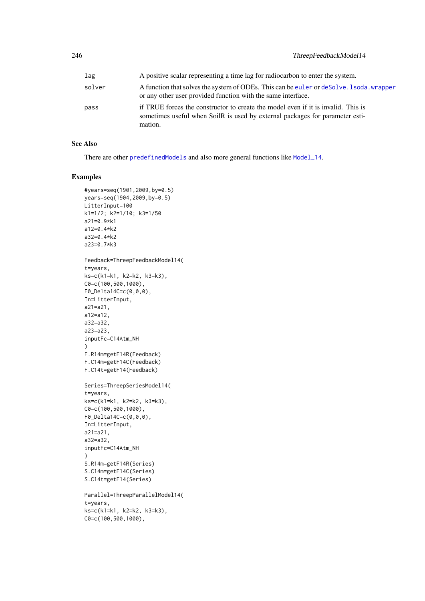| lag    | A positive scalar representing a time lag for radiocarbon to enter the system.                                                                                               |
|--------|------------------------------------------------------------------------------------------------------------------------------------------------------------------------------|
| solver | A function that solves the system of ODEs. This can be euler or deSolve. 1 soda, wrapper<br>or any other user provided function with the same interface.                     |
| pass   | if TRUE forces the constructor to create the model even if it is invalid. This is<br>sometimes useful when SoilR is used by external packages for parameter esti-<br>mation. |

# See Also

There are other [predefinedModels](#page-224-1) and also more general functions like [Model\\_14](#page-194-0).

## Examples

```
#years=seq(1901,2009,by=0.5)
years=seq(1904,2009,by=0.5)
LitterInput=100
k1=1/2; k2=1/10; k3=1/50
a21=0.9*k1
a12=0.4*k2
a32=0.4*k2
a23=0.7*k3
Feedback=ThreepFeedbackModel14(
t=years,
ks=c(k1=k1, k2=k2, k3=k3),
C0=c(100,500,1000),
F0_Delta14C=c(0,0,0),
In=LitterInput,
a21=a21,
a12=a12,
a32=a32,
a23=a23,
inputFc=C14Atm_NH
)
F.R14m=getF14R(Feedback)
F.C14m=getF14C(Feedback)
F.C14t=getF14(Feedback)
Series=ThreepSeriesModel14(
t=years,
ks=c(k1=k1, k2=k2, k3=k3),
C0=c(100,500,1000),
F0_Delta14C=c(0,0,0),
In=LitterInput,
a21=a21,
a32=a32,
inputFc=C14Atm_NH
)
S.R14m=getF14R(Series)
S.C14m=getF14C(Series)
S.C14t=getF14(Series)
Parallel=ThreepParallelModel14(
t=years,
ks=c(k1=k1, k2=k2, k3=k3),
C0=c(100,500,1000),
```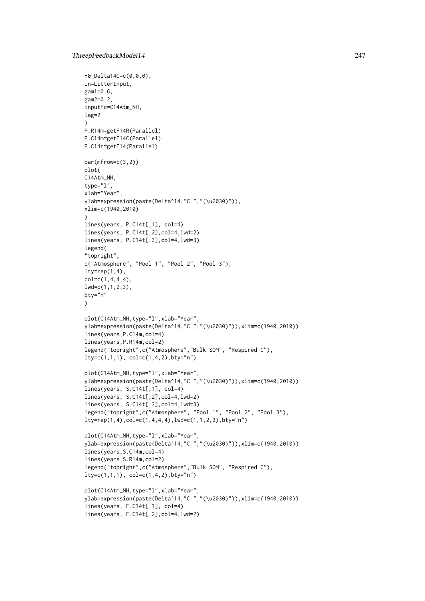```
F0_Delta14C=c(0,0,0),
In=LitterInput,
gam1=0.6,
gam2=0.2,
inputFc=C14Atm_NH,
lag=2
)
P.R14m=getF14R(Parallel)
P.C14m=getF14C(Parallel)
P.C14t=getF14(Parallel)
par(mfrow=c(3,2))
plot(
C14Atm_NH,
type="l",
xlab="Year",
ylab=expression(paste(Delta^14,"C ","(\u2030)")),
xlim=c(1940,2010)
\lambdalines(years, P.C14t[,1], col=4)
lines(years, P.C14t[,2],col=4,lwd=2)
lines(years, P.C14t[,3],col=4,lwd=3)
legend(
"topright",
c("Atmosphere", "Pool 1", "Pool 2", "Pool 3"),
lty=rep(1,4),
col=c(1,4,4,4),
lwd=c(1,1,2,3),
bty="n"
\lambdaplot(C14Atm_NH,type="l",xlab="Year",
ylab=expression(paste(Delta^14,"C ","(\u2030)")),xlim=c(1940,2010))
lines(years,P.C14m,col=4)
lines(years,P.R14m,col=2)
legend("topright",c("Atmosphere","Bulk SOM", "Respired C"),
lty=c(1,1,1), col=c(1,4,2),bty="n")
plot(C14Atm_NH,type="l",xlab="Year",
ylab=expression(paste(Delta^14,"C ","(\u2030)")),xlim=c(1940,2010))
lines(years, S.C14t[,1], col=4)
lines(years, S.C14t[,2],col=4,lwd=2)
lines(years, S.C14t[,3],col=4,lwd=3)
legend("topright",c("Atmosphere", "Pool 1", "Pool 2", "Pool 3"),
lty=rep(1,4), col=c(1,4,4,4), lwd=c(1,1,2,3), bty="n"plot(C14Atm_NH,type="l",xlab="Year",
ylab=expression(paste(Delta^14,"C ","(\u2030)")),xlim=c(1940,2010))
lines(years,S.C14m,col=4)
lines(years,S.R14m,col=2)
legend("topright",c("Atmosphere","Bulk SOM", "Respired C"),
lty=c(1,1,1), col=c(1,4,2), bty="n")plot(C14Atm_NH,type="l",xlab="Year",
ylab=expression(paste(Delta^14,"C ","(\u2030)")),xlim=c(1940,2010))
lines(years, F.C14t[,1], col=4)
lines(years, F.C14t[,2],col=4,lwd=2)
```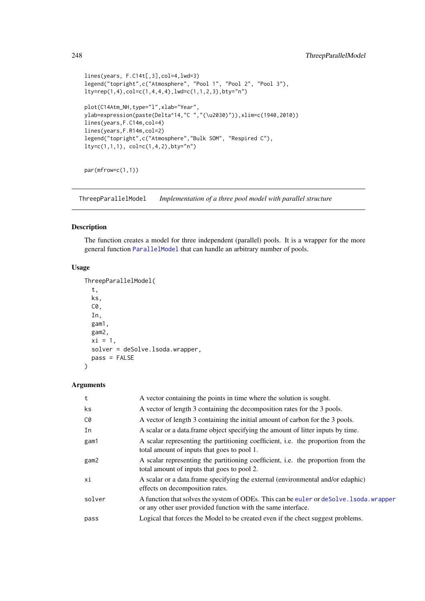```
lines(years, F.C14t[,3],col=4,lwd=3)
legend("topright",c("Atmosphere", "Pool 1", "Pool 2", "Pool 3"),
lty=rep(1,4), col=c(1,4,4,4), lwd=c(1,1,2,3), bty="n"plot(C14Atm_NH,type="l",xlab="Year",
ylab=expression(paste(Delta^14,"C ","(\u2030)")),xlim=c(1940,2010))
lines(years,F.C14m,col=4)
lines(years,F.R14m,col=2)
legend("topright",c("Atmosphere","Bulk SOM", "Respired C"),
lty=c(1,1,1), col=c(1,4,2), bty="n")
```

```
par(mfrow=c(1,1))
```
<span id="page-247-0"></span>ThreepParallelModel *Implementation of a three pool model with parallel structure*

# Description

The function creates a model for three independent (parallel) pools. It is a wrapper for the more general function [ParallelModel](#page-210-0) that can handle an arbitrary number of pools.

#### Usage

```
ThreepParallelModel(
  t,
  ks,
  C0,
  In,
  gam1,
  gam2,
  xi = 1,
  solver = deSolve.lsoda.wrapper,
  pass = FALSE
)
```

| t      | A vector containing the points in time where the solution is sought.                                                                                    |
|--------|---------------------------------------------------------------------------------------------------------------------------------------------------------|
| ks     | A vector of length 3 containing the decomposition rates for the 3 pools.                                                                                |
| C0     | A vector of length 3 containing the initial amount of carbon for the 3 pools.                                                                           |
| In     | A scalar or a data. frame object specifying the amount of litter inputs by time.                                                                        |
| gam1   | A scalar representing the partitioning coefficient, i.e. the proportion from the<br>total amount of inputs that goes to pool 1.                         |
| gam2   | A scalar representing the partitioning coefficient, i.e. the proportion from the<br>total amount of inputs that goes to pool 2.                         |
| хi     | A scalar or a data. frame specifying the external (environmental and/or edaphic)<br>effects on decomposition rates.                                     |
| solver | A function that solves the system of ODEs. This can be euler or deSolve. 1soda. wrapper<br>or any other user provided function with the same interface. |
| pass   | Logical that forces the Model to be created even if the chect suggest problems.                                                                         |
|        |                                                                                                                                                         |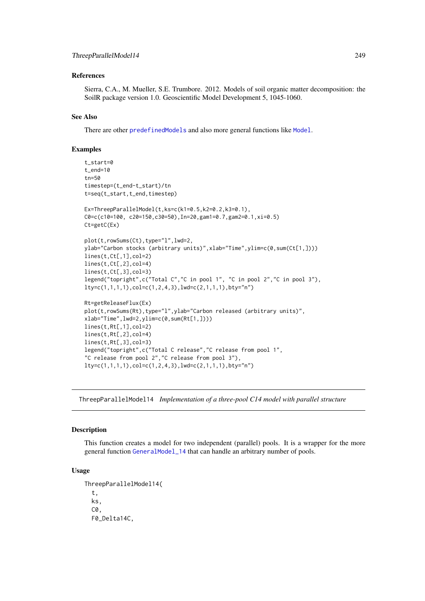#### References

Sierra, C.A., M. Mueller, S.E. Trumbore. 2012. Models of soil organic matter decomposition: the SoilR package version 1.0. Geoscientific Model Development 5, 1045-1060.

# See Also

There are other [predefinedModels](#page-224-1) and also more general functions like [Model](#page-191-0).

### Examples

```
t_start=0
t_end=10
tn=50
timestep=(t_end-t_start)/tn
t=seq(t_start,t_end,timestep)
Ex=ThreepParallelModel(t,ks=c(k1=0.5,k2=0.2,k3=0.1),
C0=c(c10=100, c20=150,c30=50),In=20,gam1=0.7,gam2=0.1,xi=0.5)
Ct=getC(Ex)
plot(t,rowSums(Ct),type="l",lwd=2,
ylab="Carbon stocks (arbitrary units)",xlab="Time",ylim=c(0,sum(Ct[1,])))
lines(t,Ct[,1],col=2)
lines(t,Ct[,2],col=4)
lines(t,Ct[,3],col=3)
legend("topright",c("Total C","C in pool 1", "C in pool 2","C in pool 3"),
lty=c(1,1,1,1),col=c(1,2,4,3),lwd=c(2,1,1,1),bty="n")
Rt=getReleaseFlux(Ex)
plot(t,rowSums(Rt),type="l",ylab="Carbon released (arbitrary units)",
xlab="Time",lwd=2,ylim=c(0,sum(Rt[1,])))
lines(t,Rt[,1],col=2)
lines(t,Rt[,2],col=4)
lines(t,Rt[,3],col=3)
legend("topright",c("Total C release","C release from pool 1",
"C release from pool 2","C release from pool 3"),
lty=c(1,1,1,1),col=c(1,2,4,3),lwd=c(2,1,1,1),bty="n")
```
<span id="page-248-0"></span>ThreepParallelModel14 *Implementation of a three-pool C14 model with parallel structure*

#### Description

This function creates a model for two independent (parallel) pools. It is a wrapper for the more general function [GeneralModel\\_14](#page-104-0) that can handle an arbitrary number of pools.

#### Usage

```
ThreepParallelModel14(
  t,
 ks,
 C0,
  F0_Delta14C,
```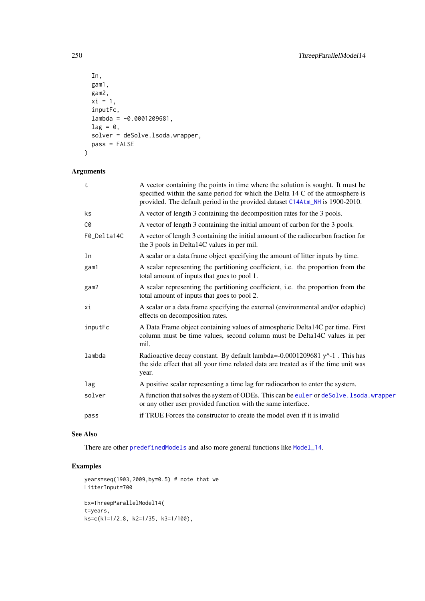```
In,
  gam1,
  gam2,
  xi = 1,
  inputFc,
  lambda = -0.0001209681,lag = 0,
  solver = deSolve.lsoda.wrapper,
  pass = FALSE
\lambda
```
# Arguments

| $\mathsf{t}$ | A vector containing the points in time where the solution is sought. It must be<br>specified within the same period for which the Delta 14 C of the atmosphere is<br>provided. The default period in the provided dataset C14Atm_NH is 1900-2010. |
|--------------|---------------------------------------------------------------------------------------------------------------------------------------------------------------------------------------------------------------------------------------------------|
| ks           | A vector of length 3 containing the decomposition rates for the 3 pools.                                                                                                                                                                          |
| C0           | A vector of length 3 containing the initial amount of carbon for the 3 pools.                                                                                                                                                                     |
| F0_Delta14C  | A vector of length 3 containing the initial amount of the radiocarbon fraction for<br>the 3 pools in Delta14C values in per mil.                                                                                                                  |
| In           | A scalar or a data frame object specifying the amount of litter inputs by time.                                                                                                                                                                   |
| gam1         | A scalar representing the partitioning coefficient, i.e. the proportion from the<br>total amount of inputs that goes to pool 1.                                                                                                                   |
| gam2         | A scalar representing the partitioning coefficient, i.e. the proportion from the<br>total amount of inputs that goes to pool 2.                                                                                                                   |
| хi           | A scalar or a data.frame specifying the external (environmental and/or edaphic)<br>effects on decomposition rates.                                                                                                                                |
| inputFc      | A Data Frame object containing values of atmospheric Delta14C per time. First<br>column must be time values, second column must be Delta14C values in per<br>mil.                                                                                 |
| lambda       | Radioactive decay constant. By default lambda=-0.0001209681 y^-1. This has<br>the side effect that all your time related data are treated as if the time unit was<br>year.                                                                        |
| lag          | A positive scalar representing a time lag for radiocarbon to enter the system.                                                                                                                                                                    |
| solver       | A function that solves the system of ODEs. This can be euler or deSolve. 1soda. wrapper<br>or any other user provided function with the same interface.                                                                                           |
| pass         | if TRUE Forces the constructor to create the model even if it is invalided                                                                                                                                                                        |
|              |                                                                                                                                                                                                                                                   |

## See Also

There are other [predefinedModels](#page-224-1) and also more general functions like [Model\\_14](#page-194-0).

# Examples

```
years=seq(1903,2009,by=0.5) # note that we
LitterInput=700
Ex=ThreepParallelModel14(
t=years,
ks=c(k1=1/2.8, k2=1/35, k3=1/100),
```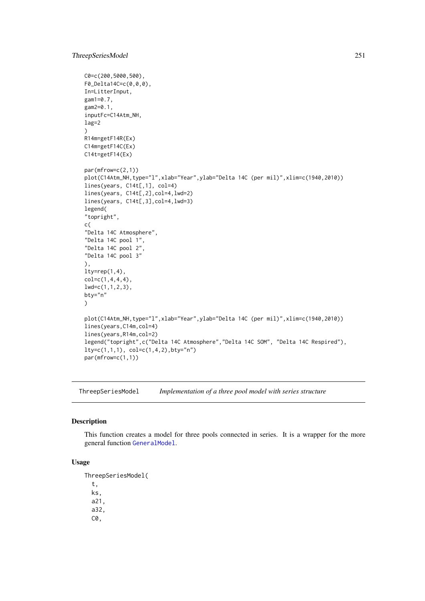#### ThreepSeriesModel 251

```
C0=c(200,5000,500),
F0_Delta14C=c(0,0,0),
In=LitterInput,
gam1=0.7,
gam2=0.1,
inputFc=C14Atm_NH,
lag=2
\lambdaR14m=getF14R(Ex)
C14m=getF14C(Ex)
C14t=getF14(Ex)
par(mfrow=c(2,1))
plot(C14Atm_NH,type="l",xlab="Year",ylab="Delta 14C (per mil)",xlim=c(1940,2010))
lines(years, C14t[,1], col=4)
lines(years, C14t[,2],col=4,lwd=2)
lines(years, C14t[,3],col=4,lwd=3)
legend(
"topright",
c(
"Delta 14C Atmosphere",
"Delta 14C pool 1",
"Delta 14C pool 2",
"Delta 14C pool 3"
),
lty=rep(1,4),col=c(1,4,4,4),
lwd=c(1,1,2,3),
bty="n"
)
plot(C14Atm_NH,type="l",xlab="Year",ylab="Delta 14C (per mil)",xlim=c(1940,2010))
lines(years,C14m,col=4)
lines(years,R14m,col=2)
legend("topright",c("Delta 14C Atmosphere","Delta 14C SOM", "Delta 14C Respired"),
lty=c(1,1,1), col=c(1,4,2), bty="n")par(mfrow=c(1,1))
```
<span id="page-250-0"></span>ThreepSeriesModel *Implementation of a three pool model with series structure*

## Description

This function creates a model for three pools connected in series. It is a wrapper for the more general function [GeneralModel](#page-103-0).

#### Usage

ThreepSeriesModel( t, ks, a21, a32, C0,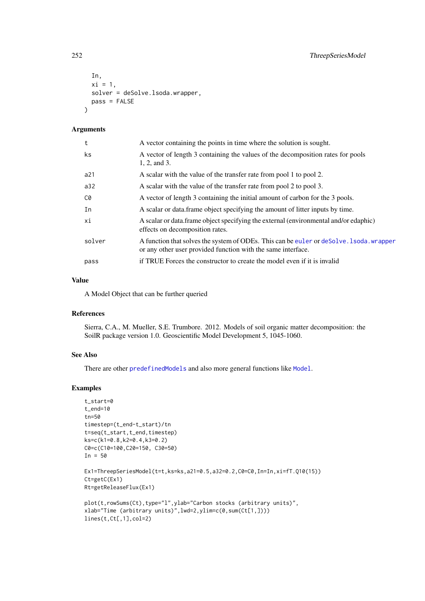```
In,
  xi = 1,
  solver = deSolve.lsoda.wrapper,
  pass = FALSE
)
```
# Arguments

| t      | A vector containing the points in time where the solution is sought.                                                                                    |
|--------|---------------------------------------------------------------------------------------------------------------------------------------------------------|
| ks     | A vector of length 3 containing the values of the decomposition rates for pools<br>1, 2, and 3.                                                         |
| a21    | A scalar with the value of the transfer rate from pool 1 to pool 2.                                                                                     |
| a32    | A scalar with the value of the transfer rate from pool 2 to pool 3.                                                                                     |
| C0     | A vector of length 3 containing the initial amount of carbon for the 3 pools.                                                                           |
| In     | A scalar or data frame object specifying the amount of litter inputs by time.                                                                           |
| хi     | A scalar or data. frame object specifying the external (environmental and/or edaphic)<br>effects on decomposition rates.                                |
| solver | A function that solves the system of ODEs. This can be euler or deSolve. 1soda. wrapper<br>or any other user provided function with the same interface. |
| pass   | if TRUE Forces the constructor to create the model even if it is invalid                                                                                |
|        |                                                                                                                                                         |

# Value

A Model Object that can be further queried

#### References

Sierra, C.A., M. Mueller, S.E. Trumbore. 2012. Models of soil organic matter decomposition: the SoilR package version 1.0. Geoscientific Model Development 5, 1045-1060.

# See Also

There are other [predefinedModels](#page-224-1) and also more general functions like [Model](#page-191-0).

# Examples

```
t_start=0
t_end=10
tn=50
timestep=(t_end-t_start)/tn
t=seq(t_start,t_end,timestep)
ks=c(k1=0.8,k2=0.4,k3=0.2)
C0=c(C10=100,C20=150, C30=50)
In = 50Ex1=ThreepSeriesModel(t=t,ks=ks,a21=0.5,a32=0.2,C0=C0,In=In,xi=fT.Q10(15))
Ct=getC(Ex1)
Rt=getReleaseFlux(Ex1)
plot(t,rowSums(Ct),type="l",ylab="Carbon stocks (arbitrary units)",
xlab="Time (arbitrary units)",lwd=2,ylim=c(0,sum(Ct[1,])))
lines(t,Ct[,1],col=2)
```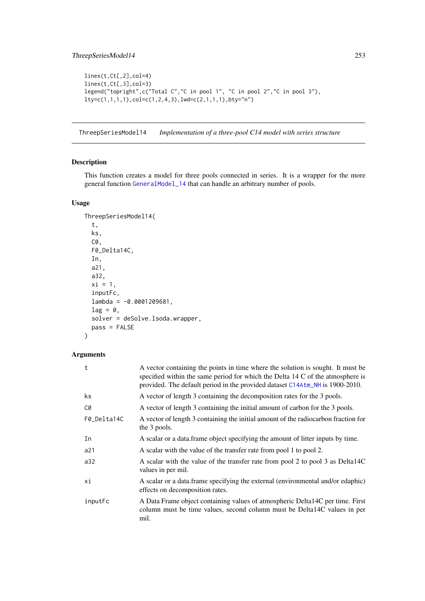```
lines(t,Ct[,2],col=4)
lines(t,Ct[,3],col=3)
legend("topright",c("Total C","C in pool 1", "C in pool 2","C in pool 3"),
lty=c(1,1,1,1),col=c(1,2,4,3),lwd=c(2,1,1,1),bty="n")
```
ThreepSeriesModel14 *Implementation of a three-pool C14 model with series structure*

# Description

This function creates a model for three pools connected in series. It is a wrapper for the more general function [GeneralModel\\_14](#page-104-0) that can handle an arbitrary number of pools.

# Usage

```
ThreepSeriesModel14(
  t,
  ks,
  C0,
  F0_Delta14C,
  In,
  a21,
  a32,
  xi = 1,
  inputFc,
  lambda = -0.0001209681,lag = 0,
  solver = deSolve.lsoda.wrapper,
  pass = FALSE
\lambda
```

| t           | A vector containing the points in time where the solution is sought. It must be<br>specified within the same period for which the Delta 14 C of the atmosphere is<br>provided. The default period in the provided dataset C14Atm_NH is 1900-2010. |
|-------------|---------------------------------------------------------------------------------------------------------------------------------------------------------------------------------------------------------------------------------------------------|
| ks          | A vector of length 3 containing the decomposition rates for the 3 pools.                                                                                                                                                                          |
| C0          | A vector of length 3 containing the initial amount of carbon for the 3 pools.                                                                                                                                                                     |
| F0_Delta14C | A vector of length 3 containing the initial amount of the radiocarbon fraction for<br>the 3 pools.                                                                                                                                                |
| In          | A scalar or a data frame object specifying the amount of litter inputs by time.                                                                                                                                                                   |
| a21         | A scalar with the value of the transfer rate from pool 1 to pool 2.                                                                                                                                                                               |
| a32         | A scalar with the value of the transfer rate from pool 2 to pool 3 as Delta14C<br>values in per mil.                                                                                                                                              |
| хi          | A scalar or a data frame specifying the external (environmental and/or edaphic)<br>effects on decomposition rates.                                                                                                                                |
| inputFc     | A Data Frame object containing values of atmospheric Delta14C per time. First<br>column must be time values, second column must be Delta14C values in per<br>mil.                                                                                 |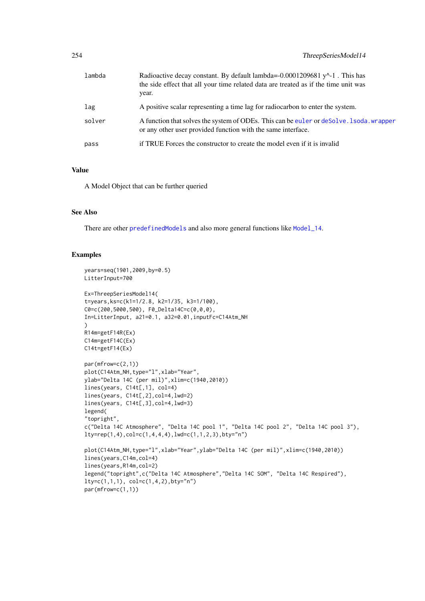| lambda | Radioactive decay constant. By default lambda=-0.0001209681 $v^2$ -1. This has<br>the side effect that all your time related data are treated as if the time unit was<br>year. |
|--------|--------------------------------------------------------------------------------------------------------------------------------------------------------------------------------|
| lag    | A positive scalar representing a time lag for radiocarbon to enter the system.                                                                                                 |
| solver | A function that solves the system of ODEs. This can be euler or deSolve. 1 soda, wrapper<br>or any other user provided function with the same interface.                       |
| pass   | if TRUE Forces the constructor to create the model even if it is invalid                                                                                                       |

## Value

A Model Object that can be further queried

#### See Also

There are other [predefinedModels](#page-224-0) and also more general functions like [Model\\_14](#page-194-0).

# Examples

```
years=seq(1901,2009,by=0.5)
LitterInput=700
Ex=ThreepSeriesModel14(
t=years,ks=c(k1=1/2.8, k2=1/35, k3=1/100),
C0=c(200,5000,500), F0_Delta14C=c(0,0,0),
In=LitterInput, a21=0.1, a32=0.01,inputFc=C14Atm_NH
\lambdaR14m=getF14R(Ex)
C14m=getF14C(Ex)
C14t=getF14(Ex)
par(mfrow=c(2,1))plot(C14Atm_NH,type="l",xlab="Year",
ylab="Delta 14C (per mil)",xlim=c(1940,2010))
lines(years, C14t[,1], col=4)
lines(years, C14t[,2],col=4,lwd=2)
lines(years, C14t[,3],col=4,lwd=3)
legend(
"topright",
c("Delta 14C Atmosphere", "Delta 14C pool 1", "Delta 14C pool 2", "Delta 14C pool 3"),
lty=rep(1,4), col=c(1,4,4,4), lwd=c(1,1,2,3), bty="n"plot(C14Atm_NH,type="l",xlab="Year",ylab="Delta 14C (per mil)",xlim=c(1940,2010))
lines(years,C14m,col=4)
lines(years,R14m,col=2)
legend("topright",c("Delta 14C Atmosphere","Delta 14C SOM", "Delta 14C Respired"),
lty=c(1,1,1), col=c(1,4,2), bty="n")par(mfrow=c(1,1))
```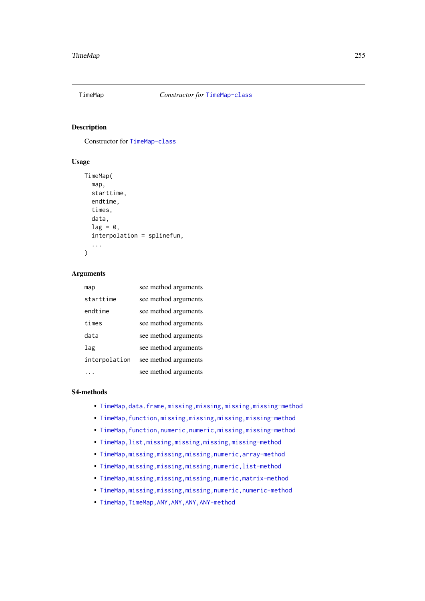# Description

Constructor for [TimeMap-class](#page-259-0)

# Usage

```
TimeMap(
  map,
  starttime,
  endtime,
  times,
  data,
  lag = 0,interpolation = splinefun,
  ...
)
```
## Arguments

| map           | see method arguments |
|---------------|----------------------|
| starttime     | see method arguments |
| endtime       | see method arguments |
| times         | see method arguments |
| data          | see method arguments |
| lag           | see method arguments |
| interpolation | see method arguments |
|               | see method arguments |

#### S4-methods

- [TimeMap,data.frame,missing,missing,missing,missing-method](#page-0-0)
- TimeMap, function, missing, missing, missing, missing-method
- TimeMap, function, numeric, numeric, missing, missing-method
- [TimeMap,list,missing,missing,missing,missing-method](#page-0-0)
- [TimeMap,missing,missing,missing,numeric,array-method](#page-0-0)
- [TimeMap,missing,missing,missing,numeric,list-method](#page-0-0)
- [TimeMap,missing,missing,missing,numeric,matrix-method](#page-0-0)
- [TimeMap,missing,missing,missing,numeric,numeric-method](#page-0-0)
- TimeMap, TimeMap, ANY, ANY, ANY, ANY-method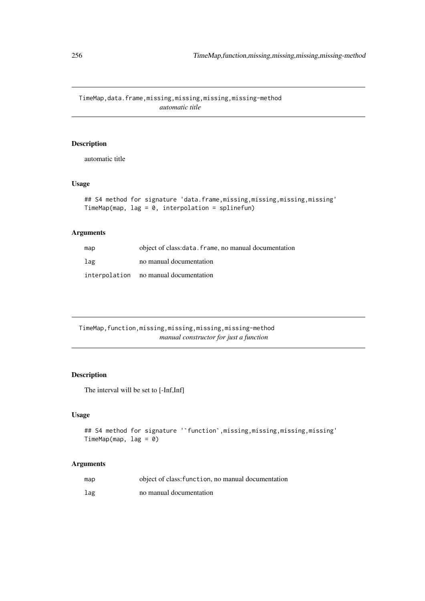TimeMap,data.frame,missing,missing,missing,missing-method *automatic title*

# Description

automatic title

# Usage

```
## S4 method for signature 'data.frame,missing,missing,missing,missing'
TimeMap(map, lag = 0, interpolation = splinefun)
```
# Arguments

| map | object of class: data. frame, no manual documentation |
|-----|-------------------------------------------------------|
| lag | no manual documentation                               |
|     | interpolation no manual documentation                 |

TimeMap,function,missing,missing,missing,missing-method *manual constructor for just a function*

# Description

The interval will be set to [-Inf,Inf]

# Usage

```
## S4 method for signature '`function`, missing, missing, missing, missing'
TimeMap(map, lag = 0)
```

| map | object of class: function, no manual documentation |
|-----|----------------------------------------------------|
| lag | no manual documentation                            |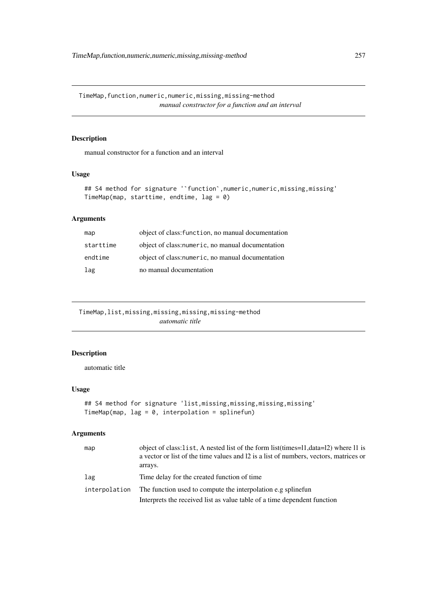# Description

manual constructor for a function and an interval

## Usage

```
## S4 method for signature ''function', numeric, numeric, missing, missing'
TimeMap(map, starttime, endtime, lag = 0)
```
# Arguments

| map       | object of class: function, no manual documentation |
|-----------|----------------------------------------------------|
| starttime | object of class: numeric, no manual documentation  |
| endtime   | object of class: numeric, no manual documentation  |
| lag       | no manual documentation                            |

TimeMap,list,missing,missing,missing,missing-method *automatic title*

# Description

automatic title

# Usage

```
## S4 method for signature 'list, missing, missing, missing, missing'
TimeMap(map, lag = 0, interpolation = splinefun)
```

| map           | object of class: list, A nested list of the form list (times=11, data=12) where 11 is<br>a vector or list of the time values and 12 is a list of numbers, vectors, matrices or<br>arrays. |
|---------------|-------------------------------------------------------------------------------------------------------------------------------------------------------------------------------------------|
| lag           | Time delay for the created function of time                                                                                                                                               |
| interpolation | The function used to compute the interpolation e.g spline fun                                                                                                                             |
|               | Interprets the received list as value table of a time dependent function                                                                                                                  |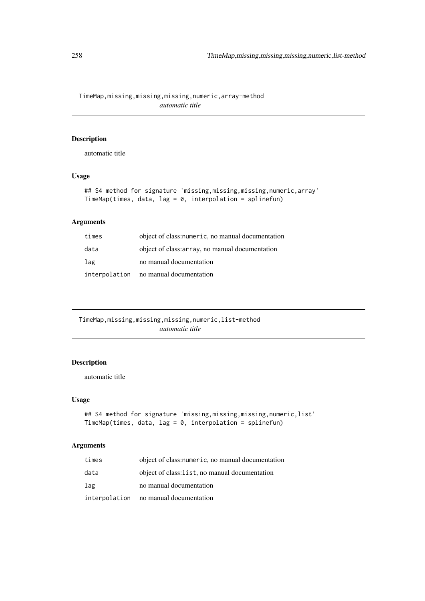TimeMap,missing,missing,missing,numeric,array-method *automatic title*

# Description

automatic title

# Usage

```
## S4 method for signature 'missing,missing,missing,numeric,array'
TimeMap(times, data, lag = 0, interpolation = splinefun)
```
# Arguments

| times | object of class: numeric, no manual documentation |
|-------|---------------------------------------------------|
| data  | object of class: array, no manual documentation   |
| lag   | no manual documentation                           |
|       | interpolation no manual documentation             |

TimeMap,missing,missing,missing,numeric,list-method *automatic title*

# Description

automatic title

# Usage

```
## S4 method for signature 'missing,missing,missing,numeric,list'
TimeMap(times, data, lag = 0, interpolation = splinefun)
```

| times | object of class: numeric, no manual documentation |
|-------|---------------------------------------------------|
| data  | object of class: list, no manual documentation    |
| lag   | no manual documentation                           |
|       | interpolation no manual documentation             |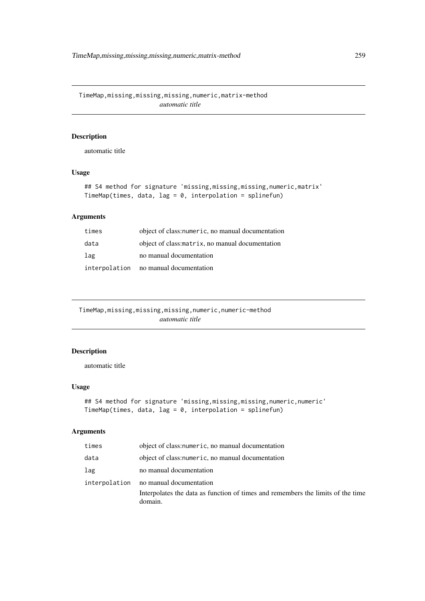TimeMap,missing,missing,missing,numeric,matrix-method *automatic title*

# Description

automatic title

# Usage

```
## S4 method for signature 'missing,missing,missing,numeric,matrix'
TimeMap(times, data, lag = 0, interpolation = splinefun)
```
# Arguments

| times | object of class: numeric, no manual documentation |
|-------|---------------------------------------------------|
| data  | object of class: matrix, no manual documentation  |
| lag   | no manual documentation                           |
|       | interpolation no manual documentation             |

TimeMap,missing,missing,missing,numeric,numeric-method *automatic title*

# Description

automatic title

# Usage

```
## S4 method for signature 'missing,missing,missing,numeric,numeric'
TimeMap(times, data, lag = 0, interpolation = splinefun)
```

| times | object of class: numeric, no manual documentation                                                                                   |
|-------|-------------------------------------------------------------------------------------------------------------------------------------|
| data  | object of class: numeric, no manual documentation                                                                                   |
| lag   | no manual documentation                                                                                                             |
|       | interpolation no manual documentation<br>Interpolates the data as function of times and remembers the limits of the time<br>domain. |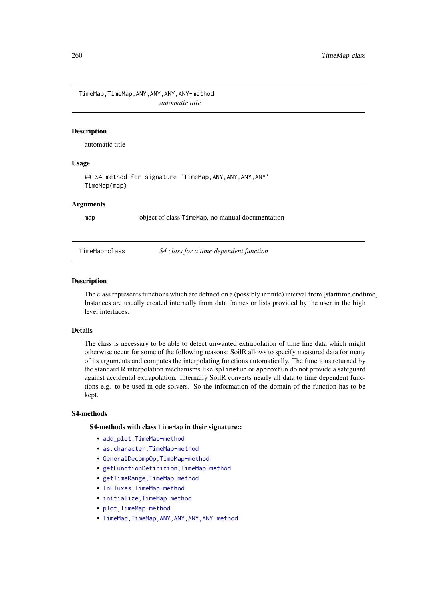TimeMap,TimeMap,ANY,ANY,ANY,ANY-method *automatic title*

## Description

automatic title

## Usage

## S4 method for signature 'TimeMap,ANY,ANY,ANY,ANY' TimeMap(map)

#### Arguments

map object of class: TimeMap, no manual documentation

<span id="page-259-0"></span>

#### TimeMap-class *S4 class for a time dependent function*

## Description

The class represents functions which are defined on a (possibly infinite) interval from [starttime,endtime] Instances are usually created internally from data frames or lists provided by the user in the high level interfaces.

#### Details

The class is necessary to be able to detect unwanted extrapolation of time line data which might otherwise occur for some of the following reasons: SoilR allows to specify measured data for many of its arguments and computes the interpolating functions automatically. The functions returned by the standard R interpolation mechanisms like splinefun or approxfun do not provide a safeguard against accidental extrapolation. Internally SoilR converts nearly all data to time dependent functions e.g. to be used in ode solvers. So the information of the domain of the function has to be kept.

#### S4-methods

## S4-methods with class TimeMap in their signature::

- add\_plot, TimeMap-method
- as.character, TimeMap-method
- [GeneralDecompOp,TimeMap-method](#page-0-0)
- [getFunctionDefinition,TimeMap-method](#page-0-0)
- getTimeRange, TimeMap-method
- [InFluxes,TimeMap-method](#page-0-0)
- [initialize,TimeMap-method](#page-0-0)
- [plot,TimeMap-method](#page-0-0)
- TimeMap, TimeMap, ANY, ANY, ANY, ANY-method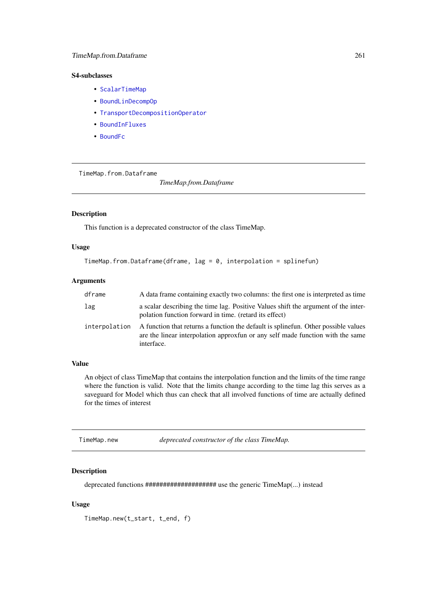## <span id="page-260-0"></span>S4-subclasses

- [ScalarTimeMap](#page-230-0)
- [BoundLinDecompOp](#page-29-0)
- [TransportDecompositionOperator](#page-262-0)
- [BoundInFluxes](#page-27-0)
- [BoundFc](#page-26-0)

TimeMap.from.Dataframe

*TimeMap.from.Dataframe*

# Description

This function is a deprecated constructor of the class TimeMap.

# Usage

```
TimeMap.from.Dataframe(dframe, lag = 0, interpolation = splinefun)
```
# Arguments

| dframe        | A data frame containing exactly two columns: the first one is interpreted as time                                                                                                  |
|---------------|------------------------------------------------------------------------------------------------------------------------------------------------------------------------------------|
| lag           | a scalar describing the time lag. Positive Values shift the argument of the inter-<br>polation function forward in time. (retard its effect)                                       |
| interpolation | A function that returns a function the default is splinefun. Other possible values<br>are the linear interpolation approxfun or any self made function with the same<br>interface. |

## Value

An object of class TimeMap that contains the interpolation function and the limits of the time range where the function is valid. Note that the limits change according to the time lag this serves as a saveguard for Model which thus can check that all involved functions of time are actually defined for the times of interest

TimeMap.new *deprecated constructor of the class TimeMap.*

## Description

deprecated functions #################### use the generic TimeMap(...) instead

# Usage

TimeMap.new(t\_start, t\_end, f)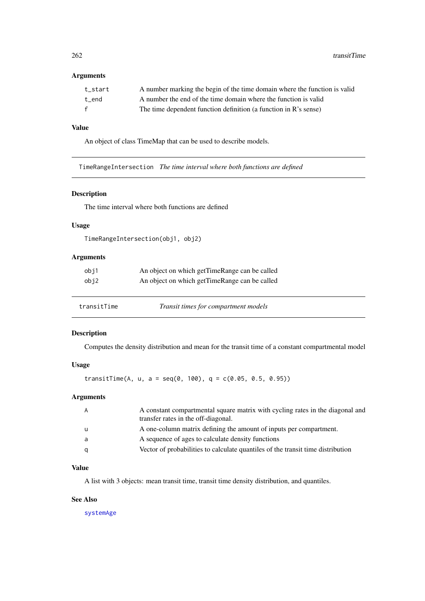262 transitTime and the contract of the contract of the contract of the contract of the contract of the contract of the contract of the contract of the contract of the contract of the contract of the contract of the contra

# Arguments

| t start      | A number marking the begin of the time domain where the function is valid |
|--------------|---------------------------------------------------------------------------|
| t end        | A number the end of the time domain where the function is valid           |
| $\mathbf{f}$ | The time dependent function definition (a function in R's sense)          |

# Value

An object of class TimeMap that can be used to describe models.

TimeRangeIntersection *The time interval where both functions are defined*

## Description

The time interval where both functions are defined

## Usage

```
TimeRangeIntersection(obj1, obj2)
```
# Arguments

| obj1 | An object on which getTimeRange can be called |
|------|-----------------------------------------------|
| obj2 | An object on which getTimeRange can be called |
|      |                                               |
|      |                                               |

| transitTime | Transit times for compartment models |  |
|-------------|--------------------------------------|--|
|             |                                      |  |

# Description

Computes the density distribution and mean for the transit time of a constant compartmental model

# Usage

transitTime(A, u, a = seq(0, 100), q =  $c(0.05, 0.5, 0.95)$ )

#### Arguments

| A constant compartmental square matrix with cycling rates in the diagonal and   |
|---------------------------------------------------------------------------------|
| A one-column matrix defining the amount of inputs per compartment.              |
|                                                                                 |
| Vector of probabilities to calculate quantiles of the transit time distribution |
|                                                                                 |

# Value

A list with 3 objects: mean transit time, transit time density distribution, and quantiles.

# See Also

[systemAge](#page-239-0)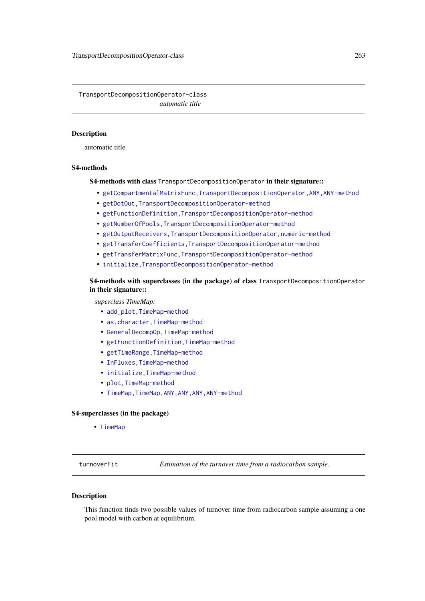<span id="page-262-0"></span>TransportDecompositionOperator-class *automatic title*

#### Description

automatic title

## S4-methods

S4-methods with class TransportDecompositionOperator in their signature::

- [getCompartmentalMatrixFunc,TransportDecompositionOperator,ANY,ANY-method](#page-0-0)
- [getDotOut,TransportDecompositionOperator-method](#page-0-0)
- [getFunctionDefinition,TransportDecompositionOperator-method](#page-0-0)
- [getNumberOfPools,TransportDecompositionOperator-method](#page-0-0)
- [getOutputReceivers,TransportDecompositionOperator,numeric-method](#page-0-0)
- [getTransferCoefficients,TransportDecompositionOperator-method](#page-0-0)
- [getTransferMatrixFunc,TransportDecompositionOperator-method](#page-0-0)
- [initialize,TransportDecompositionOperator-method](#page-0-0)

S4-methods with superclasses (in the package) of class TransportDecompositionOperator in their signature::

*superclass TimeMap:*

- add\_plot, TimeMap-method
- as.character, TimeMap-method
- [GeneralDecompOp,TimeMap-method](#page-0-0)
- [getFunctionDefinition,TimeMap-method](#page-0-0)
- getTimeRange, TimeMap-method
- [InFluxes,TimeMap-method](#page-0-0)
- [initialize,TimeMap-method](#page-0-0)
- [plot,TimeMap-method](#page-0-0)
- TimeMap, TimeMap, ANY, ANY, ANY, ANY-method

## S4-superclasses (in the package)

• [TimeMap](#page-259-0)

turnoverFit *Estimation of the turnover time from a radiocarbon sample.*

# Description

This function finds two possible values of turnover time from radiocarbon sample assuming a one pool model with carbon at equilibrium.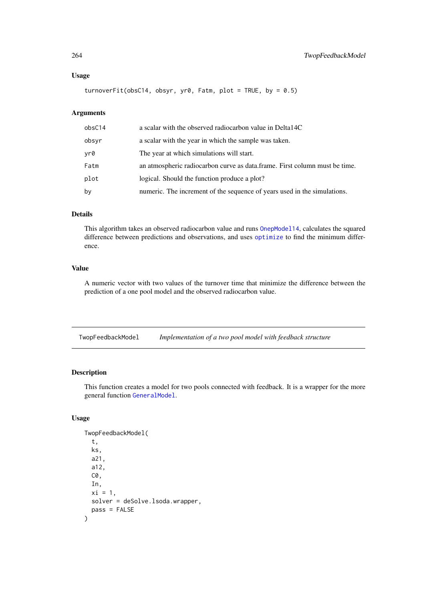#### Usage

turnoverFit(obsC14, obsyr, yr0, Fatm, plot = TRUE, by =  $0.5$ )

# Arguments

| obsC14 | a scalar with the observed radiocarbon value in Delta14C                   |
|--------|----------------------------------------------------------------------------|
| obsyr  | a scalar with the year in which the sample was taken.                      |
| yr0    | The year at which simulations will start.                                  |
| Fatm   | an atmospheric radiocarbon curve as data.frame. First column must be time. |
| plot   | logical. Should the function produce a plot?                               |
| by     | numeric. The increment of the sequence of years used in the simulations.   |

# Details

This algorithm takes an observed radiocarbon value and runs [OnepModel14](#page-203-0), calculates the squared difference between predictions and observations, and uses [optimize](#page-0-0) to find the minimum difference.

## Value

A numeric vector with two values of the turnover time that minimize the difference between the prediction of a one pool model and the observed radiocarbon value.

TwopFeedbackModel *Implementation of a two pool model with feedback structure*

# Description

This function creates a model for two pools connected with feedback. It is a wrapper for the more general function [GeneralModel](#page-103-0).

## Usage

```
TwopFeedbackModel(
  t,
  ks,
  a21,
  a12,
  C0,
  In,
  xi = 1,
  solver = deSolve.lsoda.wrapper,
  pass = FALSE
)
```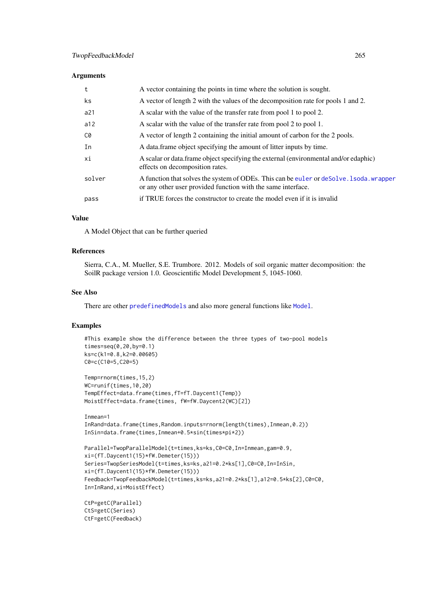#### Arguments

| A vector containing the points in time where the solution is sought.                                                                                              |  |
|-------------------------------------------------------------------------------------------------------------------------------------------------------------------|--|
| A vector of length 2 with the values of the decomposition rate for pools 1 and 2.<br>ks                                                                           |  |
| a21<br>A scalar with the value of the transfer rate from pool 1 to pool 2.                                                                                        |  |
| A scalar with the value of the transfer rate from pool 2 to pool 1.<br>a12                                                                                        |  |
| A vector of length 2 containing the initial amount of carbon for the 2 pools.<br>C0                                                                               |  |
| A data frame object specifying the amount of litter inputs by time.<br>In                                                                                         |  |
| A scalar or data.frame object specifying the external (environmental and/or edaphic)<br>хi<br>effects on decomposition rates.                                     |  |
| A function that solves the system of ODEs. This can be euler or deSolve. 1soda. wrapper<br>solver<br>or any other user provided function with the same interface. |  |
| if TRUE forces the constructor to create the model even if it is invalid<br>pass                                                                                  |  |

## Value

A Model Object that can be further queried

#### References

Sierra, C.A., M. Mueller, S.E. Trumbore. 2012. Models of soil organic matter decomposition: the SoilR package version 1.0. Geoscientific Model Development 5, 1045-1060.

# See Also

There are other [predefinedModels](#page-224-0) and also more general functions like [Model](#page-191-0).

## Examples

```
#This example show the difference between the three types of two-pool models
times=seq(0,20,by=0.1)
ks=c(k1=0.8,k2=0.00605)
C0=c(C10=5,C20=5)
Temp=rnorm(times,15,2)
WC=runif(times,10,20)
TempEffect=data.frame(times,fT=fT.Daycent1(Temp))
MoistEffect=data.frame(times, fW=fW.Daycent2(WC)[2])
Inmean=1
InRand=data.frame(times,Random.inputs=rnorm(length(times),Inmean,0.2))
InSin=data.frame(times,Inmean+0.5*sin(times*pi*2))
Parallel=TwopParallelModel(t=times,ks=ks,C0=C0,In=Inmean,gam=0.9,
xi=(fT.Daycent1(15)*fW.Demeter(15)))
Series=TwopSeriesModel(t=times,ks=ks,a21=0.2*ks[1],C0=C0,In=InSin,
xi=(fT.Daycent1(15)*fW.Demeter(15)))
Feedback=TwopFeedbackModel(t=times,ks=ks,a21=0.2*ks[1],a12=0.5*ks[2],C0=C0,
In=InRand,xi=MoistEffect)
CtP=getC(Parallel)
CtS=getC(Series)
CtF=getC(Feedback)
```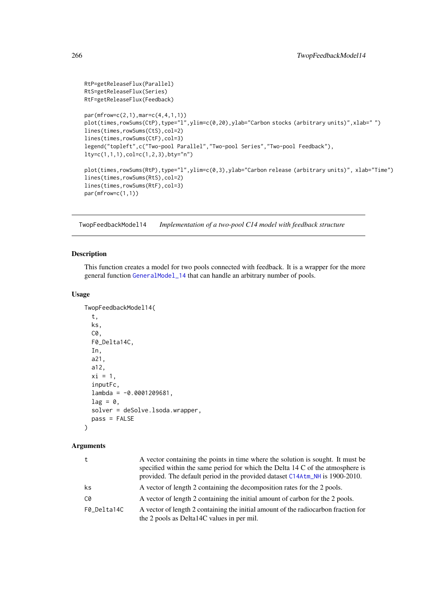```
RtP=getReleaseFlux(Parallel)
RtS=getReleaseFlux(Series)
RtF=getReleaseFlux(Feedback)
par(mfrow=c(2,1),mar=c(4,4,1,1))
plot(times,rowSums(CtP),type="l",ylim=c(0,20),ylab="Carbon stocks (arbitrary units)",xlab="")
lines(times,rowSums(CtS),col=2)
lines(times,rowSums(CtF),col=3)
legend("topleft",c("Two-pool Parallel","Two-pool Series","Two-pool Feedback"),
lty=c(1,1,1),col=c(1,2,3),bty="n")
plot(times,rowSums(RtP),type="l",ylim=c(0,3),ylab="Carbon release (arbitrary units)", xlab="Time")
lines(times,rowSums(RtS),col=2)
lines(times,rowSums(RtF),col=3)
par(mfrow=c(1,1))
```
TwopFeedbackModel14 *Implementation of a two-pool C14 model with feedback structure*

## Description

This function creates a model for two pools connected with feedback. It is a wrapper for the more general function [GeneralModel\\_14](#page-104-0) that can handle an arbitrary number of pools.

## Usage

```
TwopFeedbackModel14(
  t,
  ks,
  C0,
  F0_Delta14C,
  In,
  a21,
  a12,
  xi = 1,
  inputFc,
  lambda = -0.0001209681,lag = 0,
  solver = deSolve.lsoda.wrapper,
  pass = FALSE
\lambda
```

| t           | A vector containing the points in time where the solution is sought. It must be<br>specified within the same period for which the Delta 14 C of the atmosphere is<br>provided. The default period in the provided dataset C14Atm_NH is 1900-2010. |
|-------------|---------------------------------------------------------------------------------------------------------------------------------------------------------------------------------------------------------------------------------------------------|
| ks          | A vector of length 2 containing the decomposition rates for the 2 pools.                                                                                                                                                                          |
| C0          | A vector of length 2 containing the initial amount of carbon for the 2 pools.                                                                                                                                                                     |
| F0 Delta14C | A vector of length 2 containing the initial amount of the radiocarbon fraction for<br>the 2 pools as Delta14C values in per mil.                                                                                                                  |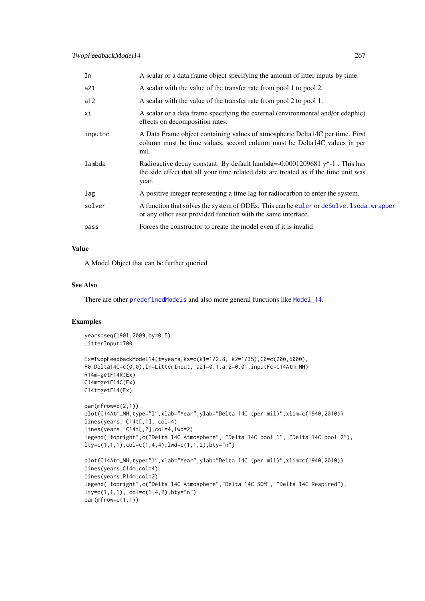| In      | A scalar or a data frame object specifying the amount of litter inputs by time.                                                                                                |
|---------|--------------------------------------------------------------------------------------------------------------------------------------------------------------------------------|
| a21     | A scalar with the value of the transfer rate from pool 1 to pool 2.                                                                                                            |
| a12     | A scalar with the value of the transfer rate from pool 2 to pool 1.                                                                                                            |
| хi      | A scalar or a data. frame specifying the external (environmental and/or edaphic)<br>effects on decomposition rates.                                                            |
| inputFc | A Data Frame object containing values of atmospheric Delta14C per time. First<br>column must be time values, second column must be Delta14C values in per<br>mil.              |
| lambda  | Radioactive decay constant. By default lambda=-0.0001209681 $y^2$ -1. This has<br>the side effect that all your time related data are treated as if the time unit was<br>year. |
| lag     | A positive integer representing a time lag for radiocarbon to enter the system.                                                                                                |
| solver  | A function that solves the system of ODEs. This can be euler or deSolve. 1 soda, wrapper<br>or any other user provided function with the same interface.                       |
| pass    | Forces the constructor to create the model even if it is invalid                                                                                                               |

# Value

A Model Object that can be further queried

# See Also

There are other [predefinedModels](#page-224-0) and also more general functions like [Model\\_14](#page-194-0).

# Examples

```
years=seq(1901,2009,by=0.5)
LitterInput=700
Ex=TwopFeedbackModel14(t=years,ks=c(k1=1/2.8, k2=1/35),C0=c(200,5000),
F0_Delta14C=c(0,0),In=LitterInput, a21=0.1,a12=0.01,inputFc=C14Atm_NH)
R14m=getF14R(Ex)
C14m=getF14C(Ex)
C14t=getF14(Ex)
par(mfrow=c(2,1))
plot(C14Atm_NH,type="l",xlab="Year",ylab="Delta 14C (per mil)",xlim=c(1940,2010))
lines(years, C14t[,1], col=4)
lines(years, C14t[,2],col=4,lwd=2)
legend("topright",c("Delta 14C Atmosphere", "Delta 14C pool 1", "Delta 14C pool 2"),
lty=c(1,1,1), col=c(1,4,4), lwd=c(1,1,2), bty="n")plot(C14Atm_NH,type="l",xlab="Year",ylab="Delta 14C (per mil)",xlim=c(1940,2010))
lines(years,C14m,col=4)
lines(years,R14m,col=2)
legend("topright",c("Delta 14C Atmosphere","Delta 14C SOM", "Delta 14C Respired"),
lty=c(1,1,1), col=c(1,4,2),bty="n")
par(mfrow=c(1,1))
```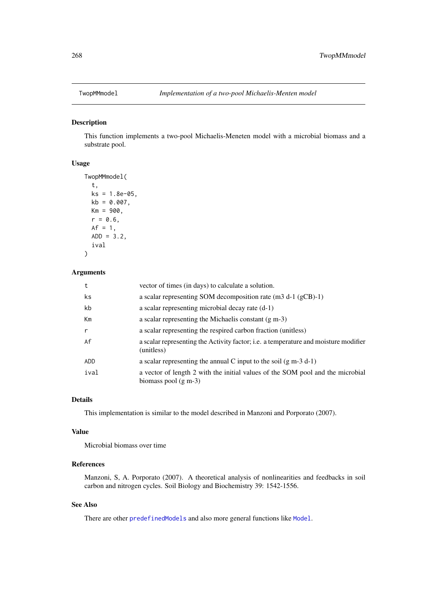## Description

This function implements a two-pool Michaelis-Meneten model with a microbial biomass and a substrate pool.

# Usage

```
TwopMMmodel(
  t,
  ks = 1.8e-05,
  kb = 0.007,
  Km = 900,r = 0.6,
  Af = 1,ADD = 3.2,ival
)
```
# Arguments

| t            | vector of times (in days) to calculate a solution.                                                       |
|--------------|----------------------------------------------------------------------------------------------------------|
| ks           | a scalar representing SOM decomposition rate (m3 d-1 (gCB)-1)                                            |
| kb           | a scalar representing microbial decay rate (d-1)                                                         |
| Km           | a scalar representing the Michaelis constant $(g m-3)$                                                   |
| $\mathsf{r}$ | a scalar representing the respired carbon fraction (unitless)                                            |
| Af           | a scalar representing the Activity factor; i.e. a temperature and moisture modifier<br>(unitless)        |
| ADD          | a scalar representing the annual C input to the soil $(g m-3 d-1)$                                       |
| ival         | a vector of length 2 with the initial values of the SOM pool and the microbial<br>biomass pool $(g m-3)$ |

## Details

This implementation is similar to the model described in Manzoni and Porporato (2007).

## Value

Microbial biomass over time

## References

Manzoni, S, A. Porporato (2007). A theoretical analysis of nonlinearities and feedbacks in soil carbon and nitrogen cycles. Soil Biology and Biochemistry 39: 1542-1556.

## See Also

There are other [predefinedModels](#page-224-0) and also more general functions like [Model](#page-191-0).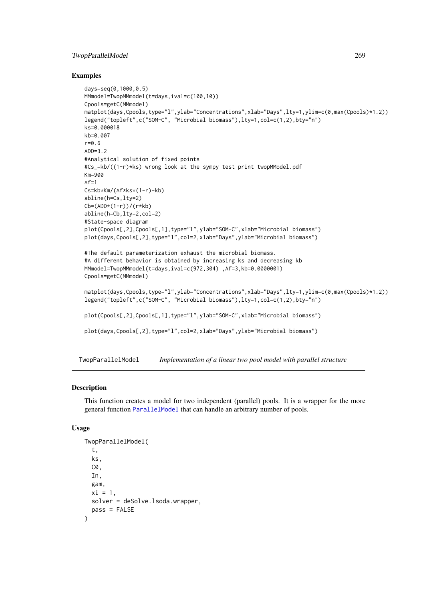## TwopParallelModel 269

#### Examples

```
days=seq(0,1000,0.5)
MMmodel=TwopMMmodel(t=days,ival=c(100,10))
Cpools=getC(MMmodel)
matplot(days,Cpools,type="l",ylab="Concentrations",xlab="Days",lty=1,ylim=c(0,max(Cpools)*1.2))
legend("topleft",c("SOM-C", "Microbial biomass"),lty=1,col=c(1,2),bty="n")
ks=0.000018
kb=0.007
r=0.6
ADD=3.2
#Analytical solution of fixed points
#Cs_=kb/((1-r)*ks) wrong look at the sympy test print twopMModel.pdf
Km=900
Af=1Cs=kb*Km/(Af*ks*(1-r)-kb)
abline(h=Cs,lty=2)
Cb=(ADD*(1-r))/(r*kb)
abline(h=Cb,lty=2,col=2)
#State-space diagram
plot(Cpools[,2],Cpools[,1],type="l",ylab="SOM-C",xlab="Microbial biomass")
plot(days,Cpools[,2],type="l",col=2,xlab="Days",ylab="Microbial biomass")
#The default parameterization exhaust the microbial biomass.
#A different behavior is obtained by increasing ks and decreasing kb
MMmodel=TwopMMmodel(t=days,ival=c(972,304) ,Af=3,kb=0.0000001)
Cpools=getC(MMmodel)
matplot(days,Cpools,type="l",ylab="Concentrations",xlab="Days",lty=1,ylim=c(0,max(Cpools)*1.2))
legend("topleft",c("SOM-C", "Microbial biomass"),lty=1,col=c(1,2),bty="n")
plot(Cpools[,2],Cpools[,1],type="l",ylab="SOM-C",xlab="Microbial biomass")
plot(days,Cpools[,2],type="l",col=2,xlab="Days",ylab="Microbial biomass")
```
TwopParallelModel *Implementation of a linear two pool model with parallel structure*

#### Description

This function creates a model for two independent (parallel) pools. It is a wrapper for the more general function [ParallelModel](#page-210-0) that can handle an arbitrary number of pools.

## Usage

```
TwopParallelModel(
  t,
  ks,
  C0,
  In,
  gam,
  xi = 1,
  solver = deSolve.lsoda.wrapper,
  pass = FALSE
)
```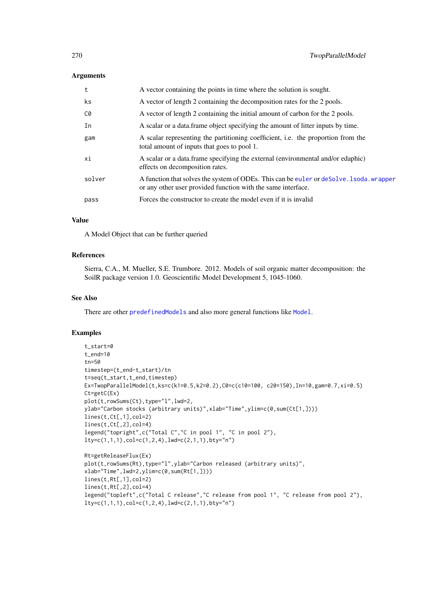#### Arguments

| t      | A vector containing the points in time where the solution is sought.                                                                                     |
|--------|----------------------------------------------------------------------------------------------------------------------------------------------------------|
| ks.    | A vector of length 2 containing the decomposition rates for the 2 pools.                                                                                 |
| C0     | A vector of length 2 containing the initial amount of carbon for the 2 pools.                                                                            |
| In     | A scalar or a data. frame object specifying the amount of litter inputs by time.                                                                         |
| gam    | A scalar representing the partitioning coefficient, i.e. the proportion from the<br>total amount of inputs that goes to pool 1.                          |
| хi     | A scalar or a data. frame specifying the external (environmental and/or edaphic)<br>effects on decomposition rates.                                      |
| solver | A function that solves the system of ODEs. This can be euler or deSolve. I soda, wrapper<br>or any other user provided function with the same interface. |
| pass   | Forces the constructor to create the model even if it is invalid                                                                                         |
|        |                                                                                                                                                          |

## Value

A Model Object that can be further queried

# References

Sierra, C.A., M. Mueller, S.E. Trumbore. 2012. Models of soil organic matter decomposition: the SoilR package version 1.0. Geoscientific Model Development 5, 1045-1060.

## See Also

There are other [predefinedModels](#page-224-0) and also more general functions like [Model](#page-191-0).

# Examples

```
t_start=0
t_end=10
tn=50
timestep=(t_end-t_start)/tn
t=seq(t_start,t_end,timestep)
Ex=TwopParallelModel(t,ks=c(k1=0.5,k2=0.2),C0=c(c10=100, c20=150),In=10,gam=0.7,xi=0.5)
Ct=getC(Ex)
plot(t,rowSums(Ct),type="l",lwd=2,
ylab="Carbon stocks (arbitrary units)",xlab="Time",ylim=c(0,sum(Ct[1,])))
lines(t,Ct[,1],col=2)
lines(t,Ct[,2],col=4)
legend("topright",c("Total C","C in pool 1", "C in pool 2"),
lty=c(1,1,1), col=c(1,2,4), lwd=c(2,1,1), bty="n")Rt=getReleaseFlux(Ex)
plot(t,rowSums(Rt),type="l",ylab="Carbon released (arbitrary units)",
xlab="Time",lwd=2,ylim=c(0,sum(Rt[1,])))
lines(t,Rt[,1],col=2)
lines(t,Rt[,2],col=4)
legend("topleft",c("Total C release","C release from pool 1", "C release from pool 2"),
lty=c(1,1,1), col=c(1,2,4), lwd=c(2,1,1), bty="n")
```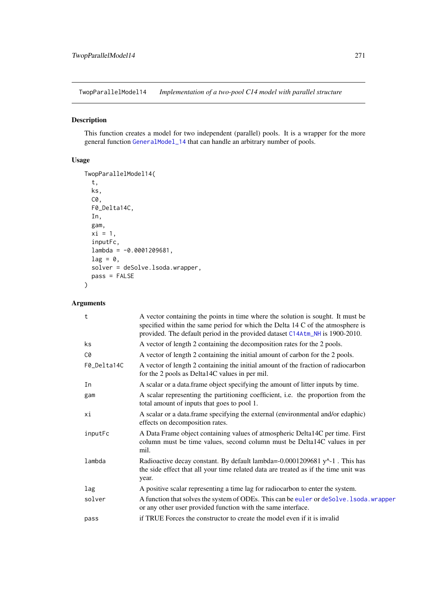TwopParallelModel14 *Implementation of a two-pool C14 model with parallel structure*

# Description

This function creates a model for two independent (parallel) pools. It is a wrapper for the more general function [GeneralModel\\_14](#page-104-0) that can handle an arbitrary number of pools.

# Usage

```
TwopParallelModel14(
  t,
  ks,
  C0,
  F0_Delta14C,
 In,
  gam,
  xi = 1,
  inputFc,
  lambda = -0.0001209681,lag = 0,solver = deSolve.lsoda.wrapper,
  pass = FALSE
\lambda
```

| t           | A vector containing the points in time where the solution is sought. It must be<br>specified within the same period for which the Delta 14 C of the atmosphere is<br>provided. The default period in the provided dataset C14Atm_NH is 1900-2010. |
|-------------|---------------------------------------------------------------------------------------------------------------------------------------------------------------------------------------------------------------------------------------------------|
| ks          | A vector of length 2 containing the decomposition rates for the 2 pools.                                                                                                                                                                          |
| C0          | A vector of length 2 containing the initial amount of carbon for the 2 pools.                                                                                                                                                                     |
| F0_Delta14C | A vector of length 2 containing the initial amount of the fraction of radiocarbon<br>for the 2 pools as Delta14C values in per mil.                                                                                                               |
| In          | A scalar or a data. frame object specifying the amount of litter inputs by time.                                                                                                                                                                  |
| gam         | A scalar representing the partitioning coefficient, i.e. the proportion from the<br>total amount of inputs that goes to pool 1.                                                                                                                   |
| хi          | A scalar or a data.frame specifying the external (environmental and/or edaphic)<br>effects on decomposition rates.                                                                                                                                |
| inputFc     | A Data Frame object containing values of atmospheric Delta14C per time. First<br>column must be time values, second column must be Delta14C values in per<br>mil.                                                                                 |
| lambda      | Radioactive decay constant. By default lambda=-0.0001209681 $y^2$ -1. This has<br>the side effect that all your time related data are treated as if the time unit was<br>year.                                                                    |
| lag         | A positive scalar representing a time lag for radiocarbon to enter the system.                                                                                                                                                                    |
| solver      | A function that solves the system of ODEs. This can be euler or deSolve. 1soda. wrapper<br>or any other user provided function with the same interface.                                                                                           |
| pass        | if TRUE Forces the constructor to create the model even if it is invalid                                                                                                                                                                          |
|             |                                                                                                                                                                                                                                                   |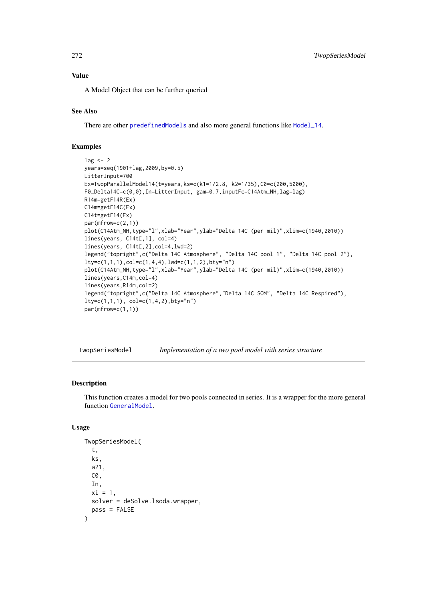#### Value

A Model Object that can be further queried

# See Also

There are other [predefinedModels](#page-224-0) and also more general functions like [Model\\_14](#page-194-0).

# Examples

```
lag < - 2years=seq(1901+lag,2009,by=0.5)
LitterInput=700
Ex=TwopParallelModel14(t=years,ks=c(k1=1/2.8, k2=1/35),C0=c(200,5000),
F0_Delta14C=c(0,0),In=LitterInput, gam=0.7,inputFc=C14Atm_NH,lag=lag)
R14m=getF14R(Ex)
C14m=getF14C(Ex)
C14t=getF14(Ex)
par(mfrow=c(2,1))
plot(C14Atm_NH,type="l",xlab="Year",ylab="Delta 14C (per mil)",xlim=c(1940,2010))
lines(years, C14t[,1], col=4)
lines(years, C14t[,2],col=4,lwd=2)
legend("topright",c("Delta 14C Atmosphere", "Delta 14C pool 1", "Delta 14C pool 2"),
lty=c(1,1,1), col=c(1,4,4), lwd=c(1,1,2), bty="n")plot(C14Atm_NH,type="l",xlab="Year",ylab="Delta 14C (per mil)",xlim=c(1940,2010))
lines(years,C14m,col=4)
lines(years,R14m,col=2)
legend("topright",c("Delta 14C Atmosphere","Delta 14C SOM", "Delta 14C Respired"),
lty=c(1,1,1), col=c(1,4,2),bty="n")
par(mfrow=c(1,1))
```
TwopSeriesModel *Implementation of a two pool model with series structure*

#### Description

This function creates a model for two pools connected in series. It is a wrapper for the more general function [GeneralModel](#page-103-0).

## Usage

```
TwopSeriesModel(
  t,
  ks,
  a21,
  C0,
  In,
  xi = 1,
  solver = deSolve.lsoda.wrapper,
  pass = FALSE
)
```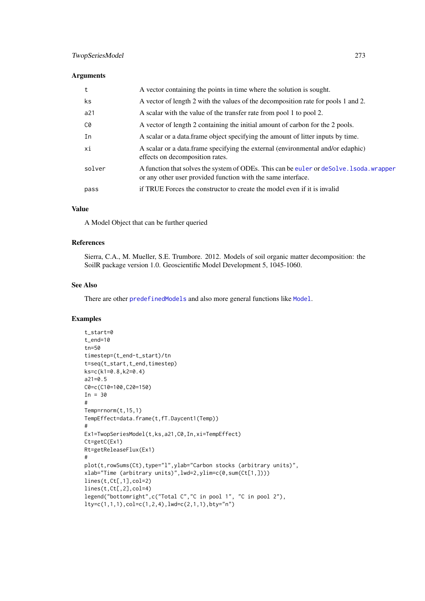## Arguments

| t      | A vector containing the points in time where the solution is sought.                                                                                     |
|--------|----------------------------------------------------------------------------------------------------------------------------------------------------------|
| ks.    | A vector of length 2 with the values of the decomposition rate for pools 1 and 2.                                                                        |
| a21    | A scalar with the value of the transfer rate from pool 1 to pool 2.                                                                                      |
| C0     | A vector of length 2 containing the initial amount of carbon for the 2 pools.                                                                            |
| In     | A scalar or a data. frame object specifying the amount of litter inputs by time.                                                                         |
| хi     | A scalar or a data.frame specifying the external (environmental and/or edaphic)<br>effects on decomposition rates.                                       |
| solver | A function that solves the system of ODEs. This can be euler or deSolve. 1 soda. wrapper<br>or any other user provided function with the same interface. |
| pass   | if TRUE Forces the constructor to create the model even if it is invalid                                                                                 |
|        |                                                                                                                                                          |

# Value

A Model Object that can be further queried

## References

Sierra, C.A., M. Mueller, S.E. Trumbore. 2012. Models of soil organic matter decomposition: the SoilR package version 1.0. Geoscientific Model Development 5, 1045-1060.

## See Also

There are other [predefinedModels](#page-224-0) and also more general functions like [Model](#page-191-0).

## Examples

```
t_start=0
t_end=10
tn=50
timestep=(t_end-t_start)/tn
t=seq(t_start,t_end,timestep)
ks=c(k1=0.8,k2=0.4)
a21=0.5
C0=c(C10=100,C20=150)
In = 30#
Temp=rnorm(t,15,1)
TempEffect=data.frame(t,fT.Daycent1(Temp))
#
Ex1=TwopSeriesModel(t,ks,a21,C0,In,xi=TempEffect)
Ct=getC(Ex1)
Rt=getReleaseFlux(Ex1)
#
plot(t,rowSums(Ct),type="l",ylab="Carbon stocks (arbitrary units)",
xlab="Time (arbitrary units)",lwd=2,ylim=c(0,sum(Ct[1,])))
lines(t,Ct[,1],col=2)
lines(t,Ct[,2],col=4)
legend("bottomright",c("Total C","C in pool 1", "C in pool 2"),
lty=c(1,1,1), col=c(1,2,4), lwd=c(2,1,1), bty="n")
```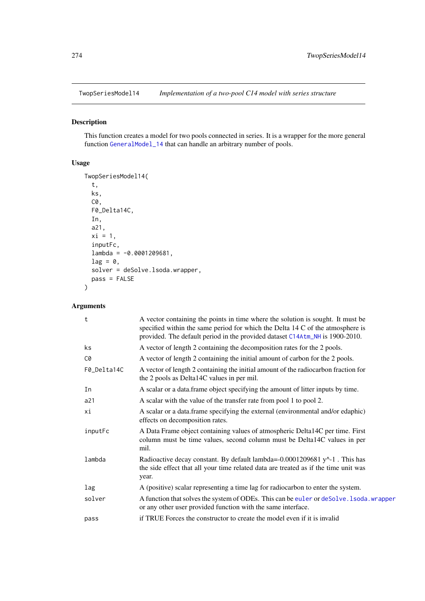# Description

This function creates a model for two pools connected in series. It is a wrapper for the more general function [GeneralModel\\_14](#page-104-0) that can handle an arbitrary number of pools.

# Usage

```
TwopSeriesModel14(
  t,
  ks,
  C0,
  F0_Delta14C,
  In,
  a21,
  xi = 1,
  inputFc,
  lambda = -0.0001209681,lag = 0,
  solver = deSolve.lsoda.wrapper,
  pass = FALSE
)
```

| t           | A vector containing the points in time where the solution is sought. It must be<br>specified within the same period for which the Delta 14 C of the atmosphere is<br>provided. The default period in the provided dataset C14Atm_NH is 1900-2010. |
|-------------|---------------------------------------------------------------------------------------------------------------------------------------------------------------------------------------------------------------------------------------------------|
| ks          | A vector of length 2 containing the decomposition rates for the 2 pools.                                                                                                                                                                          |
| C0          | A vector of length 2 containing the initial amount of carbon for the 2 pools.                                                                                                                                                                     |
| F0_Delta14C | A vector of length 2 containing the initial amount of the radiocarbon fraction for<br>the 2 pools as Delta14C values in per mil.                                                                                                                  |
| In          | A scalar or a data. frame object specifying the amount of litter inputs by time.                                                                                                                                                                  |
| a21         | A scalar with the value of the transfer rate from pool 1 to pool 2.                                                                                                                                                                               |
| хi          | A scalar or a data.frame specifying the external (environmental and/or edaphic)<br>effects on decomposition rates.                                                                                                                                |
| inputFc     | A Data Frame object containing values of atmospheric Delta14C per time. First<br>column must be time values, second column must be Delta14C values in per<br>mil.                                                                                 |
| lambda      | Radioactive decay constant. By default lambda=-0.0001209681 $y^2$ -1. This has<br>the side effect that all your time related data are treated as if the time unit was<br>year.                                                                    |
| lag         | A (positive) scalar representing a time lag for radiocarbon to enter the system.                                                                                                                                                                  |
| solver      | A function that solves the system of ODEs. This can be euler or deSolve. 1soda. wrapper<br>or any other user provided function with the same interface.                                                                                           |
| pass        | if TRUE Forces the constructor to create the model even if it is invalid                                                                                                                                                                          |
|             |                                                                                                                                                                                                                                                   |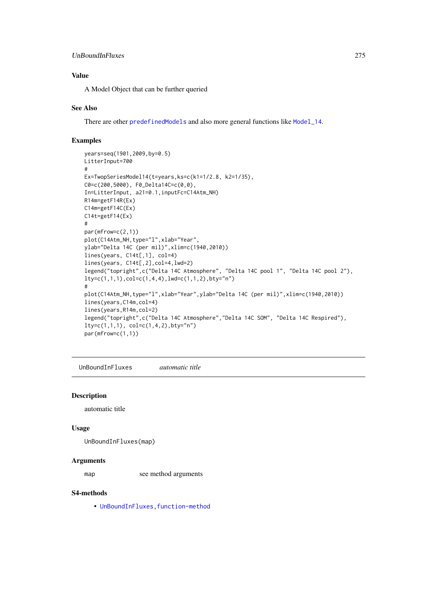#### UnBoundInFluxes 275

# Value

A Model Object that can be further queried

## See Also

There are other [predefinedModels](#page-224-0) and also more general functions like [Model\\_14](#page-194-0).

## Examples

```
years=seq(1901,2009,by=0.5)
LitterInput=700
#
Ex=TwopSeriesModel14(t=years,ks=c(k1=1/2.8, k2=1/35),
C0=c(200,5000), F0_Delta14C=c(0,0),
In=LitterInput, a21=0.1,inputFc=C14Atm_NH)
R14m=getF14R(Ex)
C14m=getF14C(Ex)
C14t=getF14(Ex)
#
par(mfrow=c(2,1))
plot(C14Atm_NH,type="l",xlab="Year",
ylab="Delta 14C (per mil)",xlim=c(1940,2010))
lines(years, C14t[,1], col=4)
lines(years, C14t[,2],col=4,lwd=2)
legend("topright",c("Delta 14C Atmosphere", "Delta 14C pool 1", "Delta 14C pool 2"),
lty=c(1,1,1),col=c(1,4,4),lwd=c(1,1,2),bty="n")
#
plot(C14Atm_NH,type="l",xlab="Year",ylab="Delta 14C (per mil)",xlim=c(1940,2010))
lines(years,C14m,col=4)
lines(years,R14m,col=2)
legend("topright",c("Delta 14C Atmosphere","Delta 14C SOM", "Delta 14C Respired"),
lty=c(1,1,1), col=c(1,4,2), bty="n")par(mfrow=c(1,1))
```
UnBoundInFluxes *automatic title*

## Description

automatic title

## Usage

UnBoundInFluxes(map)

#### Arguments

map see method arguments

# S4-methods

• [UnBoundInFluxes,function-method](#page-0-0)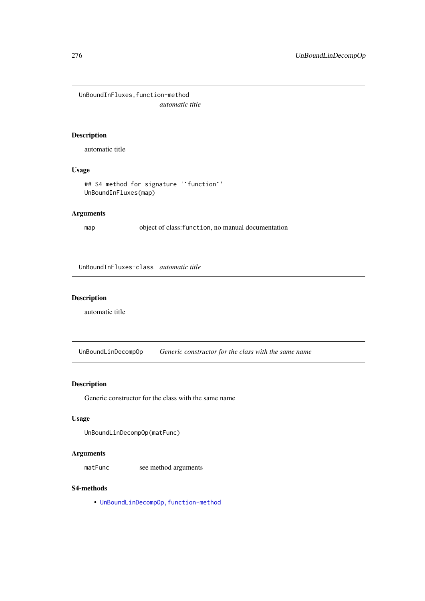UnBoundInFluxes,function-method *automatic title*

# Description

automatic title

# Usage

```
## S4 method for signature '`function`'
UnBoundInFluxes(map)
```
# Arguments

map object of class:function, no manual documentation

UnBoundInFluxes-class *automatic title*

# Description

automatic title

UnBoundLinDecompOp *Generic constructor for the class with the same name*

# Description

Generic constructor for the class with the same name

# Usage

```
UnBoundLinDecompOp(matFunc)
```
# Arguments

matFunc see method arguments

# S4-methods

• [UnBoundLinDecompOp,function-method](#page-0-0)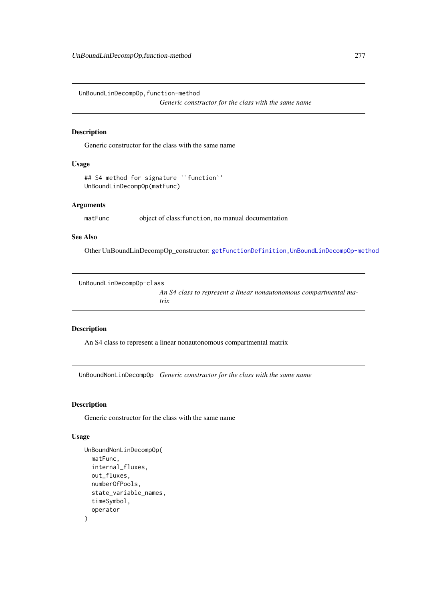<span id="page-276-0"></span>UnBoundLinDecompOp,function-method

*Generic constructor for the class with the same name*

## Description

Generic constructor for the class with the same name

# Usage

```
## S4 method for signature '`function`'
UnBoundLinDecompOp(matFunc)
```
## Arguments

matFunc object of class: function, no manual documentation

## See Also

Other UnBoundLinDecompOp\_constructor: [getFunctionDefinition,UnBoundLinDecompOp-method](#page-0-0)

```
UnBoundLinDecompOp-class
```
*An S4 class to represent a linear nonautonomous compartmental matrix*

## Description

An S4 class to represent a linear nonautonomous compartmental matrix

UnBoundNonLinDecompOp *Generic constructor for the class with the same name*

# Description

Generic constructor for the class with the same name

# Usage

```
UnBoundNonLinDecompOp(
  matFunc,
  internal_fluxes,
  out_fluxes,
  numberOfPools,
  state_variable_names,
  timeSymbol,
  operator
)
```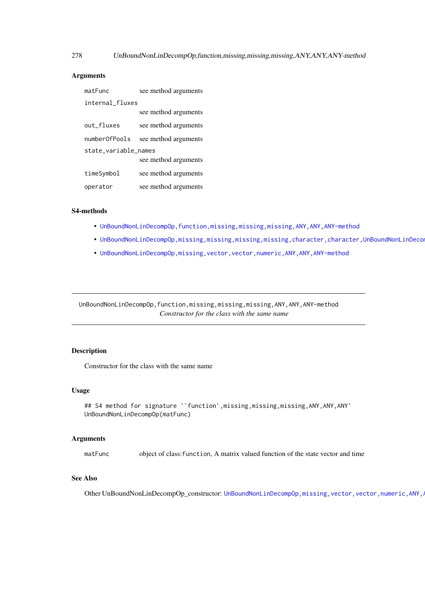## Arguments

| matFunc              | see method arguments |
|----------------------|----------------------|
| internal_fluxes      |                      |
|                      | see method arguments |
| out_fluxes           | see method arguments |
| numberOfPools        | see method arguments |
| state_variable_names |                      |
|                      | see method arguments |
| timeSymbol           | see method arguments |
| operator             | see method arguments |

## S4-methods

- [UnBoundNonLinDecompOp,function,missing,missing,missing,ANY,ANY,ANY-method](#page-0-0)
- UnBoundNonLinDecompOp,missing,missing,missing,missing,character,character,UnBoundNonLinDeco
- [UnBoundNonLinDecompOp,missing,vector,vector,numeric,ANY,ANY,ANY-method](#page-0-0)

UnBoundNonLinDecompOp,function,missing,missing,missing,ANY,ANY,ANY-method *Constructor for the class with the same name*

# Description

Constructor for the class with the same name

# Usage

```
## S4 method for signature '`function`,missing,missing,missing,ANY,ANY,ANY'
UnBoundNonLinDecompOp(matFunc)
```
#### Arguments

matFunc object of class:function, A matrix valued function of the state vector and time

#### See Also

Other UnBoundNonLinDecompOp\_constructor: UnBoundNonLinDecompOp,missing,vector,vector,numeric,ANY,

<span id="page-277-0"></span>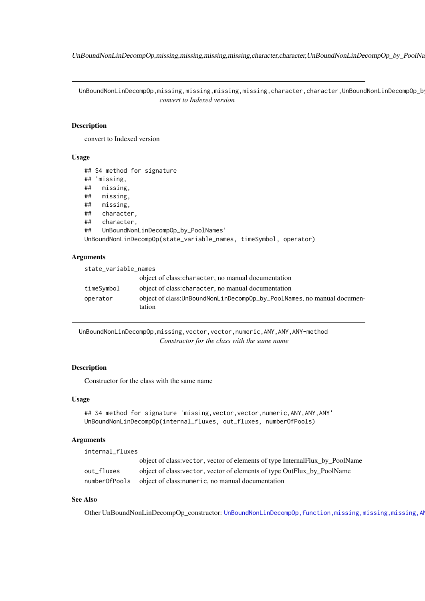<span id="page-278-0"></span>UnBoundNonLinDecompOp,missing,missing,missing,missing,character,character,UnBoundNonLinDecompOp\_by\_PoolNa

UnBoundNonLinDecompOp,missing,missing,missing,missing,character,character,UnBoundNonLinDecompOp\_b *convert to Indexed version*

## Description

convert to Indexed version

#### Usage

```
## S4 method for signature
## 'missing,
## missing,
## missing,
## missing,
## character,
## character,
## UnBoundNonLinDecompOp_by_PoolNames'
UnBoundNonLinDecompOp(state_variable_names, timeSymbol, operator)
```
## Arguments

| state_variable_names |                                                                                   |  |
|----------------------|-----------------------------------------------------------------------------------|--|
|                      | object of class: character, no manual documentation                               |  |
| timeSymbol           | object of class: character, no manual documentation                               |  |
| operator             | object of class: UnBoundNonLinDecompOp_by_PoolNames, no manual documen-<br>tation |  |

UnBoundNonLinDecompOp,missing,vector,vector,numeric,ANY,ANY,ANY-method *Constructor for the class with the same name*

## Description

Constructor for the class with the same name

#### Usage

```
## S4 method for signature 'missing, vector, vector, numeric, ANY, ANY, ANY'
UnBoundNonLinDecompOp(internal_fluxes, out_fluxes, numberOfPools)
```
## Arguments

internal\_fluxes

|               | object of class: vector, vector of elements of type InternalFlux_by_PoolName |  |
|---------------|------------------------------------------------------------------------------|--|
| out fluxes    | object of class: vector, vector of elements of type OutFlux by PoolName      |  |
| numberOfPools | object of class: numeric, no manual documentation                            |  |

# See Also

Other UnBoundNonLinDecompOp\_constructor: UnBoundNonLinDecompOp,function,missing,missing,missing,AI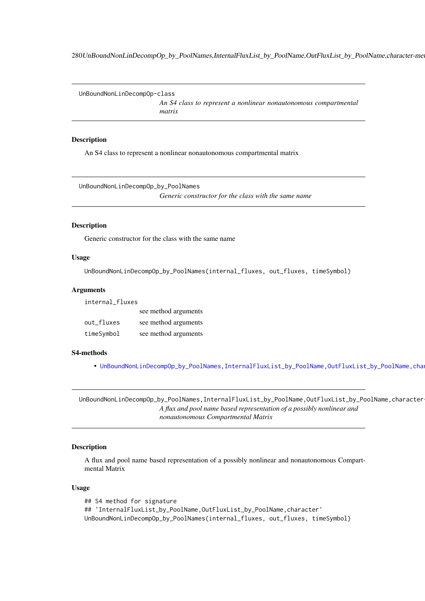280UnBoundNonLinDecompOp\_by\_PoolNames,InternalFluxList\_by\_PoolName,OutFluxList\_by\_PoolName,character-method

UnBoundNonLinDecompOp-class

*An S4 class to represent a nonlinear nonautonomous compartmental matrix*

#### Description

An S4 class to represent a nonlinear nonautonomous compartmental matrix

UnBoundNonLinDecompOp\_by\_PoolNames *Generic constructor for the class with the same name*

#### Description

Generic constructor for the class with the same name

## Usage

UnBoundNonLinDecompOp\_by\_PoolNames(internal\_fluxes, out\_fluxes, timeSymbol)

#### Arguments

internal\_fluxes

|            | see method arguments |
|------------|----------------------|
| out fluxes | see method arguments |
| timeSymbol | see method arguments |

#### S4-methods

• UnBoundNonLinDecompOp\_by\_PoolNames,InternalFluxList\_by\_PoolName,OutFluxList\_by\_PoolName,cha

UnBoundNonLinDecompOp\_by\_PoolNames,InternalFluxList\_by\_PoolName,OutFluxList\_by\_PoolName,character *A flux and pool name based representation of a possibly nonlinear and nonautonomous Compartmental Matrix*

## Description

A flux and pool name based representation of a possibly nonlinear and nonautonomous Compartmental Matrix

# Usage

## S4 method for signature ## 'InternalFluxList\_by\_PoolName,OutFluxList\_by\_PoolName,character' UnBoundNonLinDecompOp\_by\_PoolNames(internal\_fluxes, out\_fluxes, timeSymbol)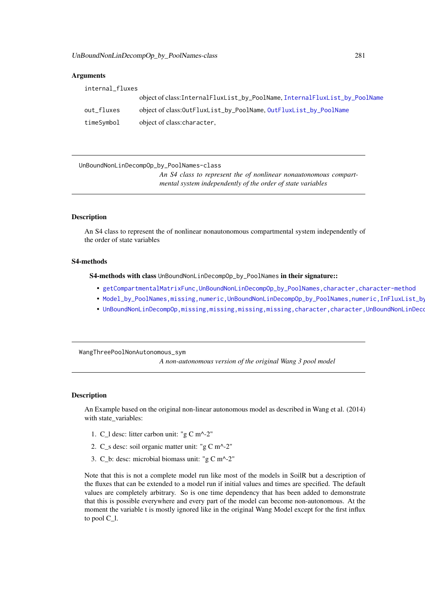## Arguments

| internal_fluxes |                                                                           |  |
|-----------------|---------------------------------------------------------------------------|--|
|                 | object of class:InternalFluxList_by_PoolName,InternalFluxList_by_PoolName |  |
| out_fluxes      | object of class: Out FluxList_by_PoolName, Out FluxList_by_PoolName       |  |
| timeSymbol      | object of class: character,                                               |  |

UnBoundNonLinDecompOp\_by\_PoolNames-class

*An S4 class to represent the of nonlinear nonautonomous compartmental system independently of the order of state variables*

## Description

An S4 class to represent the of nonlinear nonautonomous compartmental system independently of the order of state variables

# S4-methods

S4-methods with class UnBoundNonLinDecompOp\_by\_PoolNames in their signature::

- [getCompartmentalMatrixFunc,UnBoundNonLinDecompOp\\_by\\_PoolNames,character,character-method](#page-0-0)
- Model\_by\_PoolNames,missing,numeric,UnBoundNonLinDecompOp\_by\_PoolNames,numeric,InFluxList\_by
- UnBoundNonLinDecompOp,missing,missing,missing,missing,character,character,UnBoundNonLinDeco

WangThreePoolNonAutonomous\_sym

*A non-autonomous version of the original Wang 3 pool model*

## Description

An Example based on the original non-linear autonomous model as described in Wang et al. (2014) with state\_variables:

- 1. C\_l desc: litter carbon unit: "g C m^-2"
- 2. C\_s desc: soil organic matter unit: "g C m^-2"
- 3. C\_b: desc: microbial biomass unit: "g C m^-2"

Note that this is not a complete model run like most of the models in SoilR but a description of the fluxes that can be extended to a model run if initial values and times are specified. The default values are completely arbitrary. So is one time dependency that has been added to demonstrate that this is possible everywhere and every part of the model can become non-autonomous. At the moment the variable t is mostly ignored like in the original Wang Model except for the first influx to pool C\_l.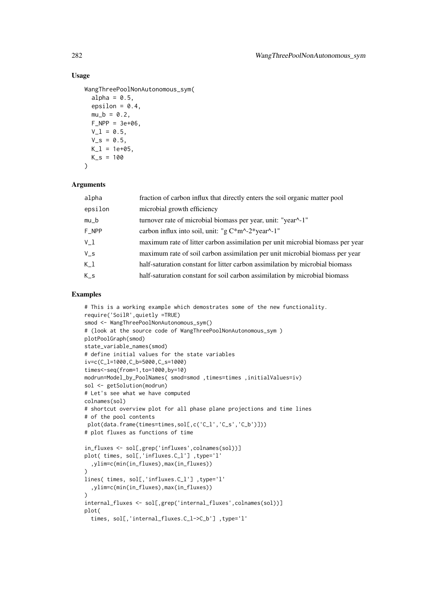## Usage

```
WangThreePoolNonAutonomous_sym(
  alpha = 0.5,
  epsilon = 0.4,
  mu_b = 0.2,
  F_NPP = 3e+06,
  V_l = 0.5,
  V_s = 0.5,
  K_l = 1e+05,
 K_S = 100\lambda
```
# Arguments

| fraction of carbon influx that directly enters the soil organic matter pool    |
|--------------------------------------------------------------------------------|
| microbial growth efficiency                                                    |
| turnover rate of microbial biomass per year, unit: "year^-1"                   |
| carbon influx into soil, unit: "g $C*m^2-2*year^2-1$ "                         |
| maximum rate of litter carbon assimilation per unit microbial biomass per year |
| maximum rate of soil carbon assimilation per unit microbial biomass per year   |
| half-saturation constant for litter carbon assimilation by microbial biomass   |
| half-saturation constant for soil carbon assimilation by microbial biomass     |
|                                                                                |

# Examples

```
# This is a working example which demostrates some of the new functionality.
require('SoilR',quietly =TRUE)
smod <- WangThreePoolNonAutonomous_sym()
# (look at the source code of WangThreePoolNonAutonomous_sym )
plotPoolGraph(smod)
state_variable_names(smod)
# define initial values for the state variables
iv=c(C_l=1000,C_b=5000,C_s=1000)
times<-seq(from=1,to=1000,by=10)
modrun=Model_by_PoolNames( smod=smod ,times=times ,initialValues=iv)
sol <- getSolution(modrun)
# Let's see what we have computed
colnames(sol)
# shortcut overview plot for all phase plane projections and time lines
# of the pool contents
plot(data.frame(times=times,sol[,c('C_l','C_s','C_b')]))
# plot fluxes as functions of time
in_fluxes <- sol[,grep('influxes',colnames(sol))]
plot( times, sol[, 'influxes.C_l'], type='l'
  ,ylim=c(min(in_fluxes),max(in_fluxes))
)
lines( times, sol[,'influxes.C_l'] ,type='l'
  ,ylim=c(min(in_fluxes),max(in_fluxes))
)
internal_fluxes <- sol[,grep('internal_fluxes',colnames(sol))]
plot(
  times, sol[,'internal_fluxes.C_l->C_b'] ,type='l'
```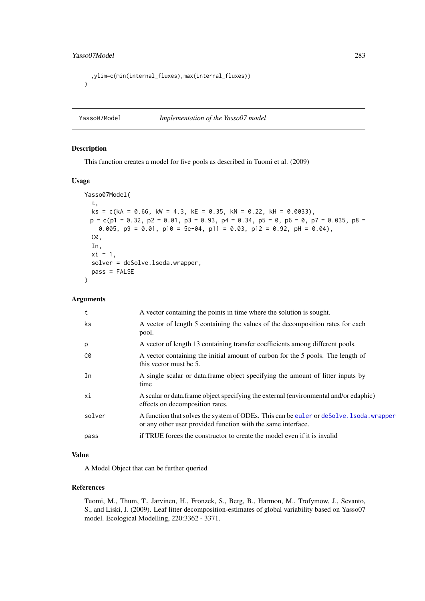```
,ylim=c(min(internal_fluxes),max(internal_fluxes))
\lambda
```
Yasso07Model *Implementation of the Yasso07 model*

# Description

This function creates a model for five pools as described in Tuomi et al. (2009)

# Usage

```
Yasso07Model(
  t,
  ks = c(ka = 0.66, kw = 4.3, kE = 0.35, kN = 0.22, kH = 0.0033),p = c(p1 = 0.32, p2 = 0.01, p3 = 0.93, p4 = 0.34, p5 = 0, p6 = 0, p7 = 0.035, p8 =0.005, p9 = 0.01, p10 = 5e-04, p11 = 0.03, p12 = 0.92, pH = 0.04),
  C0,
  In,
  xi = 1,
  solver = deSolve.lsoda.wrapper,
  pass = FALSE
```
#### Arguments

 $\lambda$ 

| t      | A vector containing the points in time where the solution is sought.                                                                                    |
|--------|---------------------------------------------------------------------------------------------------------------------------------------------------------|
| ks.    | A vector of length 5 containing the values of the decomposition rates for each<br>pool.                                                                 |
| p      | A vector of length 13 containing transfer coefficients among different pools.                                                                           |
| C0     | A vector containing the initial amount of carbon for the 5 pools. The length of<br>this vector must be 5.                                               |
| In     | A single scalar or data. frame object specifying the amount of litter inputs by<br>time                                                                 |
| хi     | A scalar or data frame object specifying the external (environmental and/or edaphic)<br>effects on decomposition rates.                                 |
| solver | A function that solves the system of ODEs. This can be euler or deSolve. 1soda. wrapper<br>or any other user provided function with the same interface. |
| pass   | if TRUE forces the constructor to create the model even if it is invalid                                                                                |
|        |                                                                                                                                                         |

# Value

A Model Object that can be further queried

# References

Tuomi, M., Thum, T., Jarvinen, H., Fronzek, S., Berg, B., Harmon, M., Trofymow, J., Sevanto, S., and Liski, J. (2009). Leaf litter decomposition-estimates of global variability based on Yasso07 model. Ecological Modelling, 220:3362 - 3371.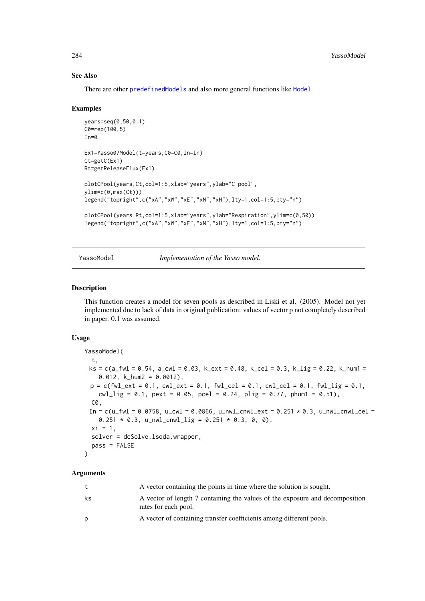#### See Also

There are other [predefinedModels](#page-224-0) and also more general functions like [Model](#page-191-0).

#### Examples

```
years=seq(0,50,0.1)
C0=rep(100,5)
In=0Ex1=Yasso07Model(t=years,C0=C0,In=In)
Ct=getC(Ex1)
Rt=getReleaseFlux(Ex1)
plotCPool(years,Ct,col=1:5,xlab="years",ylab="C pool",
ylim=c(\theta,max(Ct)))legend("topright",c("xA","xW","xE","xN","xH"),lty=1,col=1:5,bty="n")
plotCPool(years,Rt,col=1:5,xlab="years",ylab="Respiration",ylim=c(0,50))
legend("topright",c("xA","xW","xE","xN","xH"),lty=1,col=1:5,bty="n")
```
#### YassoModel *Implementation of the Yasso model.*

#### Description

This function creates a model for seven pools as described in Liski et al. (2005). Model not yet implemented due to lack of data in original publication: values of vector p not completely described in paper. 0.1 was assumed.

## Usage

```
YassoModel(
  t,
 ks = c(a_fwl = 0.54, a_cwl = 0.03, k_cext = 0.48, k_cel = 0.3, k_lig = 0.22, k_lmm =0.012, k_hum2 = 0.0012),
 p = c(fwl\_ext = 0.1, cwl\_ext = 0.1, fwl\_cel = 0.1, cwl\_cel = 0.1, fwl\_lig = 0.1,cwl\_lig = 0.1, pext = 0.05, pcel = 0.24, plig = 0.77, phum1 = 0.51),
  C0,
 In = c(u_fwl = 0.0758, u_cwl = 0.0866, u_mwl_cnwl_cext = 0.251 * 0.3, u_mwl_cnwl_cel =0.251 \times 0.3, u_nwl_cnwl_lig = 0.251 \times 0.3, 0, 0),
  xi = 1,
  solver = deSolve.lsoda.wrapper,
  pass = FALSE\lambda
```

| t  | A vector containing the points in time where the solution is sought.                                 |
|----|------------------------------------------------------------------------------------------------------|
| ks | A vector of length 7 containing the values of the exposure and decomposition<br>rates for each pool. |
| D  | A vector of containing transfer coefficients among different pools.                                  |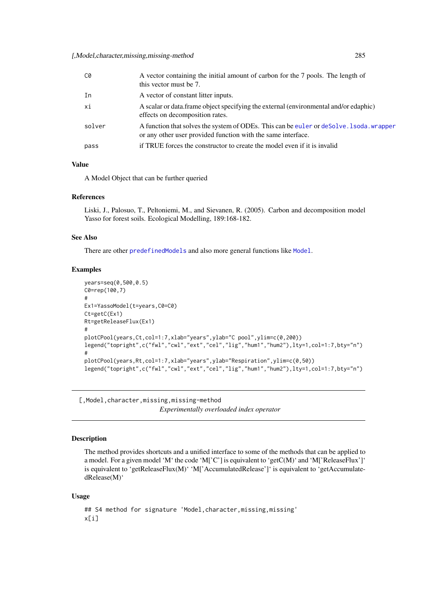<span id="page-284-0"></span>[,Model,character,missing,missing-method 285

| C0     | A vector containing the initial amount of carbon for the 7 pools. The length of<br>this vector must be 7.                                                |
|--------|----------------------------------------------------------------------------------------------------------------------------------------------------------|
| In     | A vector of constant litter inputs.                                                                                                                      |
| хi     | A scalar or data frame object specifying the external (environmental and/or edaphic)<br>effects on decomposition rates.                                  |
| solver | A function that solves the system of ODEs. This can be euler or deSolve. 1 soda, wrapper<br>or any other user provided function with the same interface. |
| pass   | if TRUE forces the constructor to create the model even if it is invalid                                                                                 |

# Value

A Model Object that can be further queried

## References

Liski, J., Palosuo, T., Peltoniemi, M., and Sievanen, R. (2005). Carbon and decomposition model Yasso for forest soils. Ecological Modelling, 189:168-182.

## See Also

There are other [predefinedModels](#page-224-0) and also more general functions like [Model](#page-191-0).

## Examples

```
years=seq(0,500,0.5)
C0=rep(100,7)
#
Ex1=YassoModel(t=years,C0=C0)
Ct=getC(Ex1)
Rt=getReleaseFlux(Ex1)
#
plotCPool(years,Ct,col=1:7,xlab="years",ylab="C pool",ylim=c(0,200))
legend("topright",c("fwl","cwl","ext","cel","lig","hum1","hum2"),lty=1,col=1:7,bty="n")
#
plotCPool(years,Rt,col=1:7,xlab="years",ylab="Respiration",ylim=c(0,50))
legend("topright",c("fwl","cwl","ext","cel","lig","hum1","hum2"),lty=1,col=1:7,bty="n")
```
[,Model,character,missing,missing-method *Experimentally overloaded index operator*

## Description

The method provides shortcuts and a unified interface to some of the methods that can be applied to a model. For a given model 'M' the code 'M['C'] is equivalent to 'getC(M)' and 'M['ReleaseFlux']' is equivalent to 'getReleaseFlux(M)' 'M['AccumulatedRelease']' is equivalent to 'getAccumulatedRelease(M)'

#### Usage

```
## S4 method for signature 'Model,character,missing,missing'
x[i]
```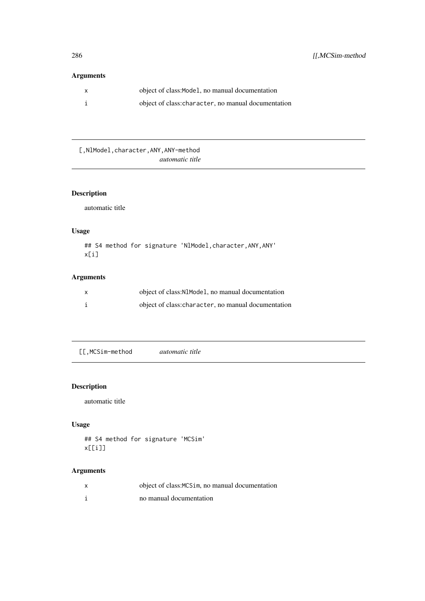# <span id="page-285-0"></span>Arguments

| X | object of class: Model, no manual documentation     |
|---|-----------------------------------------------------|
|   | object of class: character, no manual documentation |

[, NlModel, character, ANY, ANY-method *automatic title*

# Description

automatic title

# Usage

```
## S4 method for signature 'NlModel, character, ANY, ANY'
x[i]
```
# Arguments

| X | object of class: N1Mode1, no manual documentation   |
|---|-----------------------------------------------------|
|   | object of class: character, no manual documentation |

[[,MCSim-method *automatic title*

# Description

automatic title

# Usage

```
## S4 method for signature 'MCSim'
x[[i]]
```

| object of class: MCS im, no manual documentation |
|--------------------------------------------------|
| no manual documentation                          |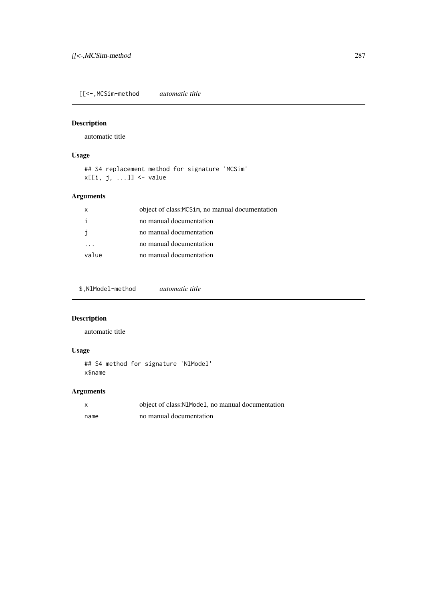<span id="page-286-0"></span>[[<-,MCSim-method *automatic title*

# Description

automatic title

# Usage

```
## S4 replacement method for signature 'MCSim'
x[[i, j, ...]] <- value
```
# Arguments

| x     | object of class: MCS im, no manual documentation |
|-------|--------------------------------------------------|
|       | no manual documentation                          |
|       | no manual documentation                          |
|       | no manual documentation                          |
| value | no manual documentation                          |

\$,NlModel-method *automatic title*

# Description

automatic title

# Usage

```
## S4 method for signature 'NlModel'
x$name
```

| X    | object of class: N1Mode1, no manual documentation |
|------|---------------------------------------------------|
| name | no manual documentation                           |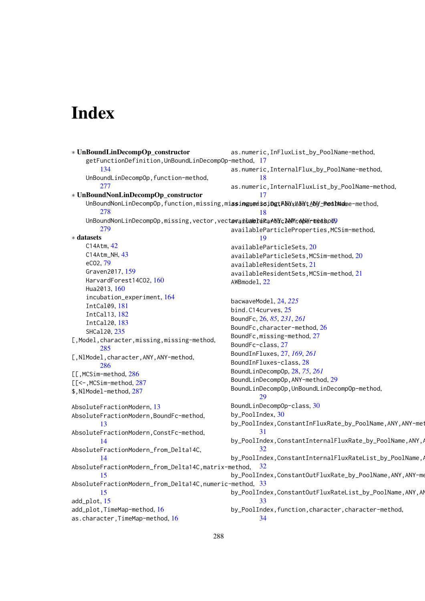# Index

```
∗ UnBoundLinDecompOp_constructor
    getFunctionDefinition,UnBoundLinDecompOp-method,
17
        134
    UnBoundLinDecompOp, function-method,
        277
∗ UnBoundNonLinDecompOp_constructor
    UnBoundNonLinDecompOp,function,missing,missing,missing,tANY,KNYtANYtANY-PoolName-method,
        278
    UnBoundNonLinDecompOp,missing,vector,vectovanlumereRaANYcANYrANY-method9
        279
∗ datasets
   C14Atm, 42
    C14Atm_NH, 43
    eCO2, 79
    Graven2017, 159
    HarvardForest14CO2, 160
    Hua2013, 160
    incubation_experiment, 164
    IntCal09, 181
    IntCal13, 182
    IntCal20, 183
    SHCal20, 235
[, Model, character, missing, missing-method,
        285
[, NlModel, character, ANY, ANY-method,
       286
[[,MCSim-method, 286
[[<-,MCSim-method, 287
$,NlModel-method, 287
AbsoluteFractionModern, 13
AbsoluteFractionModern,BoundFc-method,
        13
AbsoluteFractionModern,ConstFc-method,
        14
AbsoluteFractionModern_from_Delta14C,
        14
AbsoluteFractionModern_from_Delta14C,matrix-method,
        15
33
        15
add_plot, 15
add_plot,TimeMap-method, 16
16
                                             as.numeric,InFluxList_by_PoolName-method,
                                             as.numeric,InternalFlux_by_PoolName-method,
                                                     18
                                             as.numeric,InternalFluxList_by_PoolName-method,
                                                     17
                                                     18
                                             availableParticleProperties,MCSim-method,
                                                     19
                                             availableParticleSets, 20
                                             availableParticleSets,MCSim-method, 20
                                             availableResidentSets, 21
                                             availableResidentSets,MCSim-method, 21
                                             AWBmodel, 22
                                             bacwaveModel, 24, 225
                                             bind.C14curves, 25
                                             BoundFc, 26, 85, 231, 261
                                             26
                                             BoundFc,missing-method, 27
                                             BoundFc-class, 27
                                             BoundInFluxes, 27, 169, 261
                                             BoundInFluxes-class, 28
                                             BoundLinDecompOp, 28, 75, 261
                                             BoundLinDecompOp,ANY-method, 29
                                             BoundLinDecompOp,UnBoundLinDecompOp-method,
                                                     29BoundLinDecompOp-class, 30
                                             by_PoolIndex, 30
                                             by_PoolIndex,ConstantInFluxRate_by_PoolName,ANY,ANY-met
                                                     31
                                             by_PoolIndex,ConstantInternalFluxRate_by_PoolName,ANY,
                                                     32
                                             by_PoolIndex,ConstantInternalFluxRateList_by_PoolName,
                                                   32
                                             by_PoolIndex,ConstantOutFluxRate_by_PoolName,ANY,ANY-me
                                             by_PoolIndex,ConstantOutFluxRateList_by_PoolName,ANY,AN
                                                     33
                                             by_PoolIndex,function,character,character-method,
                                                     34
```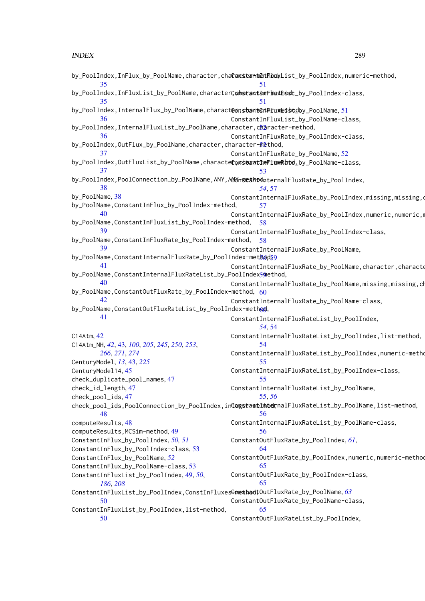| 35                                                                                         | by_PoolIndex,InFlux_by_PoolName,character,chaCamsternthethbulxList_by_PoolIndex,numeric-method,<br>51 |
|--------------------------------------------------------------------------------------------|-------------------------------------------------------------------------------------------------------|
| by_PoolIndex,InFluxList_by_PoolName,characterConstantEmFhexhbst_by_PoolIndex-class,        |                                                                                                       |
| 35                                                                                         | 51                                                                                                    |
| by_PoolIndex,InternalFlux_by_PoolName,charact@onstamtEntEruxLetstodby_PoolName,51          |                                                                                                       |
| 36                                                                                         | ConstantInFluxList_by_PoolName-class,                                                                 |
| by_PoolIndex,InternalFluxList_by_PoolName,character,character-method,                      |                                                                                                       |
| 36                                                                                         | ConstantInFluxRate_by_PoolIndex-class,                                                                |
| by_PoolIndex,OutFlux_by_PoolName,character,character-fiethod,                              |                                                                                                       |
| 37<br>by_PoolIndex,OutFluxList_by_PoolName,characteconsbeantinfluxRated.by_PoolName-class, | ConstantInFluxRate_by_PoolName, 52                                                                    |
| 37                                                                                         | 53                                                                                                    |
| by_PoolIndex,PoolConnection_by_PoolName,ANY,ANYmstetholhternalFluxRate_by_PoolIndex,       |                                                                                                       |
| 38                                                                                         | 54, 57                                                                                                |
| by_PoolName, 38                                                                            | ConstantInternalFluxRate_by_PoolIndex,missing,missing,d                                               |
| by_PoolName,ConstantInFlux_by_PoolIndex-method,                                            | 57                                                                                                    |
| 40                                                                                         | ConstantInternalFluxRate_by_PoolIndex,numeric,numeric,n                                               |
| by_PoolName,ConstantInFluxList_by_PoolIndex-method,                                        | -58                                                                                                   |
| 39                                                                                         | ConstantInternalFluxRate_by_PoolIndex-class,                                                          |
| by_PoolName,ConstantInFluxRate_by_PoolIndex-method, 58                                     |                                                                                                       |
| 39                                                                                         | ConstantInternalFluxRate_by_PoolName,                                                                 |
| by_PoolName,ConstantInternalFluxRate_by_PoolIndex-method59                                 |                                                                                                       |
| 41                                                                                         | ConstantInternalFluxRate_by_PoolName, character, characte                                             |
| by_PoolName,ConstantInternalFluxRateList_by_PoolIndex50ethod,                              |                                                                                                       |
| 40                                                                                         | ConstantInternalFluxRate_by_PoolName,missing,missing,ch                                               |
| by_PoolName,ConstantOutFluxRate_by_PoolIndex-method, 60                                    |                                                                                                       |
| 42                                                                                         | ConstantInternalFluxRate_by_PoolName-class,                                                           |
| by_PoolName,ConstantOutFluxRateList_by_PoolIndex-method,                                   |                                                                                                       |
| 41                                                                                         | ConstantInternalFluxRateList_by_PoolIndex,                                                            |
|                                                                                            | 54, 54                                                                                                |
| C14Atm, 42                                                                                 | ConstantInternalFluxRateList_by_PoolIndex,list-method,                                                |
| C14Atm_NH, 42, 43, 100, 205, 245, 250, 253,                                                | 54                                                                                                    |
| 266, 271, 274                                                                              | ConstantInternalFluxRateList_by_PoolIndex,numeric-metho                                               |
| CenturyModel, 13, 43, 225                                                                  | 55.                                                                                                   |
| CenturyModel14, 45                                                                         | ConstantInternalFluxRateList_by_PoolIndex-class,                                                      |
| check_duplicate_pool_names, 47                                                             | 55                                                                                                    |
| check_id_length, 47                                                                        | ConstantInternalFluxRateList_by_PoolName,                                                             |
| check_pool_ids, 47                                                                         | 55,56                                                                                                 |
|                                                                                            | check_pool_ids,PoolConnection_by_PoolIndex,integstameInbeknalFluxRateList_by_PoolName,list-method,    |
| 48                                                                                         | 56                                                                                                    |
| computeResults, 48                                                                         | ConstantInternalFluxRateList_by_PoolName-class,                                                       |
| computeResults, MCSim-method, 49                                                           | 56                                                                                                    |
| ConstantInFlux_by_PoolIndex, 50, 51                                                        | ConstantOutFluxRate_by_PoolIndex, 61,<br>64                                                           |
| ConstantInFlux_by_PoolIndex-class, 53                                                      | ConstantOutFluxRate_by_PoolIndex,numeric,numeric-method                                               |
| ConstantInFlux_by_PoolName, 52                                                             | 65                                                                                                    |
| ConstantInFlux_by_PoolName-class, 53<br>ConstantInFluxList_by_PoolIndex, 49, 50,           | ConstantOutFluxRate_by_PoolIndex-class,                                                               |
| 186, 208                                                                                   | 65                                                                                                    |
| ConstantInFluxList_by_PoolIndex,ConstInFluxesGomethandtOutFluxRate_by_PoolName, 63         |                                                                                                       |
| 50                                                                                         | ConstantOutFluxRate_by_PoolName-class,                                                                |
| ConstantInFluxList_by_PoolIndex,list-method,                                               | 65                                                                                                    |
| 50                                                                                         | ConstantOutFluxRateList_by_PoolIndex,                                                                 |
|                                                                                            |                                                                                                       |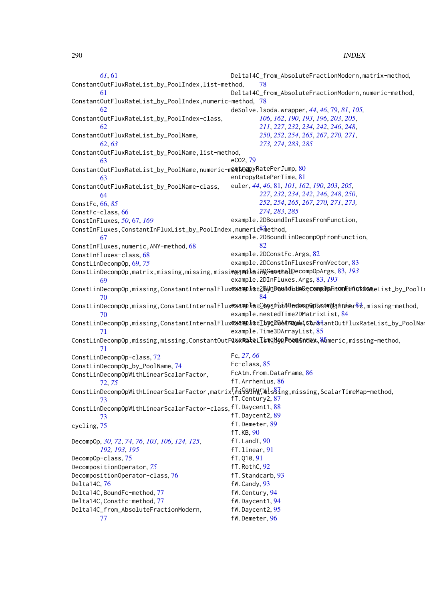*[61](#page-60-0)*, [61](#page-60-0) ConstantOutFluxRateList\_by\_PoolIndex,list-method, [61](#page-60-0) ConstantOutFluxRateList\_by\_PoolIndex,numeric-method, [78](#page-77-0) [62](#page-61-0) ConstantOutFluxRateList\_by\_PoolIndex-class, [62](#page-61-0) ConstantOutFluxRateList\_by\_PoolName, [62,](#page-61-0) *[63](#page-62-0)* ConstantOutFluxRateList\_by\_PoolName,list-method, [63](#page-62-0) <code>ConstantOutFluxRateList\_by\_PoolName,numeric-m</code>et<code>h6</code>a<code>pyRatePerJump,[80](#page-79-0)</code> [63](#page-62-0) ConstantOutFluxRateList\_by\_PoolName-class, [64](#page-63-0) ConstFc, [66,](#page-65-0) *[85](#page-84-0)* ConstFc-class, [66](#page-65-0) ConstInFluxes, *[50](#page-49-0)*, [67,](#page-66-0) *[169](#page-168-0)* ConstInFluxes,ConstantInFluxList\_by\_PoolIndex,numeric<sup>&</sup>Aethod, [67](#page-66-0) ConstInFluxes,numeric,ANY-method, [68](#page-67-0) ConstInFluxes-class, [68](#page-67-0) ConstLinDecompOp, [69,](#page-68-0) *[75](#page-74-0)* ConstLinDecompOp,matrix,missing,missing,missing,missing-method, example.2DGeneralDecompOpArgs, [83,](#page-82-0) *[193](#page-192-0)* [69](#page-68-0) ConstLinDecompOp,missing,ConstantInternalFlux**R&a@plst2ByhBowldhdeR;ConsQahtOwE#lukRat**eList\_by\_PoolIn [70](#page-69-0) ConstLinDecompOp,missing,ConstantInternalFlux**R&@@el@stCOys\_PbollecexpWe5sdmY**ahumer&&,missing-method, [70](#page-69-0) Co[nst](#page-83-0)LinDecompOp,missing,ConstantInternalFlux**R&@@plstIbye\_P06M@xweiStn&t**antOutFluxRateList\_by\_PoolNam [71](#page-70-0) ConstLinDecompOp,missing,missing,ConstantOutFluxRateList\_by\_PoolIndex[,num](#page-84-0)eric,missing-method, example.TimeMapFromArray, 85 [71](#page-70-0) ConstLinDecompOp-class, [72](#page-71-0) ConstLinDecompOp\_by\_PoolName, [74](#page-73-0) ConstLinDecompOpWithLinearScalarFactor, [72,](#page-71-0) *[75](#page-74-0)*  $\texttt{ConstLinDecompOpWithLinearScalarFactor, matrix, This$ shingsing,missing,ScalarTimeMap-method, [73](#page-72-0) ConstLinDecompOpWithLinearScalarFactor-class, fT.Daycent1, [88](#page-87-0) [73](#page-72-0) cycling, [75](#page-74-0) DecompOp, *[30](#page-29-0)*, *[72](#page-71-0)*, *[74](#page-73-0)*, *[76](#page-75-0)*, *[103](#page-102-0)*, *[106](#page-105-0)*, *[124,](#page-123-0) [125](#page-124-0)*, *[192,](#page-191-0) [193](#page-192-0)*, *[195](#page-194-0)* DecompOp-class, [75](#page-74-0) DecompositionOperator, *[75](#page-74-0)* DecompositionOperator-class, [76](#page-75-0) Delta14C, [76](#page-75-0) Delta14C,BoundFc-method, [77](#page-76-0) Delta14C,ConstFc-method, [77](#page-76-0) Delta14C\_from\_AbsoluteFractionModern, [77](#page-76-0) Delta14C\_from\_AbsoluteFractionModern,matrix-method, [78](#page-77-0) Delta14C\_from\_AbsoluteFractionModern,numeric-method, deSolve.lsoda.wrapper, *[44](#page-43-0)*, *[46](#page-45-0)*, [79,](#page-78-0) *[81](#page-80-0)*, *[105,](#page-104-0) [106](#page-105-0)*, *[162](#page-161-0)*, *[190](#page-189-0)*, *[193](#page-192-0)*, *[196](#page-195-0)*, *[203](#page-202-0)*, *[205](#page-204-0)*, *[211](#page-210-0)*, *[227](#page-226-0)*, *[232](#page-231-0)*, *[234](#page-233-0)*, *[242](#page-241-0)*, *[246](#page-245-0)*, *[248](#page-247-0)*, *[250](#page-249-0)*, *[252](#page-251-0)*, *[254](#page-253-0)*, *[265](#page-264-0)*, *[267](#page-266-0)*, *[270,](#page-269-0) [271](#page-270-0)*, *[273,](#page-272-0) [274](#page-273-0)*, *[283](#page-282-0)*, *[285](#page-284-0)* eCO2, [79](#page-78-0) entropyRatePerTime, [81](#page-80-0) euler, *[44](#page-43-0)*, *[46](#page-45-0)*, [81,](#page-80-0) *[101](#page-100-0)*, *[162](#page-161-0)*, *[190](#page-189-0)*, *[203](#page-202-0)*, *[205](#page-204-0)*, *[227](#page-226-0)*, *[232](#page-231-0)*, *[234](#page-233-0)*, *[242](#page-241-0)*, *[246](#page-245-0)*, *[248](#page-247-0)*, *[250](#page-249-0)*, *[252](#page-251-0)*, *[254](#page-253-0)*, *[265](#page-264-0)*, *[267](#page-266-0)*, *[270,](#page-269-0) [271](#page-270-0)*, *[273,](#page-272-0) [274](#page-273-0)*, *[283](#page-282-0)*, *[285](#page-284-0)* example.2DBoundInFluxesFromFunction, example.2DBoundLinDecompOpFromFunction, [82](#page-81-0) example.2DConstFc.Args, [82](#page-81-0) example.2DConstInFluxesFromVector, [83](#page-82-0) example.2DInFluxes.Args, [83,](#page-82-0) *[193](#page-192-0)* [84](#page-83-0) example.nestedTime2DMatrixList, [84](#page-83-0) example.Time3DArrayList, [85](#page-84-0) Fc, *[27](#page-26-0)*, *[66](#page-65-0)* Fc-class, [85](#page-84-0) FcAtm.from.Dataframe, [86](#page-85-0) fT.Arrhenius, [86](#page-85-0) fT.Century2, [87](#page-86-0) fT.Daycent2, [89](#page-88-0) fT.Demeter, [89](#page-88-0) fT.KB, [90](#page-89-0) fT.LandT, [90](#page-89-0) fT.linear, [91](#page-90-0) fT.Q10, [91](#page-90-0) fT.RothC, [92](#page-91-0) fT.Standcarb, [93](#page-92-0) fW.Candy, [93](#page-92-0) fW.Century, [94](#page-93-0) fW.Daycent1, [94](#page-93-0) fW.Daycent2, [95](#page-94-0) fW.Demeter, [96](#page-95-0)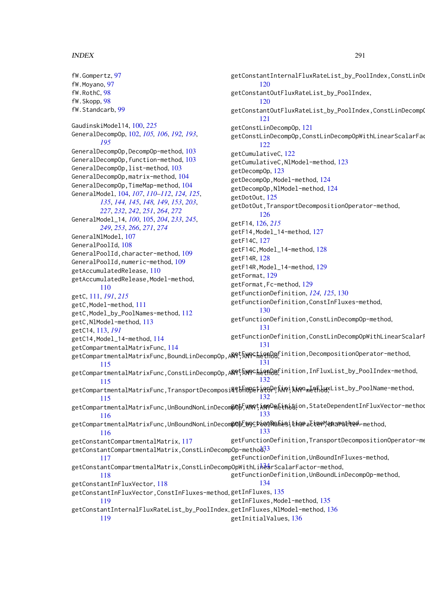fW.Gompertz, [97](#page-96-0) fW.Moyano, [97](#page-96-0) fW.RothC, [98](#page-97-0) fW.Skopp, [98](#page-97-0) fW.Standcarb, [99](#page-98-0) GaudinskiModel14, [100,](#page-99-0) *[225](#page-224-0)* GeneralDecompOp, [102,](#page-101-0) *[105,](#page-104-0) [106](#page-105-0)*, *[192,](#page-191-0) [193](#page-192-0)*, *[195](#page-194-0)* GeneralDecompOp,DecompOp-method, [103](#page-102-0) GeneralDecompOp, function-method, [103](#page-102-0) GeneralDecompOp,list-method, [103](#page-102-0) GeneralDecompOp,matrix-method, [104](#page-103-0) GeneralDecompOp,TimeMap-method, [104](#page-103-0) GeneralModel, [104,](#page-103-0) *[107](#page-106-0)*, *[110–](#page-109-0)[112](#page-111-0)*, *[124,](#page-123-0) [125](#page-124-0)*, *[135](#page-134-0)*, *[144,](#page-143-0) [145](#page-144-0)*, *[148,](#page-147-0) [149](#page-148-0)*, *[153](#page-152-0)*, *[203](#page-202-0)*, *[227](#page-226-0)*, *[232](#page-231-0)*, *[242](#page-241-0)*, *[251](#page-250-0)*, *[264](#page-263-0)*, *[272](#page-271-0)* GeneralModel\_14, *[100](#page-99-0)*, [105,](#page-104-0) *[204](#page-203-0)*, *[233](#page-232-0)*, *[245](#page-244-0)*, *[249](#page-248-0)*, *[253](#page-252-0)*, *[266](#page-265-0)*, *[271](#page-270-0)*, *[274](#page-273-0)* GeneralNlModel, [107](#page-106-0) GeneralPoolId, [108](#page-107-0) GeneralPoolId,character-method, [109](#page-108-0) GeneralPoolId,numeric-method, [109](#page-108-0) getAccumulatedRelease, [110](#page-109-0) getAccumulatedRelease,Model-method, [110](#page-109-0) getC, [111,](#page-110-0) *[191](#page-190-0)*, *[215](#page-214-0)* getC,Model-method, [111](#page-110-0) getC,Model\_by\_PoolNames-method, [112](#page-111-0) getC,NlModel-method, [113](#page-112-0) getC14, [113,](#page-112-0) *[191](#page-190-0)* getC14,Model\_14-method, [114](#page-113-0) getCompartmentalMatrixFunc, [114](#page-113-0) getCompartmentalMatrixFunc,BoundLinDecompOp,ANY,ANY-method, getFunctionDefinition,DecompositionOperator-method, [115](#page-114-0) getCompartmentalMatrixFunc,ConstLinDecompOp,A**AQt5NQCheQDQ**finition,InFluxList\_by\_PoolIndex-method, [115](#page-114-0) getCompartmentalMatrixFunc,TransportDecomposi<sup>ge</sup>thើ MpetatoPeճԽን!አԽን <sub>me</sub>th.luxList\_by\_PoolName-method, [115](#page-114-0) getCompartmentalMatrixFunc,UnBoundNonLinDecom∯Oþ,ANQ¢äNYP@néin¿bion,StateDependentInFluxVector-method [116](#page-115-0) getCompartmentalMatrixFunc,UnBoundNonLinDecom**\$0þ[Y)^CPoolNafiesitharact@P^@AaPatl@4**-method, [116](#page-115-0) getConstantCompartmentalMatrix, [117](#page-116-0) getConstantCompartmentalMatrix,ConstLinDecompOp-metho $\rm d\beta$ 3 [117](#page-116-0) getConstantCompartmentalMatrix,ConstLinDecompOpWithLihêarScalarFactor-method, [118](#page-117-0) getConstantInFluxVector, [118](#page-117-0) getConstantInFluxVector,ConstInFluxes-method, getInFluxes, [135](#page-134-0) [119](#page-118-0) getConstantInternalFluxRateList\_by\_PoolIndex,getInFluxes,NlModel-method,[136](#page-135-0) [119](#page-118-0) getConstantInternalFluxRateList\_by\_PoolIndex,ConstLinDe [120](#page-119-0) getConstantOutFluxRateList\_by\_PoolIndex, [120](#page-119-0) getConstantOutFluxRateList\_by\_PoolIndex,ConstLinDecomp [121](#page-120-0) getConstLinDecompOp, [121](#page-120-0) getConstLinDecompOp,ConstLinDecompOpWithLinearScalarFac [122](#page-121-0) getCumulativeC, [122](#page-121-0) getCumulativeC,NlModel-method, [123](#page-122-0) getDecompOp, [123](#page-122-0) getDecompOp, Model-method, [124](#page-123-0) getDecompOp,NlModel-method, [124](#page-123-0) getDotOut, [125](#page-124-0) getDotOut,TransportDecompositionOperator-method, [126](#page-125-0) getF14, [126,](#page-125-0) *[215](#page-214-0)* getF14,Model\_14-method, [127](#page-126-0) getF14C, [127](#page-126-0) getF14C,Model\_14-method, [128](#page-127-0) getF14R, [128](#page-127-0) getF14R,Model\_14-method, [129](#page-128-0) getFormat, [129](#page-128-0) getFormat, Fc-method, [129](#page-128-0) getFunctionDefinition, *[124,](#page-123-0) [125](#page-124-0)*, [130](#page-129-0) getFunctionDefinition,ConstInFluxes-method, [130](#page-129-0) getFunctionDefinition,ConstLinDecompOp-method, [131](#page-130-0) getFunctionDefinition, ConstLinDecompOpWithLinearScalarI [131](#page-130-0) [131](#page-130-0) [132](#page-131-0) [132](#page-131-0) [133](#page-132-0) [133](#page-132-0) getFunctionDefinition, TransportDecompositionOperator-me getFunctionDefinition,UnBoundInFluxes-method, getFunctionDefinition,UnBoundLinDecompOp-method, [134](#page-133-0) getInFluxes,Model-method, [135](#page-134-0) getInitialValues, [136](#page-135-0)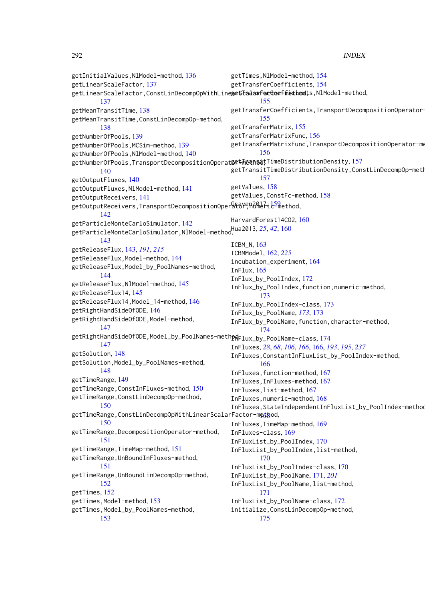getInitialValues,NlModel-method, [136](#page-135-0) getLinearScaleFactor, [137](#page-136-0) getLinearScaleFactor,ConstLinDecompOpWithLine<mark>ge\$TadasferCoeffiethed</mark>ts,NlModel-method, [137](#page-136-0) getMeanTransitTime, [138](#page-137-0) getMeanTransitTime,ConstLinDecompOp-method, [138](#page-137-0) getNumberOfPools, [139](#page-138-0) getNumberOfPools,MCSim-method, [139](#page-138-0) getNumberOfPools,NlModel-method, [140](#page-139-0) getNumberOfPools,TransportDecompositionOperat**&&t\ed\si**tTimeDistributionDensity,[157](#page-156-0) [140](#page-139-0) getOutputFluxes, [140](#page-139-0) getOutputFluxes,NlModel-method, [141](#page-140-0) getOutputReceivers, [141](#page-140-0) getOutputReceivers,TransportDecompositionOper&f&Y<sup>e</sup>R&Me<sup>7</sup>ic<sup>5</sup>method, [142](#page-141-0) getParticleMonteCarloSimulator, [142](#page-141-0) getParticleMonteCarloSimulator,NlModel-method, Hua2013, *[25](#page-24-0)*, *[42](#page-41-0)*, [160](#page-159-0) [143](#page-142-0) getReleaseFlux, [143,](#page-142-0) *[191](#page-190-0)*, *[215](#page-214-0)* getReleaseFlux,Model-method, [144](#page-143-0) getReleaseFlux,Model\_by\_PoolNames-method, [144](#page-143-0) getReleaseFlux,NlModel-method, [145](#page-144-0) getReleaseFlux14, [145](#page-144-0) getReleaseFlux14,Model\_14-method, [146](#page-145-0) getRightHandSideOfODE, [146](#page-145-0) getRightHandSideOfODE,Model-method, [147](#page-146-0) getRightHandSideOfODE,Model\_by\_PoolNames-meth $\mathsf{p} \mathsf{q}$ Flux\_by\_PoolName-class,[174](#page-173-0) [147](#page-146-0) getSolution, [148](#page-147-0) getSolution,Model\_by\_PoolNames-method, [148](#page-147-0) getTimeRange, [149](#page-148-0) getTimeRange,ConstInFluxes-method, [150](#page-149-0) getTimeRange,ConstLinDecompOp-method, [150](#page-149-0) getTimeRange,ConstLinDecompOpWithLinearScalarFactor-m<mark>e¢g</mark>od, [150](#page-149-0) getTimeRange,DecompositionOperator-method, [151](#page-150-0) getTimeRange,TimeMap-method, [151](#page-150-0) getTimeRange,UnBoundInFluxes-method, [151](#page-150-0) getTimeRange,UnBoundLinDecompOp-method, [152](#page-151-0) getTimes, [152](#page-151-0) getTimes,Model-method, [153](#page-152-0) getTimes, Model\_by\_PoolNames-method, [153](#page-152-0) getTimes,NlModel-method, [154](#page-153-0) getTransferCoefficients, [154](#page-153-0) [155](#page-154-0) getTransferCoefficients, TransportDecompositionOperator-[155](#page-154-0) getTransferMatrix, [155](#page-154-0) getTransferMatrixFunc, [156](#page-155-0) getTransferMatrixFunc, TransportDecompositionOperator-me [156](#page-155-0) getTransitTimeDistributionDensity,ConstLinDecompOp-meth [157](#page-156-0) getValues, [158](#page-157-0) getValues,ConstFc-method, [158](#page-157-0) HarvardForest14CO2, [160](#page-159-0) ICBM\_N, [163](#page-162-0) ICBMModel, [162,](#page-161-0) *[225](#page-224-0)* incubation\_experiment, [164](#page-163-0) InFlux, [165](#page-164-0) InFlux\_by\_PoolIndex, [172](#page-171-0) InFlux\_by\_PoolIndex,function,numeric-method, [173](#page-172-0) InFlux\_by\_PoolIndex-class, [173](#page-172-0) InFlux\_by\_PoolName, *[173](#page-172-0)*, [173](#page-172-0) InFlux\_by\_PoolName,function,character-method, [174](#page-173-0) InFluxes, *[28](#page-27-0)*, *[68](#page-67-0)*, *[106](#page-105-0)*, *[166](#page-165-0)*, [166,](#page-165-0) *[193](#page-192-0)*, *[195](#page-194-0)*, *[237](#page-236-0)* InFluxes,ConstantInFluxList\_by\_PoolIndex-method, [166](#page-165-0) InFluxes,function-method, [167](#page-166-0) InFluxes,InFluxes-method, [167](#page-166-0) InFluxes,list-method, [167](#page-166-0) InFluxes,numeric-method, [168](#page-167-0) InFluxes,StateIndependentInFluxList\_by\_PoolIndex-method, InFluxes,TimeMap-method, [169](#page-168-0) InFluxes-class, [169](#page-168-0) InFluxList\_by\_PoolIndex, [170](#page-169-0) InFluxList\_by\_PoolIndex,list-method, [170](#page-169-0) InFluxList\_by\_PoolIndex-class, [170](#page-169-0) InFluxList\_by\_PoolName, [171,](#page-170-0) *[201](#page-200-0)* InFluxList\_by\_PoolName,list-method, [171](#page-170-0) InFluxList\_by\_PoolName-class, [172](#page-171-0) initialize,ConstLinDecompOp-method, [175](#page-174-0)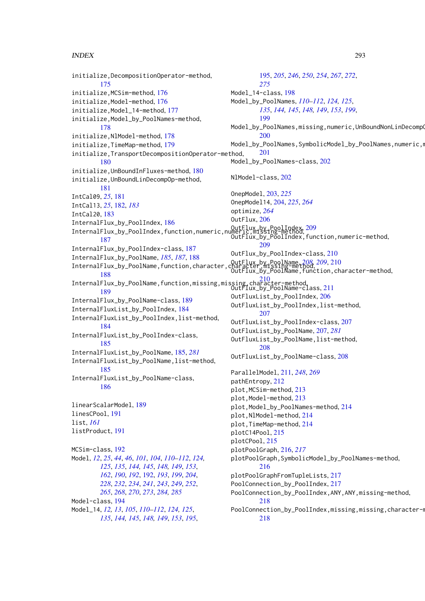initialize,DecompositionOperator-method, [175](#page-174-0) initialize,MCSim-method, [176](#page-175-0) initialize, Model-method, [176](#page-175-0) initialize,Model\_14-method, [177](#page-176-0) initialize,Model\_by\_PoolNames-method, [178](#page-177-0) initialize,NlModel-method, [178](#page-177-0) initialize,TimeMap-method, [179](#page-178-0) initialize,TransportDecompositionOperator-method, [180](#page-179-0) initialize,UnBoundInFluxes-method, [180](#page-179-0) initialize,UnBoundLinDecompOp-method, [181](#page-180-0) IntCal09, *[25](#page-24-0)*, [181](#page-180-0) IntCal13, *[25](#page-24-0)*, [182,](#page-181-0) *[183](#page-182-0)* IntCal20, [183](#page-182-0) InternalFlux\_by\_PoolIndex, [186](#page-185-0) InternalFlux\_by\_PoolIndex,function,numeric,numeric,missing-method, OutFlux\_by\_PoolIndex, [209](#page-208-0) [187](#page-186-0) InternalFlux\_by\_PoolIndex-class, [187](#page-186-0) InternalFlux\_by\_PoolName, *[185](#page-184-0)*, *[187](#page-186-0)*, [188](#page-187-0) InternalFlux\_by\_PoolName,function,character, [188](#page-187-0) InternalFlux\_by\_PoolName,function,missing,missing,character-method, OutFlux\_by\_PoolName-class, [211](#page-210-0) [189](#page-188-0) InternalFlux\_by\_PoolName-class, [189](#page-188-0) InternalFluxList\_by\_PoolIndex, [184](#page-183-0) InternalFluxList\_by\_PoolIndex,list-method, [184](#page-183-0) InternalFluxList\_by\_PoolIndex-class, [185](#page-184-0) InternalFluxList\_by\_PoolName, [185,](#page-184-0) *[281](#page-280-0)* InternalFluxList\_by\_PoolName,list-method, [185](#page-184-0) InternalFluxList\_by\_PoolName-class, [186](#page-185-0) linearScalarModel, [189](#page-188-0) linesCPool, [191](#page-190-0) list, *[161](#page-160-0)* listProduct, [191](#page-190-0) MCSim-class, [192](#page-191-0) Model, *[12](#page-11-0)*, *[25](#page-24-0)*, *[44](#page-43-0)*, *[46](#page-45-0)*, *[101](#page-100-0)*, *[104](#page-103-0)*, *[110–](#page-109-0)[112](#page-111-0)*, *[124,](#page-123-0) [125](#page-124-0)*, *[135](#page-134-0)*, *[144,](#page-143-0) [145](#page-144-0)*, *[148,](#page-147-0) [149](#page-148-0)*, *[153](#page-152-0)*, *[162](#page-161-0)*, *[190](#page-189-0)*, *[192](#page-191-0)*, [192,](#page-191-0) *[193](#page-192-0)*, *[199](#page-198-0)*, *[204](#page-203-0)*, *[228](#page-227-0)*, *[232](#page-231-0)*, *[234](#page-233-0)*, *[241](#page-240-0)*, *[243](#page-242-0)*, *[249](#page-248-0)*, *[252](#page-251-0)*, *[265](#page-264-0)*, *[268](#page-267-0)*, *[270](#page-269-0)*, *[273](#page-272-0)*, *[284,](#page-283-0) [285](#page-284-0)* Model-class, [194](#page-193-0) Model\_14, *[12,](#page-11-0) [13](#page-12-0)*, *[105](#page-104-0)*, *[110–](#page-109-0)[112](#page-111-0)*, *[124,](#page-123-0) [125](#page-124-0)*, *[135](#page-134-0)*, *[144,](#page-143-0) [145](#page-144-0)*, *[148,](#page-147-0) [149](#page-148-0)*, *[153](#page-152-0)*, *[195](#page-194-0)*, [195,](#page-194-0) *[205](#page-204-0)*, *[246](#page-245-0)*, *[250](#page-249-0)*, *[254](#page-253-0)*, *[267](#page-266-0)*, *[272](#page-271-0)*, *[275](#page-274-0)* Model\_14-class, [198](#page-197-0) Model\_by\_PoolNames, *[110](#page-109-0)[–112](#page-111-0)*, *[124,](#page-123-0) [125](#page-124-0)*, *[135](#page-134-0)*, *[144,](#page-143-0) [145](#page-144-0)*, *[148,](#page-147-0) [149](#page-148-0)*, *[153](#page-152-0)*, *[199](#page-198-0)*, [199](#page-198-0) Model\_by\_PoolNames,missing,numeric,UnBoundNonLinDecompO [200](#page-199-0) Model\_by\_PoolNames,SymbolicModel\_by\_PoolNames,numeric,m [201](#page-200-0) Model\_by\_PoolNames-class, [202](#page-201-0) NlModel-class, [202](#page-201-0) OnepModel, [203,](#page-202-0) *[225](#page-224-0)* OnepModel14, [204,](#page-203-0) *[225](#page-224-0)*, *[264](#page-263-0)* optimize, *[264](#page-263-0)* OutFlux, [206](#page-205-0) OutFlux\_by\_PoolIndex,function,numeric-method, [209](#page-208-0) OutFlux\_by\_PoolIndex-class, [210](#page-209-0) OutFlux\_by\_PoolName, *[208,](#page-207-0) [209](#page-208-0)*, [210](#page-209-0) OutFlux\_by\_PoolName,function,character-method, [210](#page-209-0) OutFluxList\_by\_PoolIndex, [206](#page-205-0) OutFluxList\_by\_PoolIndex,list-method, [207](#page-206-0) OutFluxList\_by\_PoolIndex-class, [207](#page-206-0) OutFluxList\_by\_PoolName, [207,](#page-206-0) *[281](#page-280-0)* OutFluxList\_by\_PoolName,list-method, [208](#page-207-0) OutFluxList\_by\_PoolName-class, [208](#page-207-0) ParallelModel, [211,](#page-210-0) *[248](#page-247-0)*, *[269](#page-268-0)* pathEntropy, [212](#page-211-0) plot,MCSim-method, [213](#page-212-0) plot,Model-method, [213](#page-212-0) plot,Model\_by\_PoolNames-method, [214](#page-213-0) plot,NlModel-method, [214](#page-213-0) plot,TimeMap-method, [214](#page-213-0) plotC14Pool, [215](#page-214-0) plotCPool, [215](#page-214-0) plotPoolGraph, [216,](#page-215-0) *[217](#page-216-0)* plotPoolGraph,SymbolicModel\_by\_PoolNames-method, [216](#page-215-0) plotPoolGraphFromTupleLists, [217](#page-216-0) PoolConnection\_by\_PoolIndex, [217](#page-216-0) PoolConnection\_by\_PoolIndex,ANY,ANY,missing-method, [218](#page-217-0) PoolConnection\_by\_PoolIndex,missing,missing,character-m [218](#page-217-0)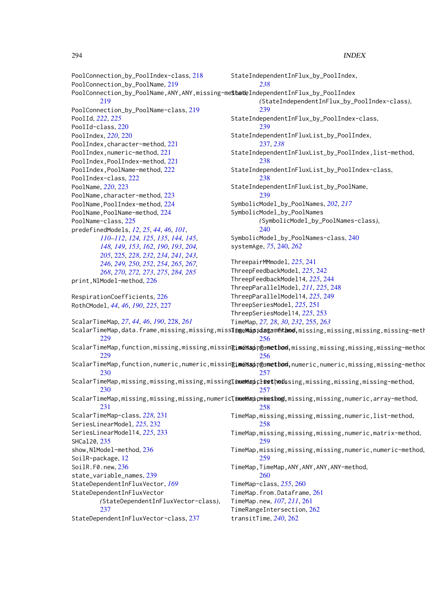PoolConnection\_by\_PoolIndex-class, [218](#page-217-0) PoolConnection\_by\_PoolName, [219](#page-218-0) PoolConnection\_by\_PoolName,ANY,ANY,missing-me<mark>\$had</mark>eIndependentInFlux\_by\_PoolIndex [219](#page-218-0) PoolConnection\_by\_PoolName-class, [219](#page-218-0) PoolId, *[222](#page-221-0)*, *[225](#page-224-0)* PoolId-class, [220](#page-219-0) PoolIndex, *[220](#page-219-0)*, [220](#page-219-0) PoolIndex,character-method, [221](#page-220-0) PoolIndex, numeric-method, [221](#page-220-0) PoolIndex,PoolIndex-method, [221](#page-220-0) PoolIndex,PoolName-method, [222](#page-221-0) PoolIndex-class, [222](#page-221-0) PoolName, *[220](#page-219-0)*, [223](#page-222-0) PoolName, character-method, [223](#page-222-0) PoolName, PoolIndex-method, [224](#page-223-0) PoolName,PoolName-method, [224](#page-223-0) PoolName-class, [225](#page-224-0) predefinedModels, *[12](#page-11-0)*, *[25](#page-24-0)*, *[44](#page-43-0)*, *[46](#page-45-0)*, *[101](#page-100-0)*, *[110](#page-109-0)[–112](#page-111-0)*, *[124,](#page-123-0) [125](#page-124-0)*, *[135](#page-134-0)*, *[144,](#page-143-0) [145](#page-144-0)*, *[148,](#page-147-0) [149](#page-148-0)*, *[153](#page-152-0)*, *[162](#page-161-0)*, *[190](#page-189-0)*, *[193](#page-192-0)*, *[204,](#page-203-0) [205](#page-204-0)*, [225,](#page-224-0) *[228](#page-227-0)*, *[232](#page-231-0)*, *[234](#page-233-0)*, *[241](#page-240-0)*, *[243](#page-242-0)*, *[246](#page-245-0)*, *[249,](#page-248-0) [250](#page-249-0)*, *[252](#page-251-0)*, *[254](#page-253-0)*, *[265](#page-264-0)*, *[267,](#page-266-0) [268](#page-267-0)*, *[270](#page-269-0)*, *[272,](#page-271-0) [273](#page-272-0)*, *[275](#page-274-0)*, *[284,](#page-283-0) [285](#page-284-0)* print,NlModel-method, [226](#page-225-0) RespirationCoefficients, [226](#page-225-0) RothCModel, *[44](#page-43-0)*, *[46](#page-45-0)*, *[190](#page-189-0)*, *[225](#page-224-0)*, [227](#page-226-0) ScalarTimeMap, *[27](#page-26-0)*, *[44](#page-43-0)*, *[46](#page-45-0)*, *[190](#page-189-0)*, [228,](#page-227-0) *[261](#page-260-0)* ScalarTimeMap,data.frame,missing,missing,miss**ingeMapsdagametame,**missing,missing,missing,missing-meth [229](#page-228-0) ScalarTimeMap,function,missing,missing,missin $\bar{\bf g}$ imeMsapnethon,missing,missing,missing,missing-method [229](#page-228-0) ScalarTimeMap,function,numeric,numeric,missin $\bar{\bf g}$ j**meWap**nptond,numeric,numeric,missing,missing-method [230](#page-229-0) ScalarTimeMap,missing,missing,missing,missing**,**missing**Timethods**sing,missing,missing,missing-method, [230](#page-229-0) ScalarTimeMap,missing,missing,missing,numeric**TinueMapcmineshog,**missing,missing,numeric,array-method, [231](#page-230-0) ScalarTimeMap-class, *[228](#page-227-0)*, [231](#page-230-0) SeriesLinearModel, *[225](#page-224-0)*, [232](#page-231-0) SeriesLinearModel14, *[225](#page-224-0)*, [233](#page-232-0) SHCal20, [235](#page-234-0) show,NlModel-method, [236](#page-235-0) SoilR-package, [12](#page-11-0) SoilR.F0.new, [236](#page-235-0) state\_variable\_names, [239](#page-238-0) StateDependentInFluxVector, *[169](#page-168-0)* StateDependentInFluxVector *(*StateDependentInFluxVector-class*)*, [237](#page-236-0) StateDependentInFluxVector-class, [237](#page-236-0) StateIndependentInFlux\_by\_PoolIndex, *[238](#page-237-0) (*StateIndependentInFlux\_by\_PoolIndex-class*)*, [239](#page-238-0) StateIndependentInFlux\_by\_PoolIndex-class, [239](#page-238-0) StateIndependentInFluxList\_by\_PoolIndex, [237,](#page-236-0) *[238](#page-237-0)* StateIndependentInFluxList\_by\_PoolIndex,list-method, [238](#page-237-0) StateIndependentInFluxList\_by\_PoolIndex-class, [238](#page-237-0) StateIndependentInFluxList\_by\_PoolName, [239](#page-238-0) SymbolicModel\_by\_PoolNames, *[202](#page-201-0)*, *[217](#page-216-0)* SymbolicModel\_by\_PoolNames *(*SymbolicModel\_by\_PoolNames-class*)*, [240](#page-239-0) SymbolicModel\_by\_PoolNames-class, [240](#page-239-0) systemAge, *[75](#page-74-0)*, [240,](#page-239-0) *[262](#page-261-0)* ThreepairMMmodel, *[225](#page-224-0)*, [241](#page-240-0) ThreepFeedbackModel, *[225](#page-224-0)*, [242](#page-241-0) ThreepFeedbackModel14, *[225](#page-224-0)*, [244](#page-243-0) ThreepParallelModel, *[211](#page-210-0)*, *[225](#page-224-0)*, [248](#page-247-0) ThreepParallelModel14, *[225](#page-224-0)*, [249](#page-248-0) ThreepSeriesModel, *[225](#page-224-0)*, [251](#page-250-0) ThreepSeriesModel14, *[225](#page-224-0)*, [253](#page-252-0) TimeMap, *[27,](#page-26-0) [28](#page-27-0)*, *[30](#page-29-0)*, *[232](#page-231-0)*, [255,](#page-254-0) *[263](#page-262-0)* [256](#page-255-0) [256](#page-255-0) [257](#page-256-0) [257](#page-256-0) [258](#page-257-0) TimeMap,missing,missing,missing,numeric,list-method, [258](#page-257-0) TimeMap,missing,missing,missing,numeric,matrix-method, [259](#page-258-0) TimeMap,missing,missing,missing,numeric,numeric-method, [259](#page-258-0) TimeMap,TimeMap,ANY,ANY,ANY,ANY-method, [260](#page-259-0) TimeMap-class, *[255](#page-254-0)*, [260](#page-259-0) TimeMap.from.Dataframe, [261](#page-260-0) TimeMap.new, *[107](#page-106-0)*, *[211](#page-210-0)*, [261](#page-260-0) TimeRangeIntersection, [262](#page-261-0) transitTime, *[240](#page-239-0)*, [262](#page-261-0)